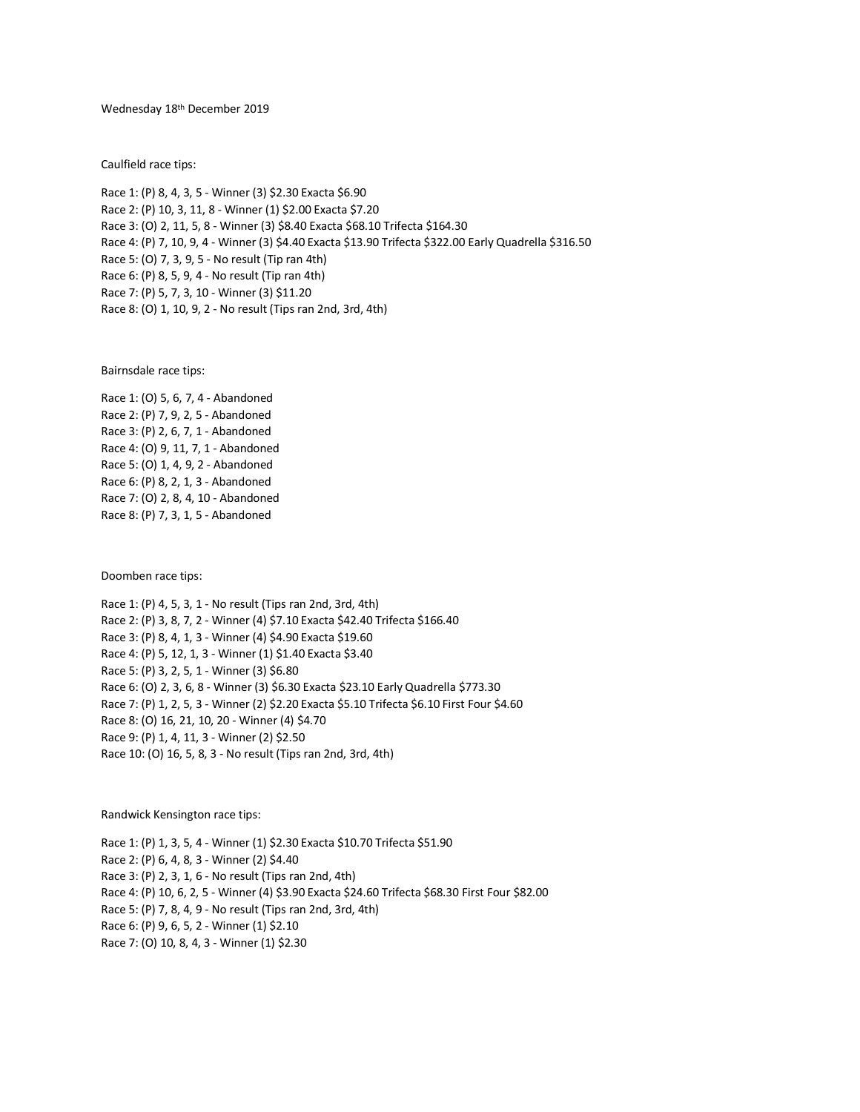### Wednesday 18 th December 2019

Caulfield race tips:

Race 1: (P) 8, 4, 3, 5 - Winner (3) \$2.30 Exacta \$6.90 Race 2: (P) 10, 3, 11, 8 - Winner (1) \$2.00 Exacta \$7.20 Race 3: (O) 2, 11, 5, 8 - Winner (3) \$8.40 Exacta \$68.10 Trifecta \$164.30 Race 4: (P) 7, 10, 9, 4 - Winner (3) \$4.40 Exacta \$13.90 Trifecta \$322.00 Early Quadrella \$316.50 Race 5: (O) 7, 3, 9, 5 - No result (Tip ran 4th) Race 6: (P) 8, 5, 9, 4 - No result (Tip ran 4th) Race 7: (P) 5, 7, 3, 10 - Winner (3) \$11.20 Race 8: (O) 1, 10, 9, 2 - No result (Tips ran 2nd, 3rd, 4th)

Bairnsdale race tips:

Race 1: (O) 5, 6, 7, 4 - Abandoned Race 2: (P) 7, 9, 2, 5 - Abandoned Race 3: (P) 2, 6, 7, 1 - Abandoned Race 4: (O) 9, 11, 7, 1 - Abandoned Race 5: (O) 1, 4, 9, 2 - Abandoned Race 6: (P) 8, 2, 1, 3 - Abandoned Race 7: (O) 2, 8, 4, 10 - Abandoned Race 8: (P) 7, 3, 1, 5 - Abandoned

Doomben race tips:

Race 1: (P) 4, 5, 3, 1 - No result (Tips ran 2nd, 3rd, 4th) Race 2: (P) 3, 8, 7, 2 - Winner (4) \$7.10 Exacta \$42.40 Trifecta \$166.40 Race 3: (P) 8, 4, 1, 3 - Winner (4) \$4.90 Exacta \$19.60 Race 4: (P) 5, 12, 1, 3 - Winner (1) \$1.40 Exacta \$3.40 Race 5: (P) 3, 2, 5, 1 - Winner (3) \$6.80 Race 6: (O) 2, 3, 6, 8 - Winner (3) \$6.30 Exacta \$23.10 Early Quadrella \$773.30 Race 7: (P) 1, 2, 5, 3 - Winner (2) \$2.20 Exacta \$5.10 Trifecta \$6.10 First Four \$4.60 Race 8: (O) 16, 21, 10, 20 - Winner (4) \$4.70 Race 9: (P) 1, 4, 11, 3 - Winner (2) \$2.50 Race 10: (O) 16, 5, 8, 3 - No result (Tips ran 2nd, 3rd, 4th)

Randwick Kensington race tips:

Race 1: (P) 1, 3, 5, 4 - Winner (1) \$2.30 Exacta \$10.70 Trifecta \$51.90 Race 2: (P) 6, 4, 8, 3 - Winner (2) \$4.40 Race 3: (P) 2, 3, 1, 6 - No result (Tips ran 2nd, 4th) Race 4: (P) 10, 6, 2, 5 - Winner (4) \$3.90 Exacta \$24.60 Trifecta \$68.30 First Four \$82.00 Race 5: (P) 7, 8, 4, 9 - No result (Tips ran 2nd, 3rd, 4th) Race 6: (P) 9, 6, 5, 2 - Winner (1) \$2.10 Race 7: (O) 10, 8, 4, 3 - Winner (1) \$2.30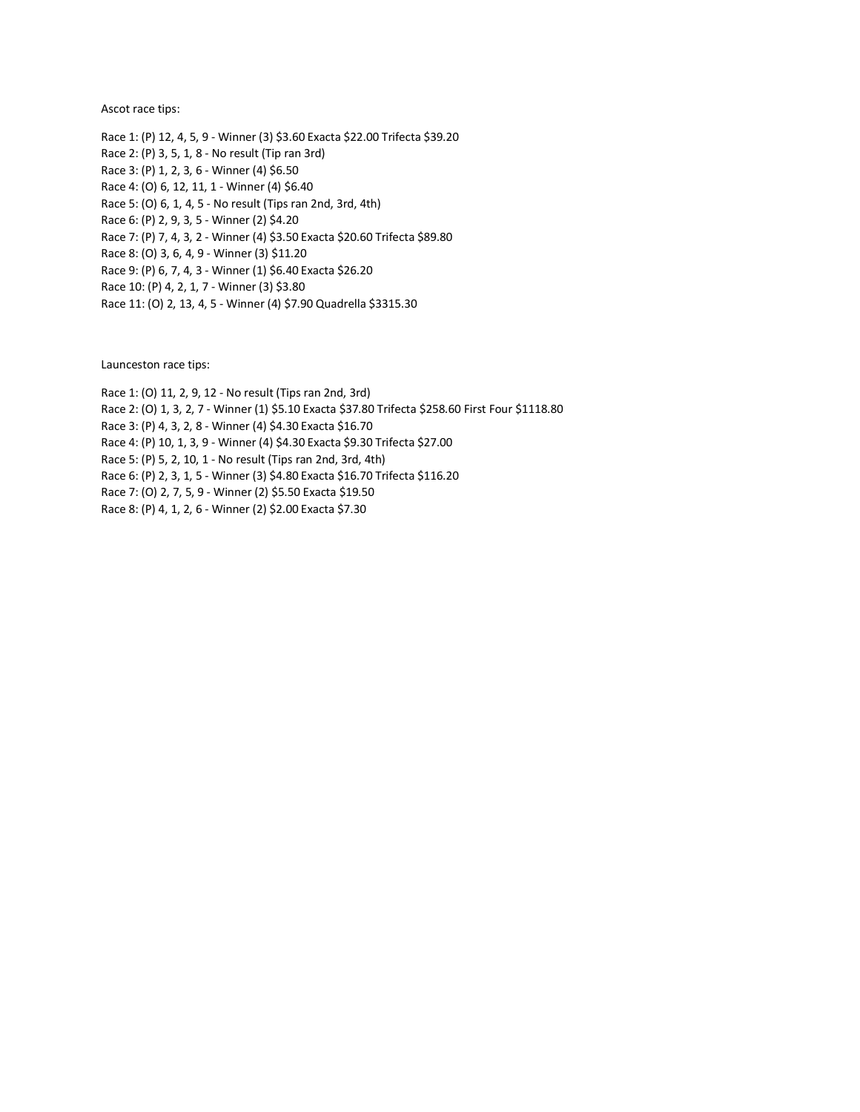Ascot race tips:

Race 1: (P) 12, 4, 5, 9 - Winner (3) \$3.60 Exacta \$22.00 Trifecta \$39.20 Race 2: (P) 3, 5, 1, 8 - No result (Tip ran 3rd) Race 3: (P) 1, 2, 3, 6 - Winner (4) \$6.50 Race 4: (O) 6, 12, 11, 1 - Winner (4) \$6.40 Race 5: (O) 6, 1, 4, 5 - No result (Tips ran 2nd, 3rd, 4th) Race 6: (P) 2, 9, 3, 5 - Winner (2) \$4.20 Race 7: (P) 7, 4, 3, 2 - Winner (4) \$3.50 Exacta \$20.60 Trifecta \$89.80 Race 8: (O) 3, 6, 4, 9 - Winner (3) \$11.20 Race 9: (P) 6, 7, 4, 3 - Winner (1) \$6.40 Exacta \$26.20 Race 10: (P) 4, 2, 1, 7 - Winner (3) \$3.80 Race 11: (O) 2, 13, 4, 5 - Winner (4) \$7.90 Quadrella \$3315.30

Launceston race tips:

Race 1: (O) 11, 2, 9, 12 - No result (Tips ran 2nd, 3rd) Race 2: (O) 1, 3, 2, 7 - Winner (1) \$5.10 Exacta \$37.80 Trifecta \$258.60 First Four \$1118.80 Race 3: (P) 4, 3, 2, 8 - Winner (4) \$4.30 Exacta \$16.70 Race 4: (P) 10, 1, 3, 9 - Winner (4) \$4.30 Exacta \$9.30 Trifecta \$27.00 Race 5: (P) 5, 2, 10, 1 - No result (Tips ran 2nd, 3rd, 4th) Race 6: (P) 2, 3, 1, 5 - Winner (3) \$4.80 Exacta \$16.70 Trifecta \$116.20 Race 7: (O) 2, 7, 5, 9 - Winner (2) \$5.50 Exacta \$19.50 Race 8: (P) 4, 1, 2, 6 - Winner (2) \$2.00 Exacta \$7.30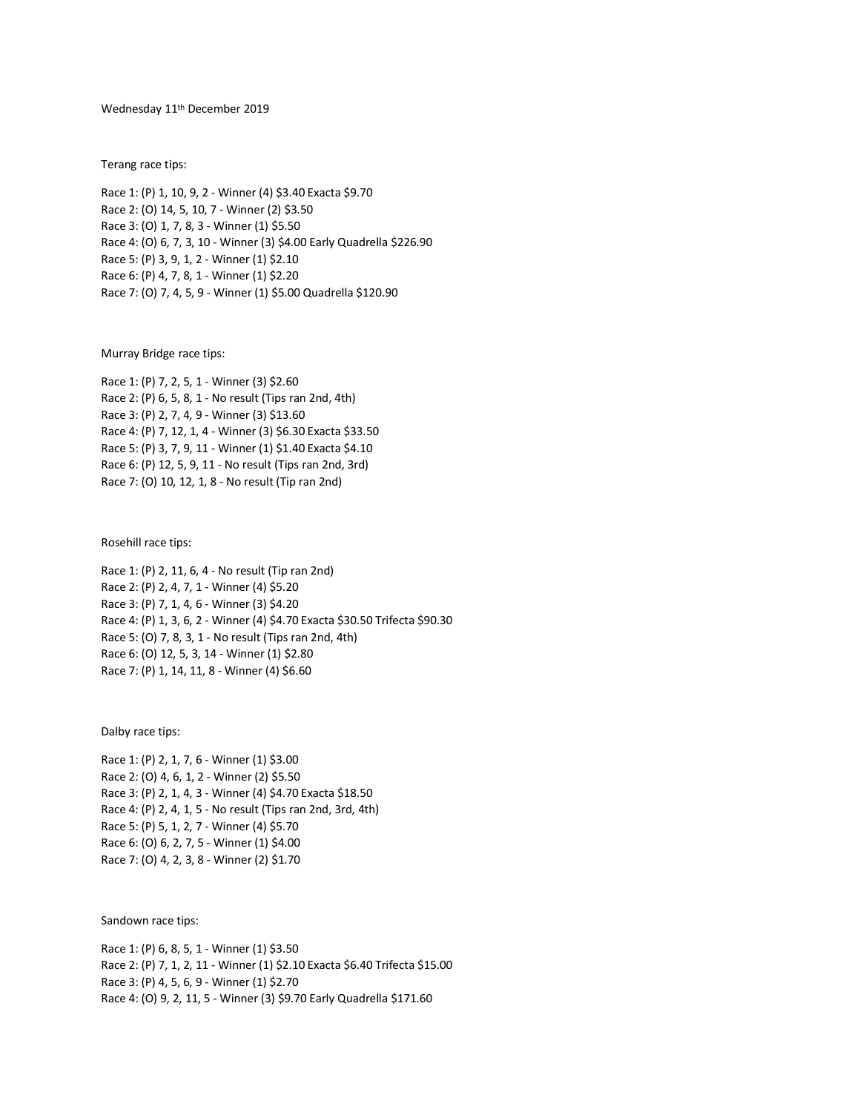## Wednesday 11th December 2019

Terang race tips:

Race 1: (P) 1, 10, 9, 2 - Winner (4) \$3.40 Exacta \$9.70 Race 2: (O) 14, 5, 10, 7 - Winner (2) \$3.50 Race 3: (O) 1, 7, 8, 3 - Winner (1) \$5.50 Race 4: (O) 6, 7, 3, 10 - Winner (3) \$4.00 Early Quadrella \$226.90 Race 5: (P) 3, 9, 1, 2 - Winner (1) \$2.10 Race 6: (P) 4, 7, 8, 1 - Winner (1) \$2.20 Race 7: (O) 7, 4, 5, 9 - Winner (1) \$5.00 Quadrella \$120.90

Murray Bridge race tips:

Race 1: (P) 7, 2, 5, 1 - Winner (3) \$2.60 Race 2: (P) 6, 5, 8, 1 - No result (Tips ran 2nd, 4th) Race 3: (P) 2, 7, 4, 9 - Winner (3) \$13.60 Race 4: (P) 7, 12, 1, 4 - Winner (3) \$6.30 Exacta \$33.50 Race 5: (P) 3, 7, 9, 11 - Winner (1) \$1.40 Exacta \$4.10 Race 6: (P) 12, 5, 9, 11 - No result (Tips ran 2nd, 3rd) Race 7: (O) 10, 12, 1, 8 - No result (Tip ran 2nd)

Rosehill race tips:

Race 1: (P) 2, 11, 6, 4 - No result (Tip ran 2nd) Race 2: (P) 2, 4, 7, 1 - Winner (4) \$5.20 Race 3: (P) 7, 1, 4, 6 - Winner (3) \$4.20 Race 4: (P) 1, 3, 6, 2 - Winner (4) \$4.70 Exacta \$30.50 Trifecta \$90.30 Race 5: (O) 7, 8, 3, 1 - No result (Tips ran 2nd, 4th) Race 6: (O) 12, 5, 3, 14 - Winner (1) \$2.80 Race 7: (P) 1, 14, 11, 8 - Winner (4) \$6.60

Dalby race tips:

Race 1: (P) 2, 1, 7, 6 - Winner (1) \$3.00 Race 2: (O) 4, 6, 1, 2 - Winner (2) \$5.50 Race 3: (P) 2, 1, 4, 3 - Winner (4) \$4.70 Exacta \$18.50 Race 4: (P) 2, 4, 1, 5 - No result (Tips ran 2nd, 3rd, 4th) Race 5: (P) 5, 1, 2, 7 - Winner (4) \$5.70 Race 6: (O) 6, 2, 7, 5 - Winner (1) \$4.00 Race 7: (O) 4, 2, 3, 8 - Winner (2) \$1.70

Sandown race tips:

```
Race 1: (P) 6, 8, 5, 1 - Winner (1) $3.50
Race 2: (P) 7, 1, 2, 11 - Winner (1) $2.10 Exacta $6.40 Trifecta $15.00
Race 3: (P) 4, 5, 6, 9 - Winner (1) $2.70
Race 4: (O) 9, 2, 11, 5 - Winner (3) $9.70 Early Quadrella $171.60
```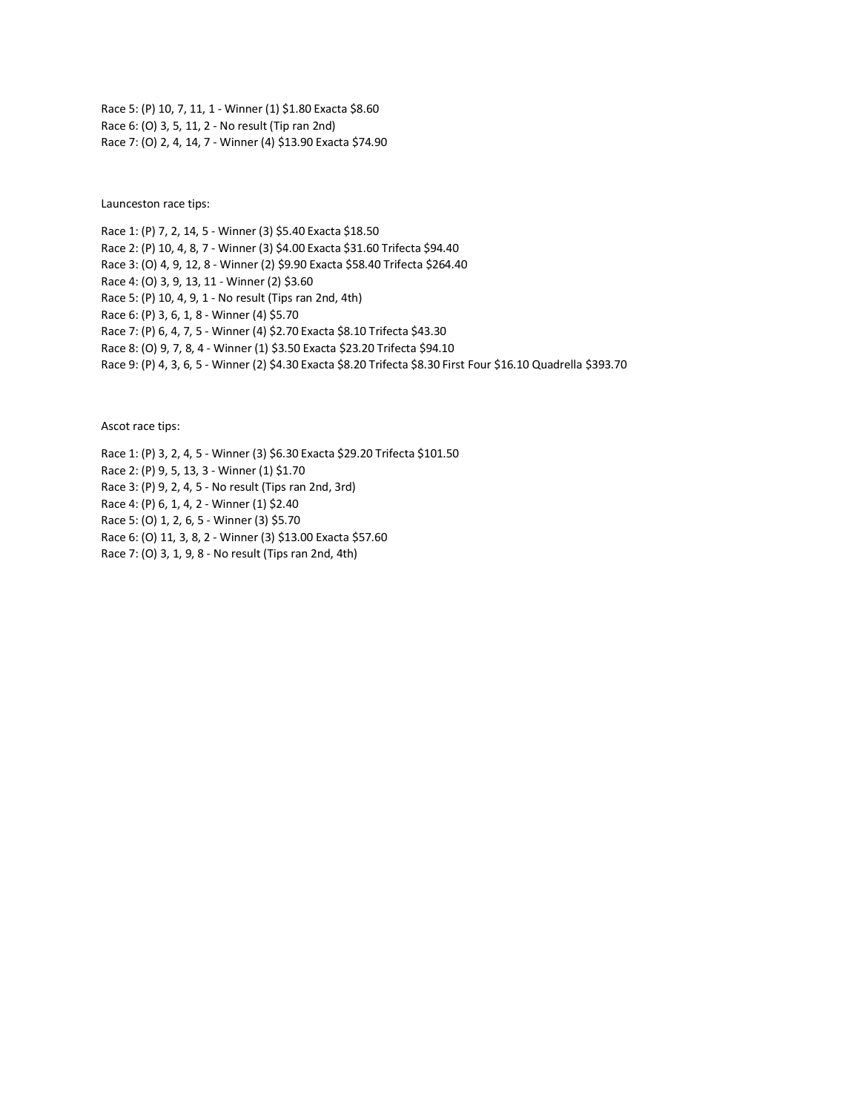Race 5: (P) 10, 7, 11, 1 - Winner (1) \$1.80 Exacta \$8.60 Race 6: (O) 3, 5, 11, 2 - No result (Tip ran 2nd) Race 7: (O) 2, 4, 14, 7 - Winner (4) \$13.90 Exacta \$74.90

Launceston race tips:

Race 1: (P) 7, 2, 14, 5 - Winner (3) \$5.40 Exacta \$18.50 Race 2: (P) 10, 4, 8, 7 - Winner (3) \$4.00 Exacta \$31.60 Trifecta \$94.40 Race 3: (O) 4, 9, 12, 8 - Winner (2) \$9.90 Exacta \$58.40 Trifecta \$264.40 Race 4: (O) 3, 9, 13, 11 - Winner (2) \$3.60 Race 5: (P) 10, 4, 9, 1 - No result (Tips ran 2nd, 4th) Race 6: (P) 3, 6, 1, 8 - Winner (4) \$5.70 Race 7: (P) 6, 4, 7, 5 - Winner (4) \$2.70 Exacta \$8.10 Trifecta \$43.30 Race 8: (O) 9, 7, 8, 4 - Winner (1) \$3.50 Exacta \$23.20 Trifecta \$94.10 Race 9: (P) 4, 3, 6, 5 - Winner (2) \$4.30 Exacta \$8.20 Trifecta \$8.30 First Four \$16.10 Quadrella \$393.70

Ascot race tips:

Race 1: (P) 3, 2, 4, 5 - Winner (3) \$6.30 Exacta \$29.20 Trifecta \$101.50 Race 2: (P) 9, 5, 13, 3 - Winner (1) \$1.70 Race 3: (P) 9, 2, 4, 5 - No result (Tips ran 2nd, 3rd) Race 4: (P) 6, 1, 4, 2 - Winner (1) \$2.40 Race 5: (O) 1, 2, 6, 5 - Winner (3) \$5.70 Race 6: (O) 11, 3, 8, 2 - Winner (3) \$13.00 Exacta \$57.60 Race 7: (O) 3, 1, 9, 8 - No result (Tips ran 2nd, 4th)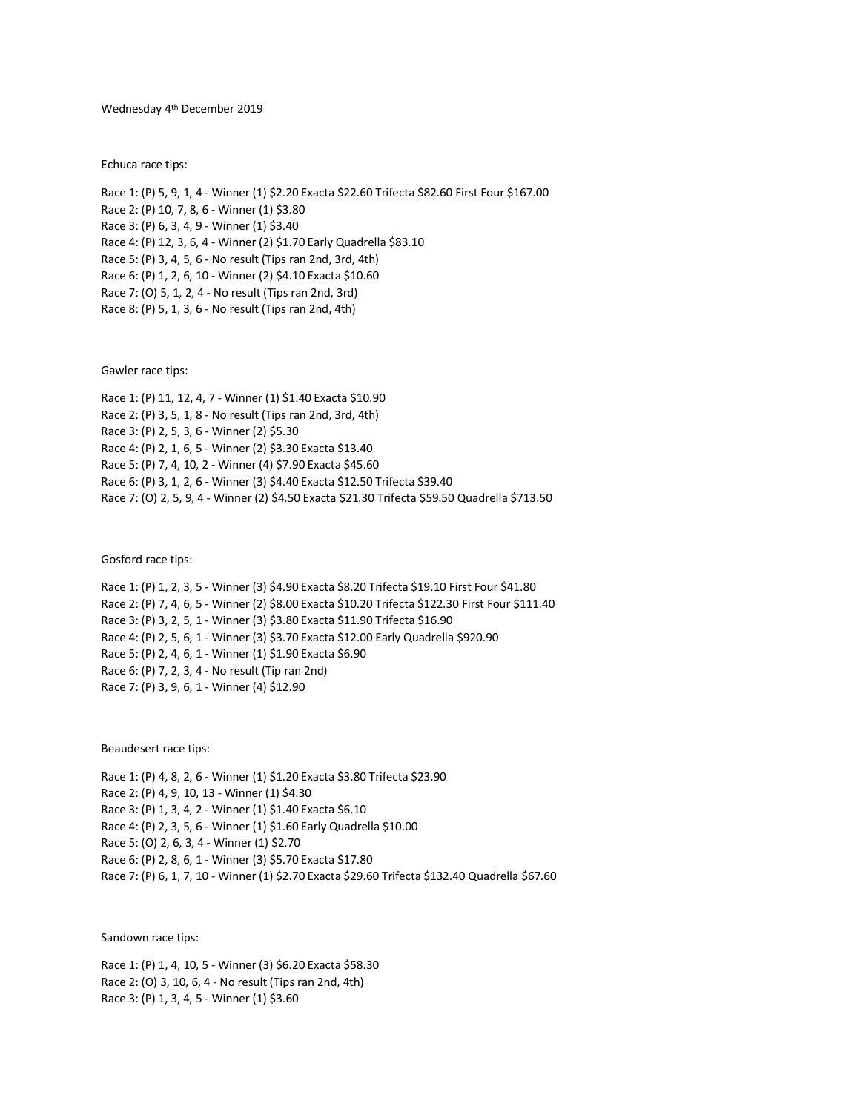### Wednesday 4 th December 2019

Echuca race tips:

Race 1: (P) 5, 9, 1, 4 - Winner (1) \$2.20 Exacta \$22.60 Trifecta \$82.60 First Four \$167.00 Race 2: (P) 10, 7, 8, 6 - Winner (1) \$3.80 Race 3: (P) 6, 3, 4, 9 - Winner (1) \$3.40 Race 4: (P) 12, 3, 6, 4 - Winner (2) \$1.70 Early Quadrella \$83.10 Race 5: (P) 3, 4, 5, 6 - No result (Tips ran 2nd, 3rd, 4th) Race 6: (P) 1, 2, 6, 10 - Winner (2) \$4.10 Exacta \$10.60 Race 7: (O) 5, 1, 2, 4 - No result (Tips ran 2nd, 3rd) Race 8: (P) 5, 1, 3, 6 - No result (Tips ran 2nd, 4th)

Gawler race tips:

Race 1: (P) 11, 12, 4, 7 - Winner (1) \$1.40 Exacta \$10.90 Race 2: (P) 3, 5, 1, 8 - No result (Tips ran 2nd, 3rd, 4th) Race 3: (P) 2, 5, 3, 6 - Winner (2) \$5.30 Race 4: (P) 2, 1, 6, 5 - Winner (2) \$3.30 Exacta \$13.40 Race 5: (P) 7, 4, 10, 2 - Winner (4) \$7.90 Exacta \$45.60 Race 6: (P) 3, 1, 2, 6 - Winner (3) \$4.40 Exacta \$12.50 Trifecta \$39.40 Race 7: (O) 2, 5, 9, 4 - Winner (2) \$4.50 Exacta \$21.30 Trifecta \$59.50 Quadrella \$713.50

Gosford race tips:

| Race 1: (P) 1, 2, 3, 5 - Winner (3) \$4.90 Exacta \$8.20 Trifecta \$19.10 First Four \$41.80    |
|-------------------------------------------------------------------------------------------------|
| Race 2: (P) 7, 4, 6, 5 - Winner (2) \$8.00 Exacta \$10.20 Trifecta \$122.30 First Four \$111.40 |
| Race 3: (P) 3, 2, 5, 1 - Winner (3) \$3.80 Exacta \$11.90 Trifecta \$16.90                      |
| Race 4: (P) 2, 5, 6, 1 - Winner (3) \$3.70 Exacta \$12.00 Early Quadrella \$920.90              |
| Race 5: (P) 2, 4, 6, 1 - Winner (1) \$1.90 Exacta \$6.90                                        |
| Race 6: (P) 7, 2, 3, 4 - No result (Tip ran 2nd)                                                |
| Race 7: (P) 3, 9, 6, 1 - Winner (4) \$12.90                                                     |

Beaudesert race tips:

Race 1: (P) 4, 8, 2, 6 - Winner (1) \$1.20 Exacta \$3.80 Trifecta \$23.90 Race 2: (P) 4, 9, 10, 13 - Winner (1) \$4.30 Race 3: (P) 1, 3, 4, 2 - Winner (1) \$1.40 Exacta \$6.10 Race 4: (P) 2, 3, 5, 6 - Winner (1) \$1.60 Early Quadrella \$10.00 Race 5: (O) 2, 6, 3, 4 - Winner (1) \$2.70 Race 6: (P) 2, 8, 6, 1 - Winner (3) \$5.70 Exacta \$17.80 Race 7: (P) 6, 1, 7, 10 - Winner (1) \$2.70 Exacta \$29.60 Trifecta \$132.40 Quadrella \$67.60

Sandown race tips:

Race 1: (P) 1, 4, 10, 5 - Winner (3) \$6.20 Exacta \$58.30 Race 2: (O) 3, 10, 6, 4 - No result (Tips ran 2nd, 4th) Race 3: (P) 1, 3, 4, 5 - Winner (1) \$3.60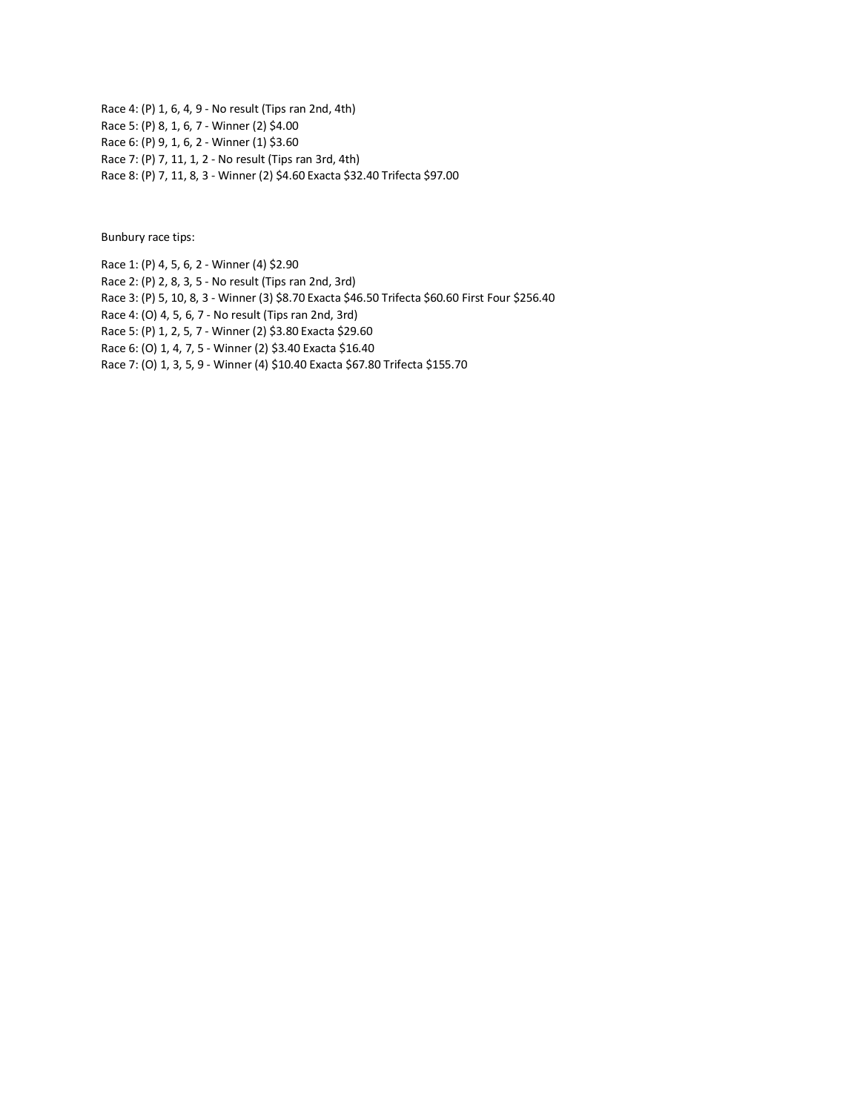Race 4: (P) 1, 6, 4, 9 - No result (Tips ran 2nd, 4th) Race 5: (P) 8, 1, 6, 7 - Winner (2) \$4.00 Race 6: (P) 9, 1, 6, 2 - Winner (1) \$3.60 Race 7: (P) 7, 11, 1, 2 - No result (Tips ran 3rd, 4th) Race 8: (P) 7, 11, 8, 3 - Winner (2) \$4.60 Exacta \$32.40 Trifecta \$97.00

Bunbury race tips:

Race 1: (P) 4, 5, 6, 2 - Winner (4) \$2.90

Race 2: (P) 2, 8, 3, 5 - No result (Tips ran 2nd, 3rd)

Race 3: (P) 5, 10, 8, 3 - Winner (3) \$8.70 Exacta \$46.50 Trifecta \$60.60 First Four \$256.40

Race 4: (O) 4, 5, 6, 7 - No result (Tips ran 2nd, 3rd)

Race 5: (P) 1, 2, 5, 7 - Winner (2) \$3.80 Exacta \$29.60

Race 6: (O) 1, 4, 7, 5 - Winner (2) \$3.40 Exacta \$16.40

Race 7: (O) 1, 3, 5, 9 - Winner (4) \$10.40 Exacta \$67.80 Trifecta \$155.70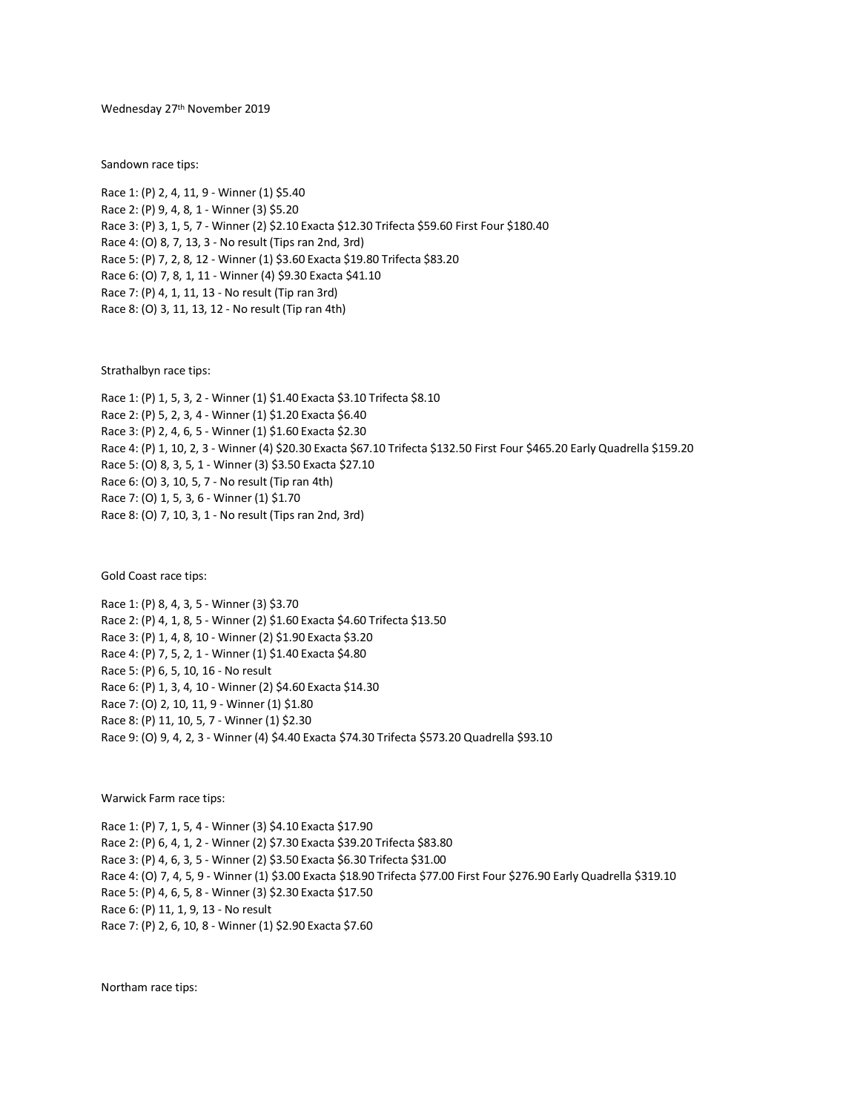Wednesday 27 th November 2019

Sandown race tips:

Race 1: (P) 2, 4, 11, 9 - Winner (1) \$5.40 Race 2: (P) 9, 4, 8, 1 - Winner (3) \$5.20 Race 3: (P) 3, 1, 5, 7 - Winner (2) \$2.10 Exacta \$12.30 Trifecta \$59.60 First Four \$180.40 Race 4: (O) 8, 7, 13, 3 - No result (Tips ran 2nd, 3rd) Race 5: (P) 7, 2, 8, 12 - Winner (1) \$3.60 Exacta \$19.80 Trifecta \$83.20 Race 6: (O) 7, 8, 1, 11 - Winner (4) \$9.30 Exacta \$41.10 Race 7: (P) 4, 1, 11, 13 - No result (Tip ran 3rd) Race 8: (O) 3, 11, 13, 12 - No result (Tip ran 4th)

Strathalbyn race tips:

Race 1: (P) 1, 5, 3, 2 - Winner (1) \$1.40 Exacta \$3.10 Trifecta \$8.10 Race 2: (P) 5, 2, 3, 4 - Winner (1) \$1.20 Exacta \$6.40 Race 3: (P) 2, 4, 6, 5 - Winner (1) \$1.60 Exacta \$2.30 Race 4: (P) 1, 10, 2, 3 - Winner (4) \$20.30 Exacta \$67.10 Trifecta \$132.50 First Four \$465.20 Early Quadrella \$159.20 Race 5: (O) 8, 3, 5, 1 - Winner (3) \$3.50 Exacta \$27.10 Race 6: (O) 3, 10, 5, 7 - No result (Tip ran 4th) Race 7: (O) 1, 5, 3, 6 - Winner (1) \$1.70 Race 8: (O) 7, 10, 3, 1 - No result (Tips ran 2nd, 3rd)

Gold Coast race tips:

Race 1: (P) 8, 4, 3, 5 - Winner (3) \$3.70 Race 2: (P) 4, 1, 8, 5 - Winner (2) \$1.60 Exacta \$4.60 Trifecta \$13.50 Race 3: (P) 1, 4, 8, 10 - Winner (2) \$1.90 Exacta \$3.20 Race 4: (P) 7, 5, 2, 1 - Winner (1) \$1.40 Exacta \$4.80 Race 5: (P) 6, 5, 10, 16 - No result Race 6: (P) 1, 3, 4, 10 - Winner (2) \$4.60 Exacta \$14.30 Race 7: (O) 2, 10, 11, 9 - Winner (1) \$1.80 Race 8: (P) 11, 10, 5, 7 - Winner (1) \$2.30 Race 9: (O) 9, 4, 2, 3 - Winner (4) \$4.40 Exacta \$74.30 Trifecta \$573.20 Quadrella \$93.10

Warwick Farm race tips:

Race 1: (P) 7, 1, 5, 4 - Winner (3) \$4.10 Exacta \$17.90 Race 2: (P) 6, 4, 1, 2 - Winner (2) \$7.30 Exacta \$39.20 Trifecta \$83.80 Race 3: (P) 4, 6, 3, 5 - Winner (2) \$3.50 Exacta \$6.30 Trifecta \$31.00 Race 4: (O) 7, 4, 5, 9 - Winner (1) \$3.00 Exacta \$18.90 Trifecta \$77.00 First Four \$276.90 Early Quadrella \$319.10 Race 5: (P) 4, 6, 5, 8 - Winner (3) \$2.30 Exacta \$17.50 Race 6: (P) 11, 1, 9, 13 - No result Race 7: (P) 2, 6, 10, 8 - Winner (1) \$2.90 Exacta \$7.60

Northam race tips: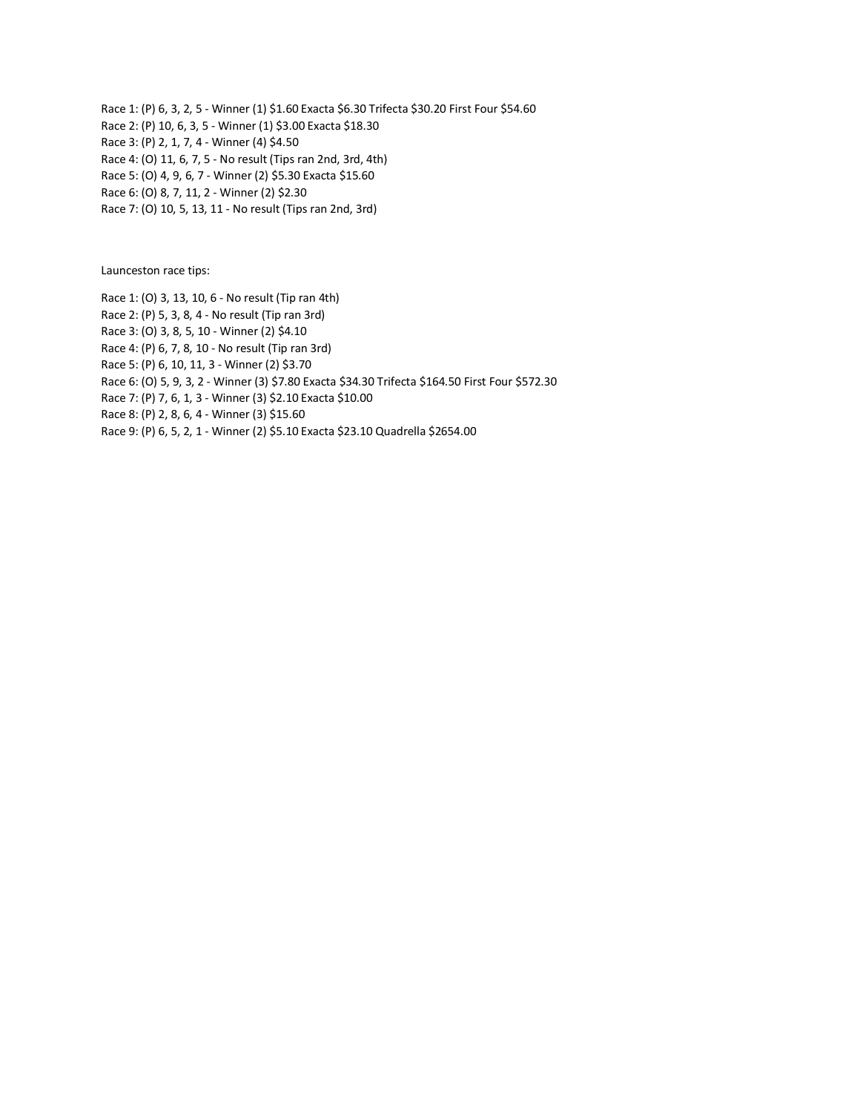Race 1: (P) 6, 3, 2, 5 - Winner (1) \$1.60 Exacta \$6.30 Trifecta \$30.20 First Four \$54.60 Race 2: (P) 10, 6, 3, 5 - Winner (1) \$3.00 Exacta \$18.30 Race 3: (P) 2, 1, 7, 4 - Winner (4) \$4.50 Race 4: (O) 11, 6, 7, 5 - No result (Tips ran 2nd, 3rd, 4th) Race 5: (O) 4, 9, 6, 7 - Winner (2) \$5.30 Exacta \$15.60 Race 6: (O) 8, 7, 11, 2 - Winner (2) \$2.30

Race 7: (O) 10, 5, 13, 11 - No result (Tips ran 2nd, 3rd)

Launceston race tips:

Race 1: (O) 3, 13, 10, 6 - No result (Tip ran 4th) Race 2: (P) 5, 3, 8, 4 - No result (Tip ran 3rd) Race 3: (O) 3, 8, 5, 10 - Winner (2) \$4.10 Race 4: (P) 6, 7, 8, 10 - No result (Tip ran 3rd) Race 5: (P) 6, 10, 11, 3 - Winner (2) \$3.70 Race 6: (O) 5, 9, 3, 2 - Winner (3) \$7.80 Exacta \$34.30 Trifecta \$164.50 First Four \$572.30 Race 7: (P) 7, 6, 1, 3 - Winner (3) \$2.10 Exacta \$10.00 Race 8: (P) 2, 8, 6, 4 - Winner (3) \$15.60 Race 9: (P) 6, 5, 2, 1 - Winner (2) \$5.10 Exacta \$23.10 Quadrella \$2654.00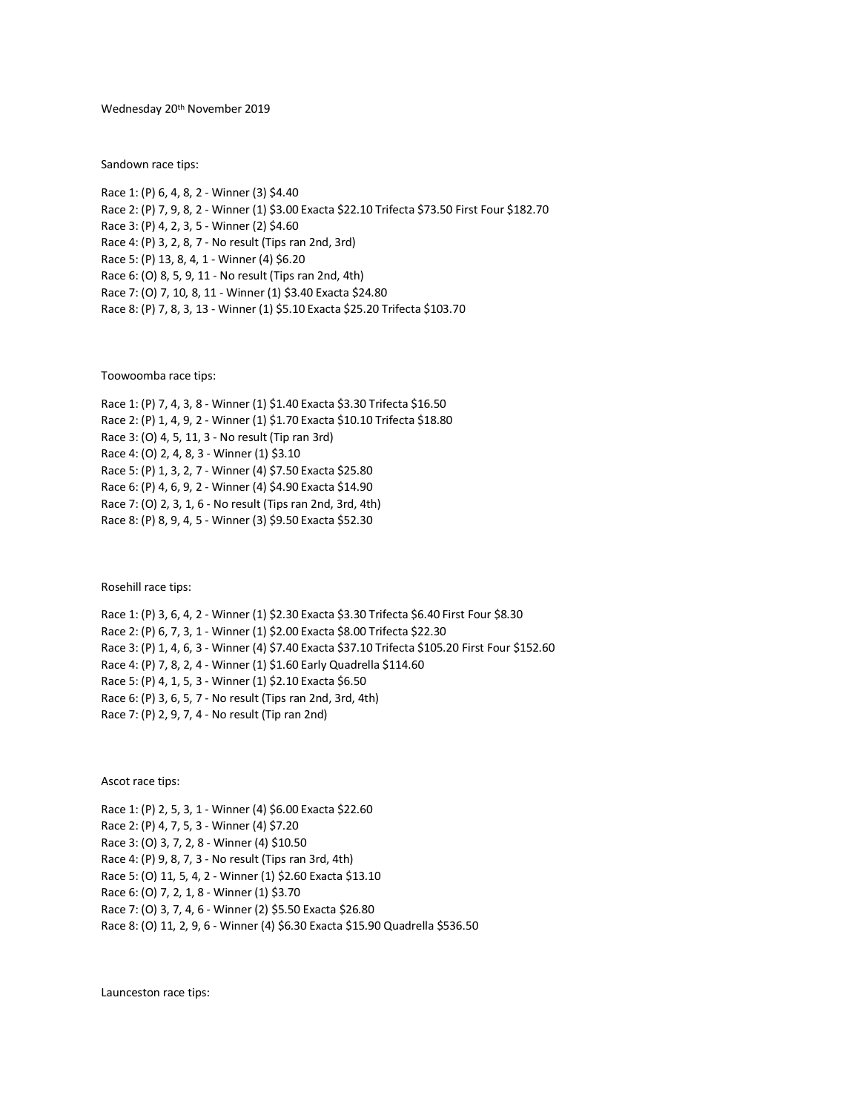Wednesday 20th November 2019

Sandown race tips:

Race 1: (P) 6, 4, 8, 2 - Winner (3) \$4.40 Race 2: (P) 7, 9, 8, 2 - Winner (1) \$3.00 Exacta \$22.10 Trifecta \$73.50 First Four \$182.70 Race 3: (P) 4, 2, 3, 5 - Winner (2) \$4.60 Race 4: (P) 3, 2, 8, 7 - No result (Tips ran 2nd, 3rd) Race 5: (P) 13, 8, 4, 1 - Winner (4) \$6.20 Race 6: (O) 8, 5, 9, 11 - No result (Tips ran 2nd, 4th) Race 7: (O) 7, 10, 8, 11 - Winner (1) \$3.40 Exacta \$24.80 Race 8: (P) 7, 8, 3, 13 - Winner (1) \$5.10 Exacta \$25.20 Trifecta \$103.70

Toowoomba race tips:

Race 1: (P) 7, 4, 3, 8 - Winner (1) \$1.40 Exacta \$3.30 Trifecta \$16.50 Race 2: (P) 1, 4, 9, 2 - Winner (1) \$1.70 Exacta \$10.10 Trifecta \$18.80 Race 3: (O) 4, 5, 11, 3 - No result (Tip ran 3rd) Race 4: (O) 2, 4, 8, 3 - Winner (1) \$3.10 Race 5: (P) 1, 3, 2, 7 - Winner (4) \$7.50 Exacta \$25.80 Race 6: (P) 4, 6, 9, 2 - Winner (4) \$4.90 Exacta \$14.90 Race 7: (O) 2, 3, 1, 6 - No result (Tips ran 2nd, 3rd, 4th) Race 8: (P) 8, 9, 4, 5 - Winner (3) \$9.50 Exacta \$52.30

Rosehill race tips:

Race 1: (P) 3, 6, 4, 2 - Winner (1) \$2.30 Exacta \$3.30 Trifecta \$6.40 First Four \$8.30 Race 2: (P) 6, 7, 3, 1 - Winner (1) \$2.00 Exacta \$8.00 Trifecta \$22.30 Race 3: (P) 1, 4, 6, 3 - Winner (4) \$7.40 Exacta \$37.10 Trifecta \$105.20 First Four \$152.60 Race 4: (P) 7, 8, 2, 4 - Winner (1) \$1.60 Early Quadrella \$114.60 Race 5: (P) 4, 1, 5, 3 - Winner (1) \$2.10 Exacta \$6.50 Race 6: (P) 3, 6, 5, 7 - No result (Tips ran 2nd, 3rd, 4th) Race 7: (P) 2, 9, 7, 4 - No result (Tip ran 2nd)

Ascot race tips:

Race 1: (P) 2, 5, 3, 1 - Winner (4) \$6.00 Exacta \$22.60 Race 2: (P) 4, 7, 5, 3 - Winner (4) \$7.20 Race 3: (O) 3, 7, 2, 8 - Winner (4) \$10.50 Race 4: (P) 9, 8, 7, 3 - No result (Tips ran 3rd, 4th) Race 5: (O) 11, 5, 4, 2 - Winner (1) \$2.60 Exacta \$13.10 Race 6: (O) 7, 2, 1, 8 - Winner (1) \$3.70 Race 7: (O) 3, 7, 4, 6 - Winner (2) \$5.50 Exacta \$26.80 Race 8: (O) 11, 2, 9, 6 - Winner (4) \$6.30 Exacta \$15.90 Quadrella \$536.50

Launceston race tips: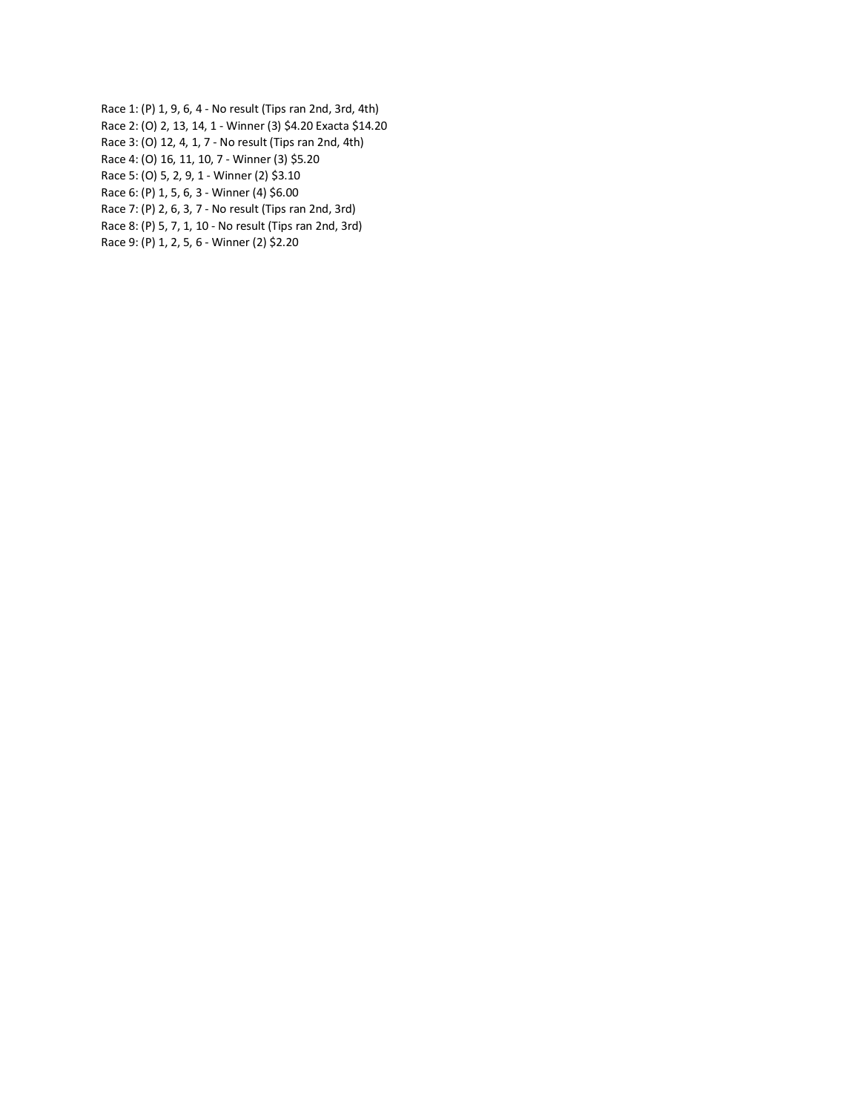- Race 1: (P) 1, 9, 6, 4 No result (Tips ran 2nd, 3rd, 4th)
- Race 2: (O) 2, 13, 14, 1 Winner (3) \$4.20 Exacta \$14.20
- Race 3: (O) 12, 4, 1, 7 No result (Tips ran 2nd, 4th)
- Race 4: (O) 16, 11, 10, 7 Winner (3) \$5.20
- Race 5: (O) 5, 2, 9, 1 Winner (2) \$3.10
- Race 6: (P) 1, 5, 6, 3 Winner (4) \$6.00
- Race 7: (P) 2, 6, 3, 7 No result (Tips ran 2nd, 3rd)
- Race 8: (P) 5, 7, 1, 10 No result (Tips ran 2nd, 3rd)
- Race 9: (P) 1, 2, 5, 6 Winner (2) \$2.20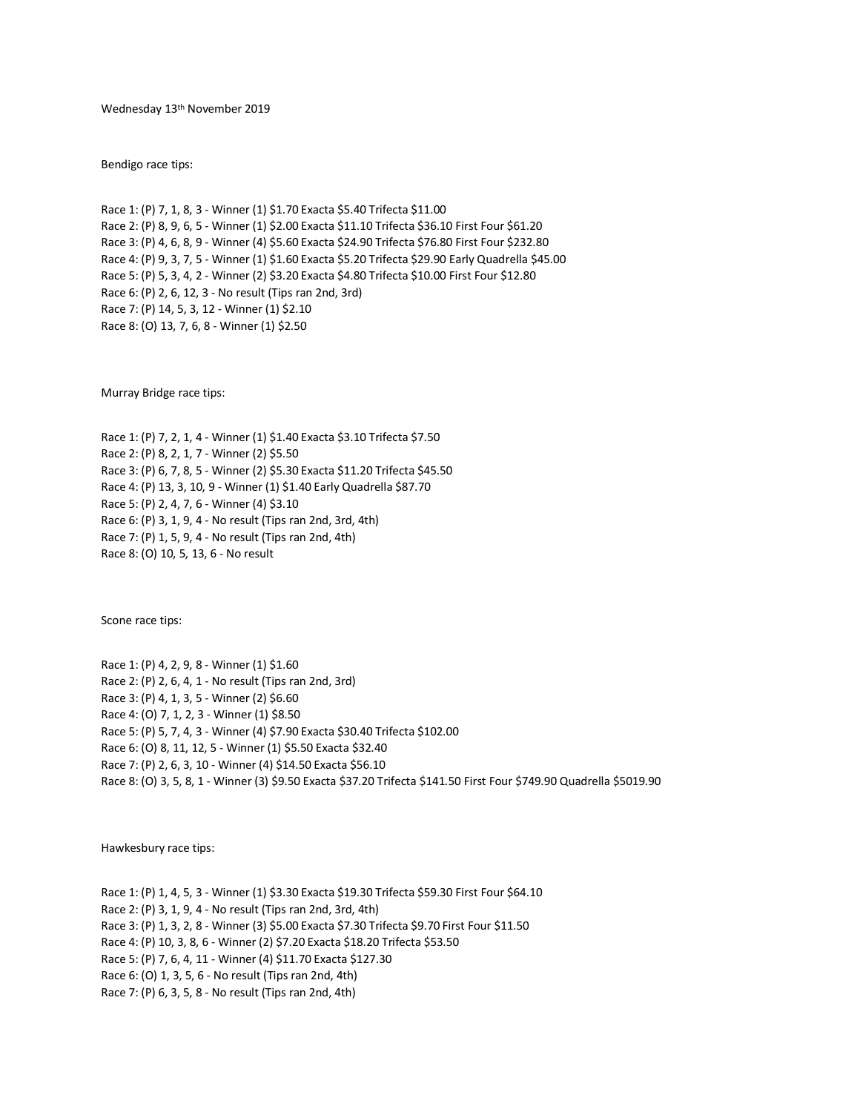Wednesday 13th November 2019

Bendigo race tips:

Race 1: (P) 7, 1, 8, 3 - Winner (1) \$1.70 Exacta \$5.40 Trifecta \$11.00 Race 2: (P) 8, 9, 6, 5 - Winner (1) \$2.00 Exacta \$11.10 Trifecta \$36.10 First Four \$61.20 Race 3: (P) 4, 6, 8, 9 - Winner (4) \$5.60 Exacta \$24.90 Trifecta \$76.80 First Four \$232.80 Race 4: (P) 9, 3, 7, 5 - Winner (1) \$1.60 Exacta \$5.20 Trifecta \$29.90 Early Quadrella \$45.00 Race 5: (P) 5, 3, 4, 2 - Winner (2) \$3.20 Exacta \$4.80 Trifecta \$10.00 First Four \$12.80 Race 6: (P) 2, 6, 12, 3 - No result (Tips ran 2nd, 3rd) Race 7: (P) 14, 5, 3, 12 - Winner (1) \$2.10 Race 8: (O) 13, 7, 6, 8 - Winner (1) \$2.50

Murray Bridge race tips:

Race 1: (P) 7, 2, 1, 4 - Winner (1) \$1.40 Exacta \$3.10 Trifecta \$7.50 Race 2: (P) 8, 2, 1, 7 - Winner (2) \$5.50 Race 3: (P) 6, 7, 8, 5 - Winner (2) \$5.30 Exacta \$11.20 Trifecta \$45.50 Race 4: (P) 13, 3, 10, 9 - Winner (1) \$1.40 Early Quadrella \$87.70 Race 5: (P) 2, 4, 7, 6 - Winner (4) \$3.10 Race 6: (P) 3, 1, 9, 4 - No result (Tips ran 2nd, 3rd, 4th) Race 7: (P) 1, 5, 9, 4 - No result (Tips ran 2nd, 4th) Race 8: (O) 10, 5, 13, 6 - No result

Scone race tips:

Race 1: (P) 4, 2, 9, 8 - Winner (1) \$1.60 Race 2: (P) 2, 6, 4, 1 - No result (Tips ran 2nd, 3rd) Race 3: (P) 4, 1, 3, 5 - Winner (2) \$6.60 Race 4: (O) 7, 1, 2, 3 - Winner (1) \$8.50 Race 5: (P) 5, 7, 4, 3 - Winner (4) \$7.90 Exacta \$30.40 Trifecta \$102.00 Race 6: (O) 8, 11, 12, 5 - Winner (1) \$5.50 Exacta \$32.40 Race 7: (P) 2, 6, 3, 10 - Winner (4) \$14.50 Exacta \$56.10 Race 8: (O) 3, 5, 8, 1 - Winner (3) \$9.50 Exacta \$37.20 Trifecta \$141.50 First Four \$749.90 Quadrella \$5019.90

Hawkesbury race tips:

Race 1: (P) 1, 4, 5, 3 - Winner (1) \$3.30 Exacta \$19.30 Trifecta \$59.30 First Four \$64.10 Race 2: (P) 3, 1, 9, 4 - No result (Tips ran 2nd, 3rd, 4th) Race 3: (P) 1, 3, 2, 8 - Winner (3) \$5.00 Exacta \$7.30 Trifecta \$9.70 First Four \$11.50 Race 4: (P) 10, 3, 8, 6 - Winner (2) \$7.20 Exacta \$18.20 Trifecta \$53.50 Race 5: (P) 7, 6, 4, 11 - Winner (4) \$11.70 Exacta \$127.30 Race 6: (O) 1, 3, 5, 6 - No result (Tips ran 2nd, 4th) Race 7: (P) 6, 3, 5, 8 - No result (Tips ran 2nd, 4th)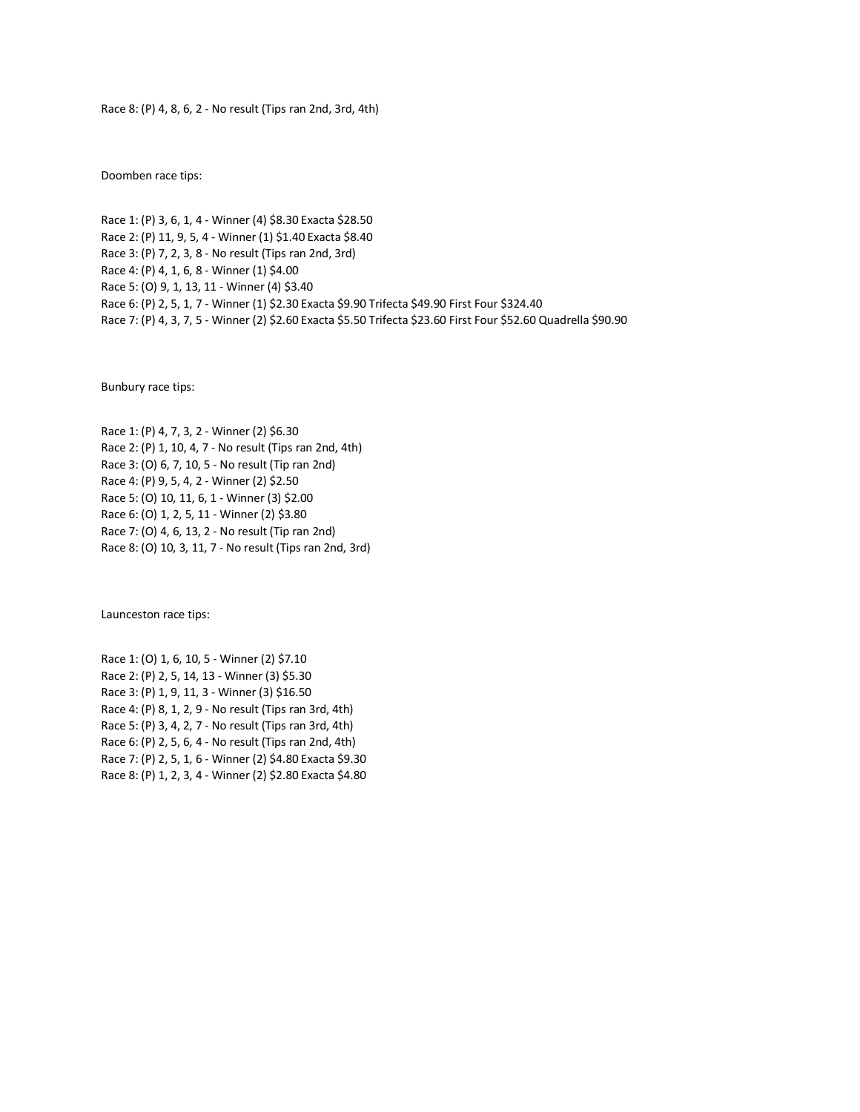## Race 8: (P) 4, 8, 6, 2 - No result (Tips ran 2nd, 3rd, 4th)

Doomben race tips:

Race 1: (P) 3, 6, 1, 4 - Winner (4) \$8.30 Exacta \$28.50 Race 2: (P) 11, 9, 5, 4 - Winner (1) \$1.40 Exacta \$8.40 Race 3: (P) 7, 2, 3, 8 - No result (Tips ran 2nd, 3rd) Race 4: (P) 4, 1, 6, 8 - Winner (1) \$4.00 Race 5: (O) 9, 1, 13, 11 - Winner (4) \$3.40 Race 6: (P) 2, 5, 1, 7 - Winner (1) \$2.30 Exacta \$9.90 Trifecta \$49.90 First Four \$324.40 Race 7: (P) 4, 3, 7, 5 - Winner (2) \$2.60 Exacta \$5.50 Trifecta \$23.60 First Four \$52.60 Quadrella \$90.90

Bunbury race tips:

Race 1: (P) 4, 7, 3, 2 - Winner (2) \$6.30 Race 2: (P) 1, 10, 4, 7 - No result (Tips ran 2nd, 4th) Race 3: (O) 6, 7, 10, 5 - No result (Tip ran 2nd) Race 4: (P) 9, 5, 4, 2 - Winner (2) \$2.50 Race 5: (O) 10, 11, 6, 1 - Winner (3) \$2.00 Race 6: (O) 1, 2, 5, 11 - Winner (2) \$3.80 Race 7: (O) 4, 6, 13, 2 - No result (Tip ran 2nd) Race 8: (O) 10, 3, 11, 7 - No result (Tips ran 2nd, 3rd)

Launceston race tips:

Race 1: (O) 1, 6, 10, 5 - Winner (2) \$7.10 Race 2: (P) 2, 5, 14, 13 - Winner (3) \$5.30 Race 3: (P) 1, 9, 11, 3 - Winner (3) \$16.50 Race 4: (P) 8, 1, 2, 9 - No result (Tips ran 3rd, 4th) Race 5: (P) 3, 4, 2, 7 - No result (Tips ran 3rd, 4th) Race 6: (P) 2, 5, 6, 4 - No result (Tips ran 2nd, 4th) Race 7: (P) 2, 5, 1, 6 - Winner (2) \$4.80 Exacta \$9.30 Race 8: (P) 1, 2, 3, 4 - Winner (2) \$2.80 Exacta \$4.80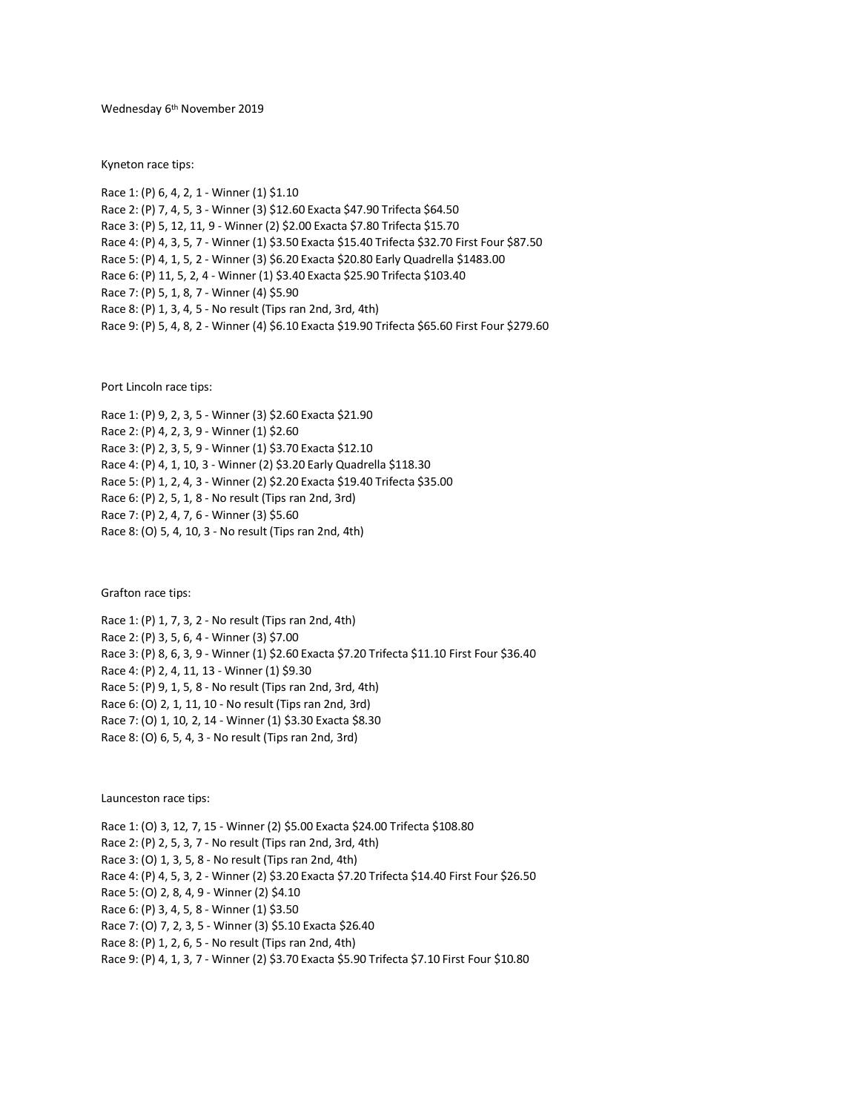Wednesday 6 th November 2019

Kyneton race tips:

Race 1: (P) 6, 4, 2, 1 - Winner (1) \$1.10 Race 2: (P) 7, 4, 5, 3 - Winner (3) \$12.60 Exacta \$47.90 Trifecta \$64.50 Race 3: (P) 5, 12, 11, 9 - Winner (2) \$2.00 Exacta \$7.80 Trifecta \$15.70 Race 4: (P) 4, 3, 5, 7 - Winner (1) \$3.50 Exacta \$15.40 Trifecta \$32.70 First Four \$87.50 Race 5: (P) 4, 1, 5, 2 - Winner (3) \$6.20 Exacta \$20.80 Early Quadrella \$1483.00 Race 6: (P) 11, 5, 2, 4 - Winner (1) \$3.40 Exacta \$25.90 Trifecta \$103.40 Race 7: (P) 5, 1, 8, 7 - Winner (4) \$5.90 Race 8: (P) 1, 3, 4, 5 - No result (Tips ran 2nd, 3rd, 4th) Race 9: (P) 5, 4, 8, 2 - Winner (4) \$6.10 Exacta \$19.90 Trifecta \$65.60 First Four \$279.60

Port Lincoln race tips:

Race 1: (P) 9, 2, 3, 5 - Winner (3) \$2.60 Exacta \$21.90 Race 2: (P) 4, 2, 3, 9 - Winner (1) \$2.60 Race 3: (P) 2, 3, 5, 9 - Winner (1) \$3.70 Exacta \$12.10 Race 4: (P) 4, 1, 10, 3 - Winner (2) \$3.20 Early Quadrella \$118.30 Race 5: (P) 1, 2, 4, 3 - Winner (2) \$2.20 Exacta \$19.40 Trifecta \$35.00 Race 6: (P) 2, 5, 1, 8 - No result (Tips ran 2nd, 3rd) Race 7: (P) 2, 4, 7, 6 - Winner (3) \$5.60 Race 8: (O) 5, 4, 10, 3 - No result (Tips ran 2nd, 4th)

Grafton race tips:

Race 1: (P) 1, 7, 3, 2 - No result (Tips ran 2nd, 4th) Race 2: (P) 3, 5, 6, 4 - Winner (3) \$7.00 Race 3: (P) 8, 6, 3, 9 - Winner (1) \$2.60 Exacta \$7.20 Trifecta \$11.10 First Four \$36.40 Race 4: (P) 2, 4, 11, 13 - Winner (1) \$9.30 Race 5: (P) 9, 1, 5, 8 - No result (Tips ran 2nd, 3rd, 4th) Race 6: (O) 2, 1, 11, 10 - No result (Tips ran 2nd, 3rd) Race 7: (O) 1, 10, 2, 14 - Winner (1) \$3.30 Exacta \$8.30 Race 8: (O) 6, 5, 4, 3 - No result (Tips ran 2nd, 3rd)

Launceston race tips:

Race 1: (O) 3, 12, 7, 15 - Winner (2) \$5.00 Exacta \$24.00 Trifecta \$108.80 Race 2: (P) 2, 5, 3, 7 - No result (Tips ran 2nd, 3rd, 4th) Race 3: (O) 1, 3, 5, 8 - No result (Tips ran 2nd, 4th) Race 4: (P) 4, 5, 3, 2 - Winner (2) \$3.20 Exacta \$7.20 Trifecta \$14.40 First Four \$26.50 Race 5: (O) 2, 8, 4, 9 - Winner (2) \$4.10 Race 6: (P) 3, 4, 5, 8 - Winner (1) \$3.50 Race 7: (O) 7, 2, 3, 5 - Winner (3) \$5.10 Exacta \$26.40 Race 8: (P) 1, 2, 6, 5 - No result (Tips ran 2nd, 4th) Race 9: (P) 4, 1, 3, 7 - Winner (2) \$3.70 Exacta \$5.90 Trifecta \$7.10 First Four \$10.80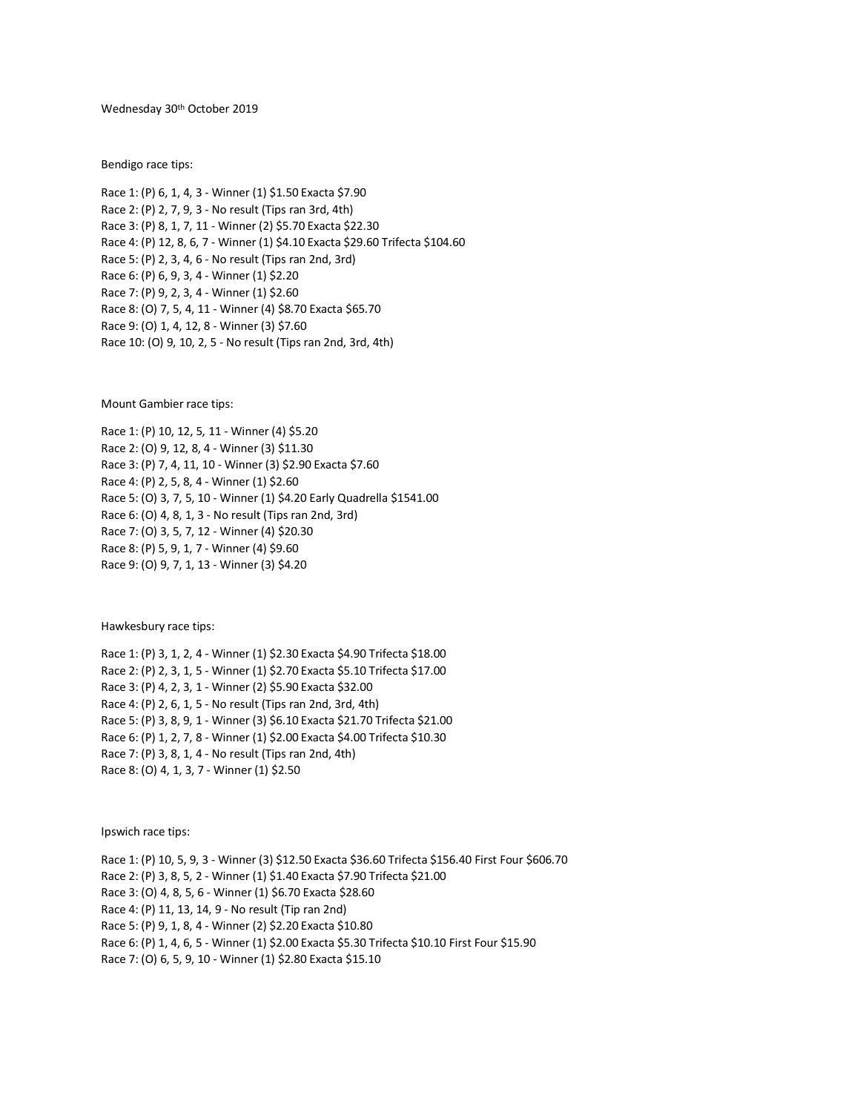Wednesday 30th October 2019

Bendigo race tips:

Race 1: (P) 6, 1, 4, 3 - Winner (1) \$1.50 Exacta \$7.90 Race 2: (P) 2, 7, 9, 3 - No result (Tips ran 3rd, 4th) Race 3: (P) 8, 1, 7, 11 - Winner (2) \$5.70 Exacta \$22.30 Race 4: (P) 12, 8, 6, 7 - Winner (1) \$4.10 Exacta \$29.60 Trifecta \$104.60 Race 5: (P) 2, 3, 4, 6 - No result (Tips ran 2nd, 3rd) Race 6: (P) 6, 9, 3, 4 - Winner (1) \$2.20 Race 7: (P) 9, 2, 3, 4 - Winner (1) \$2.60 Race 8: (O) 7, 5, 4, 11 - Winner (4) \$8.70 Exacta \$65.70 Race 9: (O) 1, 4, 12, 8 - Winner (3) \$7.60 Race 10: (O) 9, 10, 2, 5 - No result (Tips ran 2nd, 3rd, 4th)

Mount Gambier race tips:

Race 1: (P) 10, 12, 5, 11 - Winner (4) \$5.20 Race 2: (O) 9, 12, 8, 4 - Winner (3) \$11.30 Race 3: (P) 7, 4, 11, 10 - Winner (3) \$2.90 Exacta \$7.60 Race 4: (P) 2, 5, 8, 4 - Winner (1) \$2.60 Race 5: (O) 3, 7, 5, 10 - Winner (1) \$4.20 Early Quadrella \$1541.00 Race 6: (O) 4, 8, 1, 3 - No result (Tips ran 2nd, 3rd) Race 7: (O) 3, 5, 7, 12 - Winner (4) \$20.30 Race 8: (P) 5, 9, 1, 7 - Winner (4) \$9.60 Race 9: (O) 9, 7, 1, 13 - Winner (3) \$4.20

Hawkesbury race tips:

Race 1: (P) 3, 1, 2, 4 - Winner (1) \$2.30 Exacta \$4.90 Trifecta \$18.00 Race 2: (P) 2, 3, 1, 5 - Winner (1) \$2.70 Exacta \$5.10 Trifecta \$17.00 Race 3: (P) 4, 2, 3, 1 - Winner (2) \$5.90 Exacta \$32.00 Race 4: (P) 2, 6, 1, 5 - No result (Tips ran 2nd, 3rd, 4th) Race 5: (P) 3, 8, 9, 1 - Winner (3) \$6.10 Exacta \$21.70 Trifecta \$21.00 Race 6: (P) 1, 2, 7, 8 - Winner (1) \$2.00 Exacta \$4.00 Trifecta \$10.30 Race 7: (P) 3, 8, 1, 4 - No result (Tips ran 2nd, 4th) Race 8: (O) 4, 1, 3, 7 - Winner (1) \$2.50

Ipswich race tips:

Race 1: (P) 10, 5, 9, 3 - Winner (3) \$12.50 Exacta \$36.60 Trifecta \$156.40 First Four \$606.70 Race 2: (P) 3, 8, 5, 2 - Winner (1) \$1.40 Exacta \$7.90 Trifecta \$21.00 Race 3: (O) 4, 8, 5, 6 - Winner (1) \$6.70 Exacta \$28.60 Race 4: (P) 11, 13, 14, 9 - No result (Tip ran 2nd) Race 5: (P) 9, 1, 8, 4 - Winner (2) \$2.20 Exacta \$10.80 Race 6: (P) 1, 4, 6, 5 - Winner (1) \$2.00 Exacta \$5.30 Trifecta \$10.10 First Four \$15.90 Race 7: (O) 6, 5, 9, 10 - Winner (1) \$2.80 Exacta \$15.10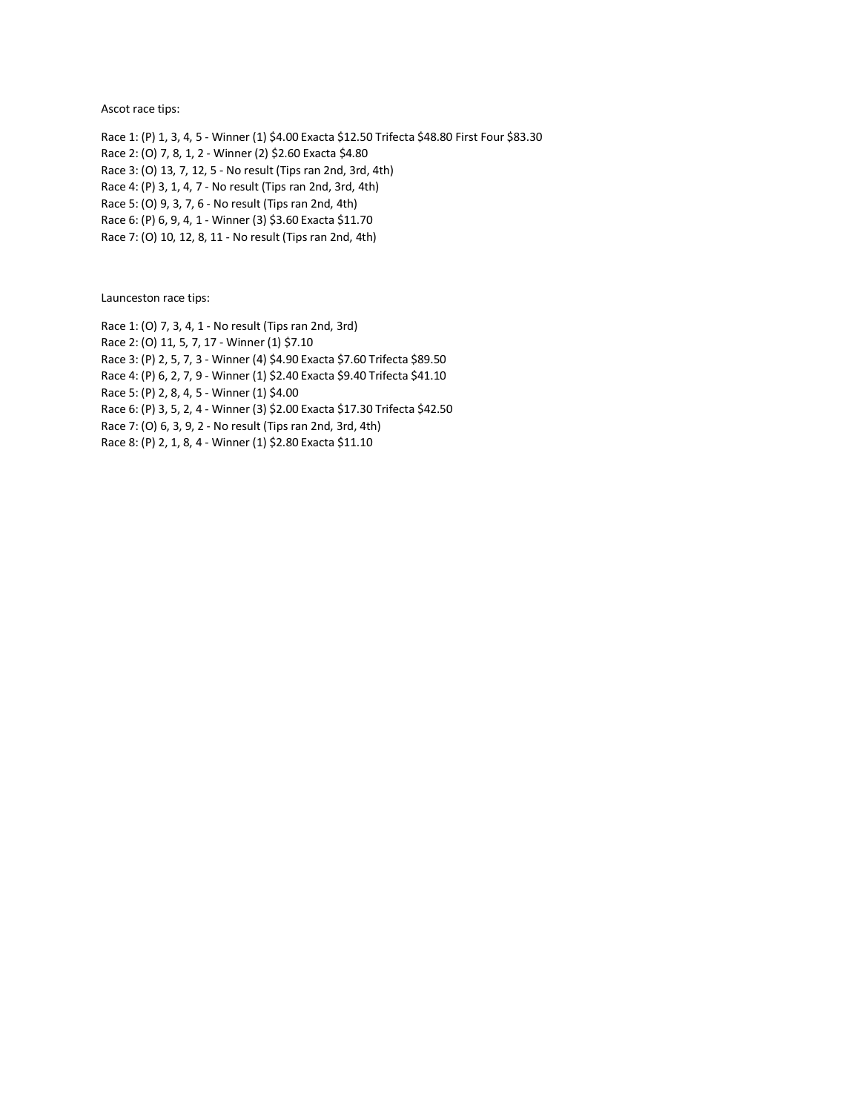Ascot race tips:

Race 1: (P) 1, 3, 4, 5 - Winner (1) \$4.00 Exacta \$12.50 Trifecta \$48.80 First Four \$83.30 Race 2: (O) 7, 8, 1, 2 - Winner (2) \$2.60 Exacta \$4.80 Race 3: (O) 13, 7, 12, 5 - No result (Tips ran 2nd, 3rd, 4th) Race 4: (P) 3, 1, 4, 7 - No result (Tips ran 2nd, 3rd, 4th) Race 5: (O) 9, 3, 7, 6 - No result (Tips ran 2nd, 4th) Race 6: (P) 6, 9, 4, 1 - Winner (3) \$3.60 Exacta \$11.70 Race 7: (O) 10, 12, 8, 11 - No result (Tips ran 2nd, 4th)

Launceston race tips:

Race 1: (O) 7, 3, 4, 1 - No result (Tips ran 2nd, 3rd) Race 2: (O) 11, 5, 7, 17 - Winner (1) \$7.10 Race 3: (P) 2, 5, 7, 3 - Winner (4) \$4.90 Exacta \$7.60 Trifecta \$89.50 Race 4: (P) 6, 2, 7, 9 - Winner (1) \$2.40 Exacta \$9.40 Trifecta \$41.10 Race 5: (P) 2, 8, 4, 5 - Winner (1) \$4.00 Race 6: (P) 3, 5, 2, 4 - Winner (3) \$2.00 Exacta \$17.30 Trifecta \$42.50 Race 7: (O) 6, 3, 9, 2 - No result (Tips ran 2nd, 3rd, 4th) Race 8: (P) 2, 1, 8, 4 - Winner (1) \$2.80 Exacta \$11.10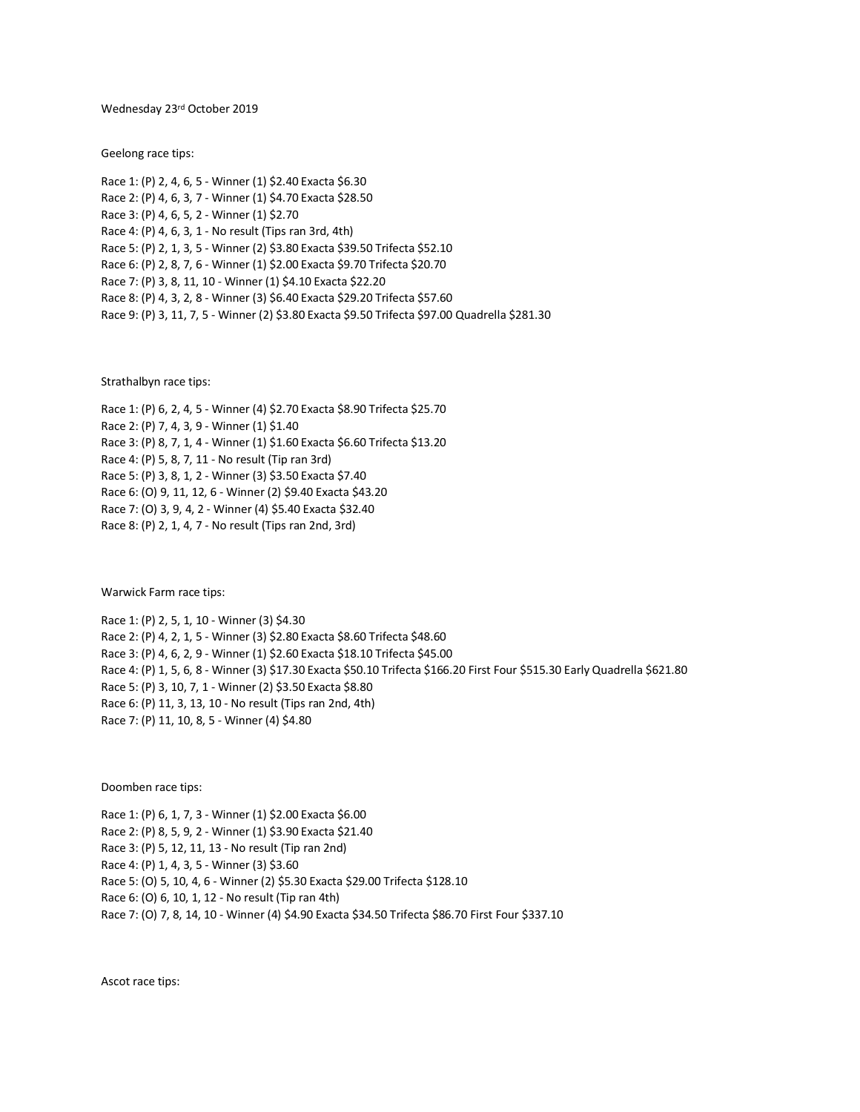Wednesday 23<sup>rd</sup> October 2019

Geelong race tips:

Race 1: (P) 2, 4, 6, 5 - Winner (1) \$2.40 Exacta \$6.30 Race 2: (P) 4, 6, 3, 7 - Winner (1) \$4.70 Exacta \$28.50 Race 3: (P) 4, 6, 5, 2 - Winner (1) \$2.70 Race 4: (P) 4, 6, 3, 1 - No result (Tips ran 3rd, 4th) Race 5: (P) 2, 1, 3, 5 - Winner (2) \$3.80 Exacta \$39.50 Trifecta \$52.10 Race 6: (P) 2, 8, 7, 6 - Winner (1) \$2.00 Exacta \$9.70 Trifecta \$20.70 Race 7: (P) 3, 8, 11, 10 - Winner (1) \$4.10 Exacta \$22.20 Race 8: (P) 4, 3, 2, 8 - Winner (3) \$6.40 Exacta \$29.20 Trifecta \$57.60 Race 9: (P) 3, 11, 7, 5 - Winner (2) \$3.80 Exacta \$9.50 Trifecta \$97.00 Quadrella \$281.30

Strathalbyn race tips:

Race 1: (P) 6, 2, 4, 5 - Winner (4) \$2.70 Exacta \$8.90 Trifecta \$25.70 Race 2: (P) 7, 4, 3, 9 - Winner (1) \$1.40 Race 3: (P) 8, 7, 1, 4 - Winner (1) \$1.60 Exacta \$6.60 Trifecta \$13.20 Race 4: (P) 5, 8, 7, 11 - No result (Tip ran 3rd) Race 5: (P) 3, 8, 1, 2 - Winner (3) \$3.50 Exacta \$7.40 Race 6: (O) 9, 11, 12, 6 - Winner (2) \$9.40 Exacta \$43.20 Race 7: (O) 3, 9, 4, 2 - Winner (4) \$5.40 Exacta \$32.40 Race 8: (P) 2, 1, 4, 7 - No result (Tips ran 2nd, 3rd)

Warwick Farm race tips:

Race 1: (P) 2, 5, 1, 10 - Winner (3) \$4.30 Race 2: (P) 4, 2, 1, 5 - Winner (3) \$2.80 Exacta \$8.60 Trifecta \$48.60 Race 3: (P) 4, 6, 2, 9 - Winner (1) \$2.60 Exacta \$18.10 Trifecta \$45.00 Race 4: (P) 1, 5, 6, 8 - Winner (3) \$17.30 Exacta \$50.10 Trifecta \$166.20 First Four \$515.30 Early Quadrella \$621.80 Race 5: (P) 3, 10, 7, 1 - Winner (2) \$3.50 Exacta \$8.80 Race 6: (P) 11, 3, 13, 10 - No result (Tips ran 2nd, 4th) Race 7: (P) 11, 10, 8, 5 - Winner (4) \$4.80

Doomben race tips:

Race 1: (P) 6, 1, 7, 3 - Winner (1) \$2.00 Exacta \$6.00 Race 2: (P) 8, 5, 9, 2 - Winner (1) \$3.90 Exacta \$21.40 Race 3: (P) 5, 12, 11, 13 - No result (Tip ran 2nd) Race 4: (P) 1, 4, 3, 5 - Winner (3) \$3.60 Race 5: (O) 5, 10, 4, 6 - Winner (2) \$5.30 Exacta \$29.00 Trifecta \$128.10 Race 6: (O) 6, 10, 1, 12 - No result (Tip ran 4th) Race 7: (O) 7, 8, 14, 10 - Winner (4) \$4.90 Exacta \$34.50 Trifecta \$86.70 First Four \$337.10

Ascot race tips: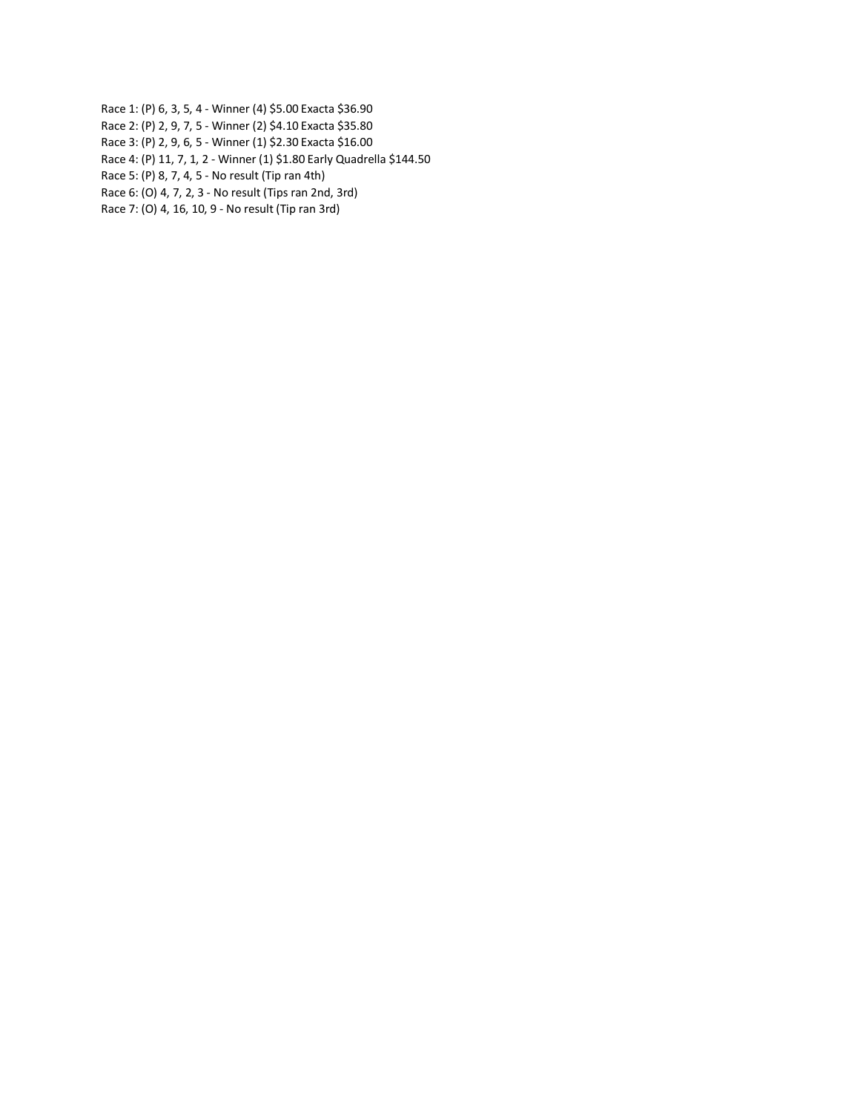Race 1: (P) 6, 3, 5, 4 - Winner (4) \$5.00 Exacta \$36.90

Race 2: (P) 2, 9, 7, 5 - Winner (2) \$4.10 Exacta \$35.80

Race 3: (P) 2, 9, 6, 5 - Winner (1) \$2.30 Exacta \$16.00

Race 4: (P) 11, 7, 1, 2 - Winner (1) \$1.80 Early Quadrella \$144.50

Race 5: (P) 8, 7, 4, 5 - No result (Tip ran 4th)

Race 6: (O) 4, 7, 2, 3 - No result (Tips ran 2nd, 3rd)

Race 7: (O) 4, 16, 10, 9 - No result (Tip ran 3rd)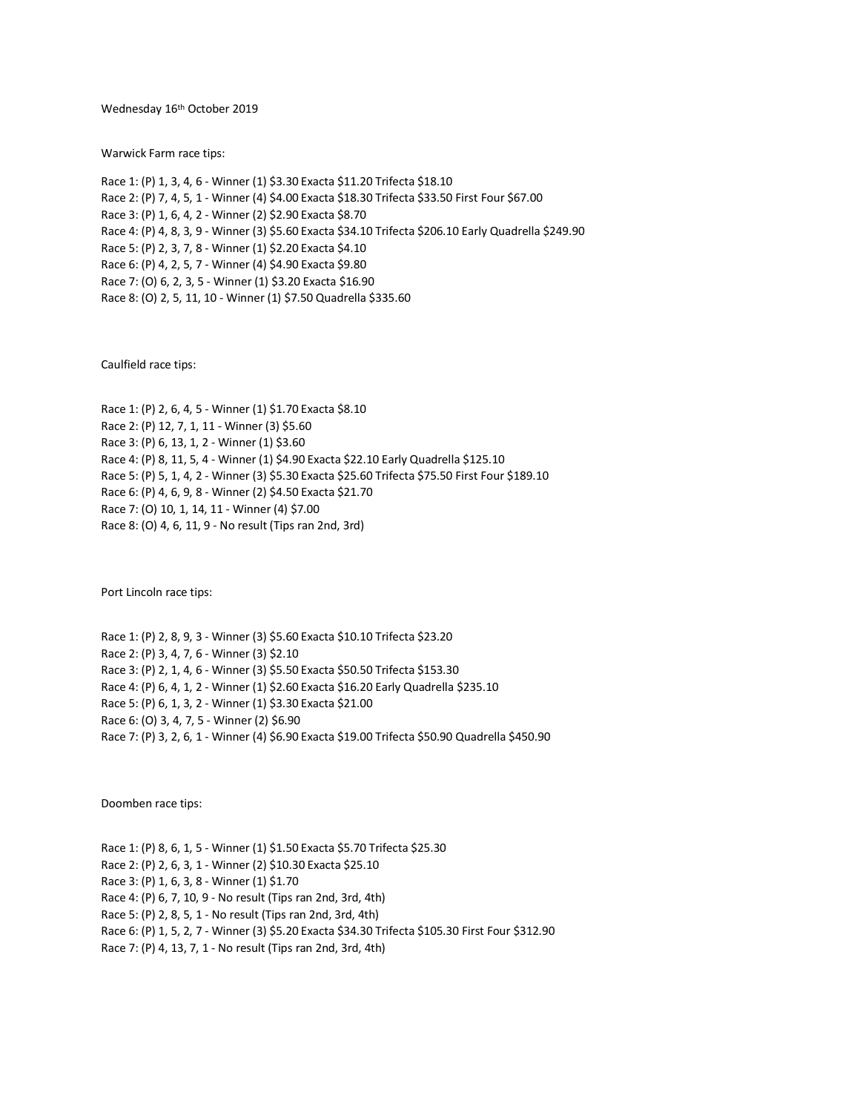Wednesday 16th October 2019

Warwick Farm race tips:

Race 1: (P) 1, 3, 4, 6 - Winner (1) \$3.30 Exacta \$11.20 Trifecta \$18.10 Race 2: (P) 7, 4, 5, 1 - Winner (4) \$4.00 Exacta \$18.30 Trifecta \$33.50 First Four \$67.00 Race 3: (P) 1, 6, 4, 2 - Winner (2) \$2.90 Exacta \$8.70 Race 4: (P) 4, 8, 3, 9 - Winner (3) \$5.60 Exacta \$34.10 Trifecta \$206.10 Early Quadrella \$249.90 Race 5: (P) 2, 3, 7, 8 - Winner (1) \$2.20 Exacta \$4.10 Race 6: (P) 4, 2, 5, 7 - Winner (4) \$4.90 Exacta \$9.80 Race 7: (O) 6, 2, 3, 5 - Winner (1) \$3.20 Exacta \$16.90 Race 8: (O) 2, 5, 11, 10 - Winner (1) \$7.50 Quadrella \$335.60

Caulfield race tips:

Race 1: (P) 2, 6, 4, 5 - Winner (1) \$1.70 Exacta \$8.10 Race 2: (P) 12, 7, 1, 11 - Winner (3) \$5.60 Race 3: (P) 6, 13, 1, 2 - Winner (1) \$3.60 Race 4: (P) 8, 11, 5, 4 - Winner (1) \$4.90 Exacta \$22.10 Early Quadrella \$125.10 Race 5: (P) 5, 1, 4, 2 - Winner (3) \$5.30 Exacta \$25.60 Trifecta \$75.50 First Four \$189.10 Race 6: (P) 4, 6, 9, 8 - Winner (2) \$4.50 Exacta \$21.70 Race 7: (O) 10, 1, 14, 11 - Winner (4) \$7.00 Race 8: (O) 4, 6, 11, 9 - No result (Tips ran 2nd, 3rd)

Port Lincoln race tips:

Race 1: (P) 2, 8, 9, 3 - Winner (3) \$5.60 Exacta \$10.10 Trifecta \$23.20 Race 2: (P) 3, 4, 7, 6 - Winner (3) \$2.10 Race 3: (P) 2, 1, 4, 6 - Winner (3) \$5.50 Exacta \$50.50 Trifecta \$153.30 Race 4: (P) 6, 4, 1, 2 - Winner (1) \$2.60 Exacta \$16.20 Early Quadrella \$235.10 Race 5: (P) 6, 1, 3, 2 - Winner (1) \$3.30 Exacta \$21.00 Race 6: (O) 3, 4, 7, 5 - Winner (2) \$6.90 Race 7: (P) 3, 2, 6, 1 - Winner (4) \$6.90 Exacta \$19.00 Trifecta \$50.90 Quadrella \$450.90

Doomben race tips:

Race 1: (P) 8, 6, 1, 5 - Winner (1) \$1.50 Exacta \$5.70 Trifecta \$25.30 Race 2: (P) 2, 6, 3, 1 - Winner (2) \$10.30 Exacta \$25.10 Race 3: (P) 1, 6, 3, 8 - Winner (1) \$1.70 Race 4: (P) 6, 7, 10, 9 - No result (Tips ran 2nd, 3rd, 4th) Race 5: (P) 2, 8, 5, 1 - No result (Tips ran 2nd, 3rd, 4th) Race 6: (P) 1, 5, 2, 7 - Winner (3) \$5.20 Exacta \$34.30 Trifecta \$105.30 First Four \$312.90 Race 7: (P) 4, 13, 7, 1 - No result (Tips ran 2nd, 3rd, 4th)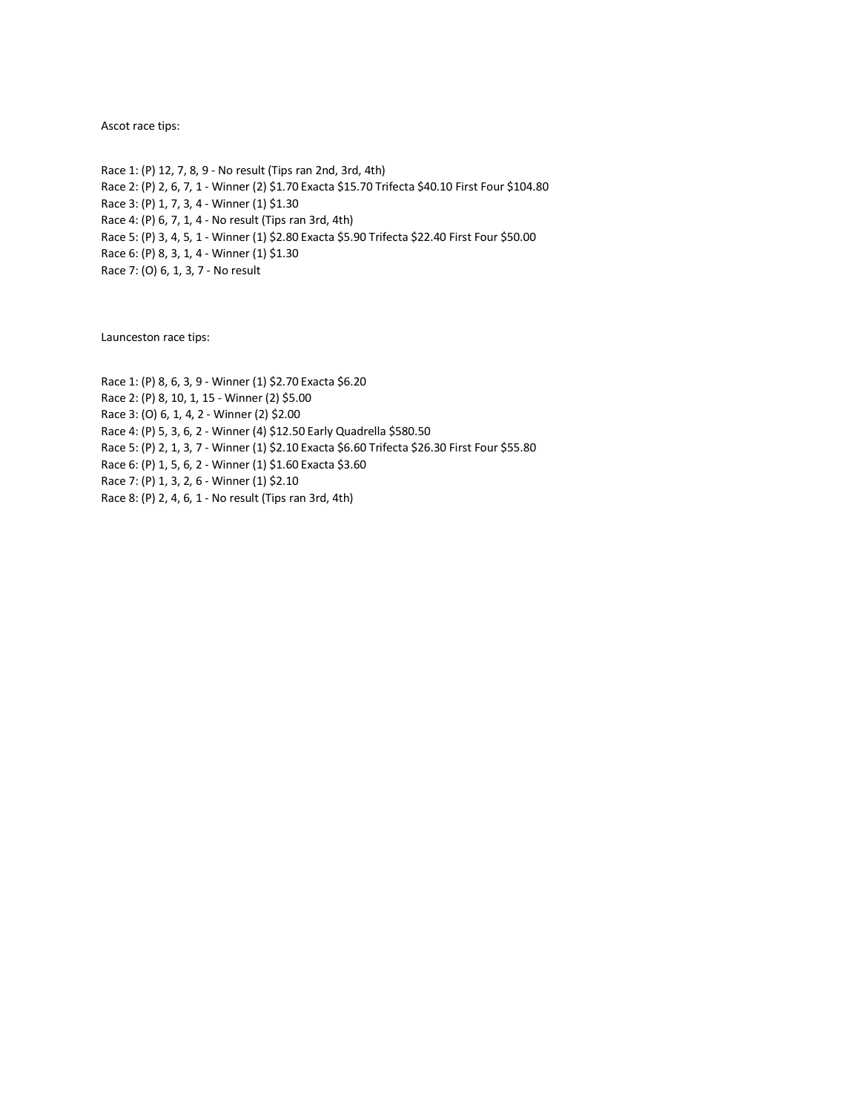Ascot race tips:

Race 1: (P) 12, 7, 8, 9 - No result (Tips ran 2nd, 3rd, 4th) Race 2: (P) 2, 6, 7, 1 - Winner (2) \$1.70 Exacta \$15.70 Trifecta \$40.10 First Four \$104.80 Race 3: (P) 1, 7, 3, 4 - Winner (1) \$1.30 Race 4: (P) 6, 7, 1, 4 - No result (Tips ran 3rd, 4th) Race 5: (P) 3, 4, 5, 1 - Winner (1) \$2.80 Exacta \$5.90 Trifecta \$22.40 First Four \$50.00 Race 6: (P) 8, 3, 1, 4 - Winner (1) \$1.30 Race 7: (O) 6, 1, 3, 7 - No result

Launceston race tips:

Race 1: (P) 8, 6, 3, 9 - Winner (1) \$2.70 Exacta \$6.20 Race 2: (P) 8, 10, 1, 15 - Winner (2) \$5.00 Race 3: (O) 6, 1, 4, 2 - Winner (2) \$2.00 Race 4: (P) 5, 3, 6, 2 - Winner (4) \$12.50 Early Quadrella \$580.50 Race 5: (P) 2, 1, 3, 7 - Winner (1) \$2.10 Exacta \$6.60 Trifecta \$26.30 First Four \$55.80 Race 6: (P) 1, 5, 6, 2 - Winner (1) \$1.60 Exacta \$3.60 Race 7: (P) 1, 3, 2, 6 - Winner (1) \$2.10 Race 8: (P) 2, 4, 6, 1 - No result (Tips ran 3rd, 4th)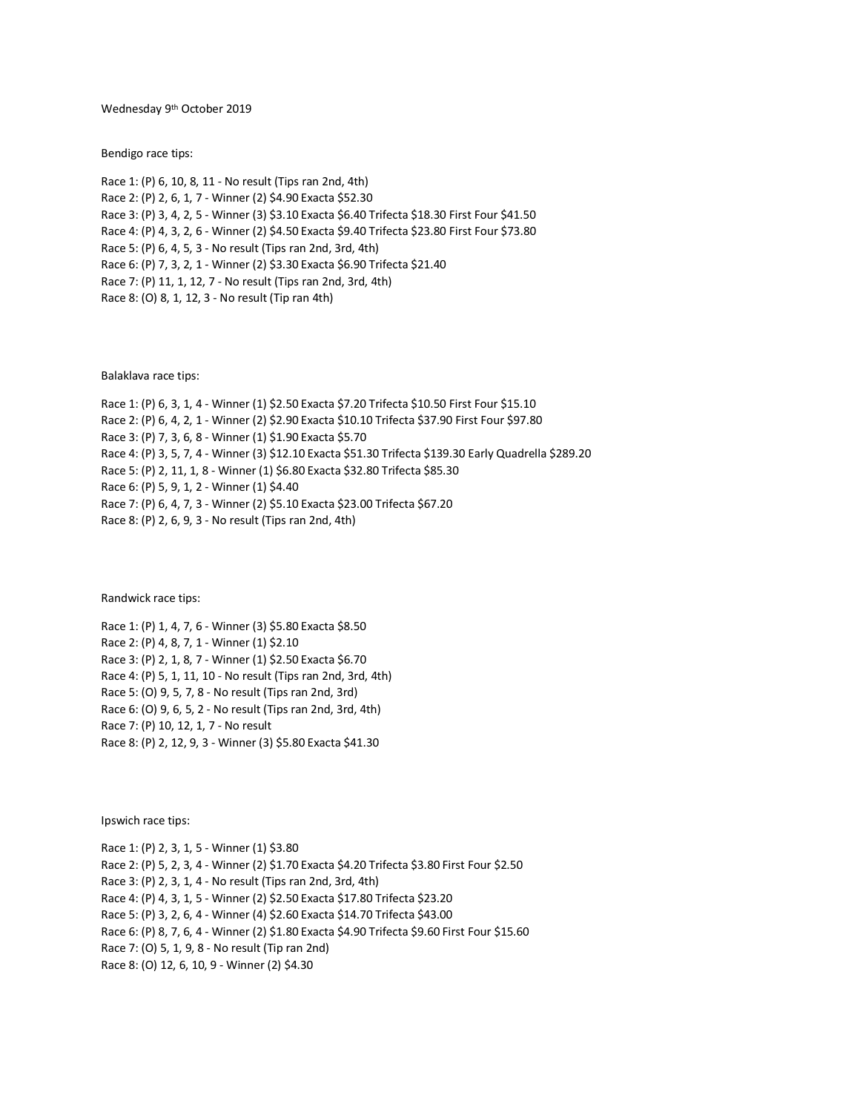Wednesday 9th October 2019

Bendigo race tips:

Race 1: (P) 6, 10, 8, 11 - No result (Tips ran 2nd, 4th) Race 2: (P) 2, 6, 1, 7 - Winner (2) \$4.90 Exacta \$52.30 Race 3: (P) 3, 4, 2, 5 - Winner (3) \$3.10 Exacta \$6.40 Trifecta \$18.30 First Four \$41.50 Race 4: (P) 4, 3, 2, 6 - Winner (2) \$4.50 Exacta \$9.40 Trifecta \$23.80 First Four \$73.80 Race 5: (P) 6, 4, 5, 3 - No result (Tips ran 2nd, 3rd, 4th) Race 6: (P) 7, 3, 2, 1 - Winner (2) \$3.30 Exacta \$6.90 Trifecta \$21.40 Race 7: (P) 11, 1, 12, 7 - No result (Tips ran 2nd, 3rd, 4th) Race 8: (O) 8, 1, 12, 3 - No result (Tip ran 4th)

Balaklava race tips:

Race 1: (P) 6, 3, 1, 4 - Winner (1) \$2.50 Exacta \$7.20 Trifecta \$10.50 First Four \$15.10 Race 2: (P) 6, 4, 2, 1 - Winner (2) \$2.90 Exacta \$10.10 Trifecta \$37.90 First Four \$97.80 Race 3: (P) 7, 3, 6, 8 - Winner (1) \$1.90 Exacta \$5.70 Race 4: (P) 3, 5, 7, 4 - Winner (3) \$12.10 Exacta \$51.30 Trifecta \$139.30 Early Quadrella \$289.20 Race 5: (P) 2, 11, 1, 8 - Winner (1) \$6.80 Exacta \$32.80 Trifecta \$85.30 Race 6: (P) 5, 9, 1, 2 - Winner (1) \$4.40 Race 7: (P) 6, 4, 7, 3 - Winner (2) \$5.10 Exacta \$23.00 Trifecta \$67.20 Race 8: (P) 2, 6, 9, 3 - No result (Tips ran 2nd, 4th)

Randwick race tips:

Race 1: (P) 1, 4, 7, 6 - Winner (3) \$5.80 Exacta \$8.50 Race 2: (P) 4, 8, 7, 1 - Winner (1) \$2.10 Race 3: (P) 2, 1, 8, 7 - Winner (1) \$2.50 Exacta \$6.70 Race 4: (P) 5, 1, 11, 10 - No result (Tips ran 2nd, 3rd, 4th) Race 5: (O) 9, 5, 7, 8 - No result (Tips ran 2nd, 3rd) Race 6: (O) 9, 6, 5, 2 - No result (Tips ran 2nd, 3rd, 4th) Race 7: (P) 10, 12, 1, 7 - No result Race 8: (P) 2, 12, 9, 3 - Winner (3) \$5.80 Exacta \$41.30

Ipswich race tips:

Race 1: (P) 2, 3, 1, 5 - Winner (1) \$3.80 Race 2: (P) 5, 2, 3, 4 - Winner (2) \$1.70 Exacta \$4.20 Trifecta \$3.80 First Four \$2.50 Race 3: (P) 2, 3, 1, 4 - No result (Tips ran 2nd, 3rd, 4th) Race 4: (P) 4, 3, 1, 5 - Winner (2) \$2.50 Exacta \$17.80 Trifecta \$23.20 Race 5: (P) 3, 2, 6, 4 - Winner (4) \$2.60 Exacta \$14.70 Trifecta \$43.00 Race 6: (P) 8, 7, 6, 4 - Winner (2) \$1.80 Exacta \$4.90 Trifecta \$9.60 First Four \$15.60 Race 7: (O) 5, 1, 9, 8 - No result (Tip ran 2nd) Race 8: (O) 12, 6, 10, 9 - Winner (2) \$4.30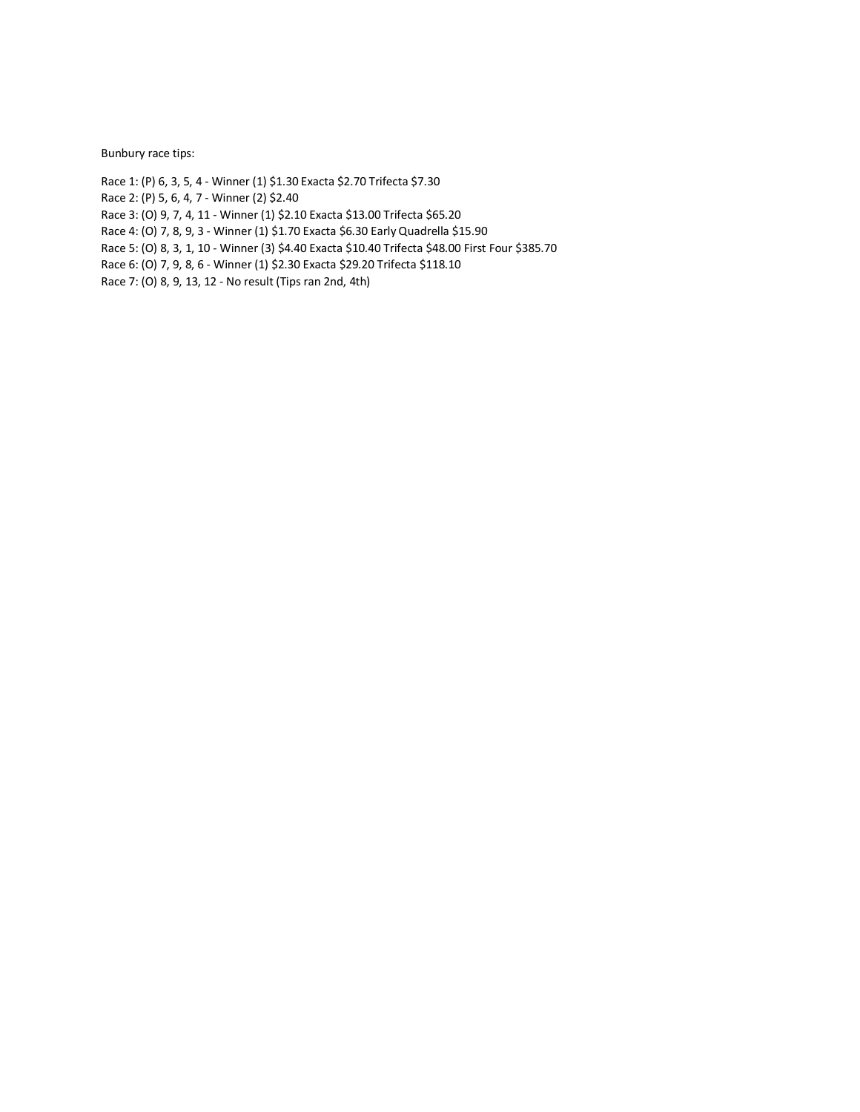Bunbury race tips:

Race 1: (P) 6, 3, 5, 4 - Winner (1) \$1.30 Exacta \$2.70 Trifecta \$7.30 Race 2: (P) 5, 6, 4, 7 - Winner (2) \$2.40

Race 3: (O) 9, 7, 4, 11 - Winner (1) \$2.10 Exacta \$13.00 Trifecta \$65.20

Race 4: (O) 7, 8, 9, 3 - Winner (1) \$1.70 Exacta \$6.30 Early Quadrella \$15.90

Race 5: (O) 8, 3, 1, 10 - Winner (3) \$4.40 Exacta \$10.40 Trifecta \$48.00 First Four \$385.70

Race 6: (O) 7, 9, 8, 6 - Winner (1) \$2.30 Exacta \$29.20 Trifecta \$118.10

Race 7: (O) 8, 9, 13, 12 - No result (Tips ran 2nd, 4th)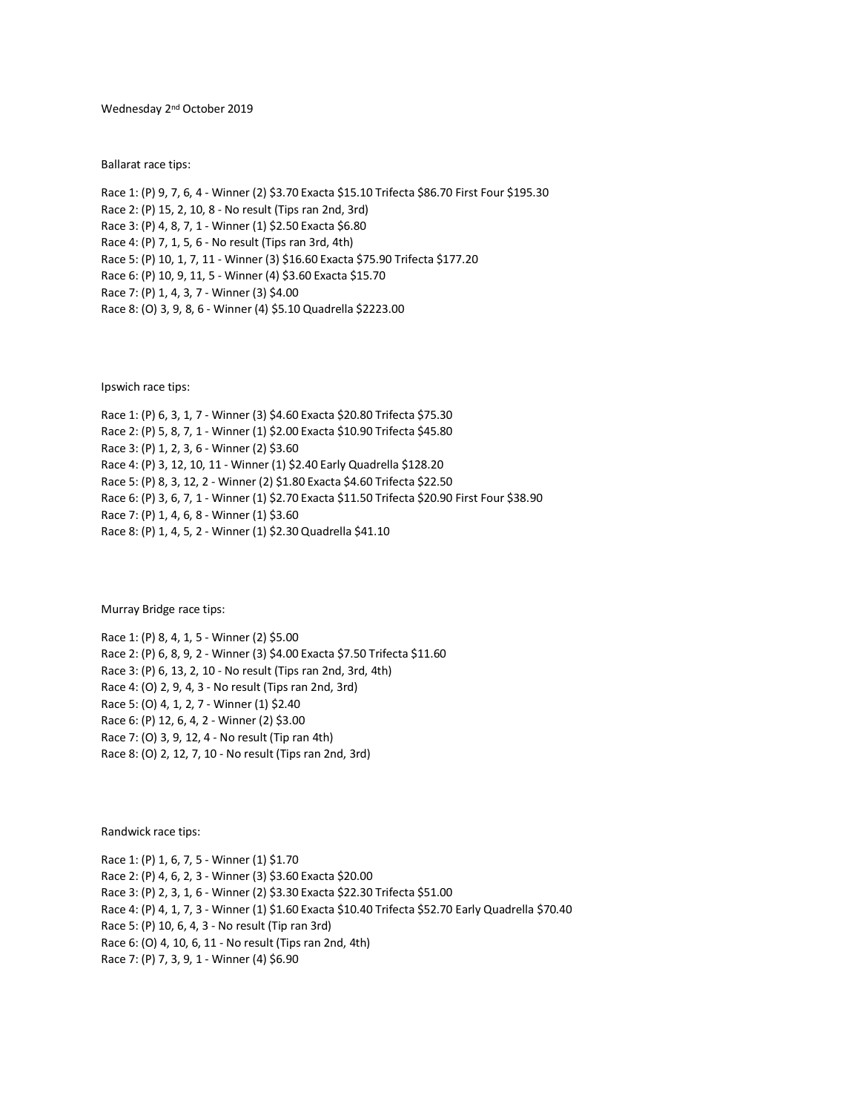# Wednesday 2nd October 2019

Ballarat race tips:

Race 1: (P) 9, 7, 6, 4 - Winner (2) \$3.70 Exacta \$15.10 Trifecta \$86.70 First Four \$195.30 Race 2: (P) 15, 2, 10, 8 - No result (Tips ran 2nd, 3rd) Race 3: (P) 4, 8, 7, 1 - Winner (1) \$2.50 Exacta \$6.80 Race 4: (P) 7, 1, 5, 6 - No result (Tips ran 3rd, 4th) Race 5: (P) 10, 1, 7, 11 - Winner (3) \$16.60 Exacta \$75.90 Trifecta \$177.20 Race 6: (P) 10, 9, 11, 5 - Winner (4) \$3.60 Exacta \$15.70 Race 7: (P) 1, 4, 3, 7 - Winner (3) \$4.00 Race 8: (O) 3, 9, 8, 6 - Winner (4) \$5.10 Quadrella \$2223.00

Ipswich race tips:

Race 1: (P) 6, 3, 1, 7 - Winner (3) \$4.60 Exacta \$20.80 Trifecta \$75.30 Race 2: (P) 5, 8, 7, 1 - Winner (1) \$2.00 Exacta \$10.90 Trifecta \$45.80 Race 3: (P) 1, 2, 3, 6 - Winner (2) \$3.60 Race 4: (P) 3, 12, 10, 11 - Winner (1) \$2.40 Early Quadrella \$128.20 Race 5: (P) 8, 3, 12, 2 - Winner (2) \$1.80 Exacta \$4.60 Trifecta \$22.50 Race 6: (P) 3, 6, 7, 1 - Winner (1) \$2.70 Exacta \$11.50 Trifecta \$20.90 First Four \$38.90 Race 7: (P) 1, 4, 6, 8 - Winner (1) \$3.60 Race 8: (P) 1, 4, 5, 2 - Winner (1) \$2.30 Quadrella \$41.10

Murray Bridge race tips:

Race 1: (P) 8, 4, 1, 5 - Winner (2) \$5.00 Race 2: (P) 6, 8, 9, 2 - Winner (3) \$4.00 Exacta \$7.50 Trifecta \$11.60 Race 3: (P) 6, 13, 2, 10 - No result (Tips ran 2nd, 3rd, 4th) Race 4: (O) 2, 9, 4, 3 - No result (Tips ran 2nd, 3rd) Race 5: (O) 4, 1, 2, 7 - Winner (1) \$2.40 Race 6: (P) 12, 6, 4, 2 - Winner (2) \$3.00 Race 7: (O) 3, 9, 12, 4 - No result (Tip ran 4th) Race 8: (O) 2, 12, 7, 10 - No result (Tips ran 2nd, 3rd)

Randwick race tips:

Race 1: (P) 1, 6, 7, 5 - Winner (1) \$1.70 Race 2: (P) 4, 6, 2, 3 - Winner (3) \$3.60 Exacta \$20.00 Race 3: (P) 2, 3, 1, 6 - Winner (2) \$3.30 Exacta \$22.30 Trifecta \$51.00 Race 4: (P) 4, 1, 7, 3 - Winner (1) \$1.60 Exacta \$10.40 Trifecta \$52.70 Early Quadrella \$70.40 Race 5: (P) 10, 6, 4, 3 - No result (Tip ran 3rd) Race 6: (O) 4, 10, 6, 11 - No result (Tips ran 2nd, 4th) Race 7: (P) 7, 3, 9, 1 - Winner (4) \$6.90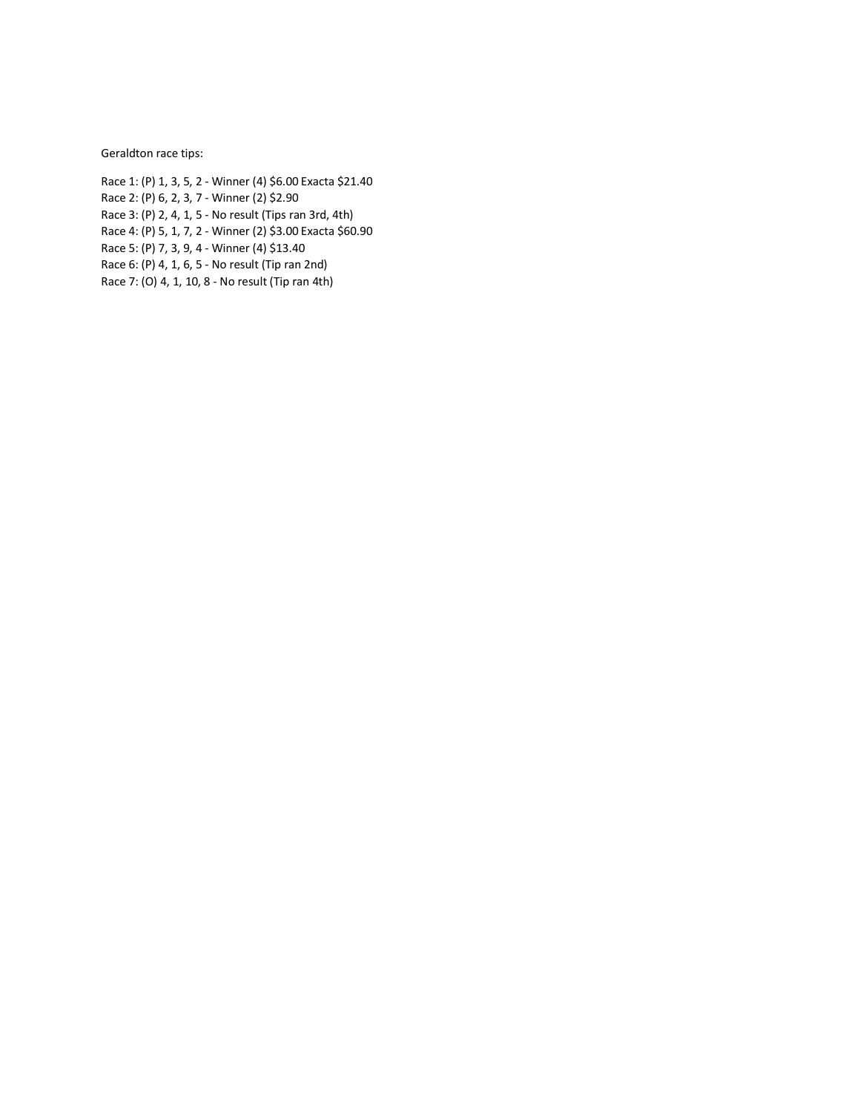Geraldton race tips:

Race 1: (P) 1, 3, 5, 2 - Winner (4) \$6.00 Exacta \$21.40 Race 2: (P) 6, 2, 3, 7 - Winner (2) \$2.90 Race 3: (P) 2, 4, 1, 5 - No result (Tips ran 3rd, 4th) Race 4: (P) 5, 1, 7, 2 - Winner (2) \$3.00 Exacta \$60.90 Race 5: (P) 7, 3, 9, 4 - Winner (4) \$13.40 Race 6: (P) 4, 1, 6, 5 - No result (Tip ran 2nd)

Race 7: (O) 4, 1, 10, 8 - No result (Tip ran 4th)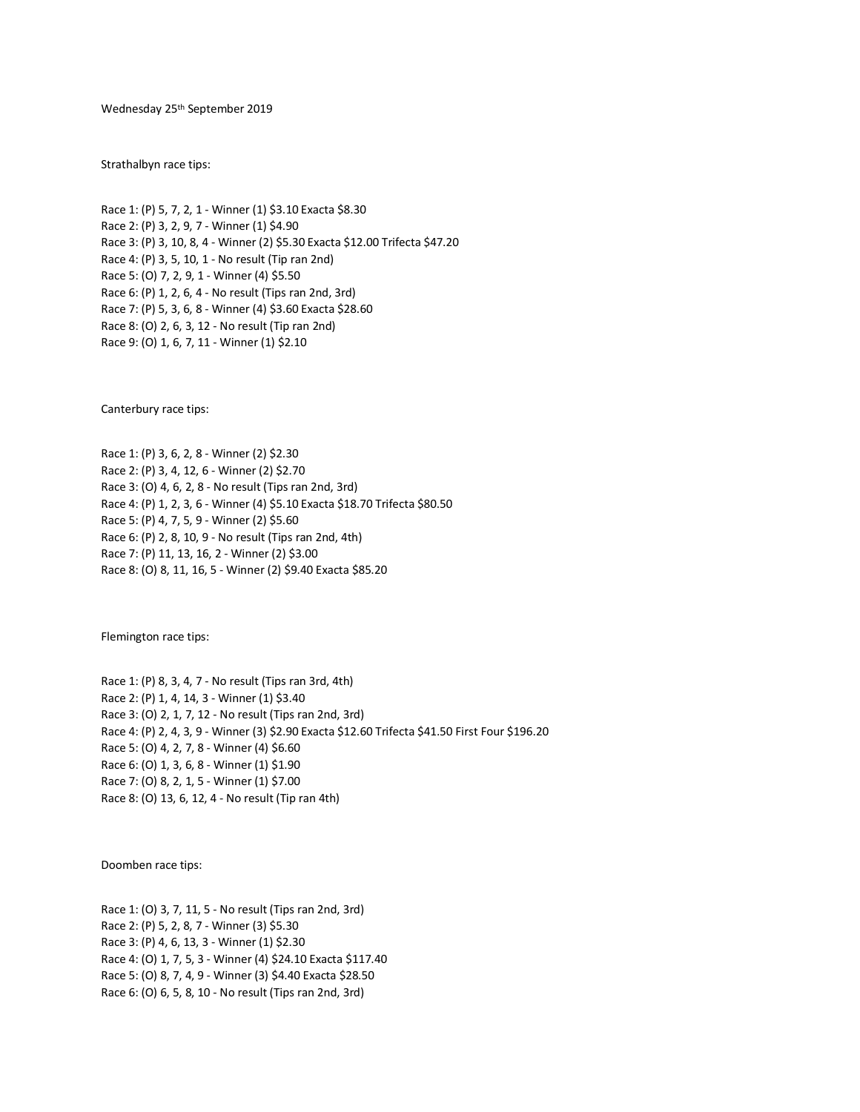Wednesday 25th September 2019

Strathalbyn race tips:

Race 1: (P) 5, 7, 2, 1 - Winner (1) \$3.10 Exacta \$8.30 Race 2: (P) 3, 2, 9, 7 - Winner (1) \$4.90 Race 3: (P) 3, 10, 8, 4 - Winner (2) \$5.30 Exacta \$12.00 Trifecta \$47.20 Race 4: (P) 3, 5, 10, 1 - No result (Tip ran 2nd) Race 5: (O) 7, 2, 9, 1 - Winner (4) \$5.50 Race 6: (P) 1, 2, 6, 4 - No result (Tips ran 2nd, 3rd) Race 7: (P) 5, 3, 6, 8 - Winner (4) \$3.60 Exacta \$28.60 Race 8: (O) 2, 6, 3, 12 - No result (Tip ran 2nd) Race 9: (O) 1, 6, 7, 11 - Winner (1) \$2.10

Canterbury race tips:

Race 1: (P) 3, 6, 2, 8 - Winner (2) \$2.30 Race 2: (P) 3, 4, 12, 6 - Winner (2) \$2.70 Race 3: (O) 4, 6, 2, 8 - No result (Tips ran 2nd, 3rd) Race 4: (P) 1, 2, 3, 6 - Winner (4) \$5.10 Exacta \$18.70 Trifecta \$80.50 Race 5: (P) 4, 7, 5, 9 - Winner (2) \$5.60 Race 6: (P) 2, 8, 10, 9 - No result (Tips ran 2nd, 4th) Race 7: (P) 11, 13, 16, 2 - Winner (2) \$3.00 Race 8: (O) 8, 11, 16, 5 - Winner (2) \$9.40 Exacta \$85.20

Flemington race tips:

Race 1: (P) 8, 3, 4, 7 - No result (Tips ran 3rd, 4th) Race 2: (P) 1, 4, 14, 3 - Winner (1) \$3.40 Race 3: (O) 2, 1, 7, 12 - No result (Tips ran 2nd, 3rd) Race 4: (P) 2, 4, 3, 9 - Winner (3) \$2.90 Exacta \$12.60 Trifecta \$41.50 First Four \$196.20 Race 5: (O) 4, 2, 7, 8 - Winner (4) \$6.60 Race 6: (O) 1, 3, 6, 8 - Winner (1) \$1.90 Race 7: (O) 8, 2, 1, 5 - Winner (1) \$7.00 Race 8: (O) 13, 6, 12, 4 - No result (Tip ran 4th)

Doomben race tips:

Race 1: (O) 3, 7, 11, 5 - No result (Tips ran 2nd, 3rd) Race 2: (P) 5, 2, 8, 7 - Winner (3) \$5.30 Race 3: (P) 4, 6, 13, 3 - Winner (1) \$2.30 Race 4: (O) 1, 7, 5, 3 - Winner (4) \$24.10 Exacta \$117.40 Race 5: (O) 8, 7, 4, 9 - Winner (3) \$4.40 Exacta \$28.50 Race 6: (O) 6, 5, 8, 10 - No result (Tips ran 2nd, 3rd)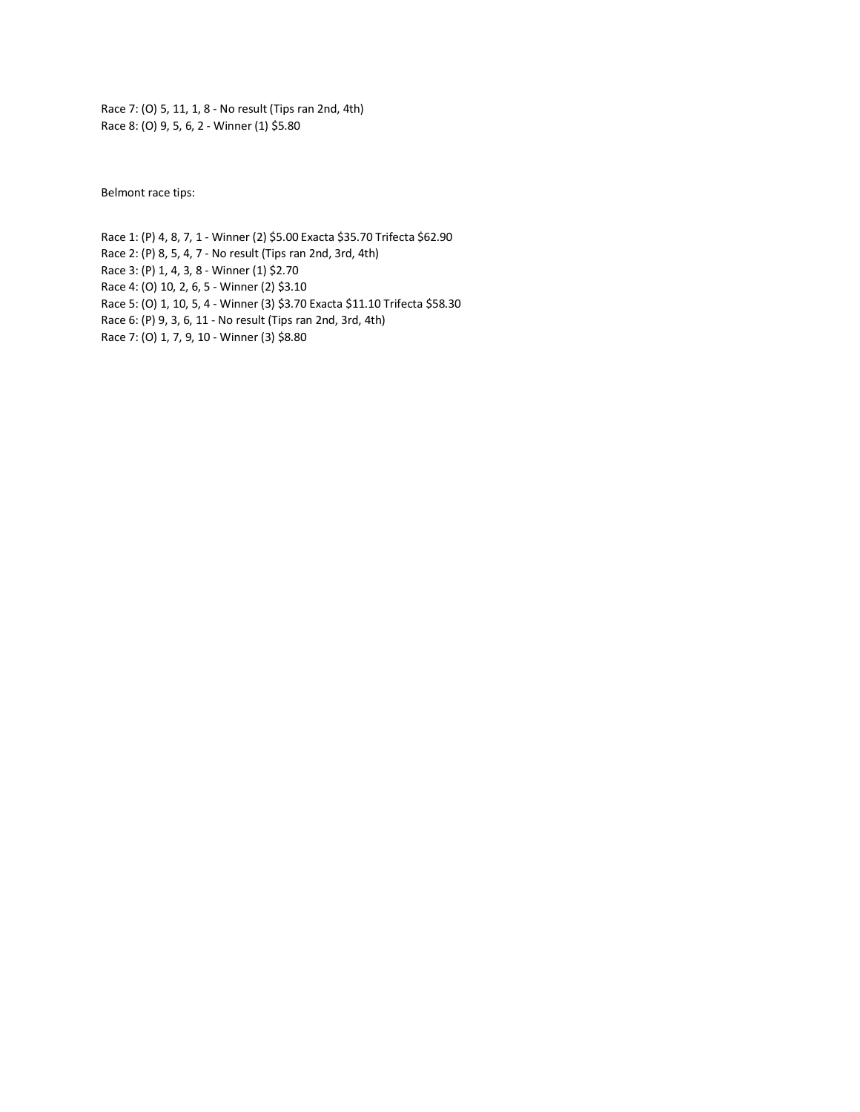Race 7: (O) 5, 11, 1, 8 - No result (Tips ran 2nd, 4th) Race 8: (O) 9, 5, 6, 2 - Winner (1) \$5.80

Belmont race tips:

Race 1: (P) 4, 8, 7, 1 - Winner (2) \$5.00 Exacta \$35.70 Trifecta \$62.90 Race 2: (P) 8, 5, 4, 7 - No result (Tips ran 2nd, 3rd, 4th) Race 3: (P) 1, 4, 3, 8 - Winner (1) \$2.70 Race 4: (O) 10, 2, 6, 5 - Winner (2) \$3.10 Race 5: (O) 1, 10, 5, 4 - Winner (3) \$3.70 Exacta \$11.10 Trifecta \$58.30 Race 6: (P) 9, 3, 6, 11 - No result (Tips ran 2nd, 3rd, 4th) Race 7: (O) 1, 7, 9, 10 - Winner (3) \$8.80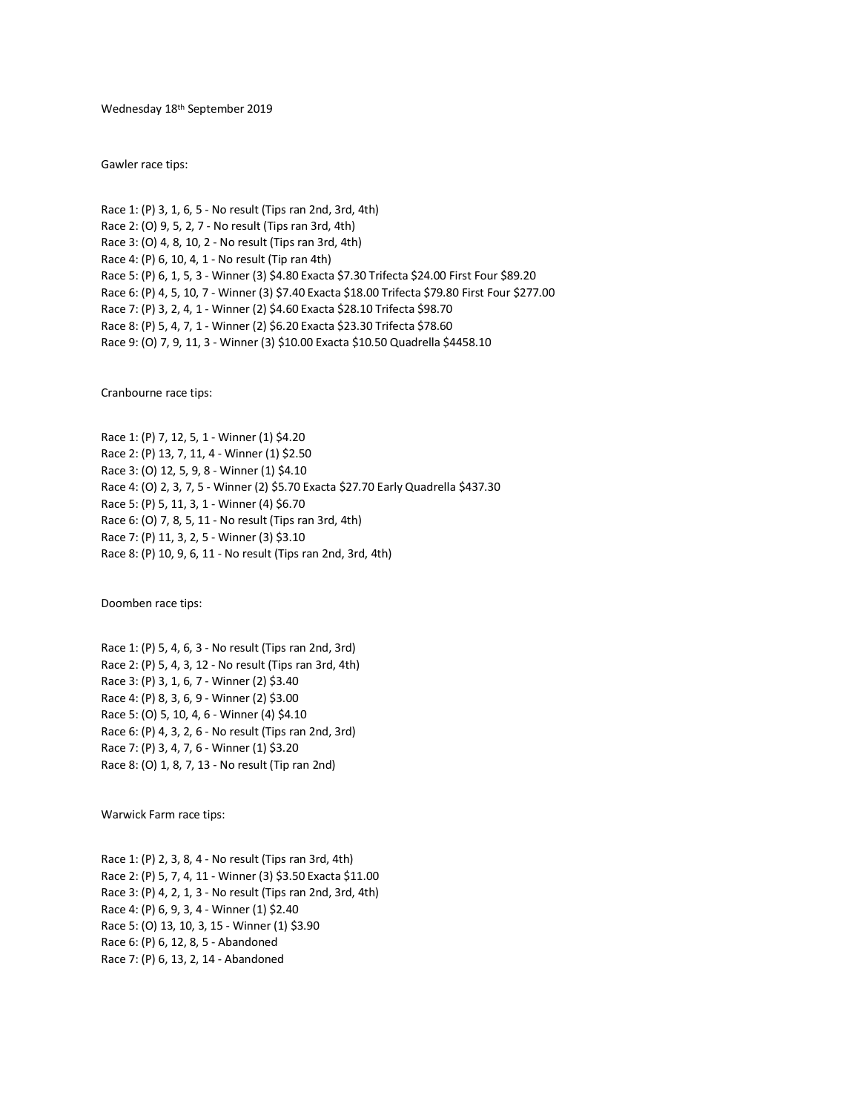Wednesday 18th September 2019

Gawler race tips:

Race 1: (P) 3, 1, 6, 5 - No result (Tips ran 2nd, 3rd, 4th) Race 2: (O) 9, 5, 2, 7 - No result (Tips ran 3rd, 4th) Race 3: (O) 4, 8, 10, 2 - No result (Tips ran 3rd, 4th) Race 4: (P) 6, 10, 4, 1 - No result (Tip ran 4th) Race 5: (P) 6, 1, 5, 3 - Winner (3) \$4.80 Exacta \$7.30 Trifecta \$24.00 First Four \$89.20 Race 6: (P) 4, 5, 10, 7 - Winner (3) \$7.40 Exacta \$18.00 Trifecta \$79.80 First Four \$277.00 Race 7: (P) 3, 2, 4, 1 - Winner (2) \$4.60 Exacta \$28.10 Trifecta \$98.70 Race 8: (P) 5, 4, 7, 1 - Winner (2) \$6.20 Exacta \$23.30 Trifecta \$78.60 Race 9: (O) 7, 9, 11, 3 - Winner (3) \$10.00 Exacta \$10.50 Quadrella \$4458.10

Cranbourne race tips:

Race 1: (P) 7, 12, 5, 1 - Winner (1) \$4.20 Race 2: (P) 13, 7, 11, 4 - Winner (1) \$2.50 Race 3: (O) 12, 5, 9, 8 - Winner (1) \$4.10 Race 4: (O) 2, 3, 7, 5 - Winner (2) \$5.70 Exacta \$27.70 Early Quadrella \$437.30 Race 5: (P) 5, 11, 3, 1 - Winner (4) \$6.70 Race 6: (O) 7, 8, 5, 11 - No result (Tips ran 3rd, 4th) Race 7: (P) 11, 3, 2, 5 - Winner (3) \$3.10 Race 8: (P) 10, 9, 6, 11 - No result (Tips ran 2nd, 3rd, 4th)

Doomben race tips:

Race 1: (P) 5, 4, 6, 3 - No result (Tips ran 2nd, 3rd) Race 2: (P) 5, 4, 3, 12 - No result (Tips ran 3rd, 4th) Race 3: (P) 3, 1, 6, 7 - Winner (2) \$3.40 Race 4: (P) 8, 3, 6, 9 - Winner (2) \$3.00 Race 5: (O) 5, 10, 4, 6 - Winner (4) \$4.10 Race 6: (P) 4, 3, 2, 6 - No result (Tips ran 2nd, 3rd) Race 7: (P) 3, 4, 7, 6 - Winner (1) \$3.20 Race 8: (O) 1, 8, 7, 13 - No result (Tip ran 2nd)

Warwick Farm race tips:

Race 1: (P) 2, 3, 8, 4 - No result (Tips ran 3rd, 4th) Race 2: (P) 5, 7, 4, 11 - Winner (3) \$3.50 Exacta \$11.00 Race 3: (P) 4, 2, 1, 3 - No result (Tips ran 2nd, 3rd, 4th) Race 4: (P) 6, 9, 3, 4 - Winner (1) \$2.40 Race 5: (O) 13, 10, 3, 15 - Winner (1) \$3.90 Race 6: (P) 6, 12, 8, 5 - Abandoned Race 7: (P) 6, 13, 2, 14 - Abandoned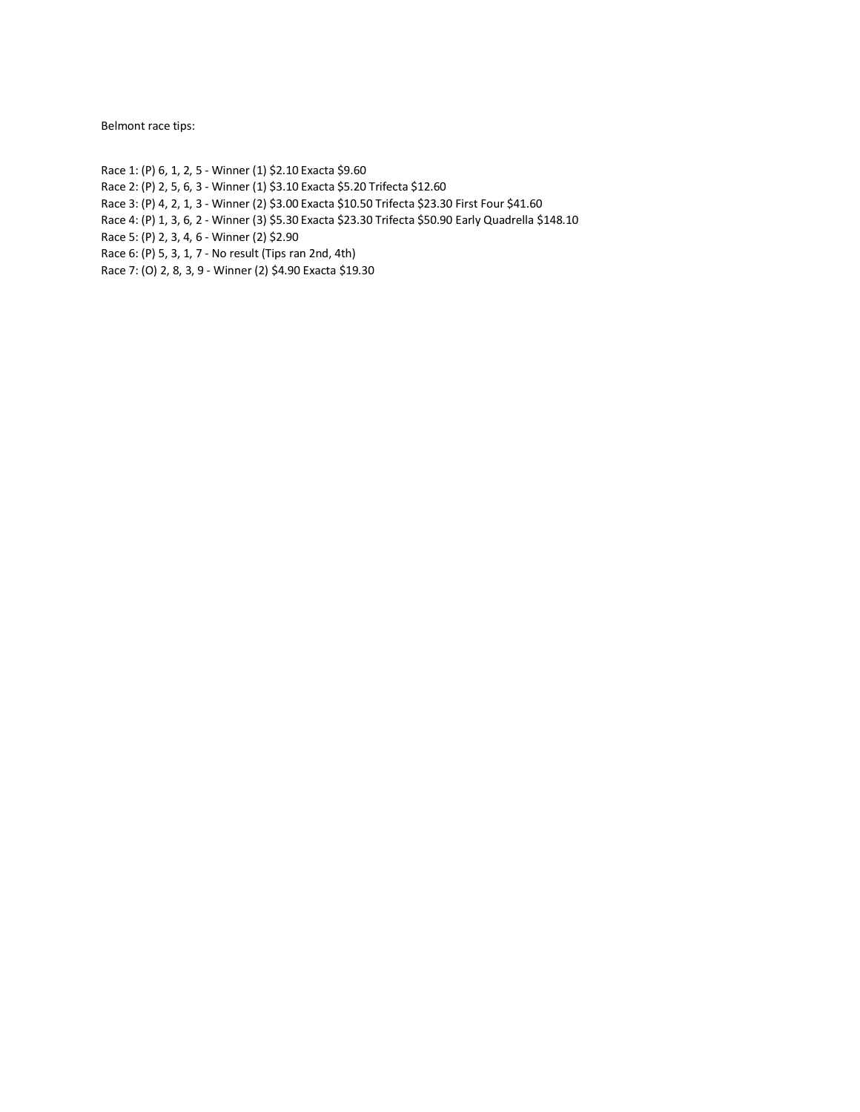Belmont race tips:

Race 1: (P) 6, 1, 2, 5 - Winner (1) \$2.10 Exacta \$9.60

Race 2: (P) 2, 5, 6, 3 - Winner (1) \$3.10 Exacta \$5.20 Trifecta \$12.60

- Race 3: (P) 4, 2, 1, 3 Winner (2) \$3.00 Exacta \$10.50 Trifecta \$23.30 First Four \$41.60
- Race 4: (P) 1, 3, 6, 2 Winner (3) \$5.30 Exacta \$23.30 Trifecta \$50.90 Early Quadrella \$148.10

Race 5: (P) 2, 3, 4, 6 - Winner (2) \$2.90

- Race 6: (P) 5, 3, 1, 7 No result (Tips ran 2nd, 4th)
- Race 7: (O) 2, 8, 3, 9 Winner (2) \$4.90 Exacta \$19.30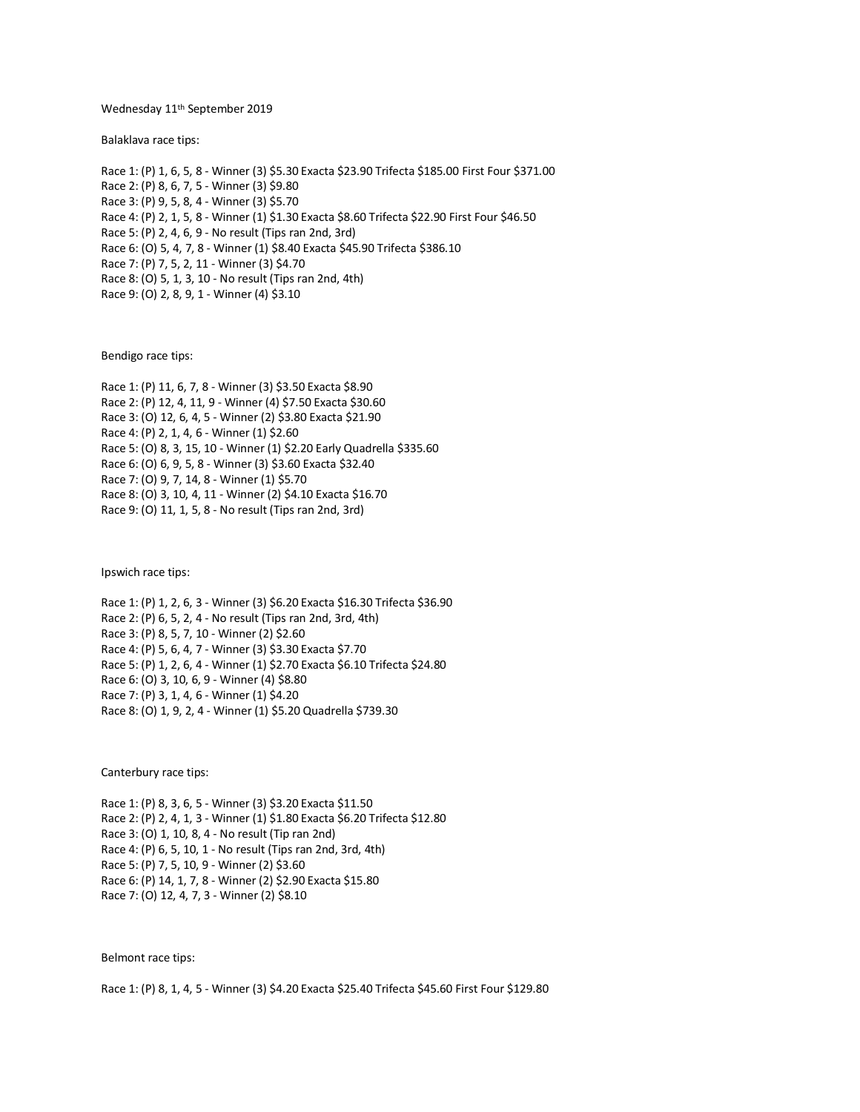### Wednesday 11th September 2019

Balaklava race tips:

Race 1: (P) 1, 6, 5, 8 - Winner (3) \$5.30 Exacta \$23.90 Trifecta \$185.00 First Four \$371.00 Race 2: (P) 8, 6, 7, 5 - Winner (3) \$9.80 Race 3: (P) 9, 5, 8, 4 - Winner (3) \$5.70 Race 4: (P) 2, 1, 5, 8 - Winner (1) \$1.30 Exacta \$8.60 Trifecta \$22.90 First Four \$46.50 Race 5: (P) 2, 4, 6, 9 - No result (Tips ran 2nd, 3rd) Race 6: (O) 5, 4, 7, 8 - Winner (1) \$8.40 Exacta \$45.90 Trifecta \$386.10 Race 7: (P) 7, 5, 2, 11 - Winner (3) \$4.70 Race 8: (O) 5, 1, 3, 10 - No result (Tips ran 2nd, 4th) Race 9: (O) 2, 8, 9, 1 - Winner (4) \$3.10

Bendigo race tips:

Race 1: (P) 11, 6, 7, 8 - Winner (3) \$3.50 Exacta \$8.90 Race 2: (P) 12, 4, 11, 9 - Winner (4) \$7.50 Exacta \$30.60 Race 3: (O) 12, 6, 4, 5 - Winner (2) \$3.80 Exacta \$21.90 Race 4: (P) 2, 1, 4, 6 - Winner (1) \$2.60 Race 5: (O) 8, 3, 15, 10 - Winner (1) \$2.20 Early Quadrella \$335.60 Race 6: (O) 6, 9, 5, 8 - Winner (3) \$3.60 Exacta \$32.40 Race 7: (O) 9, 7, 14, 8 - Winner (1) \$5.70 Race 8: (O) 3, 10, 4, 11 - Winner (2) \$4.10 Exacta \$16.70 Race 9: (O) 11, 1, 5, 8 - No result (Tips ran 2nd, 3rd)

Ipswich race tips:

Race 1: (P) 1, 2, 6, 3 - Winner (3) \$6.20 Exacta \$16.30 Trifecta \$36.90 Race 2: (P) 6, 5, 2, 4 - No result (Tips ran 2nd, 3rd, 4th) Race 3: (P) 8, 5, 7, 10 - Winner (2) \$2.60 Race 4: (P) 5, 6, 4, 7 - Winner (3) \$3.30 Exacta \$7.70 Race 5: (P) 1, 2, 6, 4 - Winner (1) \$2.70 Exacta \$6.10 Trifecta \$24.80 Race 6: (O) 3, 10, 6, 9 - Winner (4) \$8.80 Race 7: (P) 3, 1, 4, 6 - Winner (1) \$4.20 Race 8: (O) 1, 9, 2, 4 - Winner (1) \$5.20 Quadrella \$739.30

Canterbury race tips:

Race 1: (P) 8, 3, 6, 5 - Winner (3) \$3.20 Exacta \$11.50 Race 2: (P) 2, 4, 1, 3 - Winner (1) \$1.80 Exacta \$6.20 Trifecta \$12.80 Race 3: (O) 1, 10, 8, 4 - No result (Tip ran 2nd) Race 4: (P) 6, 5, 10, 1 - No result (Tips ran 2nd, 3rd, 4th) Race 5: (P) 7, 5, 10, 9 - Winner (2) \$3.60 Race 6: (P) 14, 1, 7, 8 - Winner (2) \$2.90 Exacta \$15.80 Race 7: (O) 12, 4, 7, 3 - Winner (2) \$8.10

Belmont race tips:

Race 1: (P) 8, 1, 4, 5 - Winner (3) \$4.20 Exacta \$25.40 Trifecta \$45.60 First Four \$129.80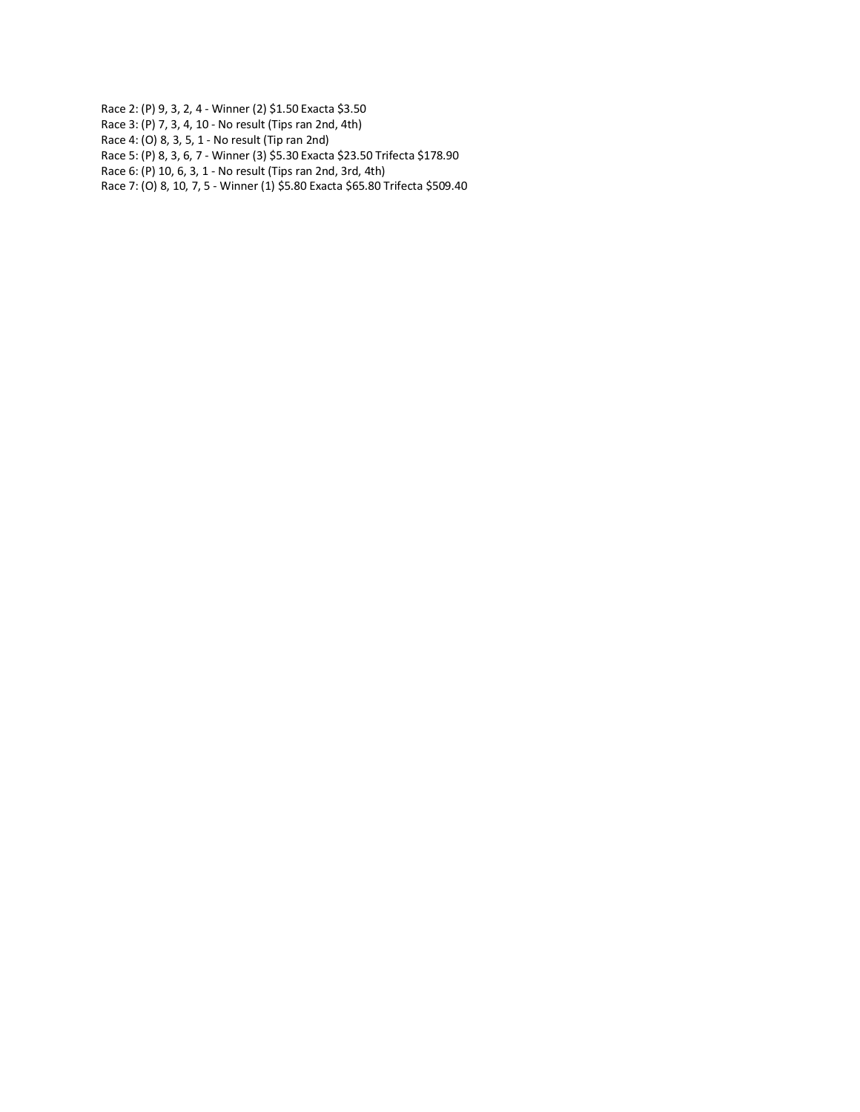Race 2: (P) 9, 3, 2, 4 - Winner (2) \$1.50 Exacta \$3.50

- Race 3: (P) 7, 3, 4, 10 No result (Tips ran 2nd, 4th)
- Race 4: (O) 8, 3, 5, 1 No result (Tip ran 2nd)
- Race 5: (P) 8, 3, 6, 7 Winner (3) \$5.30 Exacta \$23.50 Trifecta \$178.90
- Race 6: (P) 10, 6, 3, 1 No result (Tips ran 2nd, 3rd, 4th)
- Race 7: (O) 8, 10, 7, 5 Winner (1) \$5.80 Exacta \$65.80 Trifecta \$509.40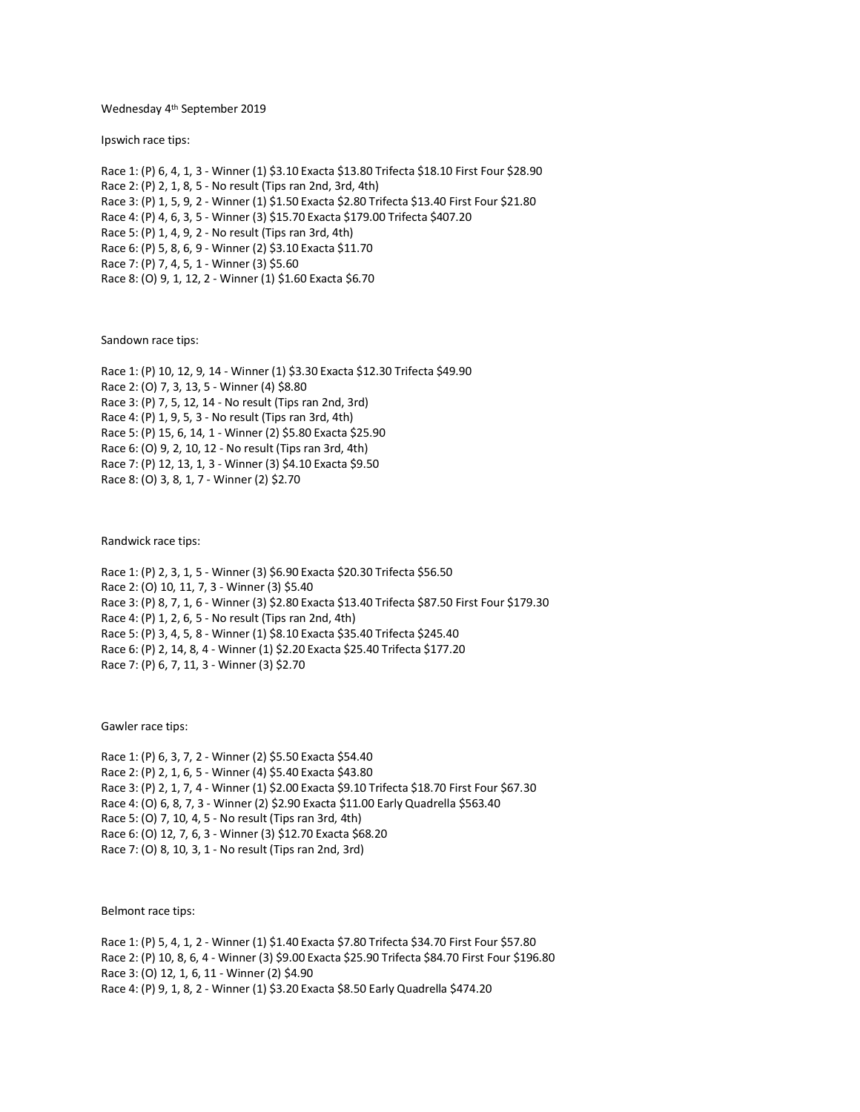### Wednesday 4th September 2019

Ipswich race tips:

Race 1: (P) 6, 4, 1, 3 - Winner (1) \$3.10 Exacta \$13.80 Trifecta \$18.10 First Four \$28.90 Race 2: (P) 2, 1, 8, 5 - No result (Tips ran 2nd, 3rd, 4th) Race 3: (P) 1, 5, 9, 2 - Winner (1) \$1.50 Exacta \$2.80 Trifecta \$13.40 First Four \$21.80 Race 4: (P) 4, 6, 3, 5 - Winner (3) \$15.70 Exacta \$179.00 Trifecta \$407.20 Race 5: (P) 1, 4, 9, 2 - No result (Tips ran 3rd, 4th) Race 6: (P) 5, 8, 6, 9 - Winner (2) \$3.10 Exacta \$11.70 Race 7: (P) 7, 4, 5, 1 - Winner (3) \$5.60 Race 8: (O) 9, 1, 12, 2 - Winner (1) \$1.60 Exacta \$6.70

Sandown race tips:

Race 1: (P) 10, 12, 9, 14 - Winner (1) \$3.30 Exacta \$12.30 Trifecta \$49.90 Race 2: (O) 7, 3, 13, 5 - Winner (4) \$8.80 Race 3: (P) 7, 5, 12, 14 - No result (Tips ran 2nd, 3rd) Race 4: (P) 1, 9, 5, 3 - No result (Tips ran 3rd, 4th) Race 5: (P) 15, 6, 14, 1 - Winner (2) \$5.80 Exacta \$25.90 Race 6: (O) 9, 2, 10, 12 - No result (Tips ran 3rd, 4th) Race 7: (P) 12, 13, 1, 3 - Winner (3) \$4.10 Exacta \$9.50 Race 8: (O) 3, 8, 1, 7 - Winner (2) \$2.70

Randwick race tips:

Race 1: (P) 2, 3, 1, 5 - Winner (3) \$6.90 Exacta \$20.30 Trifecta \$56.50 Race 2: (O) 10, 11, 7, 3 - Winner (3) \$5.40 Race 3: (P) 8, 7, 1, 6 - Winner (3) \$2.80 Exacta \$13.40 Trifecta \$87.50 First Four \$179.30 Race 4: (P) 1, 2, 6, 5 - No result (Tips ran 2nd, 4th) Race 5: (P) 3, 4, 5, 8 - Winner (1) \$8.10 Exacta \$35.40 Trifecta \$245.40 Race 6: (P) 2, 14, 8, 4 - Winner (1) \$2.20 Exacta \$25.40 Trifecta \$177.20 Race 7: (P) 6, 7, 11, 3 - Winner (3) \$2.70

Gawler race tips:

Race 1: (P) 6, 3, 7, 2 - Winner (2) \$5.50 Exacta \$54.40 Race 2: (P) 2, 1, 6, 5 - Winner (4) \$5.40 Exacta \$43.80 Race 3: (P) 2, 1, 7, 4 - Winner (1) \$2.00 Exacta \$9.10 Trifecta \$18.70 First Four \$67.30 Race 4: (O) 6, 8, 7, 3 - Winner (2) \$2.90 Exacta \$11.00 Early Quadrella \$563.40 Race 5: (O) 7, 10, 4, 5 - No result (Tips ran 3rd, 4th) Race 6: (O) 12, 7, 6, 3 - Winner (3) \$12.70 Exacta \$68.20 Race 7: (O) 8, 10, 3, 1 - No result (Tips ran 2nd, 3rd)

Belmont race tips:

Race 1: (P) 5, 4, 1, 2 - Winner (1) \$1.40 Exacta \$7.80 Trifecta \$34.70 First Four \$57.80 Race 2: (P) 10, 8, 6, 4 - Winner (3) \$9.00 Exacta \$25.90 Trifecta \$84.70 First Four \$196.80 Race 3: (O) 12, 1, 6, 11 - Winner (2) \$4.90 Race 4: (P) 9, 1, 8, 2 - Winner (1) \$3.20 Exacta \$8.50 Early Quadrella \$474.20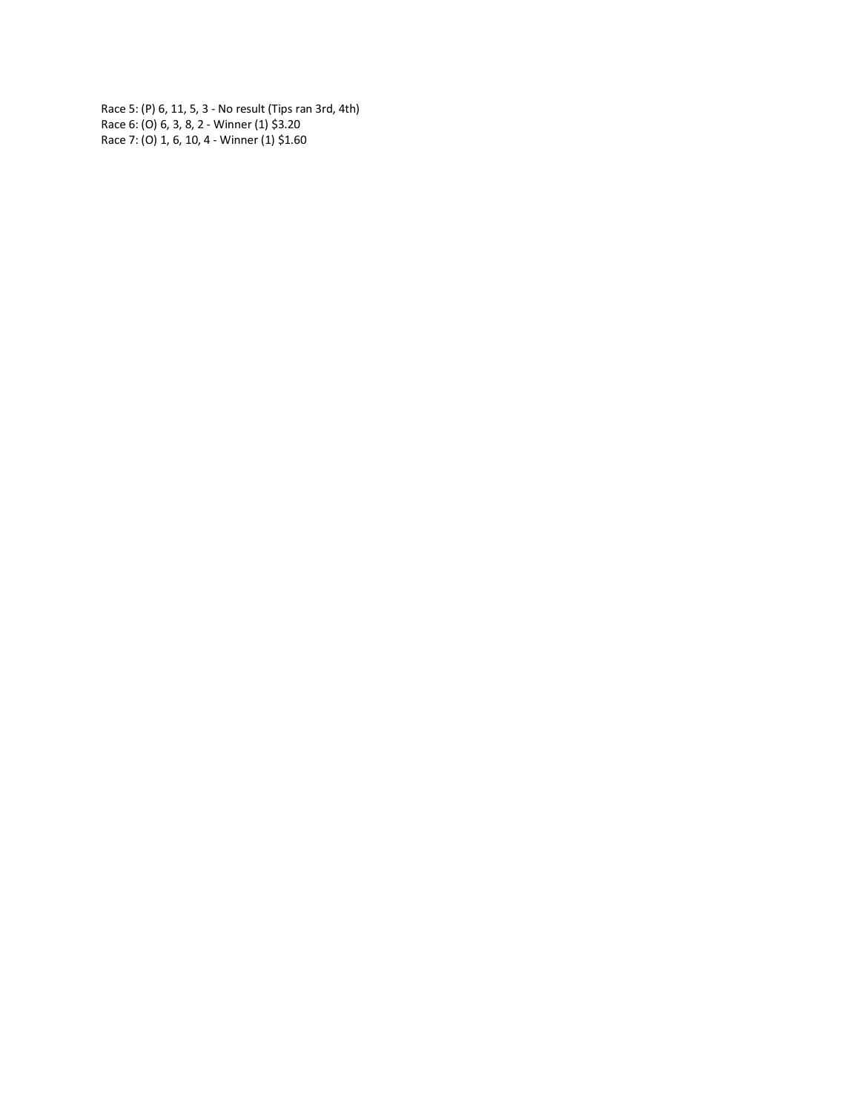Race 5: (P) 6, 11, 5, 3 - No result (Tips ran 3rd, 4th) Race 6: (O) 6, 3, 8, 2 - Winner (1) \$3.20 Race 7: (O) 1, 6, 10, 4 - Winner (1) \$1.60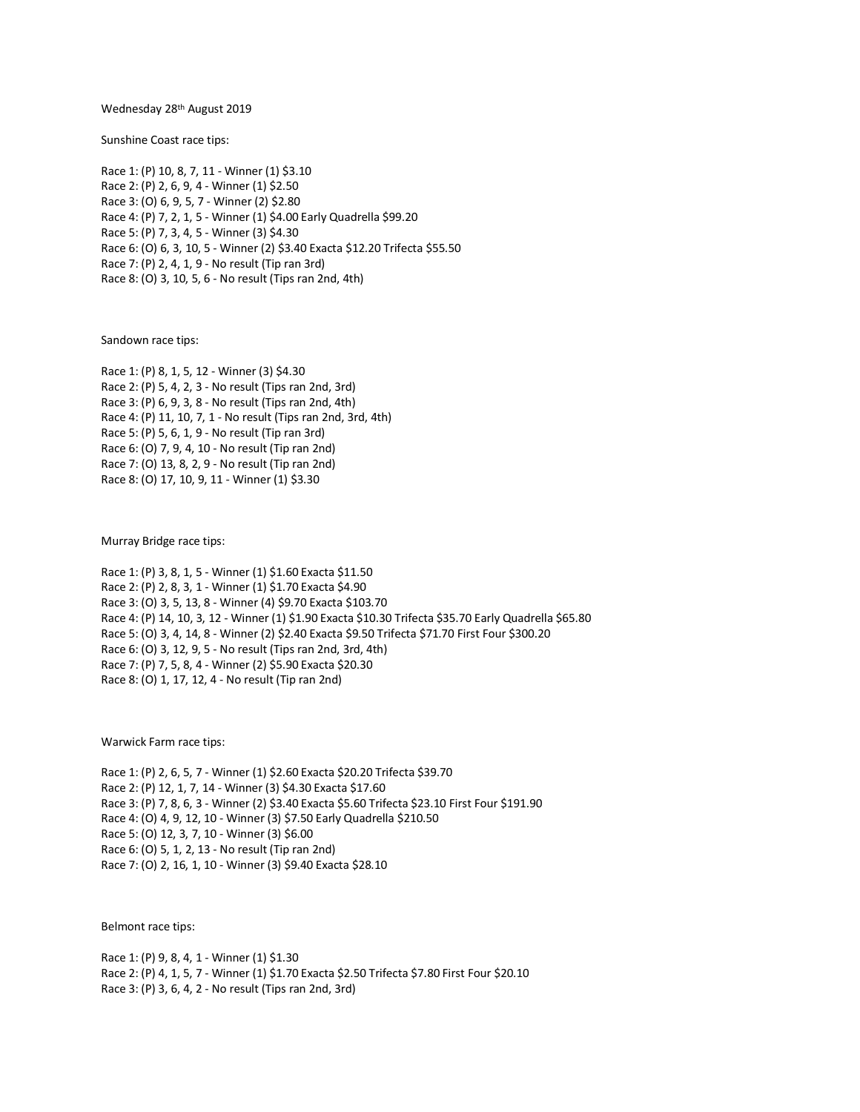### Wednesday 28th August 2019

Sunshine Coast race tips:

Race 1: (P) 10, 8, 7, 11 - Winner (1) \$3.10 Race 2: (P) 2, 6, 9, 4 - Winner (1) \$2.50 Race 3: (O) 6, 9, 5, 7 - Winner (2) \$2.80 Race 4: (P) 7, 2, 1, 5 - Winner (1) \$4.00 Early Quadrella \$99.20 Race 5: (P) 7, 3, 4, 5 - Winner (3) \$4.30 Race 6: (O) 6, 3, 10, 5 - Winner (2) \$3.40 Exacta \$12.20 Trifecta \$55.50 Race 7: (P) 2, 4, 1, 9 - No result (Tip ran 3rd) Race 8: (O) 3, 10, 5, 6 - No result (Tips ran 2nd, 4th)

Sandown race tips:

Race 1: (P) 8, 1, 5, 12 - Winner (3) \$4.30 Race 2: (P) 5, 4, 2, 3 - No result (Tips ran 2nd, 3rd) Race 3: (P) 6, 9, 3, 8 - No result (Tips ran 2nd, 4th) Race 4: (P) 11, 10, 7, 1 - No result (Tips ran 2nd, 3rd, 4th) Race 5: (P) 5, 6, 1, 9 - No result (Tip ran 3rd) Race 6: (O) 7, 9, 4, 10 - No result (Tip ran 2nd) Race 7: (O) 13, 8, 2, 9 - No result (Tip ran 2nd) Race 8: (O) 17, 10, 9, 11 - Winner (1) \$3.30

Murray Bridge race tips:

Race 1: (P) 3, 8, 1, 5 - Winner (1) \$1.60 Exacta \$11.50 Race 2: (P) 2, 8, 3, 1 - Winner (1) \$1.70 Exacta \$4.90 Race 3: (O) 3, 5, 13, 8 - Winner (4) \$9.70 Exacta \$103.70 Race 4: (P) 14, 10, 3, 12 - Winner (1) \$1.90 Exacta \$10.30 Trifecta \$35.70 Early Quadrella \$65.80 Race 5: (O) 3, 4, 14, 8 - Winner (2) \$2.40 Exacta \$9.50 Trifecta \$71.70 First Four \$300.20 Race 6: (O) 3, 12, 9, 5 - No result (Tips ran 2nd, 3rd, 4th) Race 7: (P) 7, 5, 8, 4 - Winner (2) \$5.90 Exacta \$20.30 Race 8: (O) 1, 17, 12, 4 - No result (Tip ran 2nd)

Warwick Farm race tips:

Race 1: (P) 2, 6, 5, 7 - Winner (1) \$2.60 Exacta \$20.20 Trifecta \$39.70 Race 2: (P) 12, 1, 7, 14 - Winner (3) \$4.30 Exacta \$17.60 Race 3: (P) 7, 8, 6, 3 - Winner (2) \$3.40 Exacta \$5.60 Trifecta \$23.10 First Four \$191.90 Race 4: (O) 4, 9, 12, 10 - Winner (3) \$7.50 Early Quadrella \$210.50 Race 5: (O) 12, 3, 7, 10 - Winner (3) \$6.00 Race 6: (O) 5, 1, 2, 13 - No result (Tip ran 2nd) Race 7: (O) 2, 16, 1, 10 - Winner (3) \$9.40 Exacta \$28.10

Belmont race tips:

Race 1: (P) 9, 8, 4, 1 - Winner (1) \$1.30 Race 2: (P) 4, 1, 5, 7 - Winner (1) \$1.70 Exacta \$2.50 Trifecta \$7.80 First Four \$20.10 Race 3: (P) 3, 6, 4, 2 - No result (Tips ran 2nd, 3rd)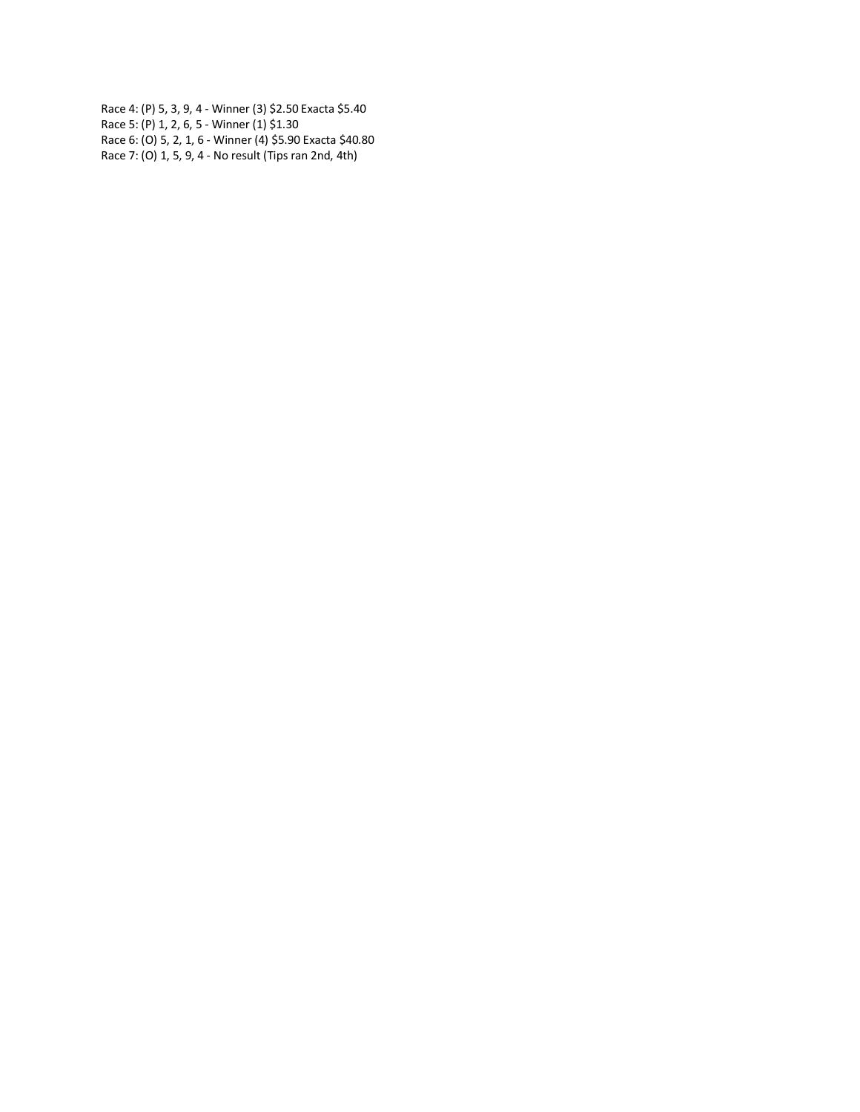Race 4: (P) 5, 3, 9, 4 - Winner (3) \$2.50 Exacta \$5.40 Race 5: (P) 1, 2, 6, 5 - Winner (1) \$1.30 Race 6: (O) 5, 2, 1, 6 - Winner (4) \$5.90 Exacta \$40.80 Race 7: (O) 1, 5, 9, 4 - No result (Tips ran 2nd, 4th)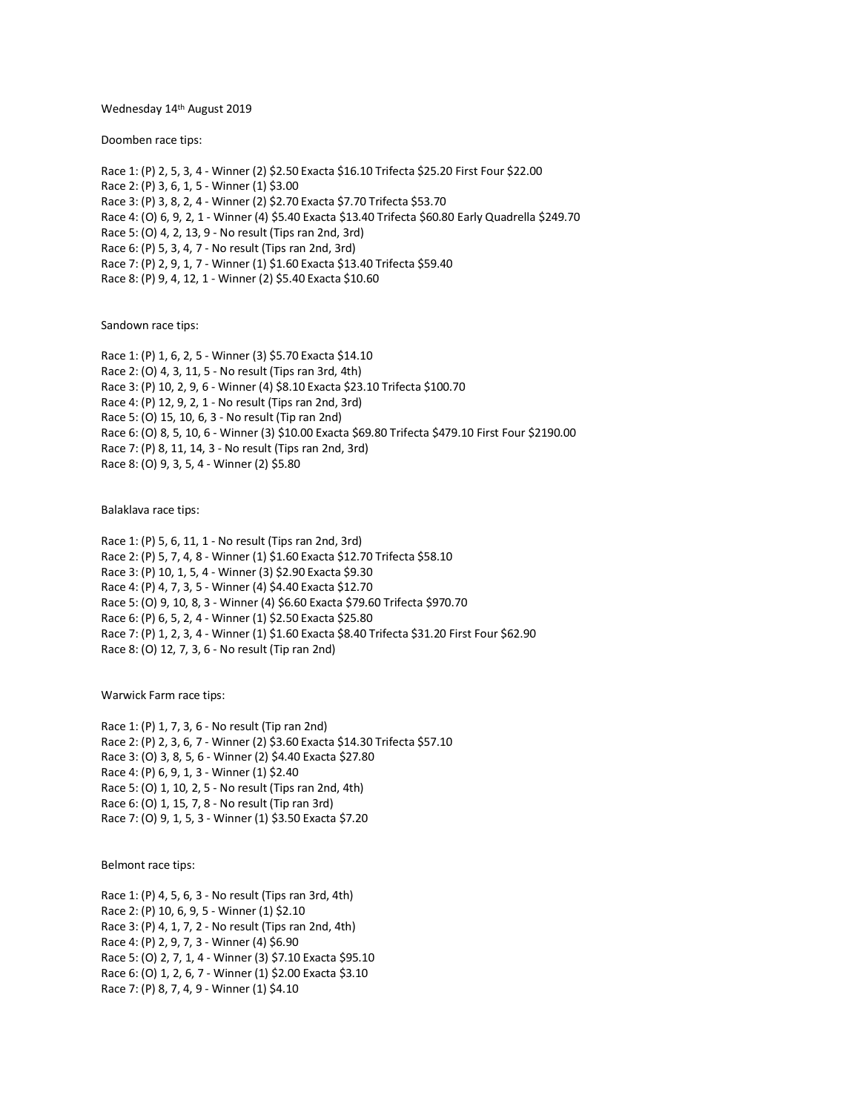### Wednesday 14th August 2019

Doomben race tips:

Race 1: (P) 2, 5, 3, 4 - Winner (2) \$2.50 Exacta \$16.10 Trifecta \$25.20 First Four \$22.00 Race 2: (P) 3, 6, 1, 5 - Winner (1) \$3.00 Race 3: (P) 3, 8, 2, 4 - Winner (2) \$2.70 Exacta \$7.70 Trifecta \$53.70 Race 4: (O) 6, 9, 2, 1 - Winner (4) \$5.40 Exacta \$13.40 Trifecta \$60.80 Early Quadrella \$249.70 Race 5: (O) 4, 2, 13, 9 - No result (Tips ran 2nd, 3rd) Race 6: (P) 5, 3, 4, 7 - No result (Tips ran 2nd, 3rd) Race 7: (P) 2, 9, 1, 7 - Winner (1) \$1.60 Exacta \$13.40 Trifecta \$59.40 Race 8: (P) 9, 4, 12, 1 - Winner (2) \$5.40 Exacta \$10.60

Sandown race tips:

Race 1: (P) 1, 6, 2, 5 - Winner (3) \$5.70 Exacta \$14.10 Race 2: (O) 4, 3, 11, 5 - No result (Tips ran 3rd, 4th) Race 3: (P) 10, 2, 9, 6 - Winner (4) \$8.10 Exacta \$23.10 Trifecta \$100.70 Race 4: (P) 12, 9, 2, 1 - No result (Tips ran 2nd, 3rd) Race 5: (O) 15, 10, 6, 3 - No result (Tip ran 2nd) Race 6: (O) 8, 5, 10, 6 - Winner (3) \$10.00 Exacta \$69.80 Trifecta \$479.10 First Four \$2190.00 Race 7: (P) 8, 11, 14, 3 - No result (Tips ran 2nd, 3rd) Race 8: (O) 9, 3, 5, 4 - Winner (2) \$5.80

Balaklava race tips:

Race 1: (P) 5, 6, 11, 1 - No result (Tips ran 2nd, 3rd) Race 2: (P) 5, 7, 4, 8 - Winner (1) \$1.60 Exacta \$12.70 Trifecta \$58.10 Race 3: (P) 10, 1, 5, 4 - Winner (3) \$2.90 Exacta \$9.30 Race 4: (P) 4, 7, 3, 5 - Winner (4) \$4.40 Exacta \$12.70 Race 5: (O) 9, 10, 8, 3 - Winner (4) \$6.60 Exacta \$79.60 Trifecta \$970.70 Race 6: (P) 6, 5, 2, 4 - Winner (1) \$2.50 Exacta \$25.80 Race 7: (P) 1, 2, 3, 4 - Winner (1) \$1.60 Exacta \$8.40 Trifecta \$31.20 First Four \$62.90 Race 8: (O) 12, 7, 3, 6 - No result (Tip ran 2nd)

Warwick Farm race tips:

Race 1: (P) 1, 7, 3, 6 - No result (Tip ran 2nd) Race 2: (P) 2, 3, 6, 7 - Winner (2) \$3.60 Exacta \$14.30 Trifecta \$57.10 Race 3: (O) 3, 8, 5, 6 - Winner (2) \$4.40 Exacta \$27.80 Race 4: (P) 6, 9, 1, 3 - Winner (1) \$2.40 Race 5: (O) 1, 10, 2, 5 - No result (Tips ran 2nd, 4th) Race 6: (O) 1, 15, 7, 8 - No result (Tip ran 3rd) Race 7: (O) 9, 1, 5, 3 - Winner (1) \$3.50 Exacta \$7.20

Belmont race tips:

Race 1: (P) 4, 5, 6, 3 - No result (Tips ran 3rd, 4th) Race 2: (P) 10, 6, 9, 5 - Winner (1) \$2.10 Race 3: (P) 4, 1, 7, 2 - No result (Tips ran 2nd, 4th) Race 4: (P) 2, 9, 7, 3 - Winner (4) \$6.90 Race 5: (O) 2, 7, 1, 4 - Winner (3) \$7.10 Exacta \$95.10 Race 6: (O) 1, 2, 6, 7 - Winner (1) \$2.00 Exacta \$3.10 Race 7: (P) 8, 7, 4, 9 - Winner (1) \$4.10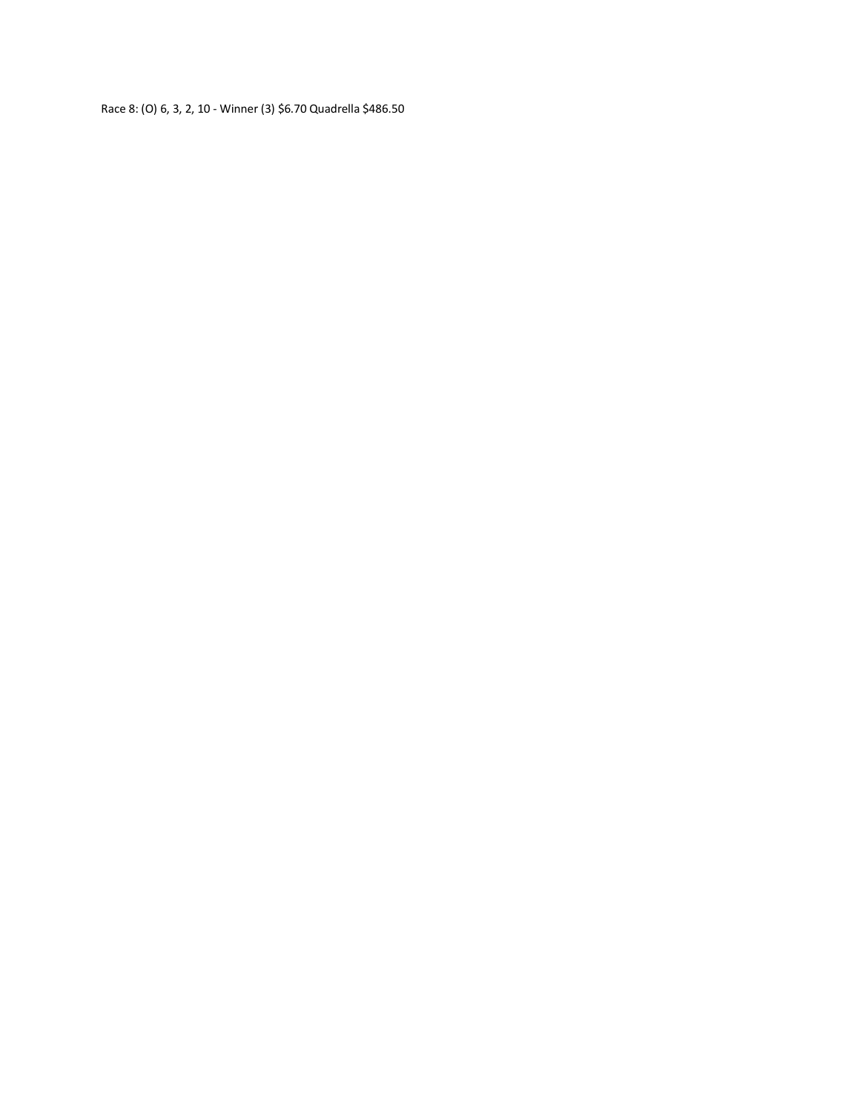Race 8: (O) 6, 3, 2, 10 - Winner (3) \$6.70 Quadrella \$486.50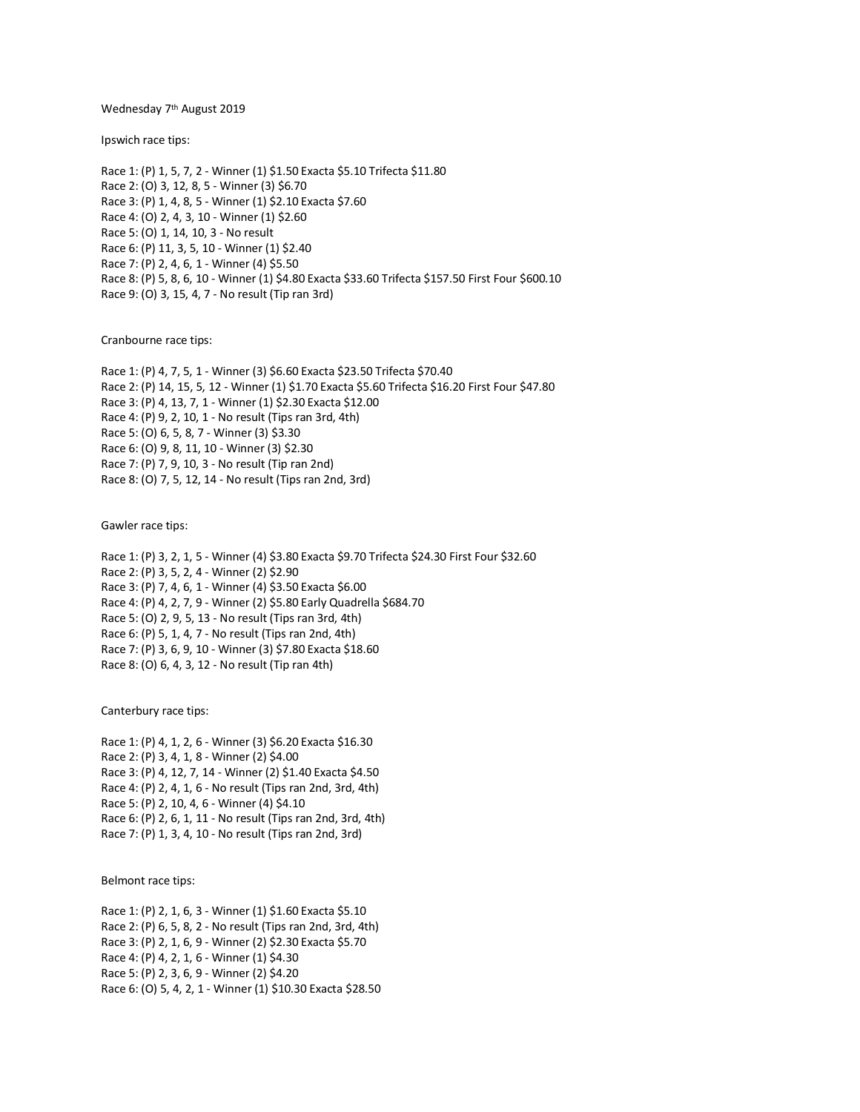#### Wednesday 7<sup>th</sup> August 2019

Ipswich race tips:

Race 1: (P) 1, 5, 7, 2 - Winner (1) \$1.50 Exacta \$5.10 Trifecta \$11.80 Race 2: (O) 3, 12, 8, 5 - Winner (3) \$6.70 Race 3: (P) 1, 4, 8, 5 - Winner (1) \$2.10 Exacta \$7.60 Race 4: (O) 2, 4, 3, 10 - Winner (1) \$2.60 Race 5: (O) 1, 14, 10, 3 - No result Race 6: (P) 11, 3, 5, 10 - Winner (1) \$2.40 Race 7: (P) 2, 4, 6, 1 - Winner (4) \$5.50 Race 8: (P) 5, 8, 6, 10 - Winner (1) \$4.80 Exacta \$33.60 Trifecta \$157.50 First Four \$600.10 Race 9: (O) 3, 15, 4, 7 - No result (Tip ran 3rd)

Cranbourne race tips:

Race 1: (P) 4, 7, 5, 1 - Winner (3) \$6.60 Exacta \$23.50 Trifecta \$70.40 Race 2: (P) 14, 15, 5, 12 - Winner (1) \$1.70 Exacta \$5.60 Trifecta \$16.20 First Four \$47.80 Race 3: (P) 4, 13, 7, 1 - Winner (1) \$2.30 Exacta \$12.00 Race 4: (P) 9, 2, 10, 1 - No result (Tips ran 3rd, 4th) Race 5: (O) 6, 5, 8, 7 - Winner (3) \$3.30 Race 6: (O) 9, 8, 11, 10 - Winner (3) \$2.30 Race 7: (P) 7, 9, 10, 3 - No result (Tip ran 2nd) Race 8: (O) 7, 5, 12, 14 - No result (Tips ran 2nd, 3rd)

Gawler race tips:

Race 1: (P) 3, 2, 1, 5 - Winner (4) \$3.80 Exacta \$9.70 Trifecta \$24.30 First Four \$32.60 Race 2: (P) 3, 5, 2, 4 - Winner (2) \$2.90 Race 3: (P) 7, 4, 6, 1 - Winner (4) \$3.50 Exacta \$6.00 Race 4: (P) 4, 2, 7, 9 - Winner (2) \$5.80 Early Quadrella \$684.70 Race 5: (O) 2, 9, 5, 13 - No result (Tips ran 3rd, 4th) Race 6: (P) 5, 1, 4, 7 - No result (Tips ran 2nd, 4th) Race 7: (P) 3, 6, 9, 10 - Winner (3) \$7.80 Exacta \$18.60 Race 8: (O) 6, 4, 3, 12 - No result (Tip ran 4th)

Canterbury race tips:

Race 1: (P) 4, 1, 2, 6 - Winner (3) \$6.20 Exacta \$16.30 Race 2: (P) 3, 4, 1, 8 - Winner (2) \$4.00 Race 3: (P) 4, 12, 7, 14 - Winner (2) \$1.40 Exacta \$4.50 Race 4: (P) 2, 4, 1, 6 - No result (Tips ran 2nd, 3rd, 4th) Race 5: (P) 2, 10, 4, 6 - Winner (4) \$4.10 Race 6: (P) 2, 6, 1, 11 - No result (Tips ran 2nd, 3rd, 4th) Race 7: (P) 1, 3, 4, 10 - No result (Tips ran 2nd, 3rd)

Belmont race tips:

Race 1: (P) 2, 1, 6, 3 - Winner (1) \$1.60 Exacta \$5.10 Race 2: (P) 6, 5, 8, 2 - No result (Tips ran 2nd, 3rd, 4th) Race 3: (P) 2, 1, 6, 9 - Winner (2) \$2.30 Exacta \$5.70 Race 4: (P) 4, 2, 1, 6 - Winner (1) \$4.30 Race 5: (P) 2, 3, 6, 9 - Winner (2) \$4.20 Race 6: (O) 5, 4, 2, 1 - Winner (1) \$10.30 Exacta \$28.50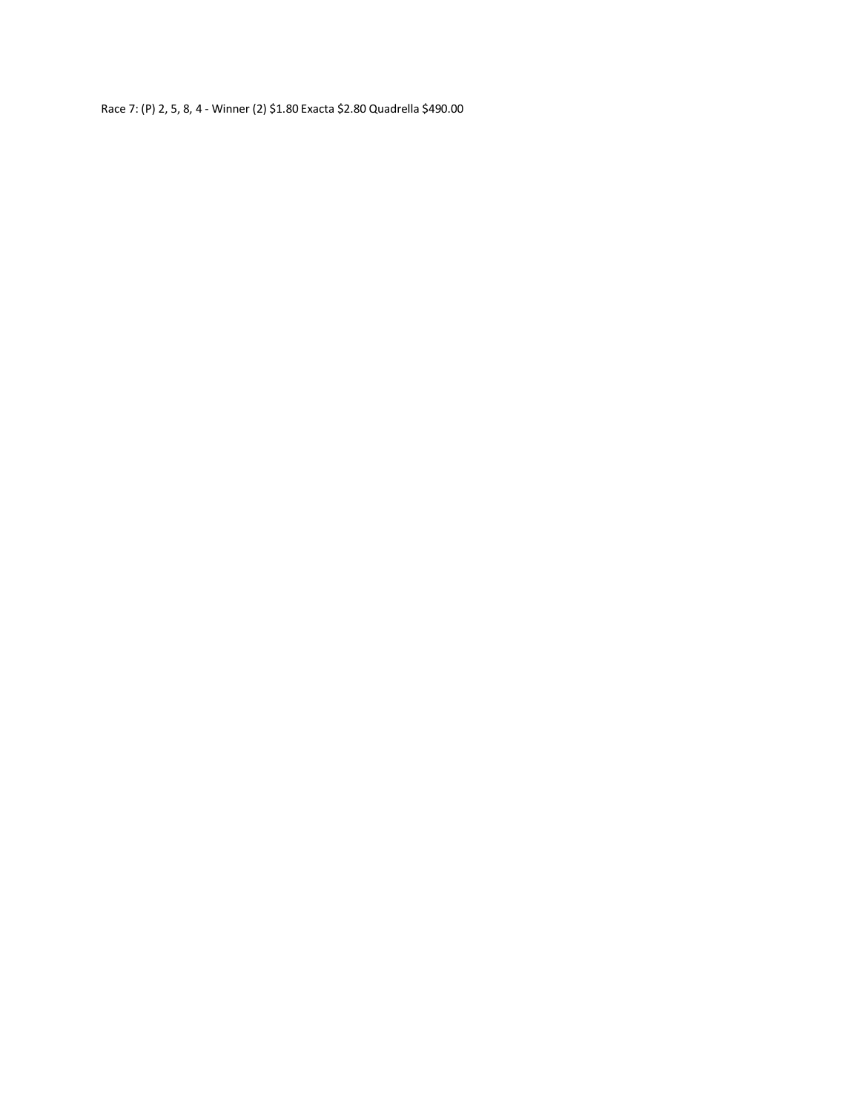Race 7: (P) 2, 5, 8, 4 - Winner (2) \$1.80 Exacta \$2.80 Quadrella \$490.00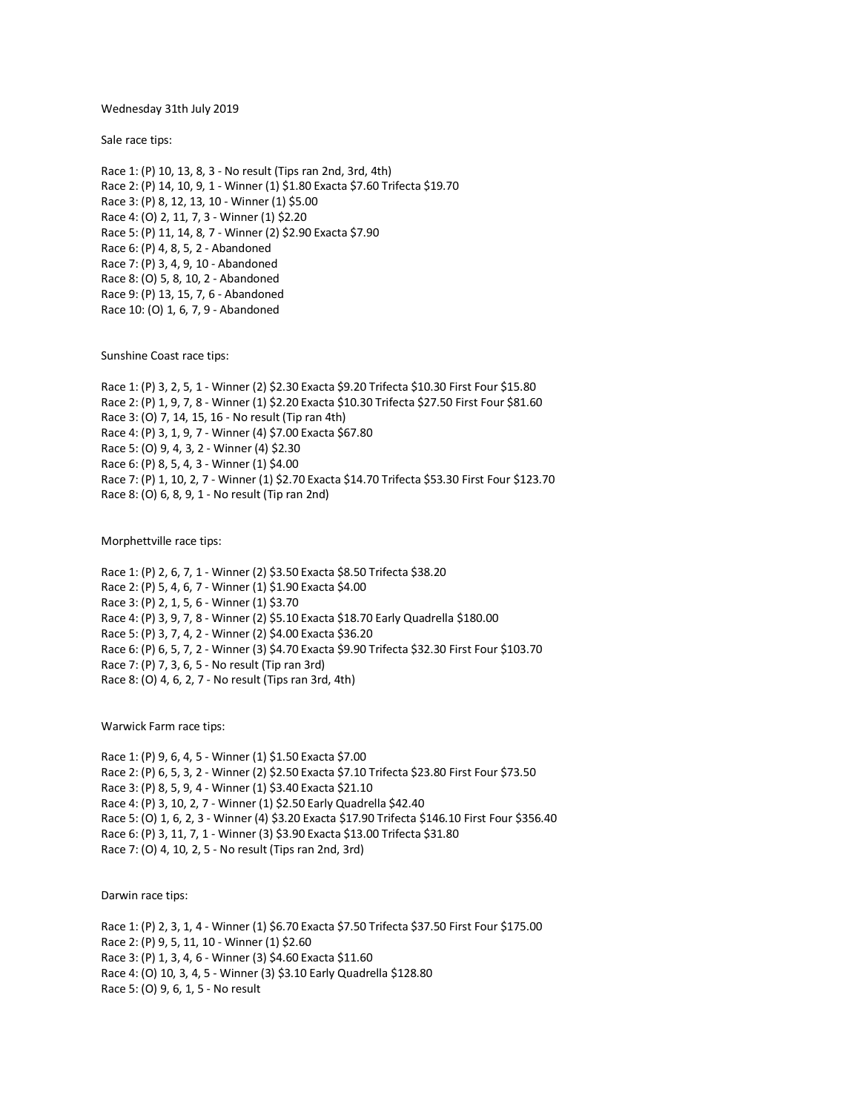Wednesday 31th July 2019

Sale race tips:

Race 1: (P) 10, 13, 8, 3 - No result (Tips ran 2nd, 3rd, 4th) Race 2: (P) 14, 10, 9, 1 - Winner (1) \$1.80 Exacta \$7.60 Trifecta \$19.70 Race 3: (P) 8, 12, 13, 10 - Winner (1) \$5.00 Race 4: (O) 2, 11, 7, 3 - Winner (1) \$2.20 Race 5: (P) 11, 14, 8, 7 - Winner (2) \$2.90 Exacta \$7.90 Race 6: (P) 4, 8, 5, 2 - Abandoned Race 7: (P) 3, 4, 9, 10 - Abandoned Race 8: (O) 5, 8, 10, 2 - Abandoned Race 9: (P) 13, 15, 7, 6 - Abandoned Race 10: (O) 1, 6, 7, 9 - Abandoned

Sunshine Coast race tips:

Race 1: (P) 3, 2, 5, 1 - Winner (2) \$2.30 Exacta \$9.20 Trifecta \$10.30 First Four \$15.80 Race 2: (P) 1, 9, 7, 8 - Winner (1) \$2.20 Exacta \$10.30 Trifecta \$27.50 First Four \$81.60 Race 3: (O) 7, 14, 15, 16 - No result (Tip ran 4th) Race 4: (P) 3, 1, 9, 7 - Winner (4) \$7.00 Exacta \$67.80 Race 5: (O) 9, 4, 3, 2 - Winner (4) \$2.30 Race 6: (P) 8, 5, 4, 3 - Winner (1) \$4.00 Race 7: (P) 1, 10, 2, 7 - Winner (1) \$2.70 Exacta \$14.70 Trifecta \$53.30 First Four \$123.70 Race 8: (O) 6, 8, 9, 1 - No result (Tip ran 2nd)

Morphettville race tips:

Race 1: (P) 2, 6, 7, 1 - Winner (2) \$3.50 Exacta \$8.50 Trifecta \$38.20 Race 2: (P) 5, 4, 6, 7 - Winner (1) \$1.90 Exacta \$4.00 Race 3: (P) 2, 1, 5, 6 - Winner (1) \$3.70 Race 4: (P) 3, 9, 7, 8 - Winner (2) \$5.10 Exacta \$18.70 Early Quadrella \$180.00 Race 5: (P) 3, 7, 4, 2 - Winner (2) \$4.00 Exacta \$36.20 Race 6: (P) 6, 5, 7, 2 - Winner (3) \$4.70 Exacta \$9.90 Trifecta \$32.30 First Four \$103.70 Race 7: (P) 7, 3, 6, 5 - No result (Tip ran 3rd) Race 8: (O) 4, 6, 2, 7 - No result (Tips ran 3rd, 4th)

Warwick Farm race tips:

Race 1: (P) 9, 6, 4, 5 - Winner (1) \$1.50 Exacta \$7.00 Race 2: (P) 6, 5, 3, 2 - Winner (2) \$2.50 Exacta \$7.10 Trifecta \$23.80 First Four \$73.50 Race 3: (P) 8, 5, 9, 4 - Winner (1) \$3.40 Exacta \$21.10 Race 4: (P) 3, 10, 2, 7 - Winner (1) \$2.50 Early Quadrella \$42.40 Race 5: (O) 1, 6, 2, 3 - Winner (4) \$3.20 Exacta \$17.90 Trifecta \$146.10 First Four \$356.40 Race 6: (P) 3, 11, 7, 1 - Winner (3) \$3.90 Exacta \$13.00 Trifecta \$31.80 Race 7: (O) 4, 10, 2, 5 - No result (Tips ran 2nd, 3rd)

Darwin race tips:

Race 1: (P) 2, 3, 1, 4 - Winner (1) \$6.70 Exacta \$7.50 Trifecta \$37.50 First Four \$175.00 Race 2: (P) 9, 5, 11, 10 - Winner (1) \$2.60 Race 3: (P) 1, 3, 4, 6 - Winner (3) \$4.60 Exacta \$11.60 Race 4: (O) 10, 3, 4, 5 - Winner (3) \$3.10 Early Quadrella \$128.80 Race 5: (O) 9, 6, 1, 5 - No result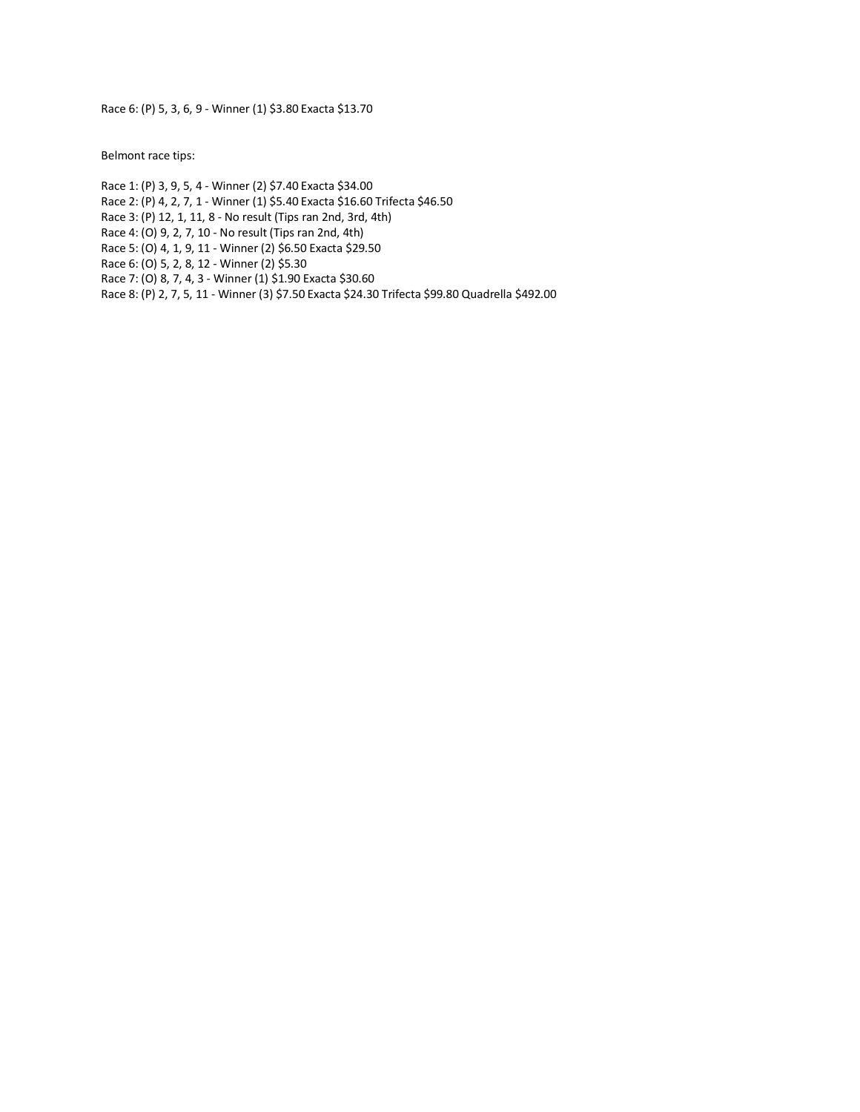Race 6: (P) 5, 3, 6, 9 - Winner (1) \$3.80 Exacta \$13.70

Belmont race tips:

Race 1: (P) 3, 9, 5, 4 - Winner (2) \$7.40 Exacta \$34.00 Race 2: (P) 4, 2, 7, 1 - Winner (1) \$5.40 Exacta \$16.60 Trifecta \$46.50 Race 3: (P) 12, 1, 11, 8 - No result (Tips ran 2nd, 3rd, 4th) Race 4: (O) 9, 2, 7, 10 - No result (Tips ran 2nd, 4th) Race 5: (O) 4, 1, 9, 11 - Winner (2) \$6.50 Exacta \$29.50 Race 6: (O) 5, 2, 8, 12 - Winner (2) \$5.30 Race 7: (O) 8, 7, 4, 3 - Winner (1) \$1.90 Exacta \$30.60 Race 8: (P) 2, 7, 5, 11 - Winner (3) \$7.50 Exacta \$24.30 Trifecta \$99.80 Quadrella \$492.00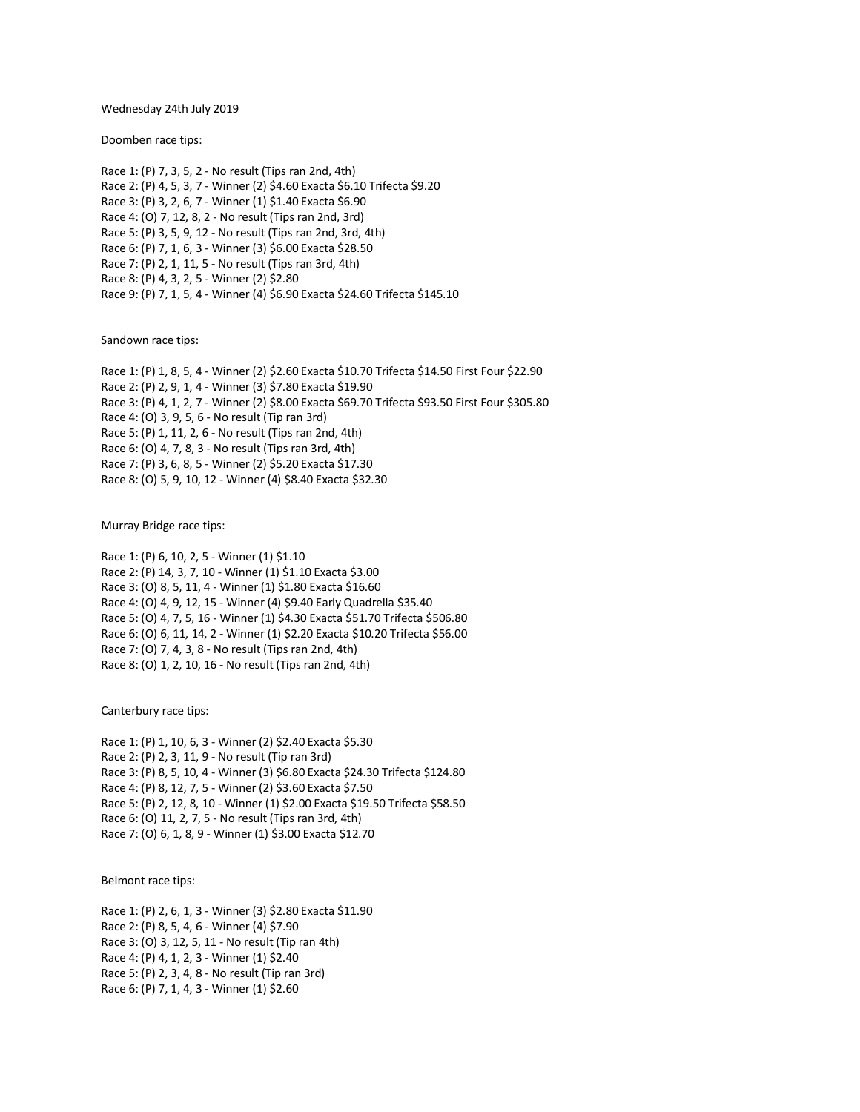Wednesday 24th July 2019

Doomben race tips:

Race 1: (P) 7, 3, 5, 2 - No result (Tips ran 2nd, 4th) Race 2: (P) 4, 5, 3, 7 - Winner (2) \$4.60 Exacta \$6.10 Trifecta \$9.20 Race 3: (P) 3, 2, 6, 7 - Winner (1) \$1.40 Exacta \$6.90 Race 4: (O) 7, 12, 8, 2 - No result (Tips ran 2nd, 3rd) Race 5: (P) 3, 5, 9, 12 - No result (Tips ran 2nd, 3rd, 4th) Race 6: (P) 7, 1, 6, 3 - Winner (3) \$6.00 Exacta \$28.50 Race 7: (P) 2, 1, 11, 5 - No result (Tips ran 3rd, 4th) Race 8: (P) 4, 3, 2, 5 - Winner (2) \$2.80 Race 9: (P) 7, 1, 5, 4 - Winner (4) \$6.90 Exacta \$24.60 Trifecta \$145.10

Sandown race tips:

Race 1: (P) 1, 8, 5, 4 - Winner (2) \$2.60 Exacta \$10.70 Trifecta \$14.50 First Four \$22.90 Race 2: (P) 2, 9, 1, 4 - Winner (3) \$7.80 Exacta \$19.90 Race 3: (P) 4, 1, 2, 7 - Winner (2) \$8.00 Exacta \$69.70 Trifecta \$93.50 First Four \$305.80 Race 4: (O) 3, 9, 5, 6 - No result (Tip ran 3rd) Race 5: (P) 1, 11, 2, 6 - No result (Tips ran 2nd, 4th) Race 6: (O) 4, 7, 8, 3 - No result (Tips ran 3rd, 4th) Race 7: (P) 3, 6, 8, 5 - Winner (2) \$5.20 Exacta \$17.30 Race 8: (O) 5, 9, 10, 12 - Winner (4) \$8.40 Exacta \$32.30

Murray Bridge race tips:

Race 1: (P) 6, 10, 2, 5 - Winner (1) \$1.10 Race 2: (P) 14, 3, 7, 10 - Winner (1) \$1.10 Exacta \$3.00 Race 3: (O) 8, 5, 11, 4 - Winner (1) \$1.80 Exacta \$16.60 Race 4: (O) 4, 9, 12, 15 - Winner (4) \$9.40 Early Quadrella \$35.40 Race 5: (O) 4, 7, 5, 16 - Winner (1) \$4.30 Exacta \$51.70 Trifecta \$506.80 Race 6: (O) 6, 11, 14, 2 - Winner (1) \$2.20 Exacta \$10.20 Trifecta \$56.00 Race 7: (O) 7, 4, 3, 8 - No result (Tips ran 2nd, 4th) Race 8: (O) 1, 2, 10, 16 - No result (Tips ran 2nd, 4th)

Canterbury race tips:

Race 1: (P) 1, 10, 6, 3 - Winner (2) \$2.40 Exacta \$5.30 Race 2: (P) 2, 3, 11, 9 - No result (Tip ran 3rd) Race 3: (P) 8, 5, 10, 4 - Winner (3) \$6.80 Exacta \$24.30 Trifecta \$124.80 Race 4: (P) 8, 12, 7, 5 - Winner (2) \$3.60 Exacta \$7.50 Race 5: (P) 2, 12, 8, 10 - Winner (1) \$2.00 Exacta \$19.50 Trifecta \$58.50 Race 6: (O) 11, 2, 7, 5 - No result (Tips ran 3rd, 4th) Race 7: (O) 6, 1, 8, 9 - Winner (1) \$3.00 Exacta \$12.70

Belmont race tips:

Race 1: (P) 2, 6, 1, 3 - Winner (3) \$2.80 Exacta \$11.90 Race 2: (P) 8, 5, 4, 6 - Winner (4) \$7.90 Race 3: (O) 3, 12, 5, 11 - No result (Tip ran 4th) Race 4: (P) 4, 1, 2, 3 - Winner (1) \$2.40 Race 5: (P) 2, 3, 4, 8 - No result (Tip ran 3rd) Race 6: (P) 7, 1, 4, 3 - Winner (1) \$2.60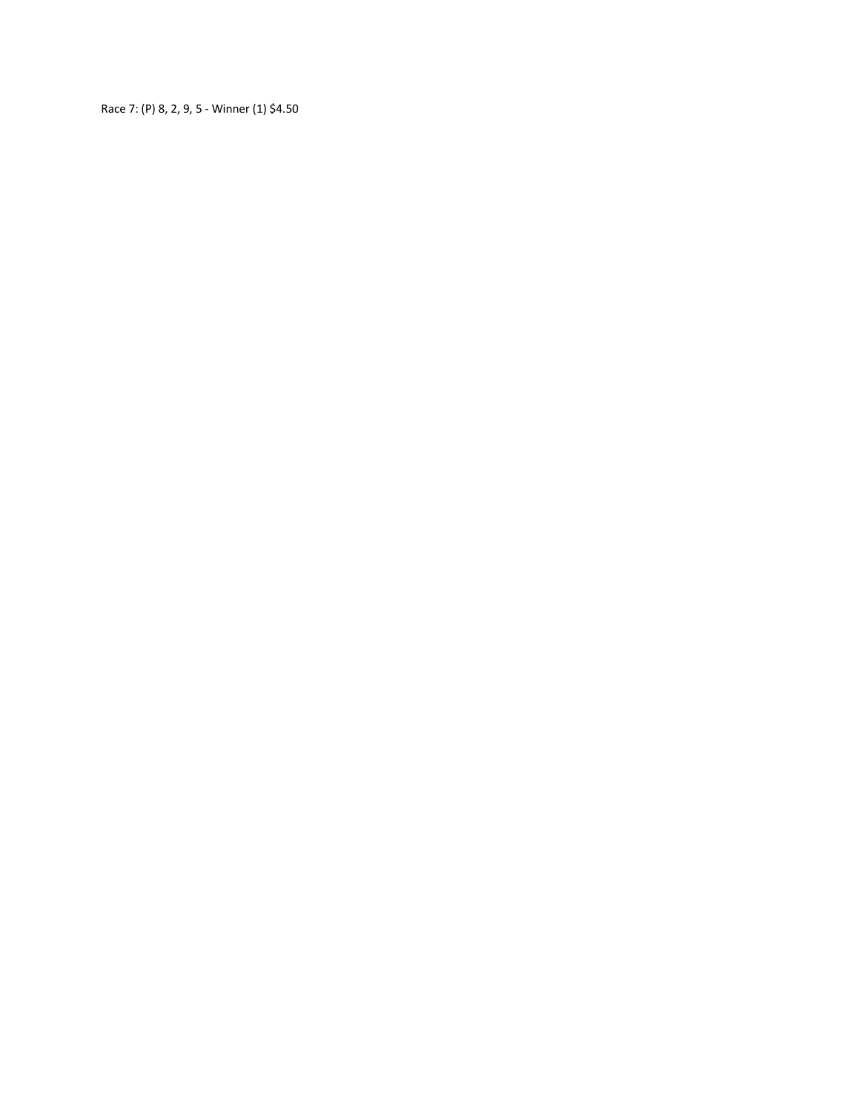Race 7: (P) 8, 2, 9, 5 - Winner (1) \$4.50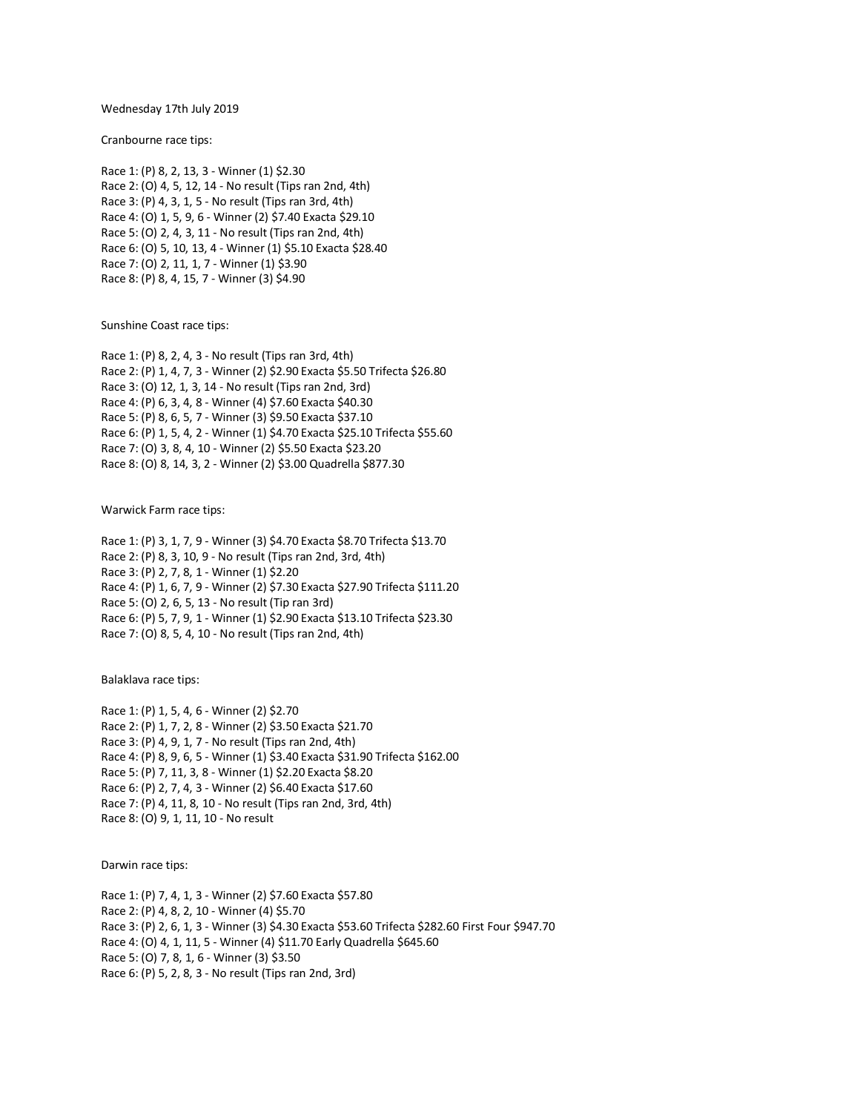#### Wednesday 17th July 2019

Cranbourne race tips:

Race 1: (P) 8, 2, 13, 3 - Winner (1) \$2.30 Race 2: (O) 4, 5, 12, 14 - No result (Tips ran 2nd, 4th) Race 3: (P) 4, 3, 1, 5 - No result (Tips ran 3rd, 4th) Race 4: (O) 1, 5, 9, 6 - Winner (2) \$7.40 Exacta \$29.10 Race 5: (O) 2, 4, 3, 11 - No result (Tips ran 2nd, 4th) Race 6: (O) 5, 10, 13, 4 - Winner (1) \$5.10 Exacta \$28.40 Race 7: (O) 2, 11, 1, 7 - Winner (1) \$3.90 Race 8: (P) 8, 4, 15, 7 - Winner (3) \$4.90

Sunshine Coast race tips:

Race 1: (P) 8, 2, 4, 3 - No result (Tips ran 3rd, 4th) Race 2: (P) 1, 4, 7, 3 - Winner (2) \$2.90 Exacta \$5.50 Trifecta \$26.80 Race 3: (O) 12, 1, 3, 14 - No result (Tips ran 2nd, 3rd) Race 4: (P) 6, 3, 4, 8 - Winner (4) \$7.60 Exacta \$40.30 Race 5: (P) 8, 6, 5, 7 - Winner (3) \$9.50 Exacta \$37.10 Race 6: (P) 1, 5, 4, 2 - Winner (1) \$4.70 Exacta \$25.10 Trifecta \$55.60 Race 7: (O) 3, 8, 4, 10 - Winner (2) \$5.50 Exacta \$23.20 Race 8: (O) 8, 14, 3, 2 - Winner (2) \$3.00 Quadrella \$877.30

Warwick Farm race tips:

Race 1: (P) 3, 1, 7, 9 - Winner (3) \$4.70 Exacta \$8.70 Trifecta \$13.70 Race 2: (P) 8, 3, 10, 9 - No result (Tips ran 2nd, 3rd, 4th) Race 3: (P) 2, 7, 8, 1 - Winner (1) \$2.20 Race 4: (P) 1, 6, 7, 9 - Winner (2) \$7.30 Exacta \$27.90 Trifecta \$111.20 Race 5: (O) 2, 6, 5, 13 - No result (Tip ran 3rd) Race 6: (P) 5, 7, 9, 1 - Winner (1) \$2.90 Exacta \$13.10 Trifecta \$23.30 Race 7: (O) 8, 5, 4, 10 - No result (Tips ran 2nd, 4th)

Balaklava race tips:

Race 1: (P) 1, 5, 4, 6 - Winner (2) \$2.70 Race 2: (P) 1, 7, 2, 8 - Winner (2) \$3.50 Exacta \$21.70 Race 3: (P) 4, 9, 1, 7 - No result (Tips ran 2nd, 4th) Race 4: (P) 8, 9, 6, 5 - Winner (1) \$3.40 Exacta \$31.90 Trifecta \$162.00 Race 5: (P) 7, 11, 3, 8 - Winner (1) \$2.20 Exacta \$8.20 Race 6: (P) 2, 7, 4, 3 - Winner (2) \$6.40 Exacta \$17.60 Race 7: (P) 4, 11, 8, 10 - No result (Tips ran 2nd, 3rd, 4th) Race 8: (O) 9, 1, 11, 10 - No result

Darwin race tips:

Race 1: (P) 7, 4, 1, 3 - Winner (2) \$7.60 Exacta \$57.80 Race 2: (P) 4, 8, 2, 10 - Winner (4) \$5.70 Race 3: (P) 2, 6, 1, 3 - Winner (3) \$4.30 Exacta \$53.60 Trifecta \$282.60 First Four \$947.70 Race 4: (O) 4, 1, 11, 5 - Winner (4) \$11.70 Early Quadrella \$645.60 Race 5: (O) 7, 8, 1, 6 - Winner (3) \$3.50 Race 6: (P) 5, 2, 8, 3 - No result (Tips ran 2nd, 3rd)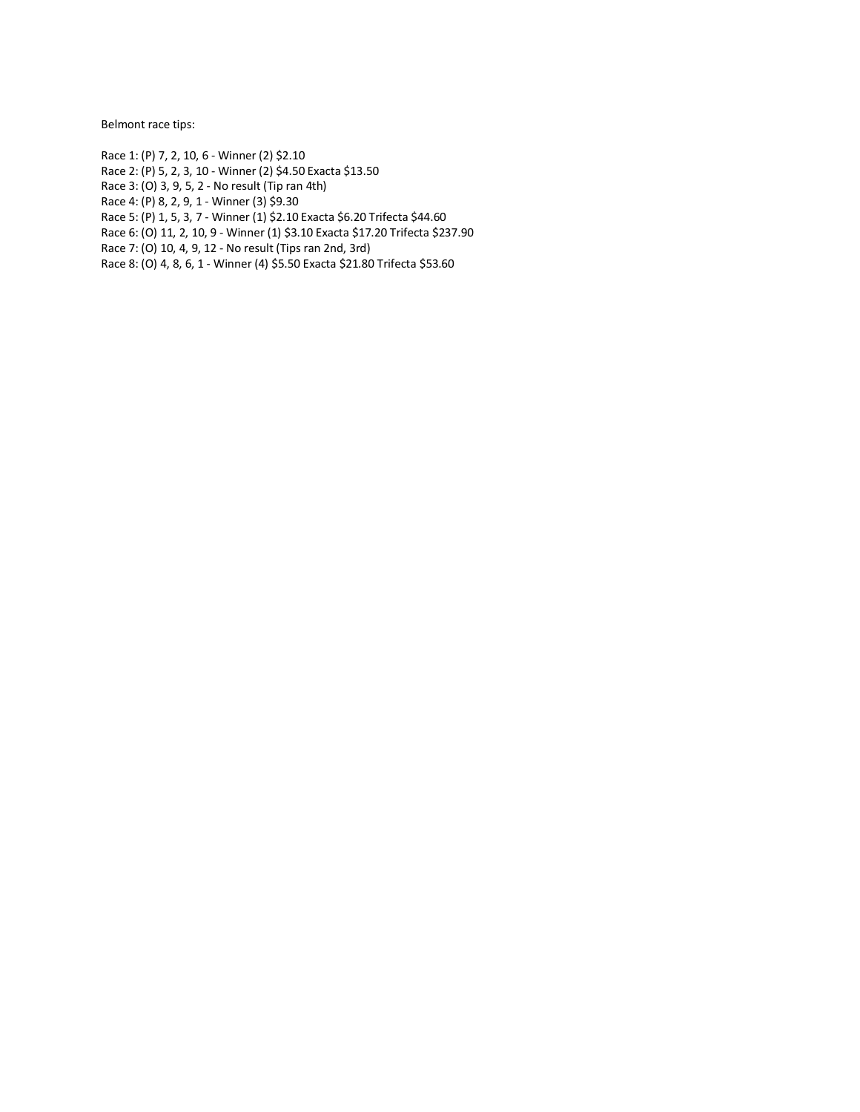Belmont race tips:

Race 1: (P) 7, 2, 10, 6 - Winner (2) \$2.10

Race 2: (P) 5, 2, 3, 10 - Winner (2) \$4.50 Exacta \$13.50

Race 3: (O) 3, 9, 5, 2 - No result (Tip ran 4th)

Race 4: (P) 8, 2, 9, 1 - Winner (3) \$9.30

Race 5: (P) 1, 5, 3, 7 - Winner (1) \$2.10 Exacta \$6.20 Trifecta \$44.60

Race 6: (O) 11, 2, 10, 9 - Winner (1) \$3.10 Exacta \$17.20 Trifecta \$237.90

Race 7: (O) 10, 4, 9, 12 - No result (Tips ran 2nd, 3rd)

Race 8: (O) 4, 8, 6, 1 - Winner (4) \$5.50 Exacta \$21.80 Trifecta \$53.60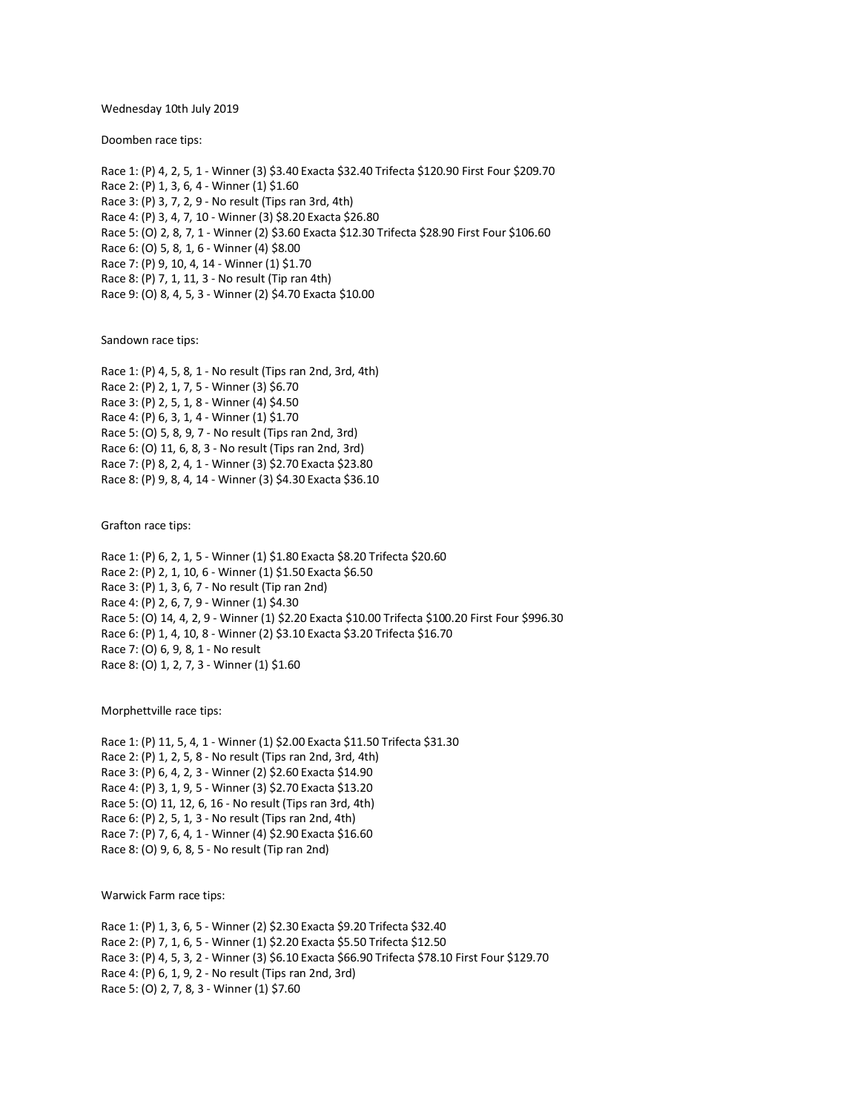Wednesday 10th July 2019

Doomben race tips:

Race 1: (P) 4, 2, 5, 1 - Winner (3) \$3.40 Exacta \$32.40 Trifecta \$120.90 First Four \$209.70 Race 2: (P) 1, 3, 6, 4 - Winner (1) \$1.60 Race 3: (P) 3, 7, 2, 9 - No result (Tips ran 3rd, 4th) Race 4: (P) 3, 4, 7, 10 - Winner (3) \$8.20 Exacta \$26.80 Race 5: (O) 2, 8, 7, 1 - Winner (2) \$3.60 Exacta \$12.30 Trifecta \$28.90 First Four \$106.60 Race 6: (O) 5, 8, 1, 6 - Winner (4) \$8.00 Race 7: (P) 9, 10, 4, 14 - Winner (1) \$1.70 Race 8: (P) 7, 1, 11, 3 - No result (Tip ran 4th) Race 9: (O) 8, 4, 5, 3 - Winner (2) \$4.70 Exacta \$10.00

Sandown race tips:

Race 1: (P) 4, 5, 8, 1 - No result (Tips ran 2nd, 3rd, 4th) Race 2: (P) 2, 1, 7, 5 - Winner (3) \$6.70 Race 3: (P) 2, 5, 1, 8 - Winner (4) \$4.50 Race 4: (P) 6, 3, 1, 4 - Winner (1) \$1.70 Race 5: (O) 5, 8, 9, 7 - No result (Tips ran 2nd, 3rd) Race 6: (O) 11, 6, 8, 3 - No result (Tips ran 2nd, 3rd) Race 7: (P) 8, 2, 4, 1 - Winner (3) \$2.70 Exacta \$23.80 Race 8: (P) 9, 8, 4, 14 - Winner (3) \$4.30 Exacta \$36.10

Grafton race tips:

Race 1: (P) 6, 2, 1, 5 - Winner (1) \$1.80 Exacta \$8.20 Trifecta \$20.60 Race 2: (P) 2, 1, 10, 6 - Winner (1) \$1.50 Exacta \$6.50 Race 3: (P) 1, 3, 6, 7 - No result (Tip ran 2nd) Race 4: (P) 2, 6, 7, 9 - Winner (1) \$4.30 Race 5: (O) 14, 4, 2, 9 - Winner (1) \$2.20 Exacta \$10.00 Trifecta \$100.20 First Four \$996.30 Race 6: (P) 1, 4, 10, 8 - Winner (2) \$3.10 Exacta \$3.20 Trifecta \$16.70 Race 7: (O) 6, 9, 8, 1 - No result Race 8: (O) 1, 2, 7, 3 - Winner (1) \$1.60

Morphettville race tips:

Race 1: (P) 11, 5, 4, 1 - Winner (1) \$2.00 Exacta \$11.50 Trifecta \$31.30 Race 2: (P) 1, 2, 5, 8 - No result (Tips ran 2nd, 3rd, 4th) Race 3: (P) 6, 4, 2, 3 - Winner (2) \$2.60 Exacta \$14.90 Race 4: (P) 3, 1, 9, 5 - Winner (3) \$2.70 Exacta \$13.20 Race 5: (O) 11, 12, 6, 16 - No result (Tips ran 3rd, 4th) Race 6: (P) 2, 5, 1, 3 - No result (Tips ran 2nd, 4th) Race 7: (P) 7, 6, 4, 1 - Winner (4) \$2.90 Exacta \$16.60 Race 8: (O) 9, 6, 8, 5 - No result (Tip ran 2nd)

Warwick Farm race tips:

Race 1: (P) 1, 3, 6, 5 - Winner (2) \$2.30 Exacta \$9.20 Trifecta \$32.40 Race 2: (P) 7, 1, 6, 5 - Winner (1) \$2.20 Exacta \$5.50 Trifecta \$12.50 Race 3: (P) 4, 5, 3, 2 - Winner (3) \$6.10 Exacta \$66.90 Trifecta \$78.10 First Four \$129.70 Race 4: (P) 6, 1, 9, 2 - No result (Tips ran 2nd, 3rd) Race 5: (O) 2, 7, 8, 3 - Winner (1) \$7.60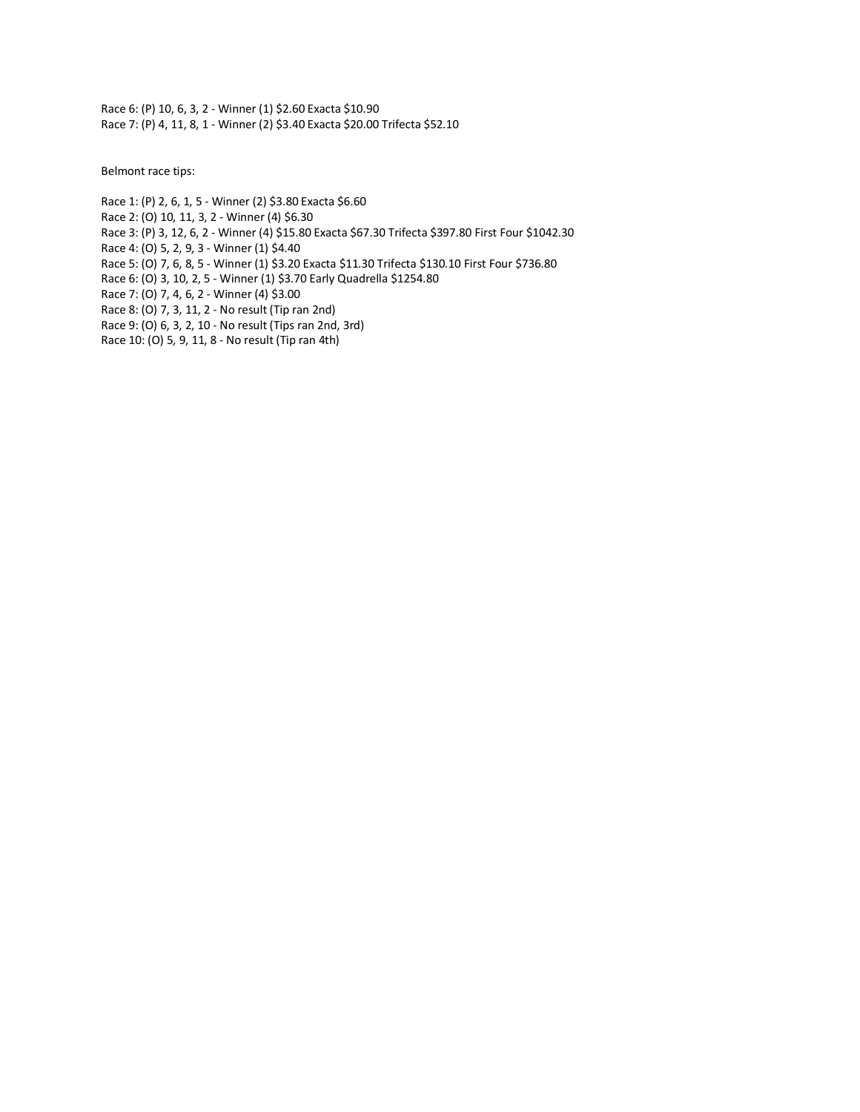Race 6: (P) 10, 6, 3, 2 - Winner (1) \$2.60 Exacta \$10.90 Race 7: (P) 4, 11, 8, 1 - Winner (2) \$3.40 Exacta \$20.00 Trifecta \$52.10

Belmont race tips:

- Race 1: (P) 2, 6, 1, 5 Winner (2) \$3.80 Exacta \$6.60
- Race 2: (O) 10, 11, 3, 2 Winner (4) \$6.30
- Race 3: (P) 3, 12, 6, 2 Winner (4) \$15.80 Exacta \$67.30 Trifecta \$397.80 First Four \$1042.30
- Race 4: (O) 5, 2, 9, 3 Winner (1) \$4.40
- Race 5: (O) 7, 6, 8, 5 Winner (1) \$3.20 Exacta \$11.30 Trifecta \$130.10 First Four \$736.80
- Race 6: (O) 3, 10, 2, 5 Winner (1) \$3.70 Early Quadrella \$1254.80
- Race 7: (O) 7, 4, 6, 2 Winner (4) \$3.00
- Race 8: (O) 7, 3, 11, 2 No result (Tip ran 2nd)
- Race 9: (O) 6, 3, 2, 10 No result (Tips ran 2nd, 3rd)
- Race 10: (O) 5, 9, 11, 8 No result (Tip ran 4th)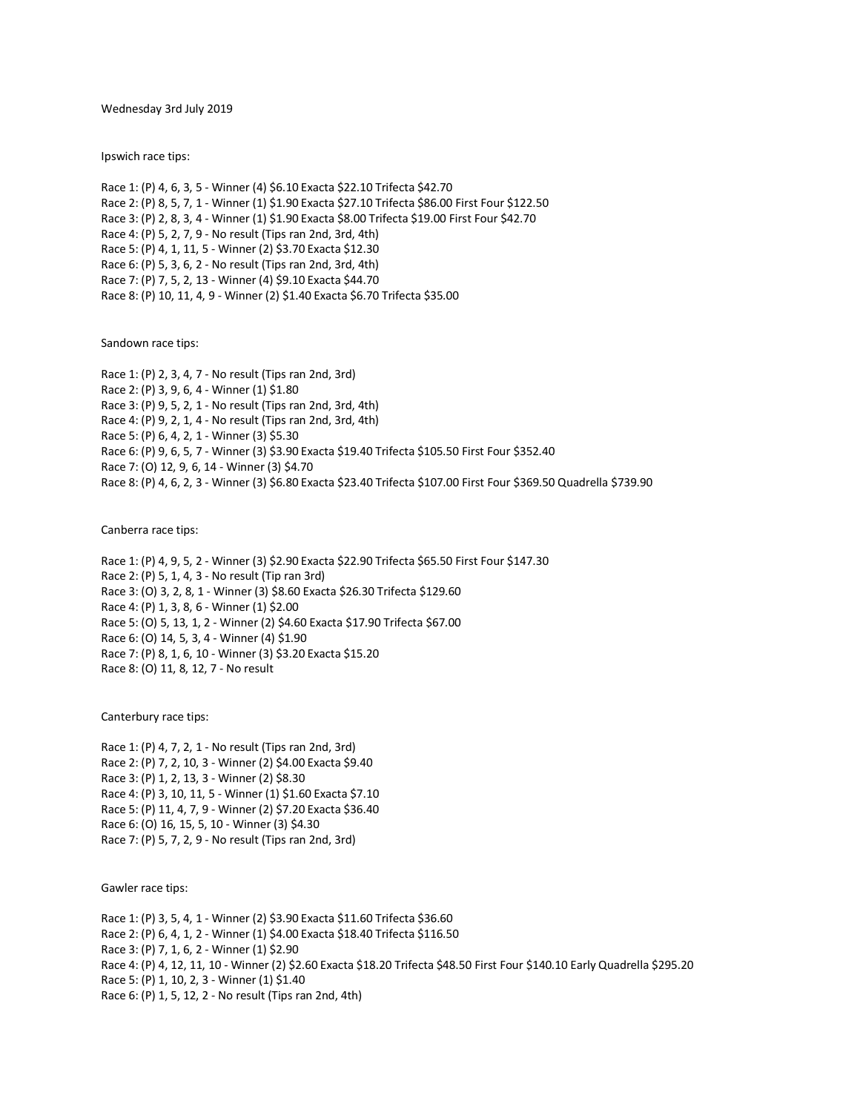Wednesday 3rd July 2019

Ipswich race tips:

Race 1: (P) 4, 6, 3, 5 - Winner (4) \$6.10 Exacta \$22.10 Trifecta \$42.70 Race 2: (P) 8, 5, 7, 1 - Winner (1) \$1.90 Exacta \$27.10 Trifecta \$86.00 First Four \$122.50 Race 3: (P) 2, 8, 3, 4 - Winner (1) \$1.90 Exacta \$8.00 Trifecta \$19.00 First Four \$42.70 Race 4: (P) 5, 2, 7, 9 - No result (Tips ran 2nd, 3rd, 4th) Race 5: (P) 4, 1, 11, 5 - Winner (2) \$3.70 Exacta \$12.30 Race 6: (P) 5, 3, 6, 2 - No result (Tips ran 2nd, 3rd, 4th) Race 7: (P) 7, 5, 2, 13 - Winner (4) \$9.10 Exacta \$44.70 Race 8: (P) 10, 11, 4, 9 - Winner (2) \$1.40 Exacta \$6.70 Trifecta \$35.00

Sandown race tips:

Race 1: (P) 2, 3, 4, 7 - No result (Tips ran 2nd, 3rd) Race 2: (P) 3, 9, 6, 4 - Winner (1) \$1.80 Race 3: (P) 9, 5, 2, 1 - No result (Tips ran 2nd, 3rd, 4th) Race 4: (P) 9, 2, 1, 4 - No result (Tips ran 2nd, 3rd, 4th) Race 5: (P) 6, 4, 2, 1 - Winner (3) \$5.30 Race 6: (P) 9, 6, 5, 7 - Winner (3) \$3.90 Exacta \$19.40 Trifecta \$105.50 First Four \$352.40 Race 7: (O) 12, 9, 6, 14 - Winner (3) \$4.70 Race 8: (P) 4, 6, 2, 3 - Winner (3) \$6.80 Exacta \$23.40 Trifecta \$107.00 First Four \$369.50 Quadrella \$739.90

Canberra race tips:

Race 1: (P) 4, 9, 5, 2 - Winner (3) \$2.90 Exacta \$22.90 Trifecta \$65.50 First Four \$147.30 Race 2: (P) 5, 1, 4, 3 - No result (Tip ran 3rd) Race 3: (O) 3, 2, 8, 1 - Winner (3) \$8.60 Exacta \$26.30 Trifecta \$129.60 Race 4: (P) 1, 3, 8, 6 - Winner (1) \$2.00 Race 5: (O) 5, 13, 1, 2 - Winner (2) \$4.60 Exacta \$17.90 Trifecta \$67.00 Race 6: (O) 14, 5, 3, 4 - Winner (4) \$1.90 Race 7: (P) 8, 1, 6, 10 - Winner (3) \$3.20 Exacta \$15.20 Race 8: (O) 11, 8, 12, 7 - No result

Canterbury race tips:

Race 1: (P) 4, 7, 2, 1 - No result (Tips ran 2nd, 3rd) Race 2: (P) 7, 2, 10, 3 - Winner (2) \$4.00 Exacta \$9.40 Race 3: (P) 1, 2, 13, 3 - Winner (2) \$8.30 Race 4: (P) 3, 10, 11, 5 - Winner (1) \$1.60 Exacta \$7.10 Race 5: (P) 11, 4, 7, 9 - Winner (2) \$7.20 Exacta \$36.40 Race 6: (O) 16, 15, 5, 10 - Winner (3) \$4.30 Race 7: (P) 5, 7, 2, 9 - No result (Tips ran 2nd, 3rd)

Gawler race tips:

Race 1: (P) 3, 5, 4, 1 - Winner (2) \$3.90 Exacta \$11.60 Trifecta \$36.60 Race 2: (P) 6, 4, 1, 2 - Winner (1) \$4.00 Exacta \$18.40 Trifecta \$116.50 Race 3: (P) 7, 1, 6, 2 - Winner (1) \$2.90 Race 4: (P) 4, 12, 11, 10 - Winner (2) \$2.60 Exacta \$18.20 Trifecta \$48.50 First Four \$140.10 Early Quadrella \$295.20 Race 5: (P) 1, 10, 2, 3 - Winner (1) \$1.40 Race 6: (P) 1, 5, 12, 2 - No result (Tips ran 2nd, 4th)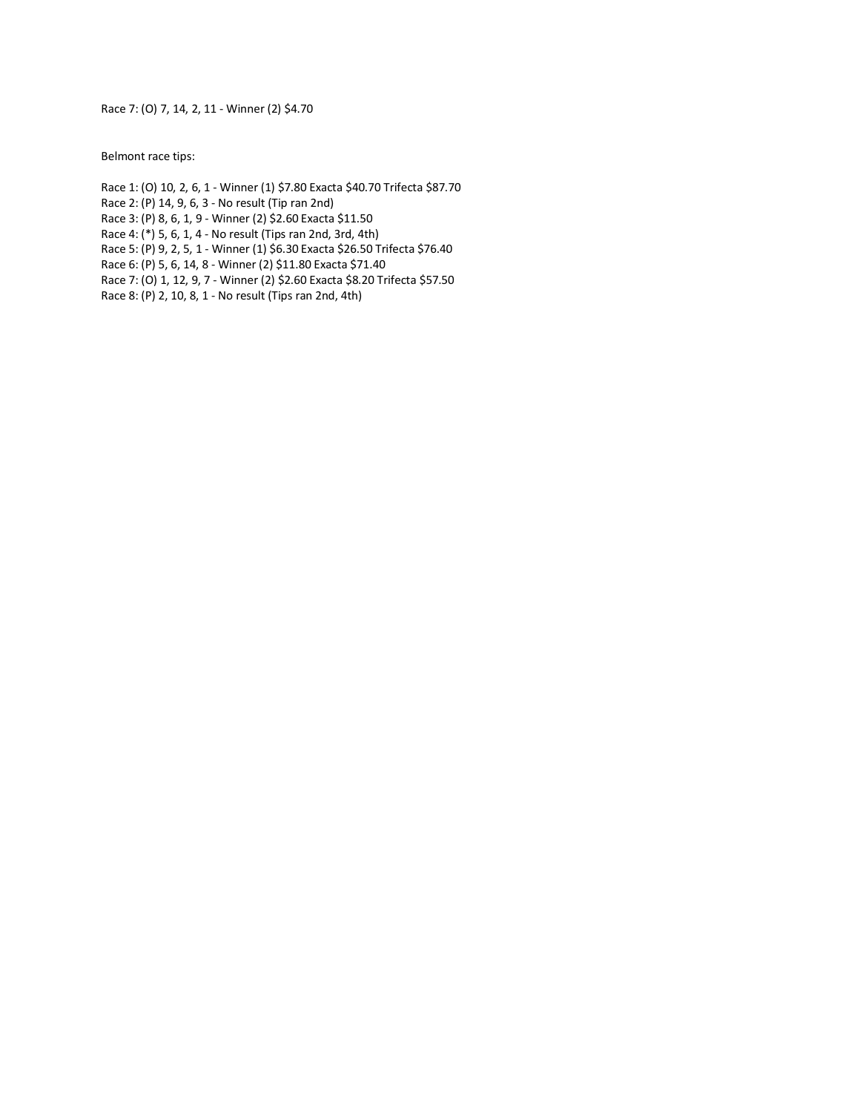Race 7: (O) 7, 14, 2, 11 - Winner (2) \$4.70

Belmont race tips:

- Race 1: (O) 10, 2, 6, 1 Winner (1) \$7.80 Exacta \$40.70 Trifecta \$87.70
- Race 2: (P) 14, 9, 6, 3 No result (Tip ran 2nd)
- Race 3: (P) 8, 6, 1, 9 Winner (2) \$2.60 Exacta \$11.50
- Race 4: (\*) 5, 6, 1, 4 No result (Tips ran 2nd, 3rd, 4th)
- Race 5: (P) 9, 2, 5, 1 Winner (1) \$6.30 Exacta \$26.50 Trifecta \$76.40
- Race 6: (P) 5, 6, 14, 8 Winner (2) \$11.80 Exacta \$71.40
- Race 7: (O) 1, 12, 9, 7 Winner (2) \$2.60 Exacta \$8.20 Trifecta \$57.50
- Race 8: (P) 2, 10, 8, 1 No result (Tips ran 2nd, 4th)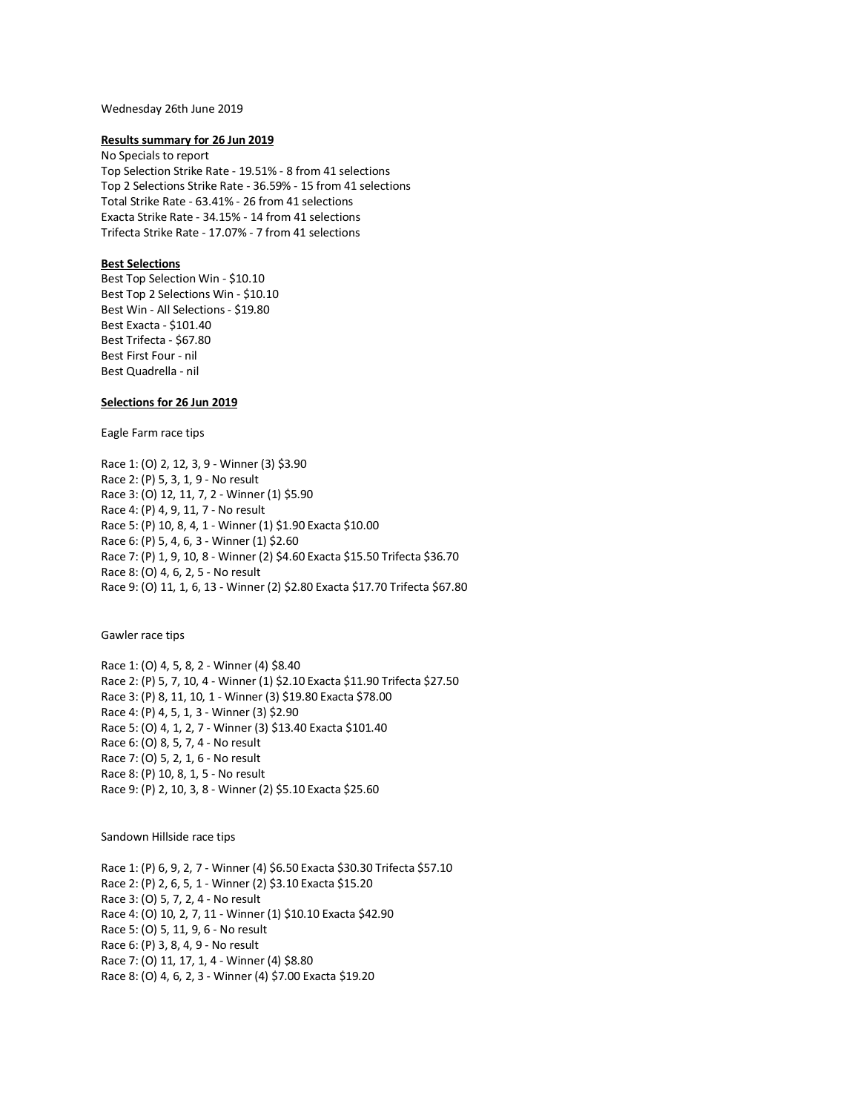### Wednesday 26th June 2019

#### **Results summary for 26 Jun 2019**

No Specials to report Top Selection Strike Rate - 19.51% - 8 from 41 selections Top 2 Selections Strike Rate - 36.59% - 15 from 41 selections Total Strike Rate - 63.41% - 26 from 41 selections Exacta Strike Rate - 34.15% - 14 from 41 selections Trifecta Strike Rate - 17.07% - 7 from 41 selections

# **Best Selections**

Best Top Selection Win - \$10.10 Best Top 2 Selections Win - \$10.10 Best Win - All Selections - \$19.80 Best Exacta - \$101.40 Best Trifecta - \$67.80 Best First Four - nil Best Quadrella - nil

# **Selections for 26 Jun 2019**

Eagle Farm race tips

Race 1: (O) 2, 12, 3, 9 - Winner (3) \$3.90 Race 2: (P) 5, 3, 1, 9 - No result Race 3: (O) 12, 11, 7, 2 - Winner (1) \$5.90 Race 4: (P) 4, 9, 11, 7 - No result Race 5: (P) 10, 8, 4, 1 - Winner (1) \$1.90 Exacta \$10.00 Race 6: (P) 5, 4, 6, 3 - Winner (1) \$2.60 Race 7: (P) 1, 9, 10, 8 - Winner (2) \$4.60 Exacta \$15.50 Trifecta \$36.70 Race 8: (O) 4, 6, 2, 5 - No result Race 9: (O) 11, 1, 6, 13 - Winner (2) \$2.80 Exacta \$17.70 Trifecta \$67.80

Gawler race tips

Race 1: (O) 4, 5, 8, 2 - Winner (4) \$8.40 Race 2: (P) 5, 7, 10, 4 - Winner (1) \$2.10 Exacta \$11.90 Trifecta \$27.50 Race 3: (P) 8, 11, 10, 1 - Winner (3) \$19.80 Exacta \$78.00 Race 4: (P) 4, 5, 1, 3 - Winner (3) \$2.90 Race 5: (O) 4, 1, 2, 7 - Winner (3) \$13.40 Exacta \$101.40 Race 6: (O) 8, 5, 7, 4 - No result Race 7: (O) 5, 2, 1, 6 - No result Race 8: (P) 10, 8, 1, 5 - No result Race 9: (P) 2, 10, 3, 8 - Winner (2) \$5.10 Exacta \$25.60

Sandown Hillside race tips

Race 1: (P) 6, 9, 2, 7 - Winner (4) \$6.50 Exacta \$30.30 Trifecta \$57.10 Race 2: (P) 2, 6, 5, 1 - Winner (2) \$3.10 Exacta \$15.20 Race 3: (O) 5, 7, 2, 4 - No result Race 4: (O) 10, 2, 7, 11 - Winner (1) \$10.10 Exacta \$42.90 Race 5: (O) 5, 11, 9, 6 - No result Race 6: (P) 3, 8, 4, 9 - No result Race 7: (O) 11, 17, 1, 4 - Winner (4) \$8.80 Race 8: (O) 4, 6, 2, 3 - Winner (4) \$7.00 Exacta \$19.20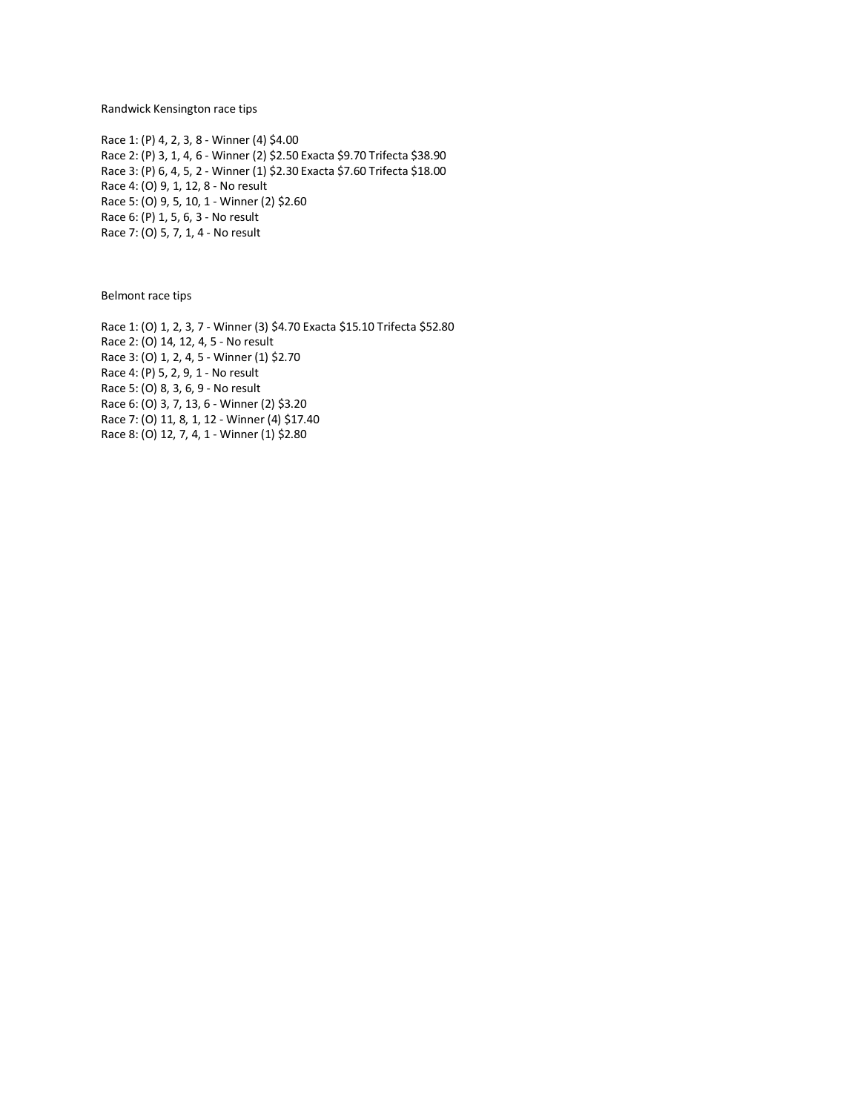Randwick Kensington race tips

Race 1: (P) 4, 2, 3, 8 - Winner (4) \$4.00 Race 2: (P) 3, 1, 4, 6 - Winner (2) \$2.50 Exacta \$9.70 Trifecta \$38.90 Race 3: (P) 6, 4, 5, 2 - Winner (1) \$2.30 Exacta \$7.60 Trifecta \$18.00 Race 4: (O) 9, 1, 12, 8 - No result Race 5: (O) 9, 5, 10, 1 - Winner (2) \$2.60 Race 6: (P) 1, 5, 6, 3 - No result Race 7: (O) 5, 7, 1, 4 - No result

Belmont race tips

Race 1: (O) 1, 2, 3, 7 - Winner (3) \$4.70 Exacta \$15.10 Trifecta \$52.80 Race 2: (O) 14, 12, 4, 5 - No result Race 3: (O) 1, 2, 4, 5 - Winner (1) \$2.70 Race 4: (P) 5, 2, 9, 1 - No result Race 5: (O) 8, 3, 6, 9 - No result Race 6: (O) 3, 7, 13, 6 - Winner (2) \$3.20 Race 7: (O) 11, 8, 1, 12 - Winner (4) \$17.40 Race 8: (O) 12, 7, 4, 1 - Winner (1) \$2.80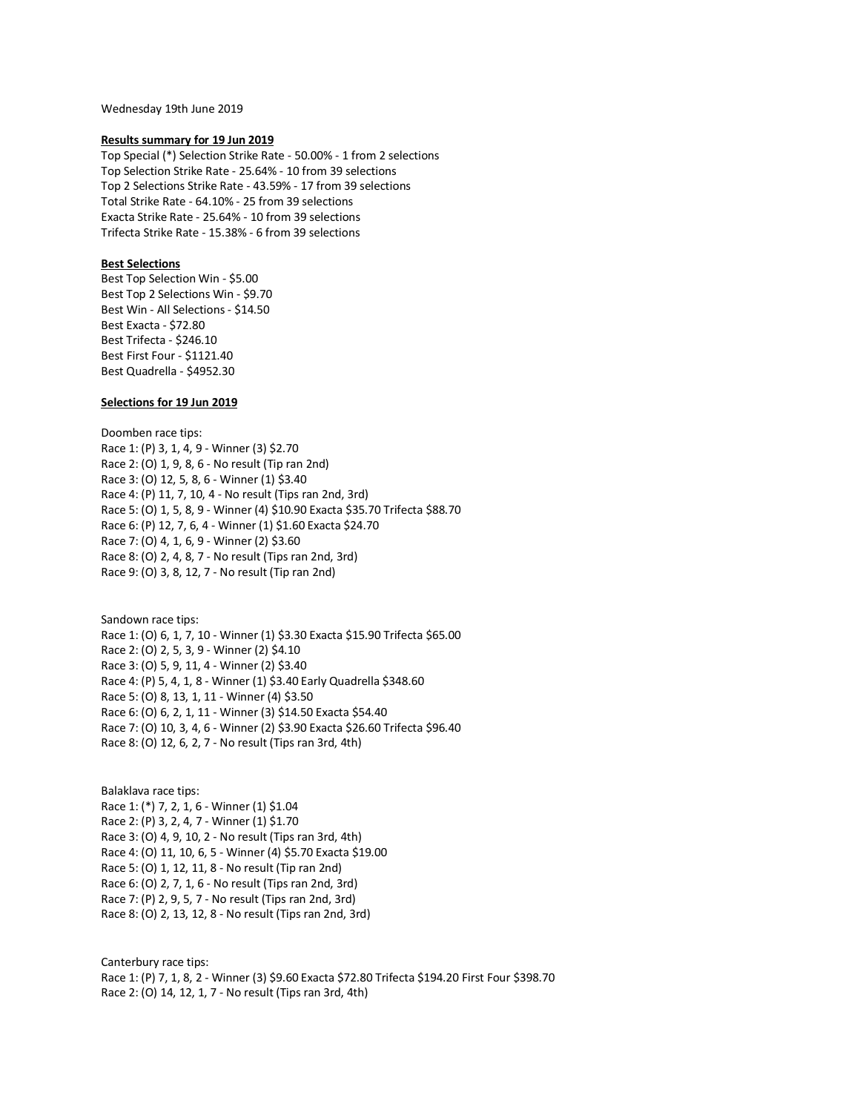Wednesday 19th June 2019

### **Results summary for 19 Jun 2019**

Top Special (\*) Selection Strike Rate - 50.00% - 1 from 2 selections Top Selection Strike Rate - 25.64% - 10 from 39 selections Top 2 Selections Strike Rate - 43.59% - 17 from 39 selections Total Strike Rate - 64.10% - 25 from 39 selections Exacta Strike Rate - 25.64% - 10 from 39 selections Trifecta Strike Rate - 15.38% - 6 from 39 selections

# **Best Selections**

Best Top Selection Win - \$5.00 Best Top 2 Selections Win - \$9.70 Best Win - All Selections - \$14.50 Best Exacta - \$72.80 Best Trifecta - \$246.10 Best First Four - \$1121.40 Best Quadrella - \$4952.30

# **Selections for 19 Jun 2019**

Doomben race tips: Race 1: (P) 3, 1, 4, 9 - Winner (3) \$2.70 Race 2: (O) 1, 9, 8, 6 - No result (Tip ran 2nd) Race 3: (O) 12, 5, 8, 6 - Winner (1) \$3.40 Race 4: (P) 11, 7, 10, 4 - No result (Tips ran 2nd, 3rd) Race 5: (O) 1, 5, 8, 9 - Winner (4) \$10.90 Exacta \$35.70 Trifecta \$88.70 Race 6: (P) 12, 7, 6, 4 - Winner (1) \$1.60 Exacta \$24.70 Race 7: (O) 4, 1, 6, 9 - Winner (2) \$3.60 Race 8: (O) 2, 4, 8, 7 - No result (Tips ran 2nd, 3rd) Race 9: (O) 3, 8, 12, 7 - No result (Tip ran 2nd)

Sandown race tips: Race 1: (O) 6, 1, 7, 10 - Winner (1) \$3.30 Exacta \$15.90 Trifecta \$65.00 Race 2: (O) 2, 5, 3, 9 - Winner (2) \$4.10 Race 3: (O) 5, 9, 11, 4 - Winner (2) \$3.40 Race 4: (P) 5, 4, 1, 8 - Winner (1) \$3.40 Early Quadrella \$348.60 Race 5: (O) 8, 13, 1, 11 - Winner (4) \$3.50 Race 6: (O) 6, 2, 1, 11 - Winner (3) \$14.50 Exacta \$54.40 Race 7: (O) 10, 3, 4, 6 - Winner (2) \$3.90 Exacta \$26.60 Trifecta \$96.40 Race 8: (O) 12, 6, 2, 7 - No result (Tips ran 3rd, 4th)

Balaklava race tips: Race 1: (\*) 7, 2, 1, 6 - Winner (1) \$1.04 Race 2: (P) 3, 2, 4, 7 - Winner (1) \$1.70 Race 3: (O) 4, 9, 10, 2 - No result (Tips ran 3rd, 4th) Race 4: (O) 11, 10, 6, 5 - Winner (4) \$5.70 Exacta \$19.00 Race 5: (O) 1, 12, 11, 8 - No result (Tip ran 2nd) Race 6: (O) 2, 7, 1, 6 - No result (Tips ran 2nd, 3rd) Race 7: (P) 2, 9, 5, 7 - No result (Tips ran 2nd, 3rd) Race 8: (O) 2, 13, 12, 8 - No result (Tips ran 2nd, 3rd)

Canterbury race tips: Race 1: (P) 7, 1, 8, 2 - Winner (3) \$9.60 Exacta \$72.80 Trifecta \$194.20 First Four \$398.70 Race 2: (O) 14, 12, 1, 7 - No result (Tips ran 3rd, 4th)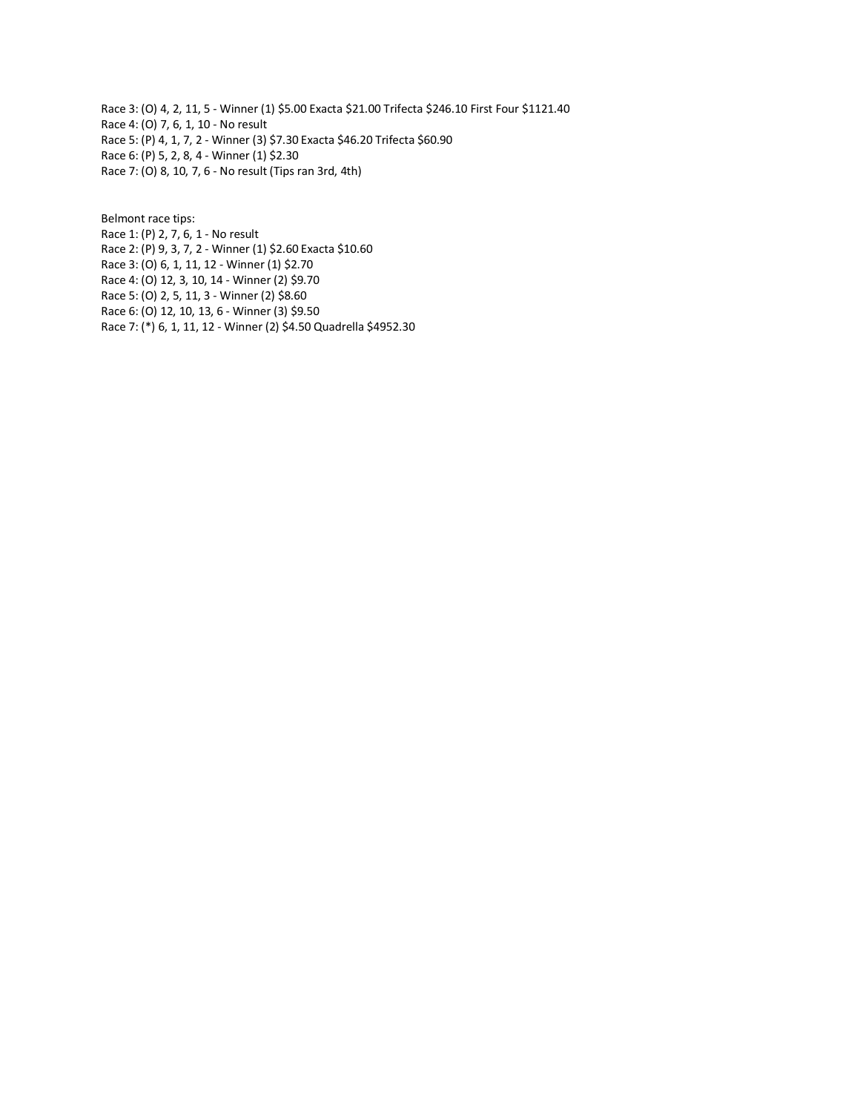Race 3: (O) 4, 2, 11, 5 - Winner (1) \$5.00 Exacta \$21.00 Trifecta \$246.10 First Four \$1121.40 Race 4: (O) 7, 6, 1, 10 - No result Race 5: (P) 4, 1, 7, 2 - Winner (3) \$7.30 Exacta \$46.20 Trifecta \$60.90 Race 6: (P) 5, 2, 8, 4 - Winner (1) \$2.30 Race 7: (O) 8, 10, 7, 6 - No result (Tips ran 3rd, 4th)

Belmont race tips: Race 1: (P) 2, 7, 6, 1 - No result Race 2: (P) 9, 3, 7, 2 - Winner (1) \$2.60 Exacta \$10.60 Race 3: (O) 6, 1, 11, 12 - Winner (1) \$2.70 Race 4: (O) 12, 3, 10, 14 - Winner (2) \$9.70 Race 5: (O) 2, 5, 11, 3 - Winner (2) \$8.60 Race 6: (O) 12, 10, 13, 6 - Winner (3) \$9.50 Race 7: (\*) 6, 1, 11, 12 - Winner (2) \$4.50 Quadrella \$4952.30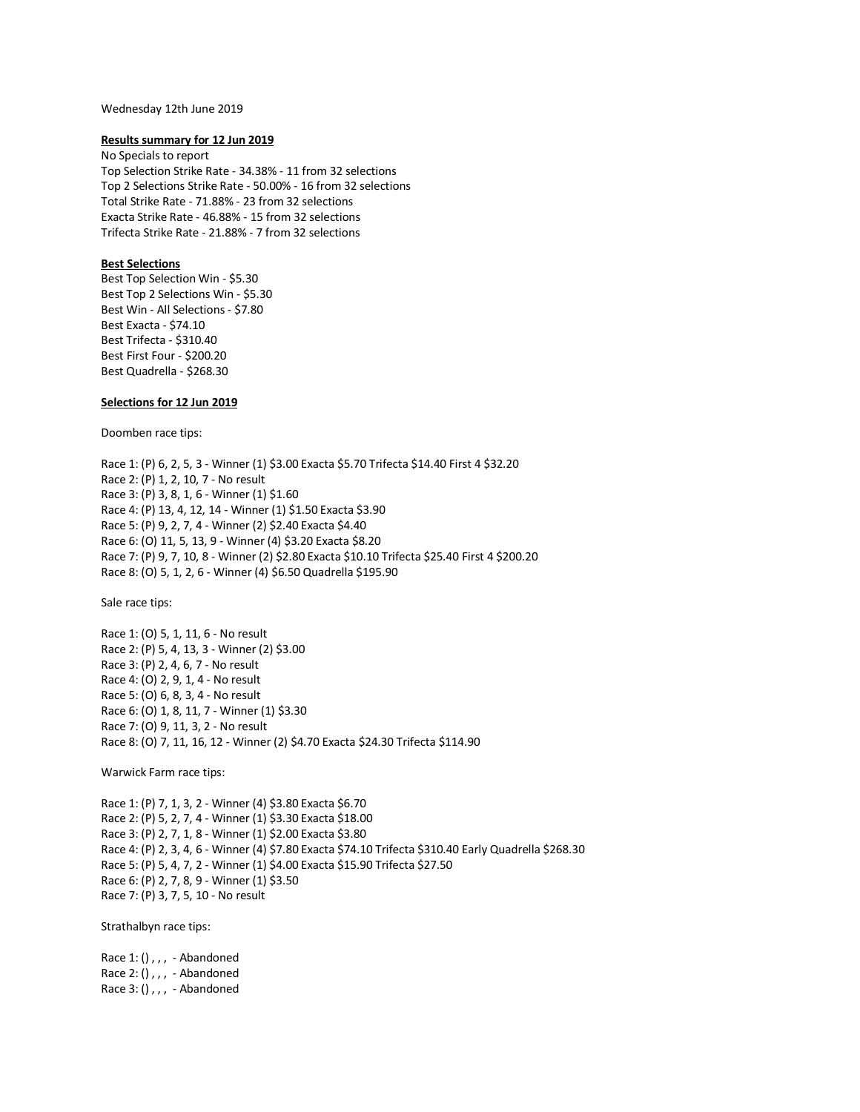### Wednesday 12th June 2019

#### **Results summary for 12 Jun 2019**

No Specials to report Top Selection Strike Rate - 34.38% - 11 from 32 selections Top 2 Selections Strike Rate - 50.00% - 16 from 32 selections Total Strike Rate - 71.88% - 23 from 32 selections Exacta Strike Rate - 46.88% - 15 from 32 selections Trifecta Strike Rate - 21.88% - 7 from 32 selections

# **Best Selections**

Best Top Selection Win - \$5.30 Best Top 2 Selections Win - \$5.30 Best Win - All Selections - \$7.80 Best Exacta - \$74.10 Best Trifecta - \$310.40 Best First Four - \$200.20 Best Quadrella - \$268.30

# **Selections for 12 Jun 2019**

Doomben race tips:

Race 1: (P) 6, 2, 5, 3 - Winner (1) \$3.00 Exacta \$5.70 Trifecta \$14.40 First 4 \$32.20 Race 2: (P) 1, 2, 10, 7 - No result Race 3: (P) 3, 8, 1, 6 - Winner (1) \$1.60 Race 4: (P) 13, 4, 12, 14 - Winner (1) \$1.50 Exacta \$3.90 Race 5: (P) 9, 2, 7, 4 - Winner (2) \$2.40 Exacta \$4.40 Race 6: (O) 11, 5, 13, 9 - Winner (4) \$3.20 Exacta \$8.20 Race 7: (P) 9, 7, 10, 8 - Winner (2) \$2.80 Exacta \$10.10 Trifecta \$25.40 First 4 \$200.20 Race 8: (O) 5, 1, 2, 6 - Winner (4) \$6.50 Quadrella \$195.90

Sale race tips:

Race 1: (O) 5, 1, 11, 6 - No result Race 2: (P) 5, 4, 13, 3 - Winner (2) \$3.00 Race 3: (P) 2, 4, 6, 7 - No result Race 4: (O) 2, 9, 1, 4 - No result Race 5: (O) 6, 8, 3, 4 - No result Race 6: (O) 1, 8, 11, 7 - Winner (1) \$3.30 Race 7: (O) 9, 11, 3, 2 - No result Race 8: (O) 7, 11, 16, 12 - Winner (2) \$4.70 Exacta \$24.30 Trifecta \$114.90

Warwick Farm race tips:

Race 1: (P) 7, 1, 3, 2 - Winner (4) \$3.80 Exacta \$6.70 Race 2: (P) 5, 2, 7, 4 - Winner (1) \$3.30 Exacta \$18.00 Race 3: (P) 2, 7, 1, 8 - Winner (1) \$2.00 Exacta \$3.80 Race 4: (P) 2, 3, 4, 6 - Winner (4) \$7.80 Exacta \$74.10 Trifecta \$310.40 Early Quadrella \$268.30 Race 5: (P) 5, 4, 7, 2 - Winner (1) \$4.00 Exacta \$15.90 Trifecta \$27.50 Race 6: (P) 2, 7, 8, 9 - Winner (1) \$3.50 Race 7: (P) 3, 7, 5, 10 - No result

Strathalbyn race tips:

Race 1: (),,, - Abandoned Race 2: (),,, - Abandoned Race 3: (),,, - Abandoned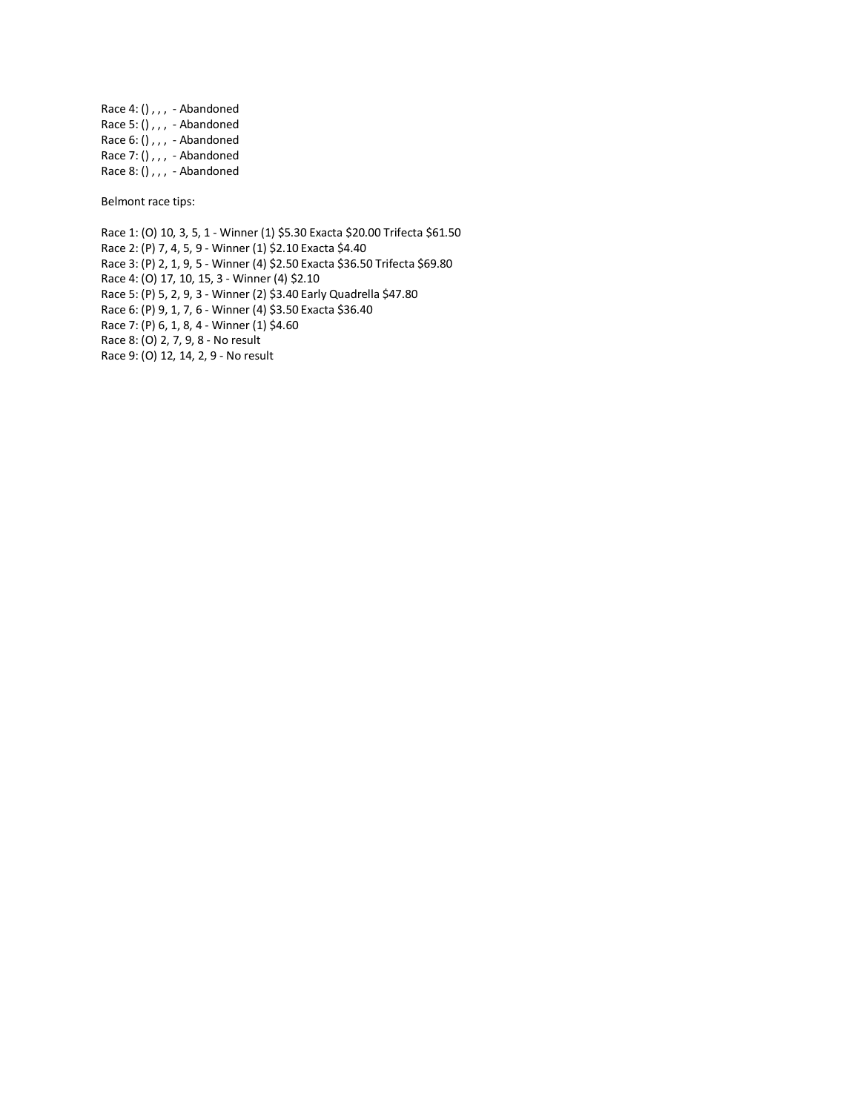Race 4: (),,, - Abandoned Race 5: (),  $, \,$  - Abandoned Race  $6: ()$ ,,, - Abandoned Race 7: (),,, - Abandoned Race 8: (),,, - Abandoned

Belmont race tips:

Race 1: (O) 10, 3, 5, 1 - Winner (1) \$5.30 Exacta \$20.00 Trifecta \$61.50 Race 2: (P) 7, 4, 5, 9 - Winner (1) \$2.10 Exacta \$4.40 Race 3: (P) 2, 1, 9, 5 - Winner (4) \$2.50 Exacta \$36.50 Trifecta \$69.80 Race 4: (O) 17, 10, 15, 3 - Winner (4) \$2.10 Race 5: (P) 5, 2, 9, 3 - Winner (2) \$3.40 Early Quadrella \$47.80 Race 6: (P) 9, 1, 7, 6 - Winner (4) \$3.50 Exacta \$36.40 Race 7: (P) 6, 1, 8, 4 - Winner (1) \$4.60 Race 8: (O) 2, 7, 9, 8 - No result Race 9: (O) 12, 14, 2, 9 - No result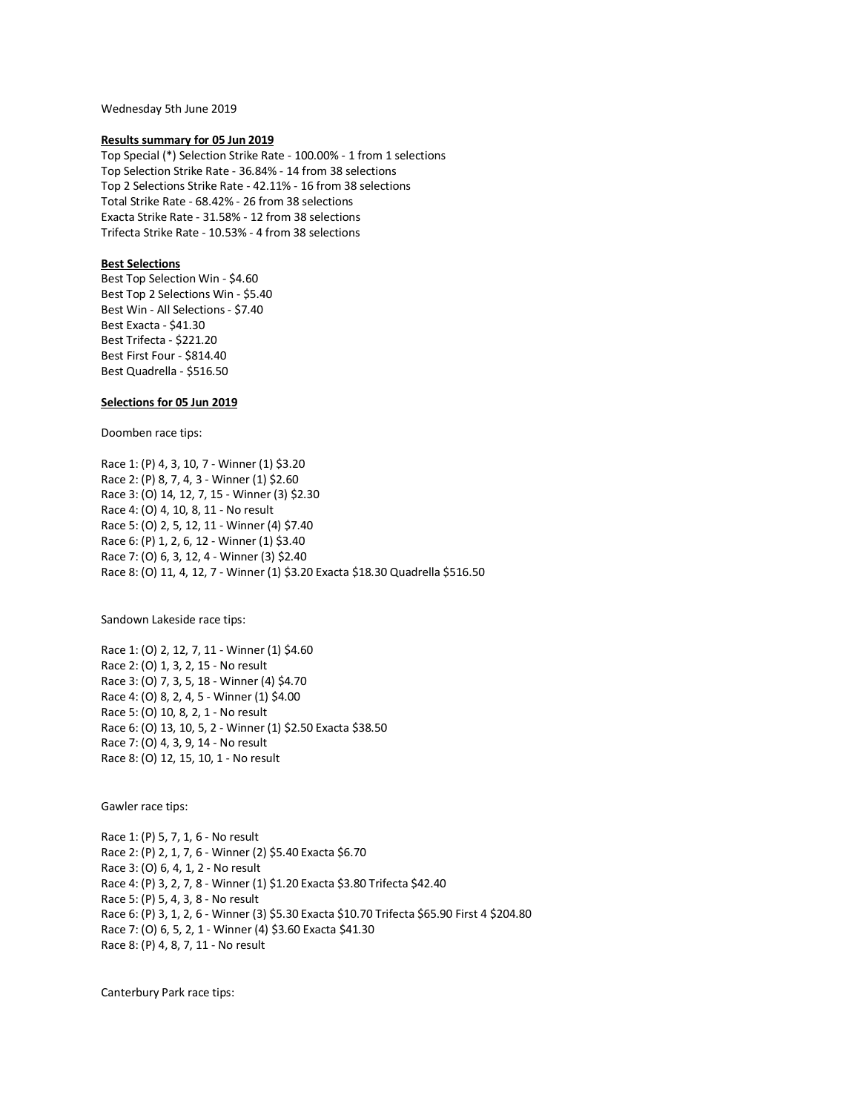Wednesday 5th June 2019

### **Results summary for 05 Jun 2019**

Top Special (\*) Selection Strike Rate - 100.00% - 1 from 1 selections Top Selection Strike Rate - 36.84% - 14 from 38 selections Top 2 Selections Strike Rate - 42.11% - 16 from 38 selections Total Strike Rate - 68.42% - 26 from 38 selections Exacta Strike Rate - 31.58% - 12 from 38 selections Trifecta Strike Rate - 10.53% - 4 from 38 selections

# **Best Selections**

Best Top Selection Win - \$4.60 Best Top 2 Selections Win - \$5.40 Best Win - All Selections - \$7.40 Best Exacta - \$41.30 Best Trifecta - \$221.20 Best First Four - \$814.40 Best Quadrella - \$516.50

# **Selections for 05 Jun 2019**

Doomben race tips:

Race 1: (P) 4, 3, 10, 7 - Winner (1) \$3.20 Race 2: (P) 8, 7, 4, 3 - Winner (1) \$2.60 Race 3: (O) 14, 12, 7, 15 - Winner (3) \$2.30 Race 4: (O) 4, 10, 8, 11 - No result Race 5: (O) 2, 5, 12, 11 - Winner (4) \$7.40 Race 6: (P) 1, 2, 6, 12 - Winner (1) \$3.40 Race 7: (O) 6, 3, 12, 4 - Winner (3) \$2.40 Race 8: (O) 11, 4, 12, 7 - Winner (1) \$3.20 Exacta \$18.30 Quadrella \$516.50

Sandown Lakeside race tips:

Race 1: (O) 2, 12, 7, 11 - Winner (1) \$4.60 Race 2: (O) 1, 3, 2, 15 - No result Race 3: (O) 7, 3, 5, 18 - Winner (4) \$4.70 Race 4: (O) 8, 2, 4, 5 - Winner (1) \$4.00 Race 5: (O) 10, 8, 2, 1 - No result Race 6: (O) 13, 10, 5, 2 - Winner (1) \$2.50 Exacta \$38.50 Race 7: (O) 4, 3, 9, 14 - No result Race 8: (O) 12, 15, 10, 1 - No result

Gawler race tips:

Race 1: (P) 5, 7, 1, 6 - No result Race 2: (P) 2, 1, 7, 6 - Winner (2) \$5.40 Exacta \$6.70 Race 3: (O) 6, 4, 1, 2 - No result Race 4: (P) 3, 2, 7, 8 - Winner (1) \$1.20 Exacta \$3.80 Trifecta \$42.40 Race 5: (P) 5, 4, 3, 8 - No result Race 6: (P) 3, 1, 2, 6 - Winner (3) \$5.30 Exacta \$10.70 Trifecta \$65.90 First 4 \$204.80 Race 7: (O) 6, 5, 2, 1 - Winner (4) \$3.60 Exacta \$41.30 Race 8: (P) 4, 8, 7, 11 - No result

Canterbury Park race tips: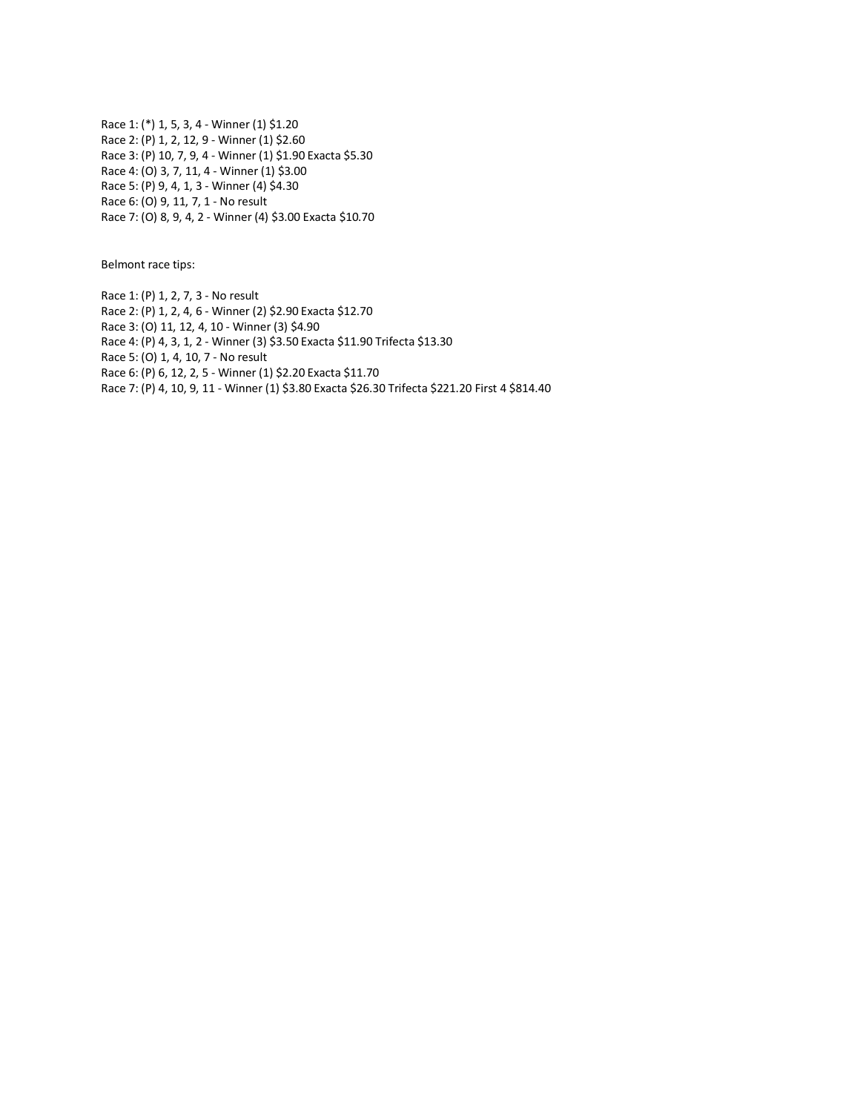Race 1: (\*) 1, 5, 3, 4 - Winner (1) \$1.20 Race 2: (P) 1, 2, 12, 9 - Winner (1) \$2.60 Race 3: (P) 10, 7, 9, 4 - Winner (1) \$1.90 Exacta \$5.30 Race 4: (O) 3, 7, 11, 4 - Winner (1) \$3.00 Race 5: (P) 9, 4, 1, 3 - Winner (4) \$4.30 Race 6: (O) 9, 11, 7, 1 - No result Race 7: (O) 8, 9, 4, 2 - Winner (4) \$3.00 Exacta \$10.70

Belmont race tips:

Race 1: (P) 1, 2, 7, 3 - No result Race 2: (P) 1, 2, 4, 6 - Winner (2) \$2.90 Exacta \$12.70 Race 3: (O) 11, 12, 4, 10 - Winner (3) \$4.90 Race 4: (P) 4, 3, 1, 2 - Winner (3) \$3.50 Exacta \$11.90 Trifecta \$13.30 Race 5: (O) 1, 4, 10, 7 - No result Race 6: (P) 6, 12, 2, 5 - Winner (1) \$2.20 Exacta \$11.70 Race 7: (P) 4, 10, 9, 11 - Winner (1) \$3.80 Exacta \$26.30 Trifecta \$221.20 First 4 \$814.40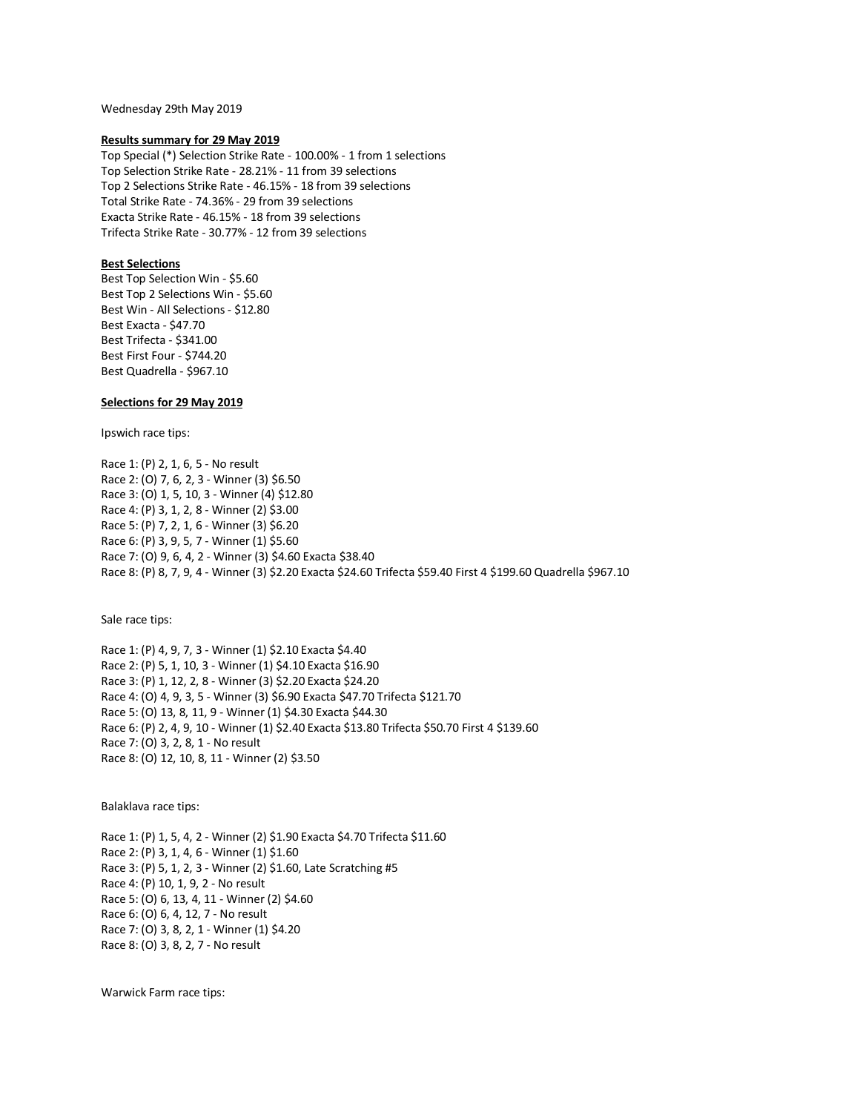Wednesday 29th May 2019

### **Results summary for 29 May 2019**

Top Special (\*) Selection Strike Rate - 100.00% - 1 from 1 selections Top Selection Strike Rate - 28.21% - 11 from 39 selections Top 2 Selections Strike Rate - 46.15% - 18 from 39 selections Total Strike Rate - 74.36% - 29 from 39 selections Exacta Strike Rate - 46.15% - 18 from 39 selections Trifecta Strike Rate - 30.77% - 12 from 39 selections

# **Best Selections**

Best Top Selection Win - \$5.60 Best Top 2 Selections Win - \$5.60 Best Win - All Selections - \$12.80 Best Exacta - \$47.70 Best Trifecta - \$341.00 Best First Four - \$744.20 Best Quadrella - \$967.10

# **Selections for 29 May 2019**

Ipswich race tips:

Race 1: (P) 2, 1, 6, 5 - No result Race 2: (O) 7, 6, 2, 3 - Winner (3) \$6.50 Race 3: (O) 1, 5, 10, 3 - Winner (4) \$12.80 Race 4: (P) 3, 1, 2, 8 - Winner (2) \$3.00 Race 5: (P) 7, 2, 1, 6 - Winner (3) \$6.20 Race 6: (P) 3, 9, 5, 7 - Winner (1) \$5.60 Race 7: (O) 9, 6, 4, 2 - Winner (3) \$4.60 Exacta \$38.40 Race 8: (P) 8, 7, 9, 4 - Winner (3) \$2.20 Exacta \$24.60 Trifecta \$59.40 First 4 \$199.60 Quadrella \$967.10

Sale race tips:

Race 1: (P) 4, 9, 7, 3 - Winner (1) \$2.10 Exacta \$4.40 Race 2: (P) 5, 1, 10, 3 - Winner (1) \$4.10 Exacta \$16.90 Race 3: (P) 1, 12, 2, 8 - Winner (3) \$2.20 Exacta \$24.20 Race 4: (O) 4, 9, 3, 5 - Winner (3) \$6.90 Exacta \$47.70 Trifecta \$121.70 Race 5: (O) 13, 8, 11, 9 - Winner (1) \$4.30 Exacta \$44.30 Race 6: (P) 2, 4, 9, 10 - Winner (1) \$2.40 Exacta \$13.80 Trifecta \$50.70 First 4 \$139.60 Race 7: (O) 3, 2, 8, 1 - No result Race 8: (O) 12, 10, 8, 11 - Winner (2) \$3.50

Balaklava race tips:

Race 1: (P) 1, 5, 4, 2 - Winner (2) \$1.90 Exacta \$4.70 Trifecta \$11.60 Race 2: (P) 3, 1, 4, 6 - Winner (1) \$1.60 Race 3: (P) 5, 1, 2, 3 - Winner (2) \$1.60, Late Scratching #5 Race 4: (P) 10, 1, 9, 2 - No result Race 5: (O) 6, 13, 4, 11 - Winner (2) \$4.60 Race 6: (O) 6, 4, 12, 7 - No result Race 7: (O) 3, 8, 2, 1 - Winner (1) \$4.20 Race 8: (O) 3, 8, 2, 7 - No result

Warwick Farm race tips: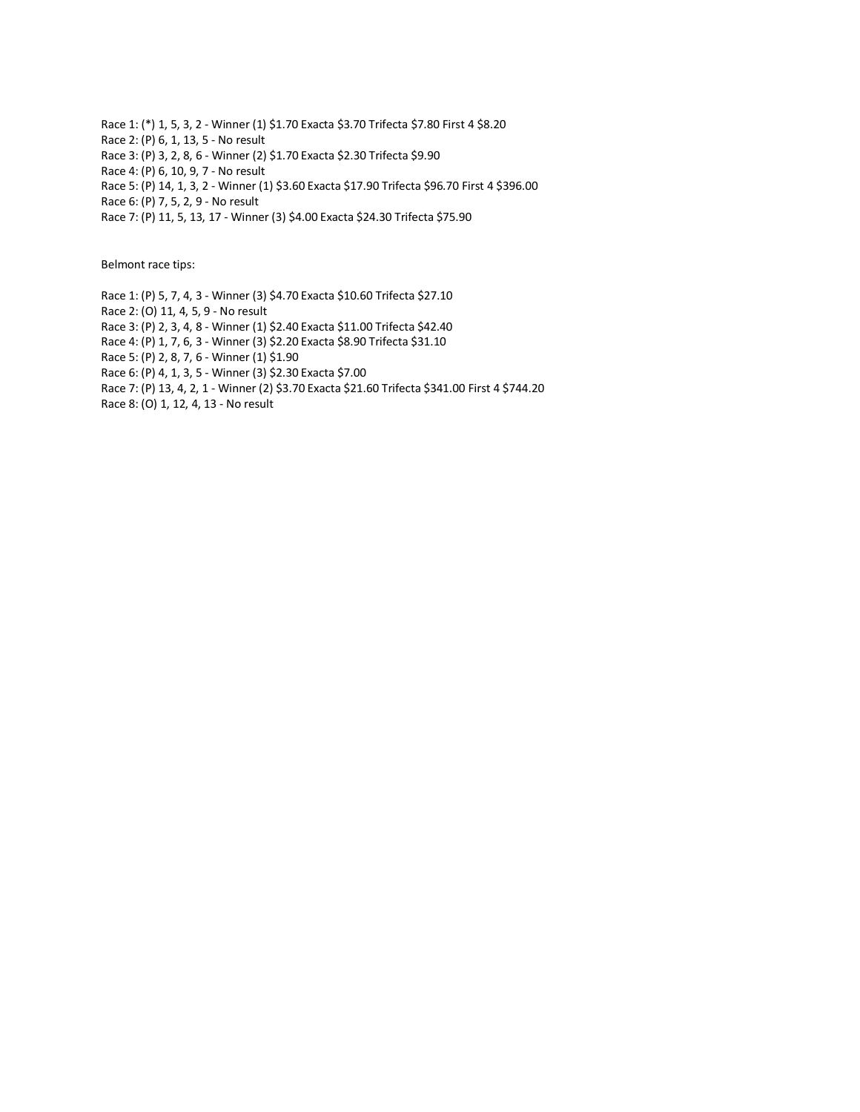Race 1: (\*) 1, 5, 3, 2 - Winner (1) \$1.70 Exacta \$3.70 Trifecta \$7.80 First 4 \$8.20 Race 2: (P) 6, 1, 13, 5 - No result Race 3: (P) 3, 2, 8, 6 - Winner (2) \$1.70 Exacta \$2.30 Trifecta \$9.90 Race 4: (P) 6, 10, 9, 7 - No result Race 5: (P) 14, 1, 3, 2 - Winner (1) \$3.60 Exacta \$17.90 Trifecta \$96.70 First 4 \$396.00 Race 6: (P) 7, 5, 2, 9 - No result

Race 7: (P) 11, 5, 13, 17 - Winner (3) \$4.00 Exacta \$24.30 Trifecta \$75.90

Belmont race tips:

Race 1: (P) 5, 7, 4, 3 - Winner (3) \$4.70 Exacta \$10.60 Trifecta \$27.10

Race 2: (O) 11, 4, 5, 9 - No result

Race 3: (P) 2, 3, 4, 8 - Winner (1) \$2.40 Exacta \$11.00 Trifecta \$42.40

Race 4: (P) 1, 7, 6, 3 - Winner (3) \$2.20 Exacta \$8.90 Trifecta \$31.10

Race 5: (P) 2, 8, 7, 6 - Winner (1) \$1.90

Race 6: (P) 4, 1, 3, 5 - Winner (3) \$2.30 Exacta \$7.00

Race 7: (P) 13, 4, 2, 1 - Winner (2) \$3.70 Exacta \$21.60 Trifecta \$341.00 First 4 \$744.20

Race 8: (O) 1, 12, 4, 13 - No result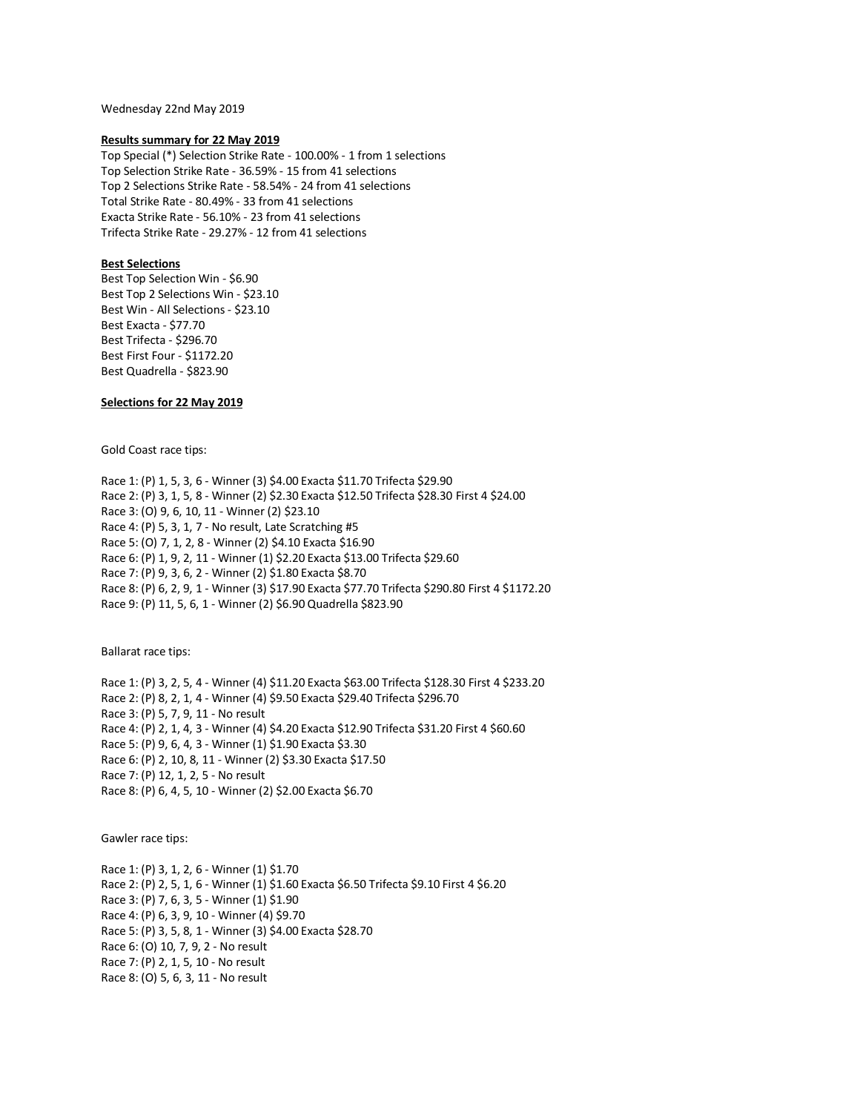Wednesday 22nd May 2019

### **Results summary for 22 May 2019**

Top Special (\*) Selection Strike Rate - 100.00% - 1 from 1 selections Top Selection Strike Rate - 36.59% - 15 from 41 selections Top 2 Selections Strike Rate - 58.54% - 24 from 41 selections Total Strike Rate - 80.49% - 33 from 41 selections Exacta Strike Rate - 56.10% - 23 from 41 selections Trifecta Strike Rate - 29.27% - 12 from 41 selections

# **Best Selections**

Best Top Selection Win - \$6.90 Best Top 2 Selections Win - \$23.10 Best Win - All Selections - \$23.10 Best Exacta - \$77.70 Best Trifecta - \$296.70 Best First Four - \$1172.20 Best Quadrella - \$823.90

# **Selections for 22 May 2019**

Gold Coast race tips:

Race 1: (P) 1, 5, 3, 6 - Winner (3) \$4.00 Exacta \$11.70 Trifecta \$29.90 Race 2: (P) 3, 1, 5, 8 - Winner (2) \$2.30 Exacta \$12.50 Trifecta \$28.30 First 4 \$24.00 Race 3: (O) 9, 6, 10, 11 - Winner (2) \$23.10 Race 4: (P) 5, 3, 1, 7 - No result, Late Scratching #5 Race 5: (O) 7, 1, 2, 8 - Winner (2) \$4.10 Exacta \$16.90 Race 6: (P) 1, 9, 2, 11 - Winner (1) \$2.20 Exacta \$13.00 Trifecta \$29.60 Race 7: (P) 9, 3, 6, 2 - Winner (2) \$1.80 Exacta \$8.70 Race 8: (P) 6, 2, 9, 1 - Winner (3) \$17.90 Exacta \$77.70 Trifecta \$290.80 First 4 \$1172.20 Race 9: (P) 11, 5, 6, 1 - Winner (2) \$6.90 Quadrella \$823.90

Ballarat race tips:

Race 1: (P) 3, 2, 5, 4 - Winner (4) \$11.20 Exacta \$63.00 Trifecta \$128.30 First 4 \$233.20 Race 2: (P) 8, 2, 1, 4 - Winner (4) \$9.50 Exacta \$29.40 Trifecta \$296.70 Race 3: (P) 5, 7, 9, 11 - No result Race 4: (P) 2, 1, 4, 3 - Winner (4) \$4.20 Exacta \$12.90 Trifecta \$31.20 First 4 \$60.60 Race 5: (P) 9, 6, 4, 3 - Winner (1) \$1.90 Exacta \$3.30 Race 6: (P) 2, 10, 8, 11 - Winner (2) \$3.30 Exacta \$17.50 Race 7: (P) 12, 1, 2, 5 - No result Race 8: (P) 6, 4, 5, 10 - Winner (2) \$2.00 Exacta \$6.70

Gawler race tips:

Race 1: (P) 3, 1, 2, 6 - Winner (1) \$1.70 Race 2: (P) 2, 5, 1, 6 - Winner (1) \$1.60 Exacta \$6.50 Trifecta \$9.10 First 4 \$6.20 Race 3: (P) 7, 6, 3, 5 - Winner (1) \$1.90 Race 4: (P) 6, 3, 9, 10 - Winner (4) \$9.70 Race 5: (P) 3, 5, 8, 1 - Winner (3) \$4.00 Exacta \$28.70 Race 6: (O) 10, 7, 9, 2 - No result Race 7: (P) 2, 1, 5, 10 - No result Race 8: (O) 5, 6, 3, 11 - No result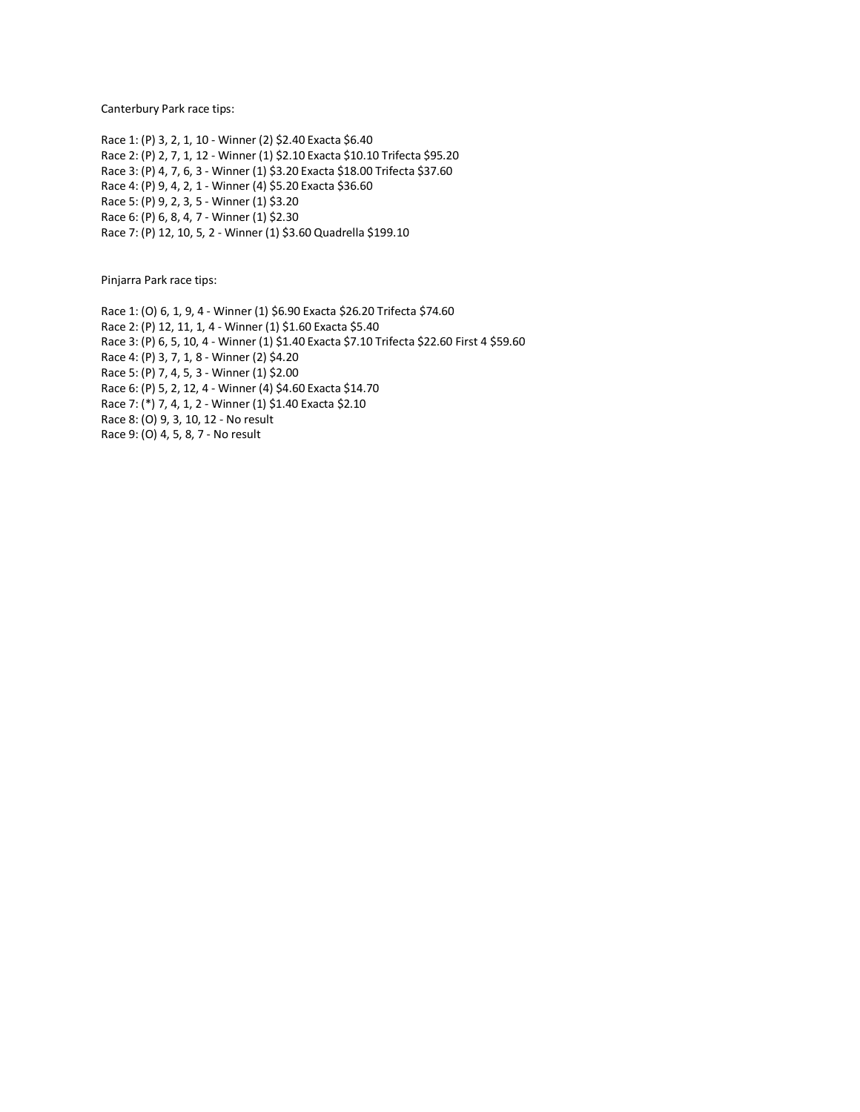Canterbury Park race tips:

Race 1: (P) 3, 2, 1, 10 - Winner (2) \$2.40 Exacta \$6.40 Race 2: (P) 2, 7, 1, 12 - Winner (1) \$2.10 Exacta \$10.10 Trifecta \$95.20 Race 3: (P) 4, 7, 6, 3 - Winner (1) \$3.20 Exacta \$18.00 Trifecta \$37.60 Race 4: (P) 9, 4, 2, 1 - Winner (4) \$5.20 Exacta \$36.60 Race 5: (P) 9, 2, 3, 5 - Winner (1) \$3.20 Race 6: (P) 6, 8, 4, 7 - Winner (1) \$2.30 Race 7: (P) 12, 10, 5, 2 - Winner (1) \$3.60 Quadrella \$199.10

Pinjarra Park race tips:

Race 1: (O) 6, 1, 9, 4 - Winner (1) \$6.90 Exacta \$26.20 Trifecta \$74.60 Race 2: (P) 12, 11, 1, 4 - Winner (1) \$1.60 Exacta \$5.40 Race 3: (P) 6, 5, 10, 4 - Winner (1) \$1.40 Exacta \$7.10 Trifecta \$22.60 First 4 \$59.60 Race 4: (P) 3, 7, 1, 8 - Winner (2) \$4.20 Race 5: (P) 7, 4, 5, 3 - Winner (1) \$2.00 Race 6: (P) 5, 2, 12, 4 - Winner (4) \$4.60 Exacta \$14.70 Race 7: (\*) 7, 4, 1, 2 - Winner (1) \$1.40 Exacta \$2.10 Race 8: (O) 9, 3, 10, 12 - No result Race 9: (O) 4, 5, 8, 7 - No result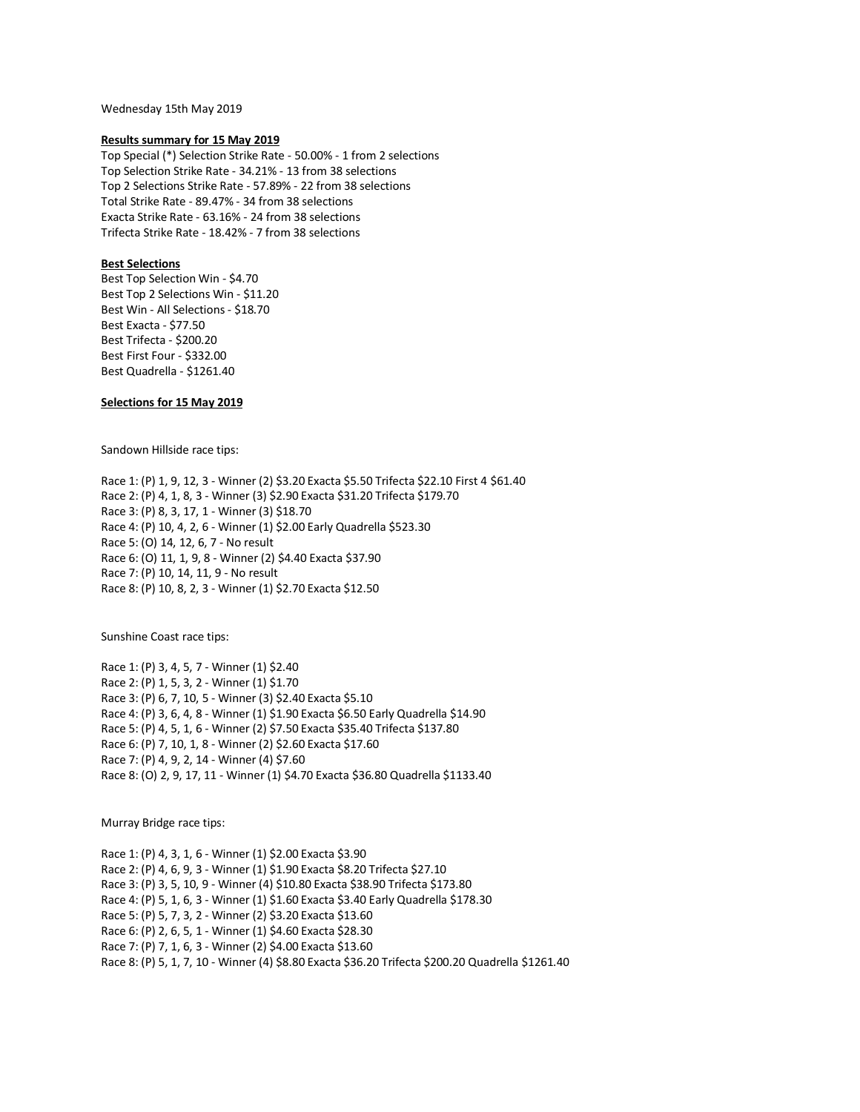Wednesday 15th May 2019

## **Results summary for 15 May 2019**

Top Special (\*) Selection Strike Rate - 50.00% - 1 from 2 selections Top Selection Strike Rate - 34.21% - 13 from 38 selections Top 2 Selections Strike Rate - 57.89% - 22 from 38 selections Total Strike Rate - 89.47% - 34 from 38 selections Exacta Strike Rate - 63.16% - 24 from 38 selections Trifecta Strike Rate - 18.42% - 7 from 38 selections

# **Best Selections**

Best Top Selection Win - \$4.70 Best Top 2 Selections Win - \$11.20 Best Win - All Selections - \$18.70 Best Exacta - \$77.50 Best Trifecta - \$200.20 Best First Four - \$332.00 Best Quadrella - \$1261.40

# **Selections for 15 May 2019**

Sandown Hillside race tips:

Race 1: (P) 1, 9, 12, 3 - Winner (2) \$3.20 Exacta \$5.50 Trifecta \$22.10 First 4 \$61.40 Race 2: (P) 4, 1, 8, 3 - Winner (3) \$2.90 Exacta \$31.20 Trifecta \$179.70 Race 3: (P) 8, 3, 17, 1 - Winner (3) \$18.70 Race 4: (P) 10, 4, 2, 6 - Winner (1) \$2.00 Early Quadrella \$523.30 Race 5: (O) 14, 12, 6, 7 - No result Race 6: (O) 11, 1, 9, 8 - Winner (2) \$4.40 Exacta \$37.90 Race 7: (P) 10, 14, 11, 9 - No result Race 8: (P) 10, 8, 2, 3 - Winner (1) \$2.70 Exacta \$12.50

Sunshine Coast race tips:

Race 1: (P) 3, 4, 5, 7 - Winner (1) \$2.40 Race 2: (P) 1, 5, 3, 2 - Winner (1) \$1.70 Race 3: (P) 6, 7, 10, 5 - Winner (3) \$2.40 Exacta \$5.10 Race 4: (P) 3, 6, 4, 8 - Winner (1) \$1.90 Exacta \$6.50 Early Quadrella \$14.90 Race 5: (P) 4, 5, 1, 6 - Winner (2) \$7.50 Exacta \$35.40 Trifecta \$137.80 Race 6: (P) 7, 10, 1, 8 - Winner (2) \$2.60 Exacta \$17.60 Race 7: (P) 4, 9, 2, 14 - Winner (4) \$7.60 Race 8: (O) 2, 9, 17, 11 - Winner (1) \$4.70 Exacta \$36.80 Quadrella \$1133.40

Murray Bridge race tips:

Race 1: (P) 4, 3, 1, 6 - Winner (1) \$2.00 Exacta \$3.90 Race 2: (P) 4, 6, 9, 3 - Winner (1) \$1.90 Exacta \$8.20 Trifecta \$27.10 Race 3: (P) 3, 5, 10, 9 - Winner (4) \$10.80 Exacta \$38.90 Trifecta \$173.80 Race 4: (P) 5, 1, 6, 3 - Winner (1) \$1.60 Exacta \$3.40 Early Quadrella \$178.30 Race 5: (P) 5, 7, 3, 2 - Winner (2) \$3.20 Exacta \$13.60 Race 6: (P) 2, 6, 5, 1 - Winner (1) \$4.60 Exacta \$28.30 Race 7: (P) 7, 1, 6, 3 - Winner (2) \$4.00 Exacta \$13.60 Race 8: (P) 5, 1, 7, 10 - Winner (4) \$8.80 Exacta \$36.20 Trifecta \$200.20 Quadrella \$1261.40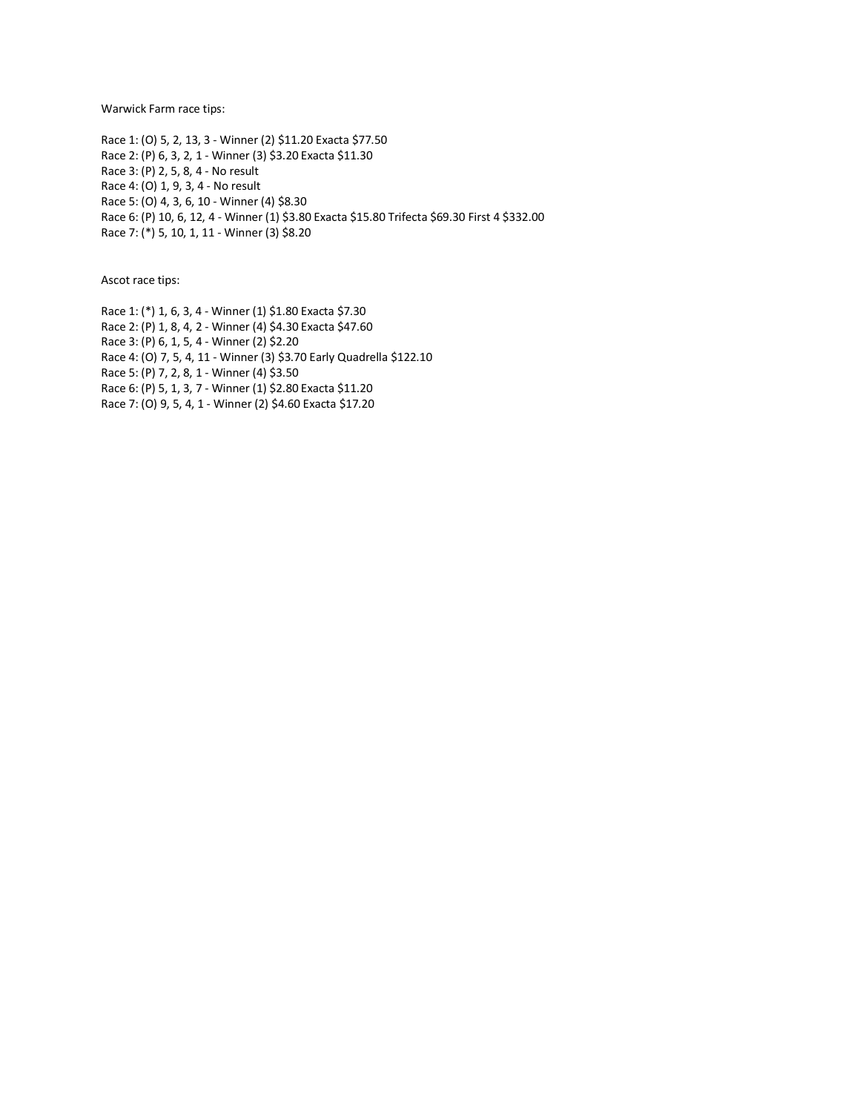Warwick Farm race tips:

Race 1: (O) 5, 2, 13, 3 - Winner (2) \$11.20 Exacta \$77.50 Race 2: (P) 6, 3, 2, 1 - Winner (3) \$3.20 Exacta \$11.30 Race 3: (P) 2, 5, 8, 4 - No result Race 4: (O) 1, 9, 3, 4 - No result Race 5: (O) 4, 3, 6, 10 - Winner (4) \$8.30 Race 6: (P) 10, 6, 12, 4 - Winner (1) \$3.80 Exacta \$15.80 Trifecta \$69.30 First 4 \$332.00 Race 7: (\*) 5, 10, 1, 11 - Winner (3) \$8.20

Ascot race tips:

Race 1: (\*) 1, 6, 3, 4 - Winner (1) \$1.80 Exacta \$7.30 Race 2: (P) 1, 8, 4, 2 - Winner (4) \$4.30 Exacta \$47.60 Race 3: (P) 6, 1, 5, 4 - Winner (2) \$2.20 Race 4: (O) 7, 5, 4, 11 - Winner (3) \$3.70 Early Quadrella \$122.10 Race 5: (P) 7, 2, 8, 1 - Winner (4) \$3.50 Race 6: (P) 5, 1, 3, 7 - Winner (1) \$2.80 Exacta \$11.20 Race 7: (O) 9, 5, 4, 1 - Winner (2) \$4.60 Exacta \$17.20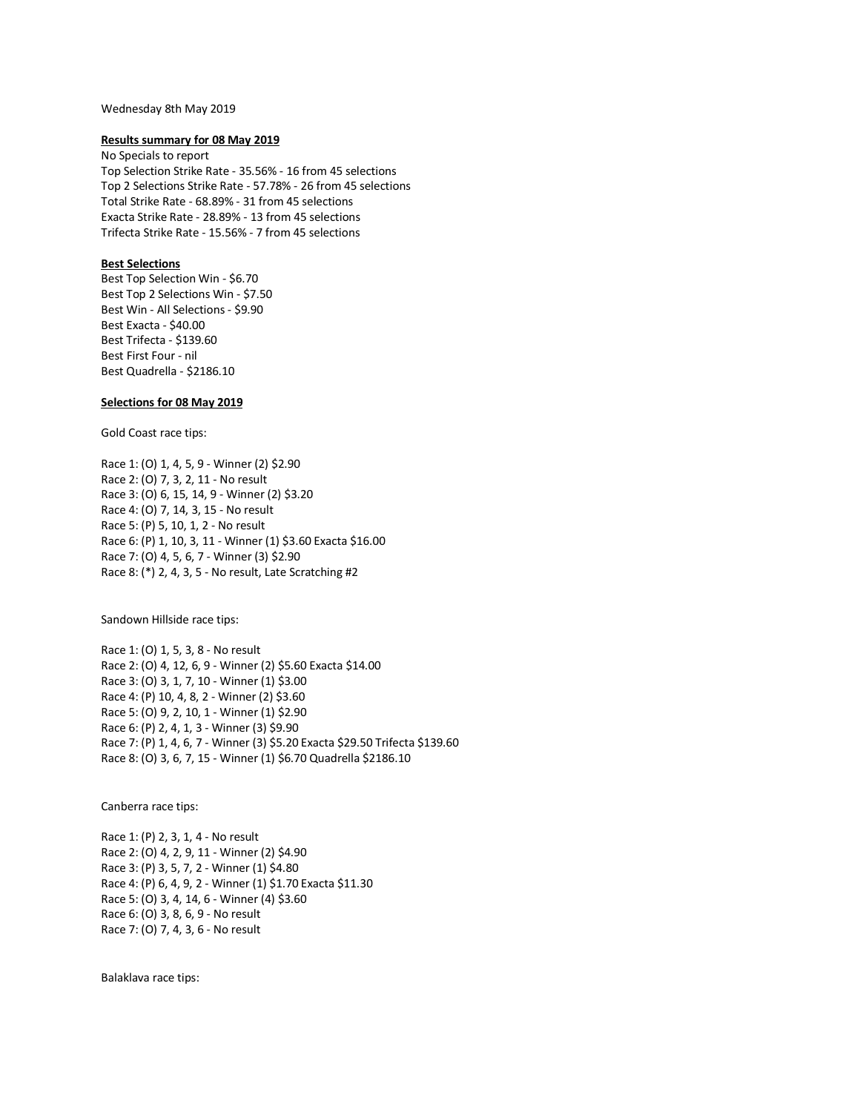## Wednesday 8th May 2019

### **Results summary for 08 May 2019**

No Specials to report Top Selection Strike Rate - 35.56% - 16 from 45 selections Top 2 Selections Strike Rate - 57.78% - 26 from 45 selections Total Strike Rate - 68.89% - 31 from 45 selections Exacta Strike Rate - 28.89% - 13 from 45 selections Trifecta Strike Rate - 15.56% - 7 from 45 selections

# **Best Selections**

Best Top Selection Win - \$6.70 Best Top 2 Selections Win - \$7.50 Best Win - All Selections - \$9.90 Best Exacta - \$40.00 Best Trifecta - \$139.60 Best First Four - nil Best Quadrella - \$2186.10

# **Selections for 08 May 2019**

Gold Coast race tips:

Race 1: (O) 1, 4, 5, 9 - Winner (2) \$2.90 Race 2: (O) 7, 3, 2, 11 - No result Race 3: (O) 6, 15, 14, 9 - Winner (2) \$3.20 Race 4: (O) 7, 14, 3, 15 - No result Race 5: (P) 5, 10, 1, 2 - No result Race 6: (P) 1, 10, 3, 11 - Winner (1) \$3.60 Exacta \$16.00 Race 7: (O) 4, 5, 6, 7 - Winner (3) \$2.90 Race 8: (\*) 2, 4, 3, 5 - No result, Late Scratching #2

Sandown Hillside race tips:

Race 1: (O) 1, 5, 3, 8 - No result Race 2: (O) 4, 12, 6, 9 - Winner (2) \$5.60 Exacta \$14.00 Race 3: (O) 3, 1, 7, 10 - Winner (1) \$3.00 Race 4: (P) 10, 4, 8, 2 - Winner (2) \$3.60 Race 5: (O) 9, 2, 10, 1 - Winner (1) \$2.90 Race 6: (P) 2, 4, 1, 3 - Winner (3) \$9.90 Race 7: (P) 1, 4, 6, 7 - Winner (3) \$5.20 Exacta \$29.50 Trifecta \$139.60 Race 8: (O) 3, 6, 7, 15 - Winner (1) \$6.70 Quadrella \$2186.10

Canberra race tips:

Race 1: (P) 2, 3, 1, 4 - No result Race 2: (O) 4, 2, 9, 11 - Winner (2) \$4.90 Race 3: (P) 3, 5, 7, 2 - Winner (1) \$4.80 Race 4: (P) 6, 4, 9, 2 - Winner (1) \$1.70 Exacta \$11.30 Race 5: (O) 3, 4, 14, 6 - Winner (4) \$3.60 Race 6: (O) 3, 8, 6, 9 - No result Race 7: (O) 7, 4, 3, 6 - No result

Balaklava race tips: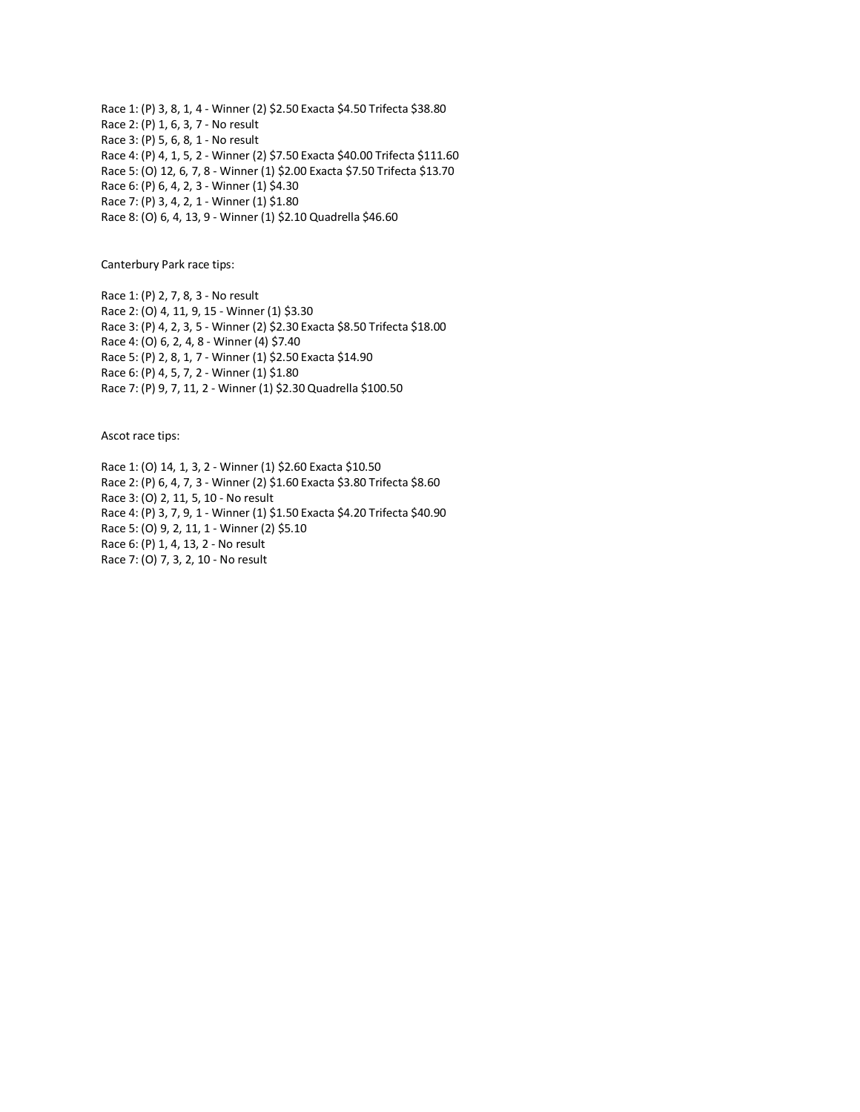Race 1: (P) 3, 8, 1, 4 - Winner (2) \$2.50 Exacta \$4.50 Trifecta \$38.80 Race 2: (P) 1, 6, 3, 7 - No result Race 3: (P) 5, 6, 8, 1 - No result Race 4: (P) 4, 1, 5, 2 - Winner (2) \$7.50 Exacta \$40.00 Trifecta \$111.60 Race 5: (O) 12, 6, 7, 8 - Winner (1) \$2.00 Exacta \$7.50 Trifecta \$13.70 Race 6: (P) 6, 4, 2, 3 - Winner (1) \$4.30 Race 7: (P) 3, 4, 2, 1 - Winner (1) \$1.80 Race 8: (O) 6, 4, 13, 9 - Winner (1) \$2.10 Quadrella \$46.60

Canterbury Park race tips:

Race 1: (P) 2, 7, 8, 3 - No result Race 2: (O) 4, 11, 9, 15 - Winner (1) \$3.30 Race 3: (P) 4, 2, 3, 5 - Winner (2) \$2.30 Exacta \$8.50 Trifecta \$18.00 Race 4: (O) 6, 2, 4, 8 - Winner (4) \$7.40 Race 5: (P) 2, 8, 1, 7 - Winner (1) \$2.50 Exacta \$14.90 Race 6: (P) 4, 5, 7, 2 - Winner (1) \$1.80 Race 7: (P) 9, 7, 11, 2 - Winner (1) \$2.30 Quadrella \$100.50

Ascot race tips:

Race 1: (O) 14, 1, 3, 2 - Winner (1) \$2.60 Exacta \$10.50 Race 2: (P) 6, 4, 7, 3 - Winner (2) \$1.60 Exacta \$3.80 Trifecta \$8.60 Race 3: (O) 2, 11, 5, 10 - No result Race 4: (P) 3, 7, 9, 1 - Winner (1) \$1.50 Exacta \$4.20 Trifecta \$40.90 Race 5: (O) 9, 2, 11, 1 - Winner (2) \$5.10 Race 6: (P) 1, 4, 13, 2 - No result Race 7: (O) 7, 3, 2, 10 - No result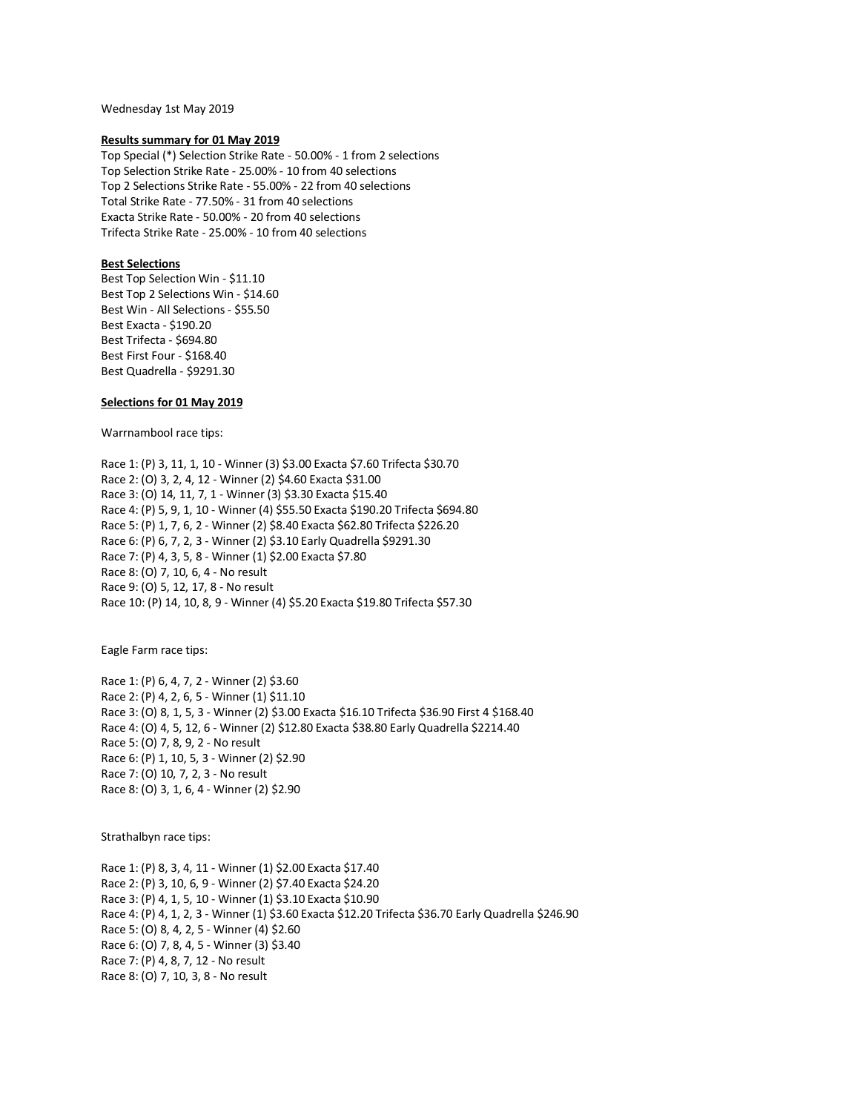Wednesday 1st May 2019

## **Results summary for 01 May 2019**

Top Special (\*) Selection Strike Rate - 50.00% - 1 from 2 selections Top Selection Strike Rate - 25.00% - 10 from 40 selections Top 2 Selections Strike Rate - 55.00% - 22 from 40 selections Total Strike Rate - 77.50% - 31 from 40 selections Exacta Strike Rate - 50.00% - 20 from 40 selections Trifecta Strike Rate - 25.00% - 10 from 40 selections

# **Best Selections**

Best Top Selection Win - \$11.10 Best Top 2 Selections Win - \$14.60 Best Win - All Selections - \$55.50 Best Exacta - \$190.20 Best Trifecta - \$694.80 Best First Four - \$168.40 Best Quadrella - \$9291.30

# **Selections for 01 May 2019**

Warrnambool race tips:

Race 1: (P) 3, 11, 1, 10 - Winner (3) \$3.00 Exacta \$7.60 Trifecta \$30.70 Race 2: (O) 3, 2, 4, 12 - Winner (2) \$4.60 Exacta \$31.00 Race 3: (O) 14, 11, 7, 1 - Winner (3) \$3.30 Exacta \$15.40 Race 4: (P) 5, 9, 1, 10 - Winner (4) \$55.50 Exacta \$190.20 Trifecta \$694.80 Race 5: (P) 1, 7, 6, 2 - Winner (2) \$8.40 Exacta \$62.80 Trifecta \$226.20 Race 6: (P) 6, 7, 2, 3 - Winner (2) \$3.10 Early Quadrella \$9291.30 Race 7: (P) 4, 3, 5, 8 - Winner (1) \$2.00 Exacta \$7.80 Race 8: (O) 7, 10, 6, 4 - No result Race 9: (O) 5, 12, 17, 8 - No result Race 10: (P) 14, 10, 8, 9 - Winner (4) \$5.20 Exacta \$19.80 Trifecta \$57.30

Eagle Farm race tips:

Race 1: (P) 6, 4, 7, 2 - Winner (2) \$3.60 Race 2: (P) 4, 2, 6, 5 - Winner (1) \$11.10 Race 3: (O) 8, 1, 5, 3 - Winner (2) \$3.00 Exacta \$16.10 Trifecta \$36.90 First 4 \$168.40 Race 4: (O) 4, 5, 12, 6 - Winner (2) \$12.80 Exacta \$38.80 Early Quadrella \$2214.40 Race 5: (O) 7, 8, 9, 2 - No result Race 6: (P) 1, 10, 5, 3 - Winner (2) \$2.90 Race 7: (O) 10, 7, 2, 3 - No result Race 8: (O) 3, 1, 6, 4 - Winner (2) \$2.90

Strathalbyn race tips:

Race 1: (P) 8, 3, 4, 11 - Winner (1) \$2.00 Exacta \$17.40 Race 2: (P) 3, 10, 6, 9 - Winner (2) \$7.40 Exacta \$24.20 Race 3: (P) 4, 1, 5, 10 - Winner (1) \$3.10 Exacta \$10.90 Race 4: (P) 4, 1, 2, 3 - Winner (1) \$3.60 Exacta \$12.20 Trifecta \$36.70 Early Quadrella \$246.90 Race 5: (O) 8, 4, 2, 5 - Winner (4) \$2.60 Race 6: (O) 7, 8, 4, 5 - Winner (3) \$3.40 Race 7: (P) 4, 8, 7, 12 - No result Race 8: (O) 7, 10, 3, 8 - No result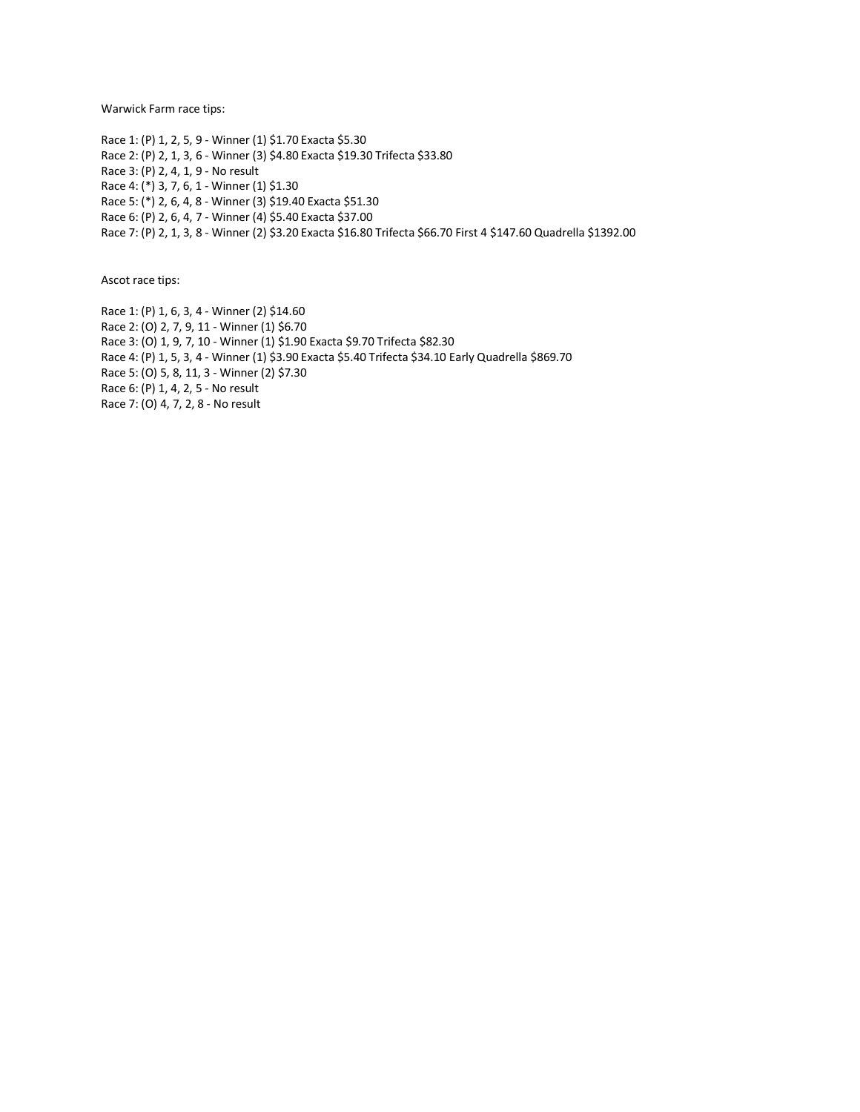Warwick Farm race tips:

Race 1: (P) 1, 2, 5, 9 - Winner (1) \$1.70 Exacta \$5.30 Race 2: (P) 2, 1, 3, 6 - Winner (3) \$4.80 Exacta \$19.30 Trifecta \$33.80 Race 3: (P) 2, 4, 1, 9 - No result Race 4: (\*) 3, 7, 6, 1 - Winner (1) \$1.30 Race 5: (\*) 2, 6, 4, 8 - Winner (3) \$19.40 Exacta \$51.30 Race 6: (P) 2, 6, 4, 7 - Winner (4) \$5.40 Exacta \$37.00 Race 7: (P) 2, 1, 3, 8 - Winner (2) \$3.20 Exacta \$16.80 Trifecta \$66.70 First 4 \$147.60 Quadrella \$1392.00

Ascot race tips:

Race 1: (P) 1, 6, 3, 4 - Winner (2) \$14.60 Race 2: (O) 2, 7, 9, 11 - Winner (1) \$6.70 Race 3: (O) 1, 9, 7, 10 - Winner (1) \$1.90 Exacta \$9.70 Trifecta \$82.30 Race 4: (P) 1, 5, 3, 4 - Winner (1) \$3.90 Exacta \$5.40 Trifecta \$34.10 Early Quadrella \$869.70 Race 5: (O) 5, 8, 11, 3 - Winner (2) \$7.30 Race 6: (P) 1, 4, 2, 5 - No result Race 7: (O) 4, 7, 2, 8 - No result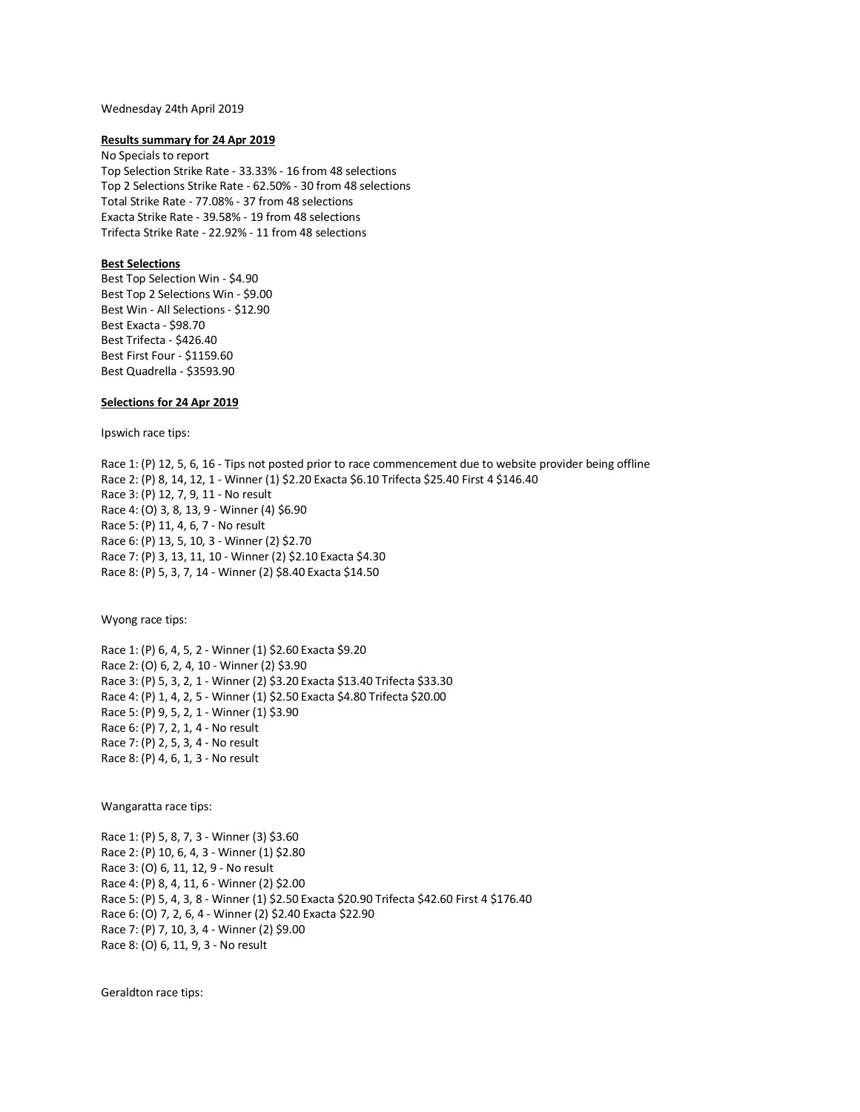#### Wednesday 24th April 2019

### **Results summary for 24 Apr 2019**

No Specials to report Top Selection Strike Rate - 33.33% - 16 from 48 selections Top 2 Selections Strike Rate - 62.50% - 30 from 48 selections Total Strike Rate - 77.08% - 37 from 48 selections Exacta Strike Rate - 39.58% - 19 from 48 selections Trifecta Strike Rate - 22.92% - 11 from 48 selections

# **Best Selections**

Best Top Selection Win - \$4.90 Best Top 2 Selections Win - \$9.00 Best Win - All Selections - \$12.90 Best Exacta - \$98.70 Best Trifecta - \$426.40 Best First Four - \$1159.60 Best Quadrella - \$3593.90

# **Selections for 24 Apr 2019**

Ipswich race tips:

Race 1: (P) 12, 5, 6, 16 - Tips not posted prior to race commencement due to website provider being offline Race 2: (P) 8, 14, 12, 1 - Winner (1) \$2.20 Exacta \$6.10 Trifecta \$25.40 First 4 \$146.40 Race 3: (P) 12, 7, 9, 11 - No result Race 4: (O) 3, 8, 13, 9 - Winner (4) \$6.90 Race 5: (P) 11, 4, 6, 7 - No result Race 6: (P) 13, 5, 10, 3 - Winner (2) \$2.70 Race 7: (P) 3, 13, 11, 10 - Winner (2) \$2.10 Exacta \$4.30 Race 8: (P) 5, 3, 7, 14 - Winner (2) \$8.40 Exacta \$14.50

Wyong race tips:

Race 1: (P) 6, 4, 5, 2 - Winner (1) \$2.60 Exacta \$9.20 Race 2: (O) 6, 2, 4, 10 - Winner (2) \$3.90 Race 3: (P) 5, 3, 2, 1 - Winner (2) \$3.20 Exacta \$13.40 Trifecta \$33.30 Race 4: (P) 1, 4, 2, 5 - Winner (1) \$2.50 Exacta \$4.80 Trifecta \$20.00 Race 5: (P) 9, 5, 2, 1 - Winner (1) \$3.90 Race 6: (P) 7, 2, 1, 4 - No result Race 7: (P) 2, 5, 3, 4 - No result Race 8: (P) 4, 6, 1, 3 - No result

Wangaratta race tips:

Race 1: (P) 5, 8, 7, 3 - Winner (3) \$3.60 Race 2: (P) 10, 6, 4, 3 - Winner (1) \$2.80 Race 3: (O) 6, 11, 12, 9 - No result Race 4: (P) 8, 4, 11, 6 - Winner (2) \$2.00 Race 5: (P) 5, 4, 3, 8 - Winner (1) \$2.50 Exacta \$20.90 Trifecta \$42.60 First 4 \$176.40 Race 6: (O) 7, 2, 6, 4 - Winner (2) \$2.40 Exacta \$22.90 Race 7: (P) 7, 10, 3, 4 - Winner (2) \$9.00 Race 8: (O) 6, 11, 9, 3 - No result

Geraldton race tips: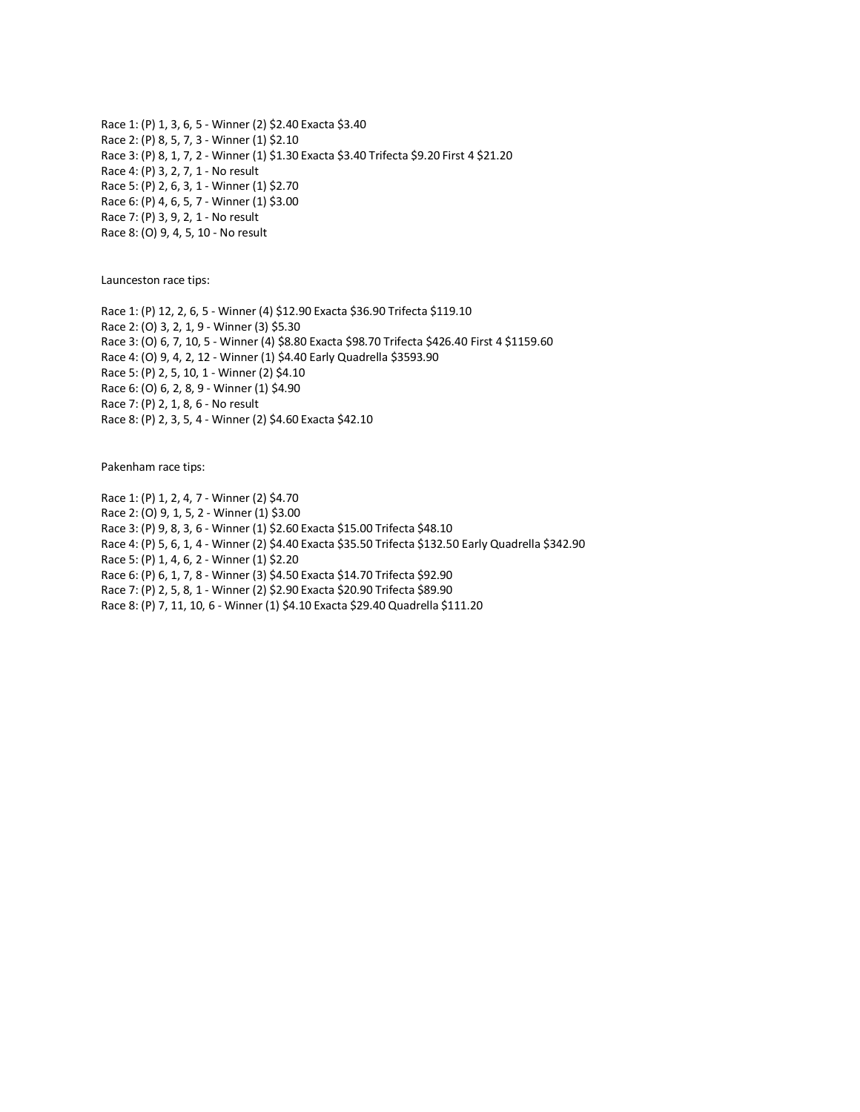Race 1: (P) 1, 3, 6, 5 - Winner (2) \$2.40 Exacta \$3.40 Race 2: (P) 8, 5, 7, 3 - Winner (1) \$2.10 Race 3: (P) 8, 1, 7, 2 - Winner (1) \$1.30 Exacta \$3.40 Trifecta \$9.20 First 4 \$21.20 Race 4: (P) 3, 2, 7, 1 - No result Race 5: (P) 2, 6, 3, 1 - Winner (1) \$2.70 Race 6: (P) 4, 6, 5, 7 - Winner (1) \$3.00 Race 7: (P) 3, 9, 2, 1 - No result Race 8: (O) 9, 4, 5, 10 - No result

Launceston race tips:

Race 1: (P) 12, 2, 6, 5 - Winner (4) \$12.90 Exacta \$36.90 Trifecta \$119.10 Race 2: (O) 3, 2, 1, 9 - Winner (3) \$5.30 Race 3: (O) 6, 7, 10, 5 - Winner (4) \$8.80 Exacta \$98.70 Trifecta \$426.40 First 4 \$1159.60 Race 4: (O) 9, 4, 2, 12 - Winner (1) \$4.40 Early Quadrella \$3593.90 Race 5: (P) 2, 5, 10, 1 - Winner (2) \$4.10 Race 6: (O) 6, 2, 8, 9 - Winner (1) \$4.90 Race 7: (P) 2, 1, 8, 6 - No result Race 8: (P) 2, 3, 5, 4 - Winner (2) \$4.60 Exacta \$42.10

Pakenham race tips:

Race 1: (P) 1, 2, 4, 7 - Winner (2) \$4.70 Race 2: (O) 9, 1, 5, 2 - Winner (1) \$3.00 Race 3: (P) 9, 8, 3, 6 - Winner (1) \$2.60 Exacta \$15.00 Trifecta \$48.10 Race 4: (P) 5, 6, 1, 4 - Winner (2) \$4.40 Exacta \$35.50 Trifecta \$132.50 Early Quadrella \$342.90 Race 5: (P) 1, 4, 6, 2 - Winner (1) \$2.20 Race 6: (P) 6, 1, 7, 8 - Winner (3) \$4.50 Exacta \$14.70 Trifecta \$92.90 Race 7: (P) 2, 5, 8, 1 - Winner (2) \$2.90 Exacta \$20.90 Trifecta \$89.90 Race 8: (P) 7, 11, 10, 6 - Winner (1) \$4.10 Exacta \$29.40 Quadrella \$111.20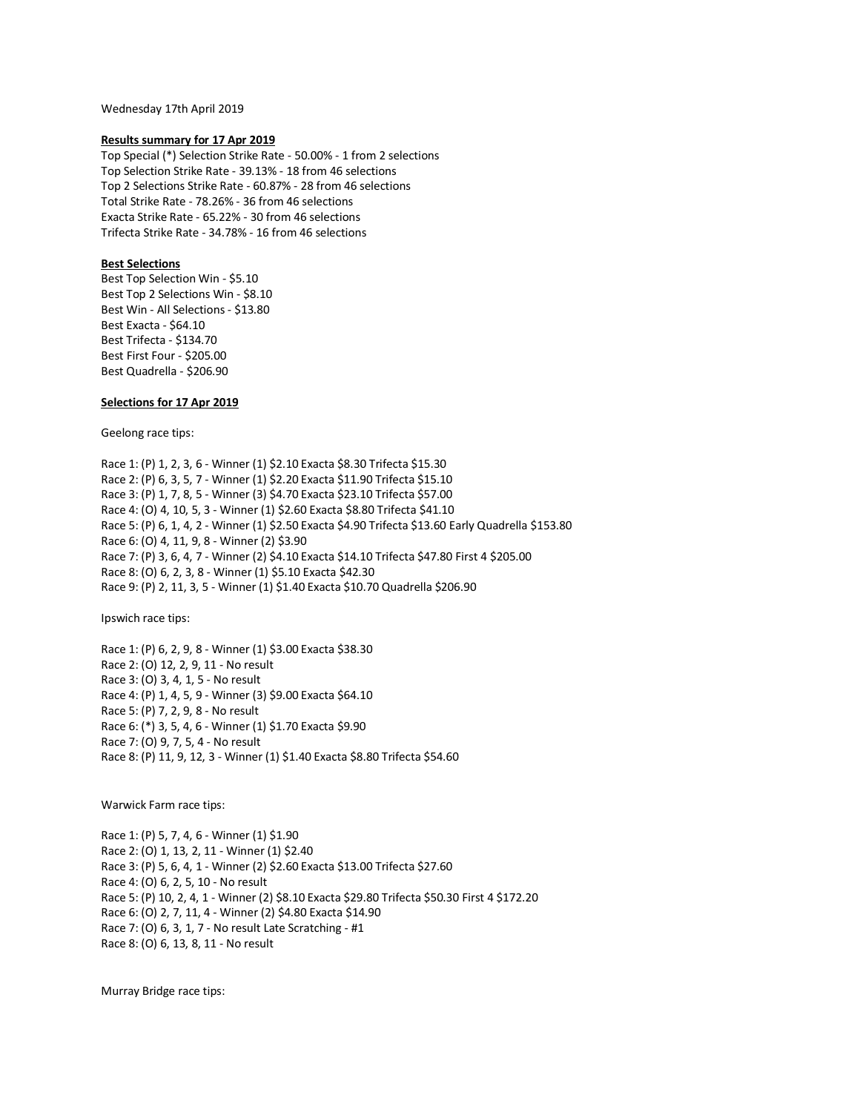Wednesday 17th April 2019

### **Results summary for 17 Apr 2019**

Top Special (\*) Selection Strike Rate - 50.00% - 1 from 2 selections Top Selection Strike Rate - 39.13% - 18 from 46 selections Top 2 Selections Strike Rate - 60.87% - 28 from 46 selections Total Strike Rate - 78.26% - 36 from 46 selections Exacta Strike Rate - 65.22% - 30 from 46 selections Trifecta Strike Rate - 34.78% - 16 from 46 selections

# **Best Selections**

Best Top Selection Win - \$5.10 Best Top 2 Selections Win - \$8.10 Best Win - All Selections - \$13.80 Best Exacta - \$64.10 Best Trifecta - \$134.70 Best First Four - \$205.00 Best Quadrella - \$206.90

# **Selections for 17 Apr 2019**

Geelong race tips:

Race 1: (P) 1, 2, 3, 6 - Winner (1) \$2.10 Exacta \$8.30 Trifecta \$15.30 Race 2: (P) 6, 3, 5, 7 - Winner (1) \$2.20 Exacta \$11.90 Trifecta \$15.10 Race 3: (P) 1, 7, 8, 5 - Winner (3) \$4.70 Exacta \$23.10 Trifecta \$57.00 Race 4: (O) 4, 10, 5, 3 - Winner (1) \$2.60 Exacta \$8.80 Trifecta \$41.10 Race 5: (P) 6, 1, 4, 2 - Winner (1) \$2.50 Exacta \$4.90 Trifecta \$13.60 Early Quadrella \$153.80 Race 6: (O) 4, 11, 9, 8 - Winner (2) \$3.90 Race 7: (P) 3, 6, 4, 7 - Winner (2) \$4.10 Exacta \$14.10 Trifecta \$47.80 First 4 \$205.00 Race 8: (O) 6, 2, 3, 8 - Winner (1) \$5.10 Exacta \$42.30 Race 9: (P) 2, 11, 3, 5 - Winner (1) \$1.40 Exacta \$10.70 Quadrella \$206.90

Ipswich race tips:

Race 1: (P) 6, 2, 9, 8 - Winner (1) \$3.00 Exacta \$38.30 Race 2: (O) 12, 2, 9, 11 - No result Race 3: (O) 3, 4, 1, 5 - No result Race 4: (P) 1, 4, 5, 9 - Winner (3) \$9.00 Exacta \$64.10 Race 5: (P) 7, 2, 9, 8 - No result Race 6: (\*) 3, 5, 4, 6 - Winner (1) \$1.70 Exacta \$9.90 Race 7: (O) 9, 7, 5, 4 - No result Race 8: (P) 11, 9, 12, 3 - Winner (1) \$1.40 Exacta \$8.80 Trifecta \$54.60

Warwick Farm race tips:

Race 1: (P) 5, 7, 4, 6 - Winner (1) \$1.90 Race 2: (O) 1, 13, 2, 11 - Winner (1) \$2.40 Race 3: (P) 5, 6, 4, 1 - Winner (2) \$2.60 Exacta \$13.00 Trifecta \$27.60 Race 4: (O) 6, 2, 5, 10 - No result Race 5: (P) 10, 2, 4, 1 - Winner (2) \$8.10 Exacta \$29.80 Trifecta \$50.30 First 4 \$172.20 Race 6: (O) 2, 7, 11, 4 - Winner (2) \$4.80 Exacta \$14.90 Race 7: (O) 6, 3, 1, 7 - No result Late Scratching - #1 Race 8: (O) 6, 13, 8, 11 - No result

Murray Bridge race tips: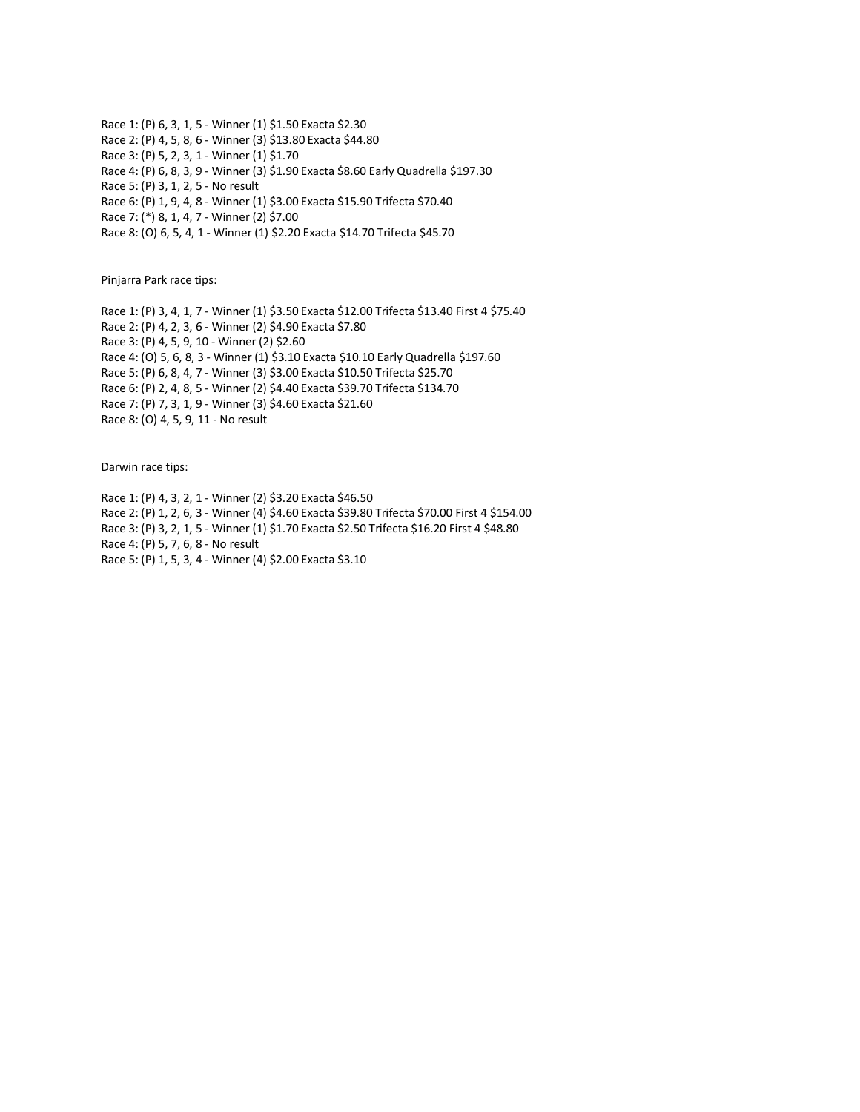Race 1: (P) 6, 3, 1, 5 - Winner (1) \$1.50 Exacta \$2.30 Race 2: (P) 4, 5, 8, 6 - Winner (3) \$13.80 Exacta \$44.80 Race 3: (P) 5, 2, 3, 1 - Winner (1) \$1.70 Race 4: (P) 6, 8, 3, 9 - Winner (3) \$1.90 Exacta \$8.60 Early Quadrella \$197.30 Race 5: (P) 3, 1, 2, 5 - No result Race 6: (P) 1, 9, 4, 8 - Winner (1) \$3.00 Exacta \$15.90 Trifecta \$70.40 Race 7: (\*) 8, 1, 4, 7 - Winner (2) \$7.00 Race 8: (O) 6, 5, 4, 1 - Winner (1) \$2.20 Exacta \$14.70 Trifecta \$45.70

Pinjarra Park race tips:

Race 1: (P) 3, 4, 1, 7 - Winner (1) \$3.50 Exacta \$12.00 Trifecta \$13.40 First 4 \$75.40 Race 2: (P) 4, 2, 3, 6 - Winner (2) \$4.90 Exacta \$7.80 Race 3: (P) 4, 5, 9, 10 - Winner (2) \$2.60 Race 4: (O) 5, 6, 8, 3 - Winner (1) \$3.10 Exacta \$10.10 Early Quadrella \$197.60 Race 5: (P) 6, 8, 4, 7 - Winner (3) \$3.00 Exacta \$10.50 Trifecta \$25.70 Race 6: (P) 2, 4, 8, 5 - Winner (2) \$4.40 Exacta \$39.70 Trifecta \$134.70 Race 7: (P) 7, 3, 1, 9 - Winner (3) \$4.60 Exacta \$21.60 Race 8: (O) 4, 5, 9, 11 - No result

Darwin race tips:

Race 1: (P) 4, 3, 2, 1 - Winner (2) \$3.20 Exacta \$46.50 Race 2: (P) 1, 2, 6, 3 - Winner (4) \$4.60 Exacta \$39.80 Trifecta \$70.00 First 4 \$154.00 Race 3: (P) 3, 2, 1, 5 - Winner (1) \$1.70 Exacta \$2.50 Trifecta \$16.20 First 4 \$48.80 Race 4: (P) 5, 7, 6, 8 - No result Race 5: (P) 1, 5, 3, 4 - Winner (4) \$2.00 Exacta \$3.10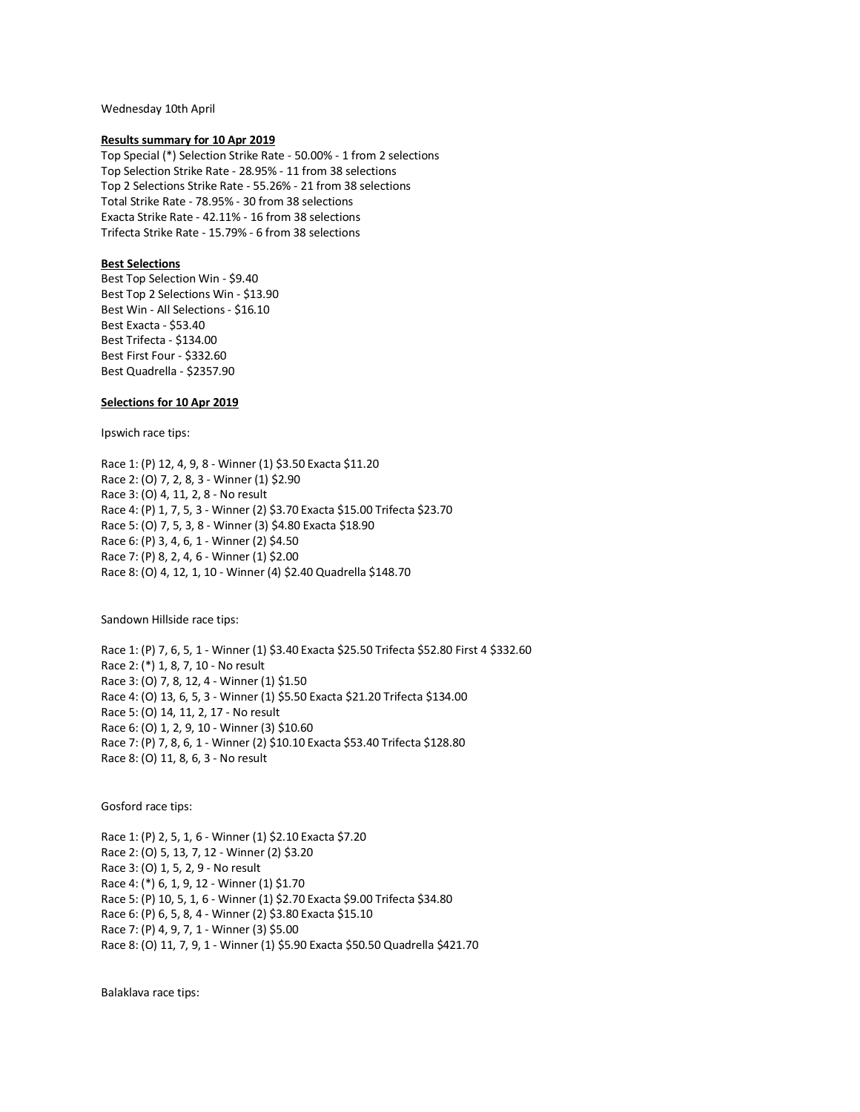Wednesday 10th April

### **Results summary for 10 Apr 2019**

Top Special (\*) Selection Strike Rate - 50.00% - 1 from 2 selections Top Selection Strike Rate - 28.95% - 11 from 38 selections Top 2 Selections Strike Rate - 55.26% - 21 from 38 selections Total Strike Rate - 78.95% - 30 from 38 selections Exacta Strike Rate - 42.11% - 16 from 38 selections Trifecta Strike Rate - 15.79% - 6 from 38 selections

# **Best Selections**

Best Top Selection Win - \$9.40 Best Top 2 Selections Win - \$13.90 Best Win - All Selections - \$16.10 Best Exacta - \$53.40 Best Trifecta - \$134.00 Best First Four - \$332.60 Best Quadrella - \$2357.90

# **Selections for 10 Apr 2019**

Ipswich race tips:

Race 1: (P) 12, 4, 9, 8 - Winner (1) \$3.50 Exacta \$11.20 Race 2: (O) 7, 2, 8, 3 - Winner (1) \$2.90 Race 3: (O) 4, 11, 2, 8 - No result Race 4: (P) 1, 7, 5, 3 - Winner (2) \$3.70 Exacta \$15.00 Trifecta \$23.70 Race 5: (O) 7, 5, 3, 8 - Winner (3) \$4.80 Exacta \$18.90 Race 6: (P) 3, 4, 6, 1 - Winner (2) \$4.50 Race 7: (P) 8, 2, 4, 6 - Winner (1) \$2.00 Race 8: (O) 4, 12, 1, 10 - Winner (4) \$2.40 Quadrella \$148.70

Sandown Hillside race tips:

Race 1: (P) 7, 6, 5, 1 - Winner (1) \$3.40 Exacta \$25.50 Trifecta \$52.80 First 4 \$332.60 Race 2: (\*) 1, 8, 7, 10 - No result Race 3: (O) 7, 8, 12, 4 - Winner (1) \$1.50 Race 4: (O) 13, 6, 5, 3 - Winner (1) \$5.50 Exacta \$21.20 Trifecta \$134.00 Race 5: (O) 14, 11, 2, 17 - No result Race 6: (O) 1, 2, 9, 10 - Winner (3) \$10.60 Race 7: (P) 7, 8, 6, 1 - Winner (2) \$10.10 Exacta \$53.40 Trifecta \$128.80 Race 8: (O) 11, 8, 6, 3 - No result

Gosford race tips:

Race 1: (P) 2, 5, 1, 6 - Winner (1) \$2.10 Exacta \$7.20 Race 2: (O) 5, 13, 7, 12 - Winner (2) \$3.20 Race 3: (O) 1, 5, 2, 9 - No result Race 4: (\*) 6, 1, 9, 12 - Winner (1) \$1.70 Race 5: (P) 10, 5, 1, 6 - Winner (1) \$2.70 Exacta \$9.00 Trifecta \$34.80 Race 6: (P) 6, 5, 8, 4 - Winner (2) \$3.80 Exacta \$15.10 Race 7: (P) 4, 9, 7, 1 - Winner (3) \$5.00 Race 8: (O) 11, 7, 9, 1 - Winner (1) \$5.90 Exacta \$50.50 Quadrella \$421.70

Balaklava race tips: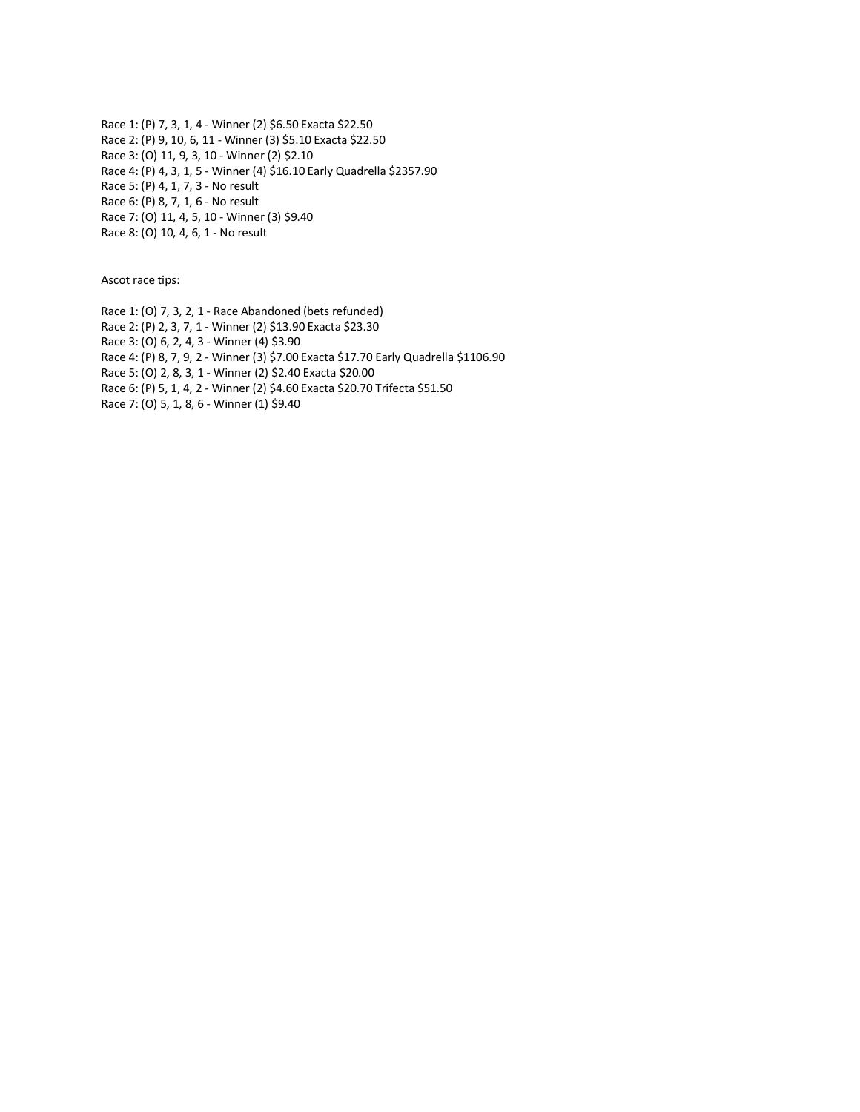Race 1: (P) 7, 3, 1, 4 - Winner (2) \$6.50 Exacta \$22.50 Race 2: (P) 9, 10, 6, 11 - Winner (3) \$5.10 Exacta \$22.50 Race 3: (O) 11, 9, 3, 10 - Winner (2) \$2.10 Race 4: (P) 4, 3, 1, 5 - Winner (4) \$16.10 Early Quadrella \$2357.90 Race 5: (P) 4, 1, 7, 3 - No result Race 6: (P) 8, 7, 1, 6 - No result Race 7: (O) 11, 4, 5, 10 - Winner (3) \$9.40 Race 8: (O) 10, 4, 6, 1 - No result

Ascot race tips:

Race 1: (O) 7, 3, 2, 1 - Race Abandoned (bets refunded) Race 2: (P) 2, 3, 7, 1 - Winner (2) \$13.90 Exacta \$23.30 Race 3: (O) 6, 2, 4, 3 - Winner (4) \$3.90 Race 4: (P) 8, 7, 9, 2 - Winner (3) \$7.00 Exacta \$17.70 Early Quadrella \$1106.90 Race 5: (O) 2, 8, 3, 1 - Winner (2) \$2.40 Exacta \$20.00 Race 6: (P) 5, 1, 4, 2 - Winner (2) \$4.60 Exacta \$20.70 Trifecta \$51.50 Race 7: (O) 5, 1, 8, 6 - Winner (1) \$9.40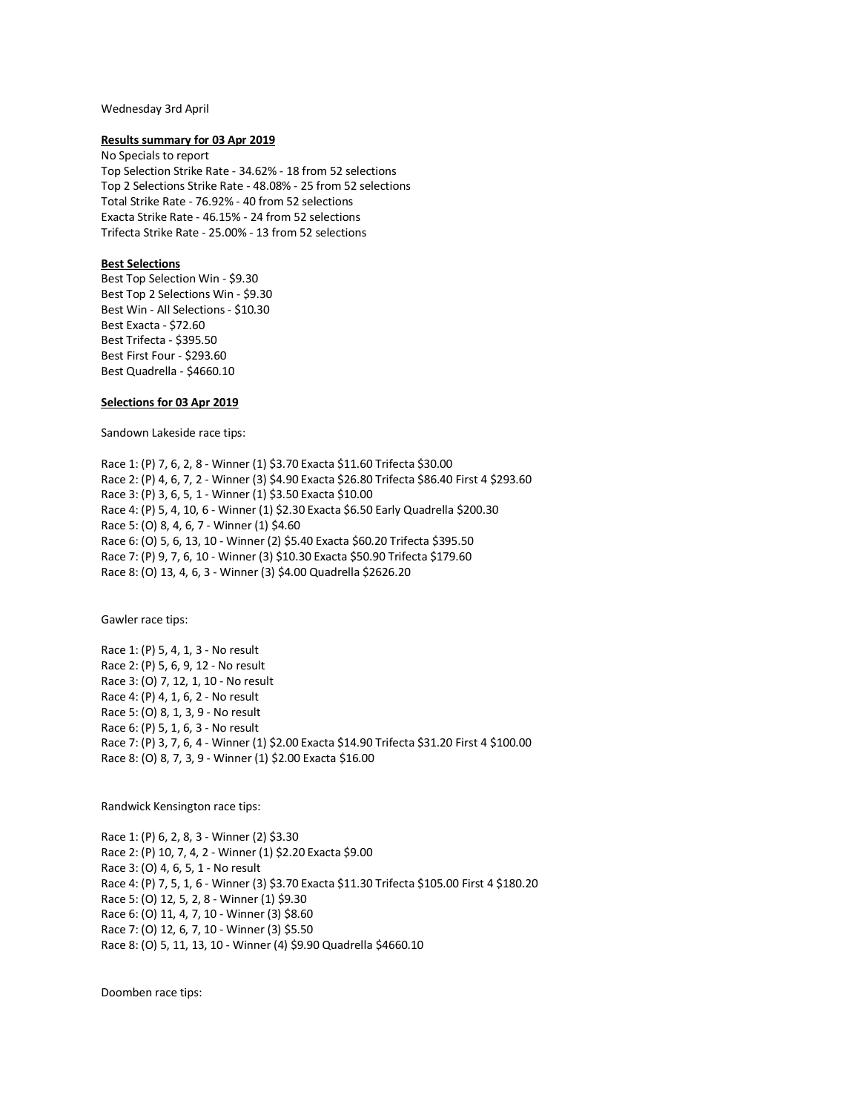### Wednesday 3rd April

## **Results summary for 03 Apr 2019**

No Specials to report Top Selection Strike Rate - 34.62% - 18 from 52 selections Top 2 Selections Strike Rate - 48.08% - 25 from 52 selections Total Strike Rate - 76.92% - 40 from 52 selections Exacta Strike Rate - 46.15% - 24 from 52 selections Trifecta Strike Rate - 25.00% - 13 from 52 selections

# **Best Selections**

Best Top Selection Win - \$9.30 Best Top 2 Selections Win - \$9.30 Best Win - All Selections - \$10.30 Best Exacta - \$72.60 Best Trifecta - \$395.50 Best First Four - \$293.60 Best Quadrella - \$4660.10

## **Selections for 03 Apr 2019**

Sandown Lakeside race tips:

Race 1: (P) 7, 6, 2, 8 - Winner (1) \$3.70 Exacta \$11.60 Trifecta \$30.00 Race 2: (P) 4, 6, 7, 2 - Winner (3) \$4.90 Exacta \$26.80 Trifecta \$86.40 First 4 \$293.60 Race 3: (P) 3, 6, 5, 1 - Winner (1) \$3.50 Exacta \$10.00 Race 4: (P) 5, 4, 10, 6 - Winner (1) \$2.30 Exacta \$6.50 Early Quadrella \$200.30 Race 5: (O) 8, 4, 6, 7 - Winner (1) \$4.60 Race 6: (O) 5, 6, 13, 10 - Winner (2) \$5.40 Exacta \$60.20 Trifecta \$395.50 Race 7: (P) 9, 7, 6, 10 - Winner (3) \$10.30 Exacta \$50.90 Trifecta \$179.60 Race 8: (O) 13, 4, 6, 3 - Winner (3) \$4.00 Quadrella \$2626.20

Gawler race tips:

Race 1: (P) 5, 4, 1, 3 - No result Race 2: (P) 5, 6, 9, 12 - No result Race 3: (O) 7, 12, 1, 10 - No result Race 4: (P) 4, 1, 6, 2 - No result Race 5: (O) 8, 1, 3, 9 - No result Race 6: (P) 5, 1, 6, 3 - No result Race 7: (P) 3, 7, 6, 4 - Winner (1) \$2.00 Exacta \$14.90 Trifecta \$31.20 First 4 \$100.00 Race 8: (O) 8, 7, 3, 9 - Winner (1) \$2.00 Exacta \$16.00

Randwick Kensington race tips:

Race 1: (P) 6, 2, 8, 3 - Winner (2) \$3.30 Race 2: (P) 10, 7, 4, 2 - Winner (1) \$2.20 Exacta \$9.00 Race 3: (O) 4, 6, 5, 1 - No result Race 4: (P) 7, 5, 1, 6 - Winner (3) \$3.70 Exacta \$11.30 Trifecta \$105.00 First 4 \$180.20 Race 5: (O) 12, 5, 2, 8 - Winner (1) \$9.30 Race 6: (O) 11, 4, 7, 10 - Winner (3) \$8.60 Race 7: (O) 12, 6, 7, 10 - Winner (3) \$5.50 Race 8: (O) 5, 11, 13, 10 - Winner (4) \$9.90 Quadrella \$4660.10

Doomben race tips: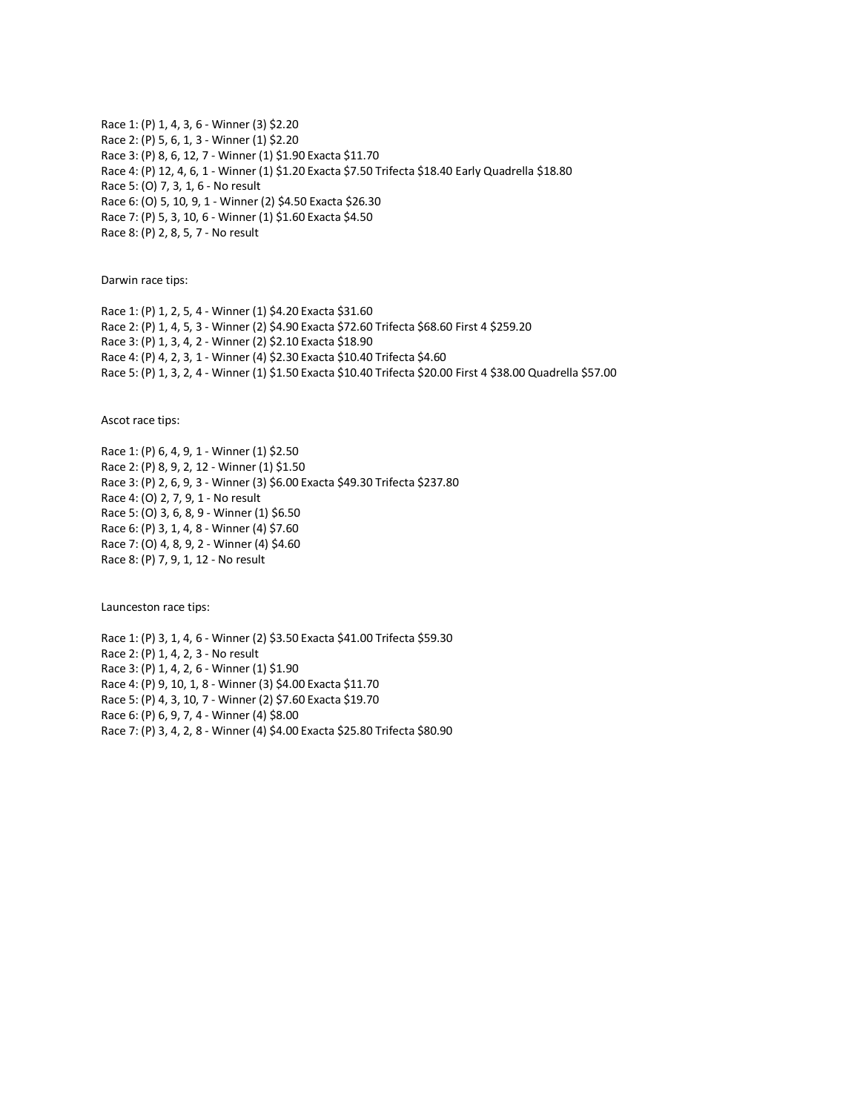Race 1: (P) 1, 4, 3, 6 - Winner (3) \$2.20 Race 2: (P) 5, 6, 1, 3 - Winner (1) \$2.20 Race 3: (P) 8, 6, 12, 7 - Winner (1) \$1.90 Exacta \$11.70 Race 4: (P) 12, 4, 6, 1 - Winner (1) \$1.20 Exacta \$7.50 Trifecta \$18.40 Early Quadrella \$18.80 Race 5: (O) 7, 3, 1, 6 - No result Race 6: (O) 5, 10, 9, 1 - Winner (2) \$4.50 Exacta \$26.30 Race 7: (P) 5, 3, 10, 6 - Winner (1) \$1.60 Exacta \$4.50 Race 8: (P) 2, 8, 5, 7 - No result

Darwin race tips:

Race 1: (P) 1, 2, 5, 4 - Winner (1) \$4.20 Exacta \$31.60 Race 2: (P) 1, 4, 5, 3 - Winner (2) \$4.90 Exacta \$72.60 Trifecta \$68.60 First 4 \$259.20 Race 3: (P) 1, 3, 4, 2 - Winner (2) \$2.10 Exacta \$18.90 Race 4: (P) 4, 2, 3, 1 - Winner (4) \$2.30 Exacta \$10.40 Trifecta \$4.60 Race 5: (P) 1, 3, 2, 4 - Winner (1) \$1.50 Exacta \$10.40 Trifecta \$20.00 First 4 \$38.00 Quadrella \$57.00

Ascot race tips:

Race 1: (P) 6, 4, 9, 1 - Winner (1) \$2.50 Race 2: (P) 8, 9, 2, 12 - Winner (1) \$1.50 Race 3: (P) 2, 6, 9, 3 - Winner (3) \$6.00 Exacta \$49.30 Trifecta \$237.80 Race 4: (O) 2, 7, 9, 1 - No result Race 5: (O) 3, 6, 8, 9 - Winner (1) \$6.50 Race 6: (P) 3, 1, 4, 8 - Winner (4) \$7.60 Race 7: (O) 4, 8, 9, 2 - Winner (4) \$4.60 Race 8: (P) 7, 9, 1, 12 - No result

Launceston race tips:

Race 1: (P) 3, 1, 4, 6 - Winner (2) \$3.50 Exacta \$41.00 Trifecta \$59.30 Race 2: (P) 1, 4, 2, 3 - No result Race 3: (P) 1, 4, 2, 6 - Winner (1) \$1.90 Race 4: (P) 9, 10, 1, 8 - Winner (3) \$4.00 Exacta \$11.70 Race 5: (P) 4, 3, 10, 7 - Winner (2) \$7.60 Exacta \$19.70 Race 6: (P) 6, 9, 7, 4 - Winner (4) \$8.00 Race 7: (P) 3, 4, 2, 8 - Winner (4) \$4.00 Exacta \$25.80 Trifecta \$80.90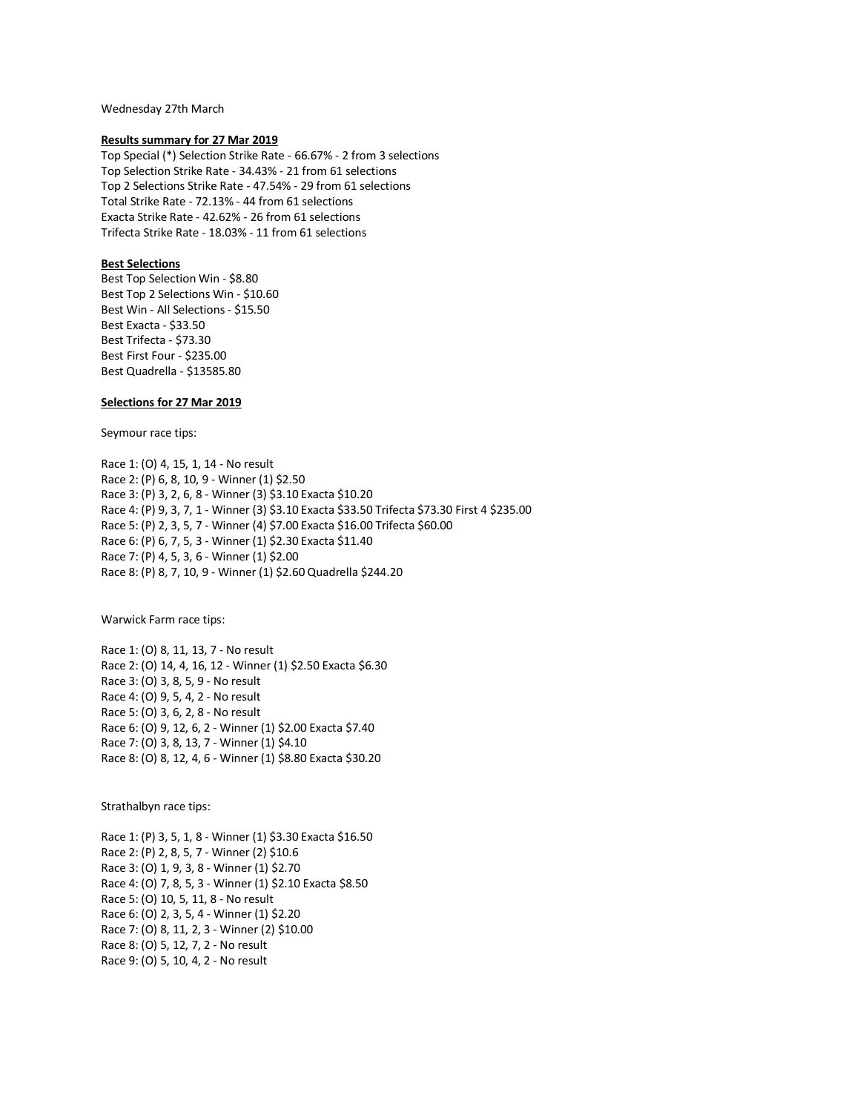Wednesday 27th March

## **Results summary for 27 Mar 2019**

Top Special (\*) Selection Strike Rate - 66.67% - 2 from 3 selections Top Selection Strike Rate - 34.43% - 21 from 61 selections Top 2 Selections Strike Rate - 47.54% - 29 from 61 selections Total Strike Rate - 72.13% - 44 from 61 selections Exacta Strike Rate - 42.62% - 26 from 61 selections Trifecta Strike Rate - 18.03% - 11 from 61 selections

# **Best Selections**

Best Top Selection Win - \$8.80 Best Top 2 Selections Win - \$10.60 Best Win - All Selections - \$15.50 Best Exacta - \$33.50 Best Trifecta - \$73.30 Best First Four - \$235.00 Best Quadrella - \$13585.80

# **Selections for 27 Mar 2019**

Seymour race tips:

Race 1: (O) 4, 15, 1, 14 - No result Race 2: (P) 6, 8, 10, 9 - Winner (1) \$2.50 Race 3: (P) 3, 2, 6, 8 - Winner (3) \$3.10 Exacta \$10.20 Race 4: (P) 9, 3, 7, 1 - Winner (3) \$3.10 Exacta \$33.50 Trifecta \$73.30 First 4 \$235.00 Race 5: (P) 2, 3, 5, 7 - Winner (4) \$7.00 Exacta \$16.00 Trifecta \$60.00 Race 6: (P) 6, 7, 5, 3 - Winner (1) \$2.30 Exacta \$11.40 Race 7: (P) 4, 5, 3, 6 - Winner (1) \$2.00 Race 8: (P) 8, 7, 10, 9 - Winner (1) \$2.60 Quadrella \$244.20

Warwick Farm race tips:

Race 1: (O) 8, 11, 13, 7 - No result Race 2: (O) 14, 4, 16, 12 - Winner (1) \$2.50 Exacta \$6.30 Race 3: (O) 3, 8, 5, 9 - No result Race 4: (O) 9, 5, 4, 2 - No result Race 5: (O) 3, 6, 2, 8 - No result Race 6: (O) 9, 12, 6, 2 - Winner (1) \$2.00 Exacta \$7.40 Race 7: (O) 3, 8, 13, 7 - Winner (1) \$4.10 Race 8: (O) 8, 12, 4, 6 - Winner (1) \$8.80 Exacta \$30.20

Strathalbyn race tips:

Race 1: (P) 3, 5, 1, 8 - Winner (1) \$3.30 Exacta \$16.50 Race 2: (P) 2, 8, 5, 7 - Winner (2) \$10.6 Race 3: (O) 1, 9, 3, 8 - Winner (1) \$2.70 Race 4: (O) 7, 8, 5, 3 - Winner (1) \$2.10 Exacta \$8.50 Race 5: (O) 10, 5, 11, 8 - No result Race 6: (O) 2, 3, 5, 4 - Winner (1) \$2.20 Race 7: (O) 8, 11, 2, 3 - Winner (2) \$10.00 Race 8: (O) 5, 12, 7, 2 - No result Race 9: (O) 5, 10, 4, 2 - No result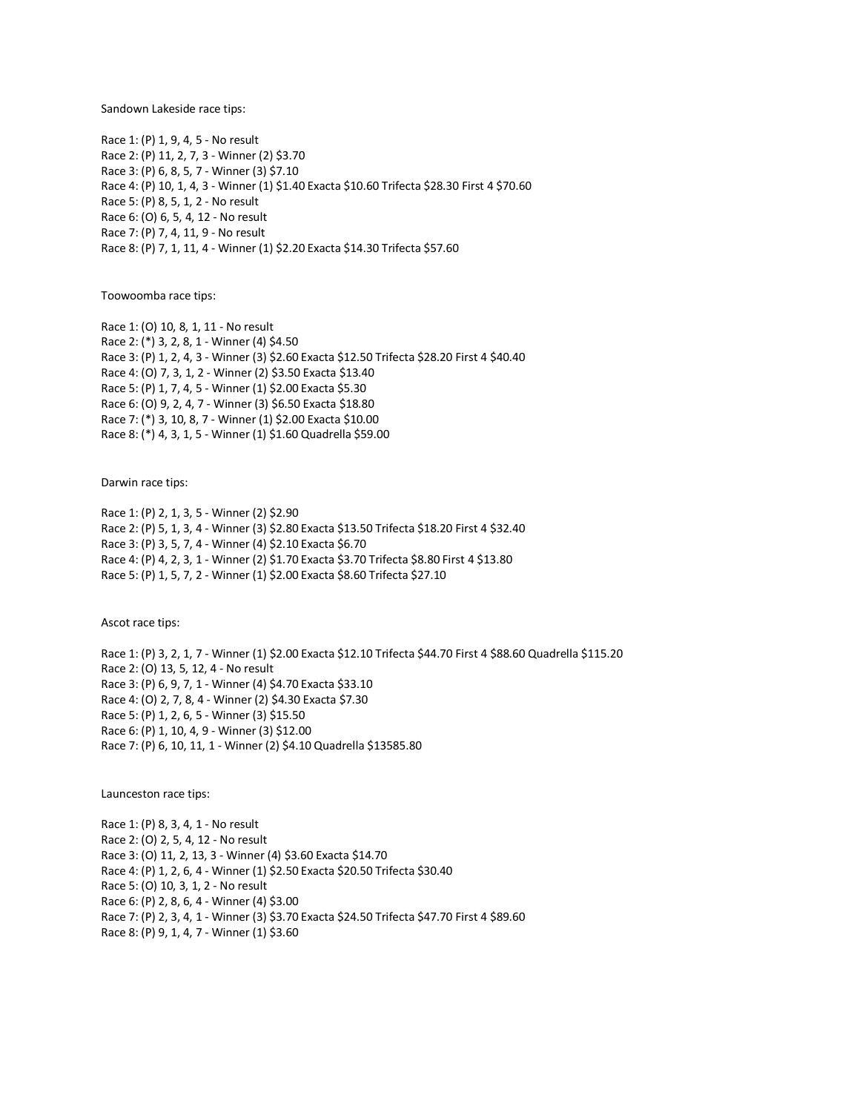Sandown Lakeside race tips:

Race 1: (P) 1, 9, 4, 5 - No result Race 2: (P) 11, 2, 7, 3 - Winner (2) \$3.70 Race 3: (P) 6, 8, 5, 7 - Winner (3) \$7.10 Race 4: (P) 10, 1, 4, 3 - Winner (1) \$1.40 Exacta \$10.60 Trifecta \$28.30 First 4 \$70.60 Race 5: (P) 8, 5, 1, 2 - No result Race 6: (O) 6, 5, 4, 12 - No result Race 7: (P) 7, 4, 11, 9 - No result Race 8: (P) 7, 1, 11, 4 - Winner (1) \$2.20 Exacta \$14.30 Trifecta \$57.60

Toowoomba race tips:

Race 1: (O) 10, 8, 1, 11 - No result Race 2: (\*) 3, 2, 8, 1 - Winner (4) \$4.50 Race 3: (P) 1, 2, 4, 3 - Winner (3) \$2.60 Exacta \$12.50 Trifecta \$28.20 First 4 \$40.40 Race 4: (O) 7, 3, 1, 2 - Winner (2) \$3.50 Exacta \$13.40 Race 5: (P) 1, 7, 4, 5 - Winner (1) \$2.00 Exacta \$5.30 Race 6: (O) 9, 2, 4, 7 - Winner (3) \$6.50 Exacta \$18.80 Race 7: (\*) 3, 10, 8, 7 - Winner (1) \$2.00 Exacta \$10.00 Race 8: (\*) 4, 3, 1, 5 - Winner (1) \$1.60 Quadrella \$59.00

Darwin race tips:

Race 1: (P) 2, 1, 3, 5 - Winner (2) \$2.90 Race 2: (P) 5, 1, 3, 4 - Winner (3) \$2.80 Exacta \$13.50 Trifecta \$18.20 First 4 \$32.40 Race 3: (P) 3, 5, 7, 4 - Winner (4) \$2.10 Exacta \$6.70 Race 4: (P) 4, 2, 3, 1 - Winner (2) \$1.70 Exacta \$3.70 Trifecta \$8.80 First 4 \$13.80 Race 5: (P) 1, 5, 7, 2 - Winner (1) \$2.00 Exacta \$8.60 Trifecta \$27.10

Ascot race tips:

Race 1: (P) 3, 2, 1, 7 - Winner (1) \$2.00 Exacta \$12.10 Trifecta \$44.70 First 4 \$88.60 Quadrella \$115.20 Race 2: (O) 13, 5, 12, 4 - No result Race 3: (P) 6, 9, 7, 1 - Winner (4) \$4.70 Exacta \$33.10 Race 4: (O) 2, 7, 8, 4 - Winner (2) \$4.30 Exacta \$7.30 Race 5: (P) 1, 2, 6, 5 - Winner (3) \$15.50 Race 6: (P) 1, 10, 4, 9 - Winner (3) \$12.00 Race 7: (P) 6, 10, 11, 1 - Winner (2) \$4.10 Quadrella \$13585.80

Launceston race tips:

Race 1: (P) 8, 3, 4, 1 - No result Race 2: (O) 2, 5, 4, 12 - No result Race 3: (O) 11, 2, 13, 3 - Winner (4) \$3.60 Exacta \$14.70 Race 4: (P) 1, 2, 6, 4 - Winner (1) \$2.50 Exacta \$20.50 Trifecta \$30.40 Race 5: (O) 10, 3, 1, 2 - No result Race 6: (P) 2, 8, 6, 4 - Winner (4) \$3.00 Race 7: (P) 2, 3, 4, 1 - Winner (3) \$3.70 Exacta \$24.50 Trifecta \$47.70 First 4 \$89.60 Race 8: (P) 9, 1, 4, 7 - Winner (1) \$3.60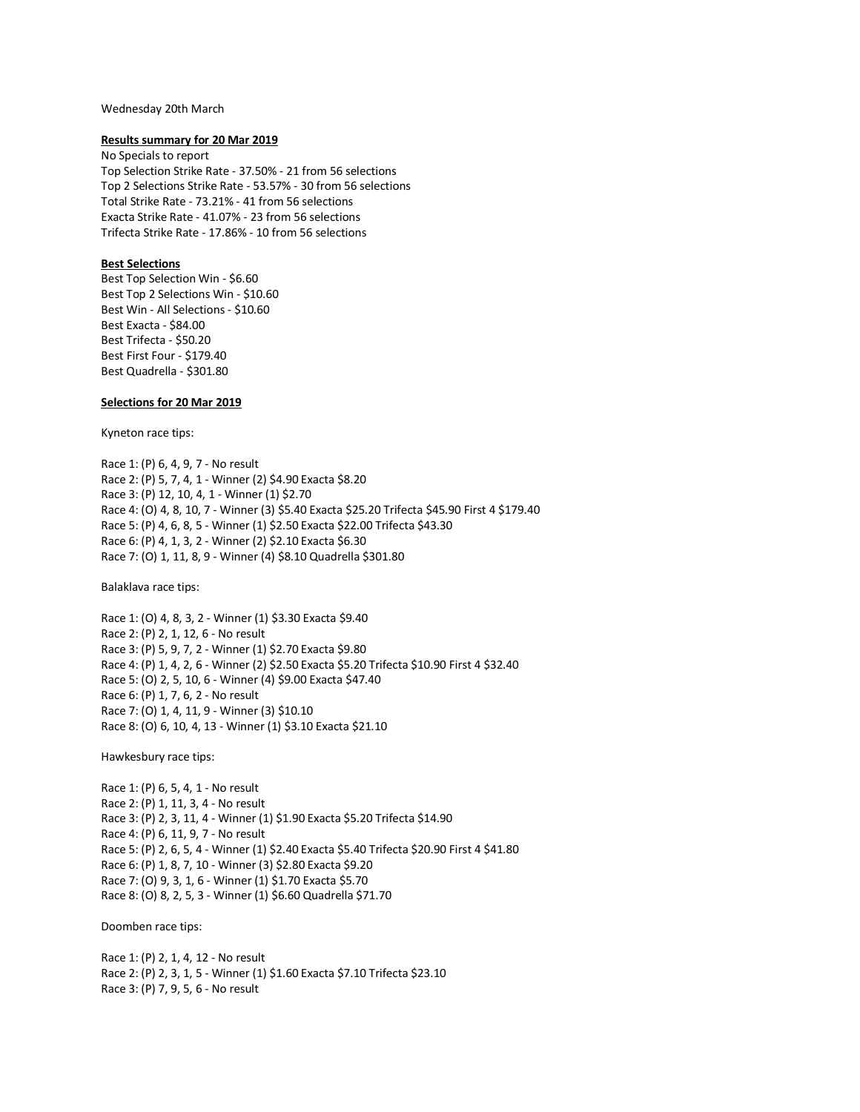### Wednesday 20th March

## **Results summary for 20 Mar 2019**

No Specials to report Top Selection Strike Rate - 37.50% - 21 from 56 selections Top 2 Selections Strike Rate - 53.57% - 30 from 56 selections Total Strike Rate - 73.21% - 41 from 56 selections Exacta Strike Rate - 41.07% - 23 from 56 selections Trifecta Strike Rate - 17.86% - 10 from 56 selections

# **Best Selections**

Best Top Selection Win - \$6.60 Best Top 2 Selections Win - \$10.60 Best Win - All Selections - \$10.60 Best Exacta - \$84.00 Best Trifecta - \$50.20 Best First Four - \$179.40 Best Quadrella - \$301.80

# **Selections for 20 Mar 2019**

Kyneton race tips:

Race 1: (P) 6, 4, 9, 7 - No result Race 2: (P) 5, 7, 4, 1 - Winner (2) \$4.90 Exacta \$8.20 Race 3: (P) 12, 10, 4, 1 - Winner (1) \$2.70 Race 4: (O) 4, 8, 10, 7 - Winner (3) \$5.40 Exacta \$25.20 Trifecta \$45.90 First 4 \$179.40 Race 5: (P) 4, 6, 8, 5 - Winner (1) \$2.50 Exacta \$22.00 Trifecta \$43.30 Race 6: (P) 4, 1, 3, 2 - Winner (2) \$2.10 Exacta \$6.30 Race 7: (O) 1, 11, 8, 9 - Winner (4) \$8.10 Quadrella \$301.80

Balaklava race tips:

Race 1: (O) 4, 8, 3, 2 - Winner (1) \$3.30 Exacta \$9.40 Race 2: (P) 2, 1, 12, 6 - No result Race 3: (P) 5, 9, 7, 2 - Winner (1) \$2.70 Exacta \$9.80 Race 4: (P) 1, 4, 2, 6 - Winner (2) \$2.50 Exacta \$5.20 Trifecta \$10.90 First 4 \$32.40 Race 5: (O) 2, 5, 10, 6 - Winner (4) \$9.00 Exacta \$47.40 Race 6: (P) 1, 7, 6, 2 - No result Race 7: (O) 1, 4, 11, 9 - Winner (3) \$10.10 Race 8: (O) 6, 10, 4, 13 - Winner (1) \$3.10 Exacta \$21.10

Hawkesbury race tips:

Race 1: (P) 6, 5, 4, 1 - No result Race 2: (P) 1, 11, 3, 4 - No result Race 3: (P) 2, 3, 11, 4 - Winner (1) \$1.90 Exacta \$5.20 Trifecta \$14.90 Race 4: (P) 6, 11, 9, 7 - No result Race 5: (P) 2, 6, 5, 4 - Winner (1) \$2.40 Exacta \$5.40 Trifecta \$20.90 First 4 \$41.80 Race 6: (P) 1, 8, 7, 10 - Winner (3) \$2.80 Exacta \$9.20 Race 7: (O) 9, 3, 1, 6 - Winner (1) \$1.70 Exacta \$5.70 Race 8: (O) 8, 2, 5, 3 - Winner (1) \$6.60 Quadrella \$71.70

Doomben race tips:

Race 1: (P) 2, 1, 4, 12 - No result Race 2: (P) 2, 3, 1, 5 - Winner (1) \$1.60 Exacta \$7.10 Trifecta \$23.10 Race 3: (P) 7, 9, 5, 6 - No result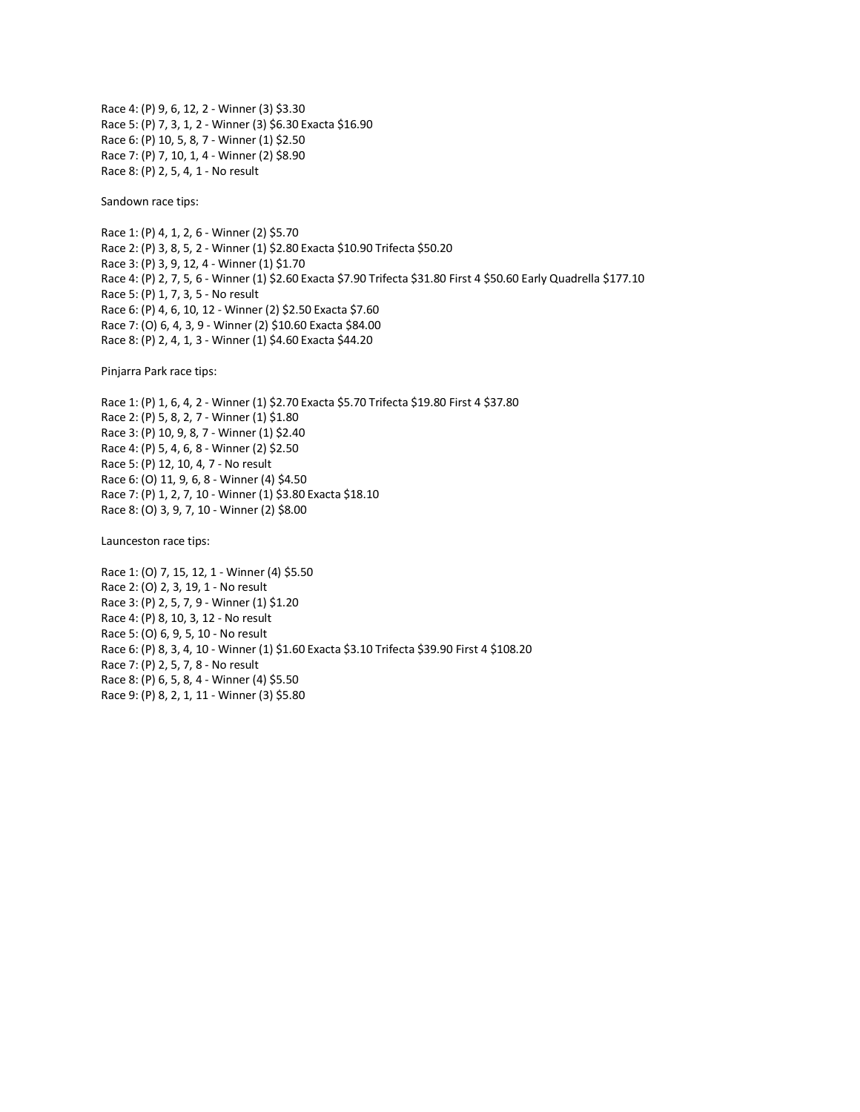Race 4: (P) 9, 6, 12, 2 - Winner (3) \$3.30 Race 5: (P) 7, 3, 1, 2 - Winner (3) \$6.30 Exacta \$16.90 Race 6: (P) 10, 5, 8, 7 - Winner (1) \$2.50 Race 7: (P) 7, 10, 1, 4 - Winner (2) \$8.90 Race 8: (P) 2, 5, 4, 1 - No result

Sandown race tips:

Race 1: (P) 4, 1, 2, 6 - Winner (2) \$5.70 Race 2: (P) 3, 8, 5, 2 - Winner (1) \$2.80 Exacta \$10.90 Trifecta \$50.20 Race 3: (P) 3, 9, 12, 4 - Winner (1) \$1.70 Race 4: (P) 2, 7, 5, 6 - Winner (1) \$2.60 Exacta \$7.90 Trifecta \$31.80 First 4 \$50.60 Early Quadrella \$177.10 Race 5: (P) 1, 7, 3, 5 - No result Race 6: (P) 4, 6, 10, 12 - Winner (2) \$2.50 Exacta \$7.60 Race 7: (O) 6, 4, 3, 9 - Winner (2) \$10.60 Exacta \$84.00 Race 8: (P) 2, 4, 1, 3 - Winner (1) \$4.60 Exacta \$44.20

Pinjarra Park race tips:

Race 1: (P) 1, 6, 4, 2 - Winner (1) \$2.70 Exacta \$5.70 Trifecta \$19.80 First 4 \$37.80 Race 2: (P) 5, 8, 2, 7 - Winner (1) \$1.80 Race 3: (P) 10, 9, 8, 7 - Winner (1) \$2.40 Race 4: (P) 5, 4, 6, 8 - Winner (2) \$2.50 Race 5: (P) 12, 10, 4, 7 - No result Race 6: (O) 11, 9, 6, 8 - Winner (4) \$4.50 Race 7: (P) 1, 2, 7, 10 - Winner (1) \$3.80 Exacta \$18.10 Race 8: (O) 3, 9, 7, 10 - Winner (2) \$8.00

Launceston race tips:

Race 1: (O) 7, 15, 12, 1 - Winner (4) \$5.50 Race 2: (O) 2, 3, 19, 1 - No result Race 3: (P) 2, 5, 7, 9 - Winner (1) \$1.20 Race 4: (P) 8, 10, 3, 12 - No result Race 5: (O) 6, 9, 5, 10 - No result Race 6: (P) 8, 3, 4, 10 - Winner (1) \$1.60 Exacta \$3.10 Trifecta \$39.90 First 4 \$108.20 Race 7: (P) 2, 5, 7, 8 - No result Race 8: (P) 6, 5, 8, 4 - Winner (4) \$5.50 Race 9: (P) 8, 2, 1, 11 - Winner (3) \$5.80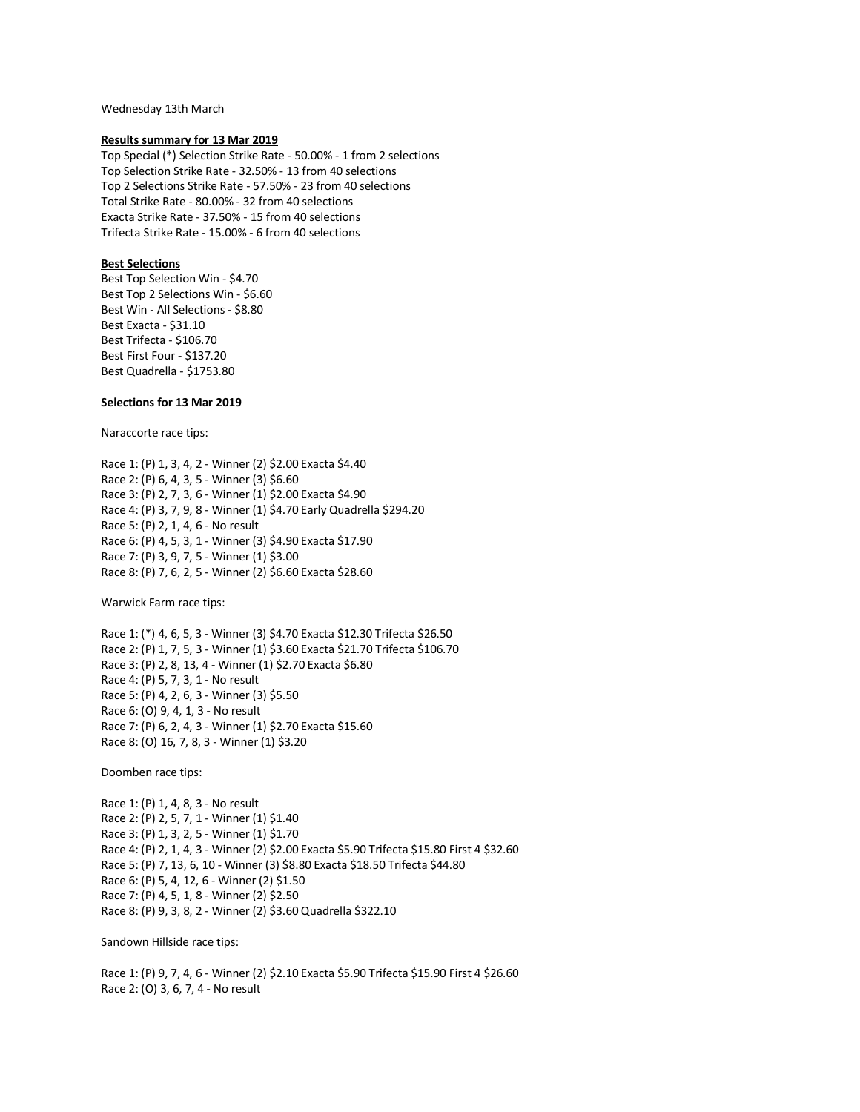Wednesday 13th March

### **Results summary for 13 Mar 2019**

Top Special (\*) Selection Strike Rate - 50.00% - 1 from 2 selections Top Selection Strike Rate - 32.50% - 13 from 40 selections Top 2 Selections Strike Rate - 57.50% - 23 from 40 selections Total Strike Rate - 80.00% - 32 from 40 selections Exacta Strike Rate - 37.50% - 15 from 40 selections Trifecta Strike Rate - 15.00% - 6 from 40 selections

# **Best Selections**

Best Top Selection Win - \$4.70 Best Top 2 Selections Win - \$6.60 Best Win - All Selections - \$8.80 Best Exacta - \$31.10 Best Trifecta - \$106.70 Best First Four - \$137.20 Best Quadrella - \$1753.80

# **Selections for 13 Mar 2019**

Naraccorte race tips:

Race 1: (P) 1, 3, 4, 2 - Winner (2) \$2.00 Exacta \$4.40 Race 2: (P) 6, 4, 3, 5 - Winner (3) \$6.60 Race 3: (P) 2, 7, 3, 6 - Winner (1) \$2.00 Exacta \$4.90 Race 4: (P) 3, 7, 9, 8 - Winner (1) \$4.70 Early Quadrella \$294.20 Race 5: (P) 2, 1, 4, 6 - No result Race 6: (P) 4, 5, 3, 1 - Winner (3) \$4.90 Exacta \$17.90 Race 7: (P) 3, 9, 7, 5 - Winner (1) \$3.00 Race 8: (P) 7, 6, 2, 5 - Winner (2) \$6.60 Exacta \$28.60

Warwick Farm race tips:

Race 1: (\*) 4, 6, 5, 3 - Winner (3) \$4.70 Exacta \$12.30 Trifecta \$26.50 Race 2: (P) 1, 7, 5, 3 - Winner (1) \$3.60 Exacta \$21.70 Trifecta \$106.70 Race 3: (P) 2, 8, 13, 4 - Winner (1) \$2.70 Exacta \$6.80 Race 4: (P) 5, 7, 3, 1 - No result Race 5: (P) 4, 2, 6, 3 - Winner (3) \$5.50 Race 6: (O) 9, 4, 1, 3 - No result Race 7: (P) 6, 2, 4, 3 - Winner (1) \$2.70 Exacta \$15.60 Race 8: (O) 16, 7, 8, 3 - Winner (1) \$3.20

Doomben race tips:

Race 1: (P) 1, 4, 8, 3 - No result Race 2: (P) 2, 5, 7, 1 - Winner (1) \$1.40 Race 3: (P) 1, 3, 2, 5 - Winner (1) \$1.70 Race 4: (P) 2, 1, 4, 3 - Winner (2) \$2.00 Exacta \$5.90 Trifecta \$15.80 First 4 \$32.60 Race 5: (P) 7, 13, 6, 10 - Winner (3) \$8.80 Exacta \$18.50 Trifecta \$44.80 Race 6: (P) 5, 4, 12, 6 - Winner (2) \$1.50 Race 7: (P) 4, 5, 1, 8 - Winner (2) \$2.50 Race 8: (P) 9, 3, 8, 2 - Winner (2) \$3.60 Quadrella \$322.10

Sandown Hillside race tips:

Race 1: (P) 9, 7, 4, 6 - Winner (2) \$2.10 Exacta \$5.90 Trifecta \$15.90 First 4 \$26.60 Race 2: (O) 3, 6, 7, 4 - No result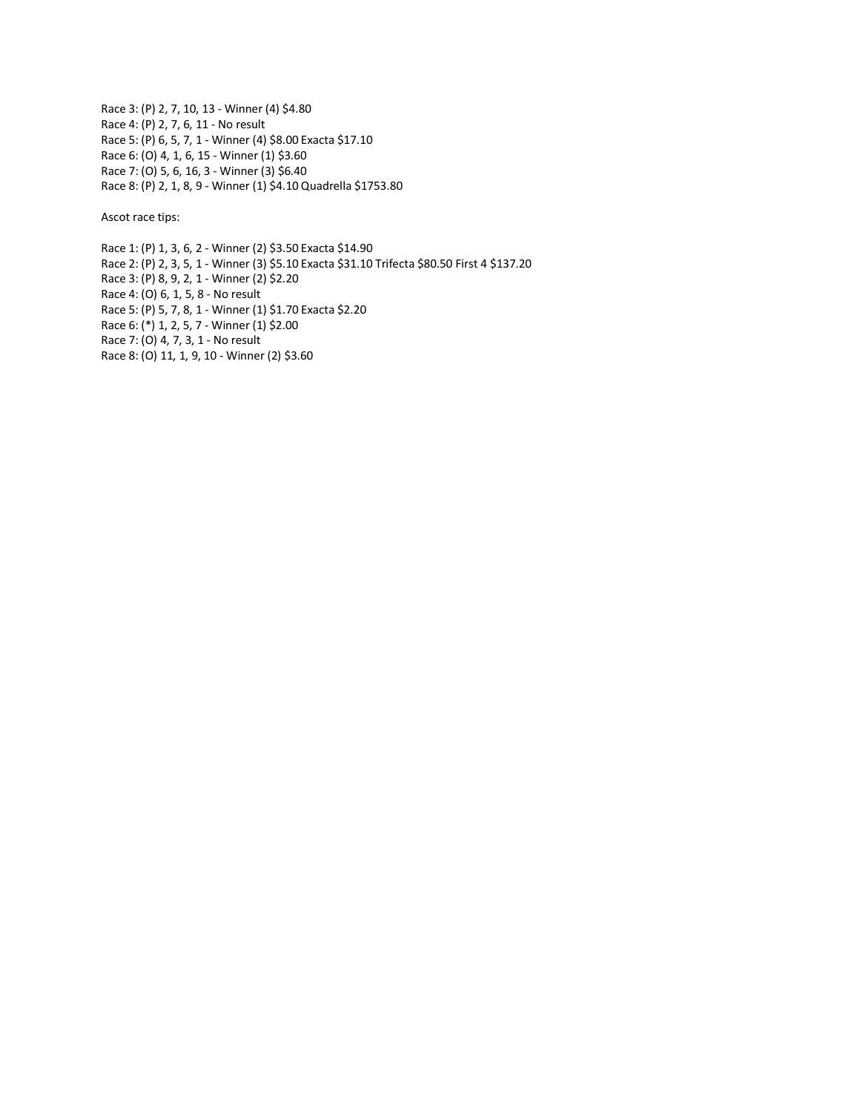Race 3: (P) 2, 7, 10, 13 - Winner (4) \$4.80 Race 4: (P) 2, 7, 6, 11 - No result Race 5: (P) 6, 5, 7, 1 - Winner (4) \$8.00 Exacta \$17.10 Race 6: (O) 4, 1, 6, 15 - Winner (1) \$3.60 Race 7: (O) 5, 6, 16, 3 - Winner (3) \$6.40 Race 8: (P) 2, 1, 8, 9 - Winner (1) \$4.10 Quadrella \$1753.80

Ascot race tips:

Race 1: (P) 1, 3, 6, 2 - Winner (2) \$3.50 Exacta \$14.90 Race 2: (P) 2, 3, 5, 1 - Winner (3) \$5.10 Exacta \$31.10 Trifecta \$80.50 First 4 \$137.20 Race 3: (P) 8, 9, 2, 1 - Winner (2) \$2.20 Race 4: (O) 6, 1, 5, 8 - No result Race 5: (P) 5, 7, 8, 1 - Winner (1) \$1.70 Exacta \$2.20 Race 6: (\*) 1, 2, 5, 7 - Winner (1) \$2.00 Race 7: (O) 4, 7, 3, 1 - No result Race 8: (O) 11, 1, 9, 10 - Winner (2) \$3.60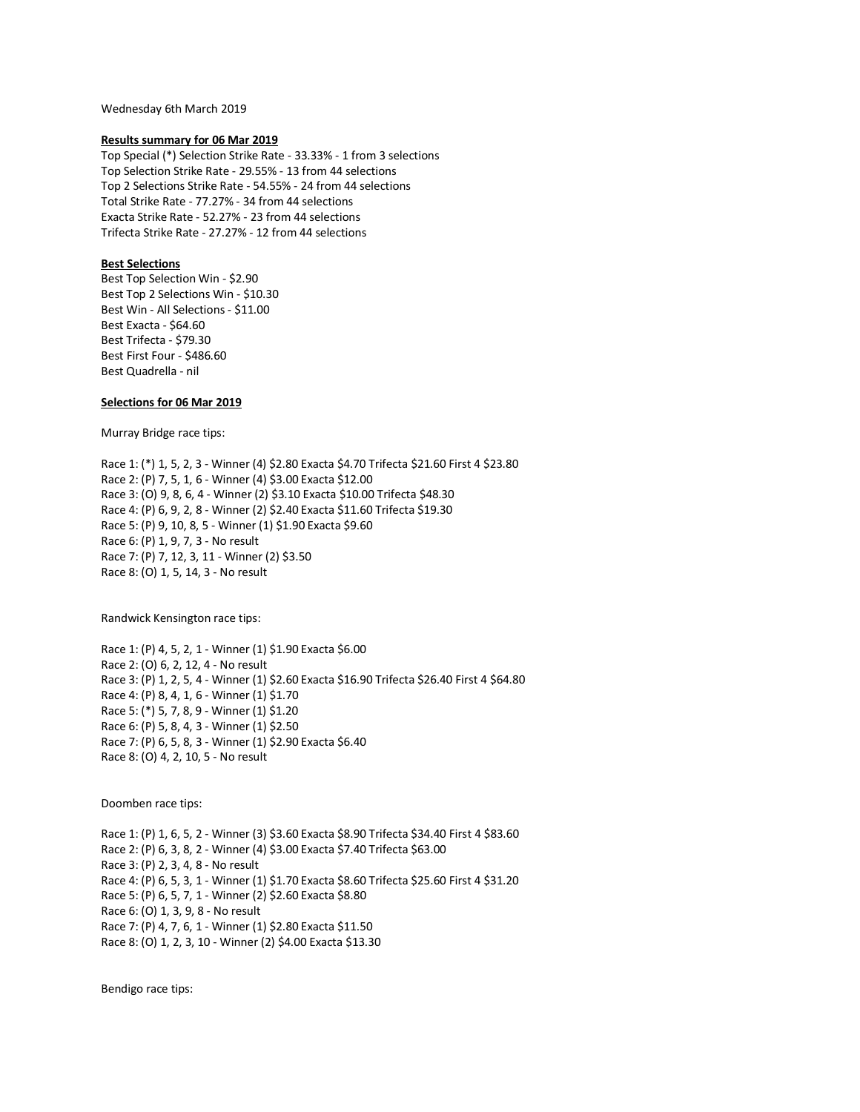Wednesday 6th March 2019

## **Results summary for 06 Mar 2019**

Top Special (\*) Selection Strike Rate - 33.33% - 1 from 3 selections Top Selection Strike Rate - 29.55% - 13 from 44 selections Top 2 Selections Strike Rate - 54.55% - 24 from 44 selections Total Strike Rate - 77.27% - 34 from 44 selections Exacta Strike Rate - 52.27% - 23 from 44 selections Trifecta Strike Rate - 27.27% - 12 from 44 selections

# **Best Selections**

Best Top Selection Win - \$2.90 Best Top 2 Selections Win - \$10.30 Best Win - All Selections - \$11.00 Best Exacta - \$64.60 Best Trifecta - \$79.30 Best First Four - \$486.60 Best Quadrella - nil

## **Selections for 06 Mar 2019**

Murray Bridge race tips:

Race 1: (\*) 1, 5, 2, 3 - Winner (4) \$2.80 Exacta \$4.70 Trifecta \$21.60 First 4 \$23.80 Race 2: (P) 7, 5, 1, 6 - Winner (4) \$3.00 Exacta \$12.00 Race 3: (O) 9, 8, 6, 4 - Winner (2) \$3.10 Exacta \$10.00 Trifecta \$48.30 Race 4: (P) 6, 9, 2, 8 - Winner (2) \$2.40 Exacta \$11.60 Trifecta \$19.30 Race 5: (P) 9, 10, 8, 5 - Winner (1) \$1.90 Exacta \$9.60 Race 6: (P) 1, 9, 7, 3 - No result Race 7: (P) 7, 12, 3, 11 - Winner (2) \$3.50 Race 8: (O) 1, 5, 14, 3 - No result

Randwick Kensington race tips:

Race 1: (P) 4, 5, 2, 1 - Winner (1) \$1.90 Exacta \$6.00 Race 2: (O) 6, 2, 12, 4 - No result Race 3: (P) 1, 2, 5, 4 - Winner (1) \$2.60 Exacta \$16.90 Trifecta \$26.40 First 4 \$64.80 Race 4: (P) 8, 4, 1, 6 - Winner (1) \$1.70 Race 5: (\*) 5, 7, 8, 9 - Winner (1) \$1.20 Race 6: (P) 5, 8, 4, 3 - Winner (1) \$2.50 Race 7: (P) 6, 5, 8, 3 - Winner (1) \$2.90 Exacta \$6.40 Race 8: (O) 4, 2, 10, 5 - No result

Doomben race tips:

Race 1: (P) 1, 6, 5, 2 - Winner (3) \$3.60 Exacta \$8.90 Trifecta \$34.40 First 4 \$83.60 Race 2: (P) 6, 3, 8, 2 - Winner (4) \$3.00 Exacta \$7.40 Trifecta \$63.00 Race 3: (P) 2, 3, 4, 8 - No result Race 4: (P) 6, 5, 3, 1 - Winner (1) \$1.70 Exacta \$8.60 Trifecta \$25.60 First 4 \$31.20 Race 5: (P) 6, 5, 7, 1 - Winner (2) \$2.60 Exacta \$8.80 Race 6: (O) 1, 3, 9, 8 - No result Race 7: (P) 4, 7, 6, 1 - Winner (1) \$2.80 Exacta \$11.50 Race 8: (O) 1, 2, 3, 10 - Winner (2) \$4.00 Exacta \$13.30

Bendigo race tips: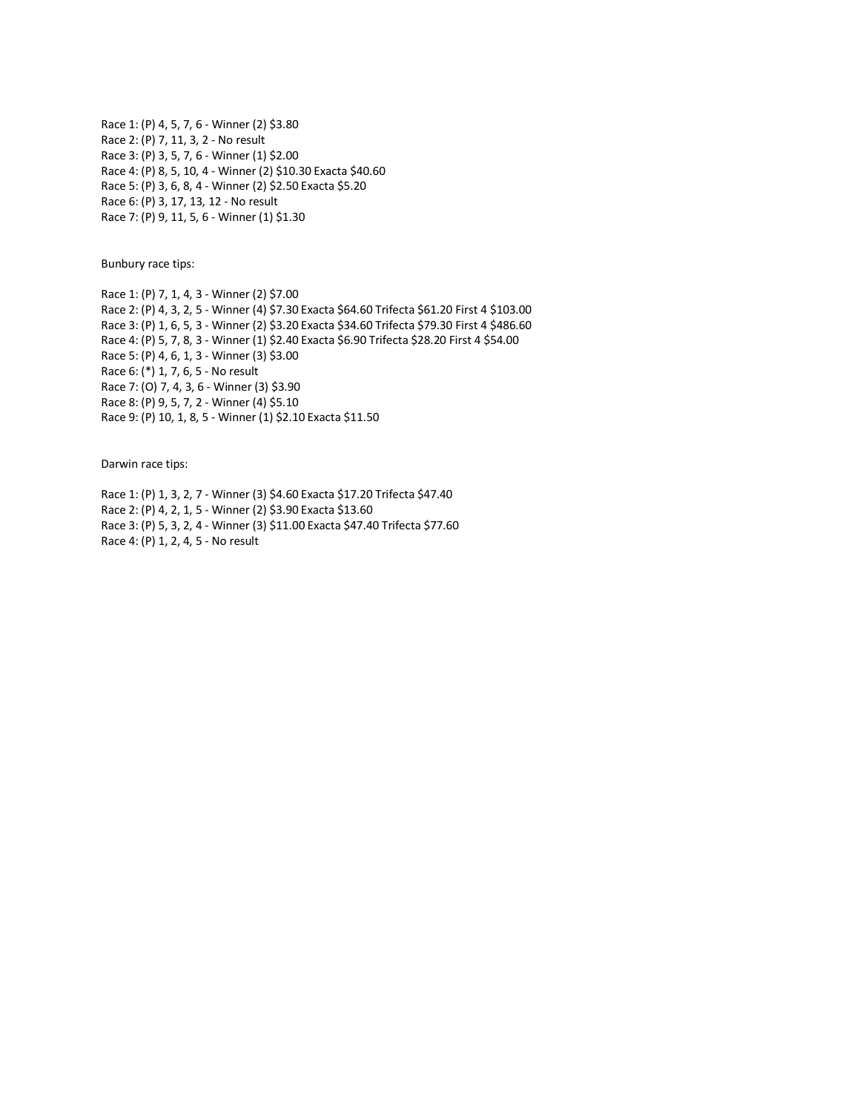Race 1: (P) 4, 5, 7, 6 - Winner (2) \$3.80 Race 2: (P) 7, 11, 3, 2 - No result Race 3: (P) 3, 5, 7, 6 - Winner (1) \$2.00 Race 4: (P) 8, 5, 10, 4 - Winner (2) \$10.30 Exacta \$40.60 Race 5: (P) 3, 6, 8, 4 - Winner (2) \$2.50 Exacta \$5.20 Race 6: (P) 3, 17, 13, 12 - No result Race 7: (P) 9, 11, 5, 6 - Winner (1) \$1.30

Bunbury race tips:

Race 1: (P) 7, 1, 4, 3 - Winner (2) \$7.00 Race 2: (P) 4, 3, 2, 5 - Winner (4) \$7.30 Exacta \$64.60 Trifecta \$61.20 First 4 \$103.00 Race 3: (P) 1, 6, 5, 3 - Winner (2) \$3.20 Exacta \$34.60 Trifecta \$79.30 First 4 \$486.60 Race 4: (P) 5, 7, 8, 3 - Winner (1) \$2.40 Exacta \$6.90 Trifecta \$28.20 First 4 \$54.00 Race 5: (P) 4, 6, 1, 3 - Winner (3) \$3.00 Race 6: (\*) 1, 7, 6, 5 - No result Race 7: (O) 7, 4, 3, 6 - Winner (3) \$3.90 Race 8: (P) 9, 5, 7, 2 - Winner (4) \$5.10 Race 9: (P) 10, 1, 8, 5 - Winner (1) \$2.10 Exacta \$11.50

Darwin race tips:

Race 1: (P) 1, 3, 2, 7 - Winner (3) \$4.60 Exacta \$17.20 Trifecta \$47.40 Race 2: (P) 4, 2, 1, 5 - Winner (2) \$3.90 Exacta \$13.60 Race 3: (P) 5, 3, 2, 4 - Winner (3) \$11.00 Exacta \$47.40 Trifecta \$77.60 Race 4: (P) 1, 2, 4, 5 - No result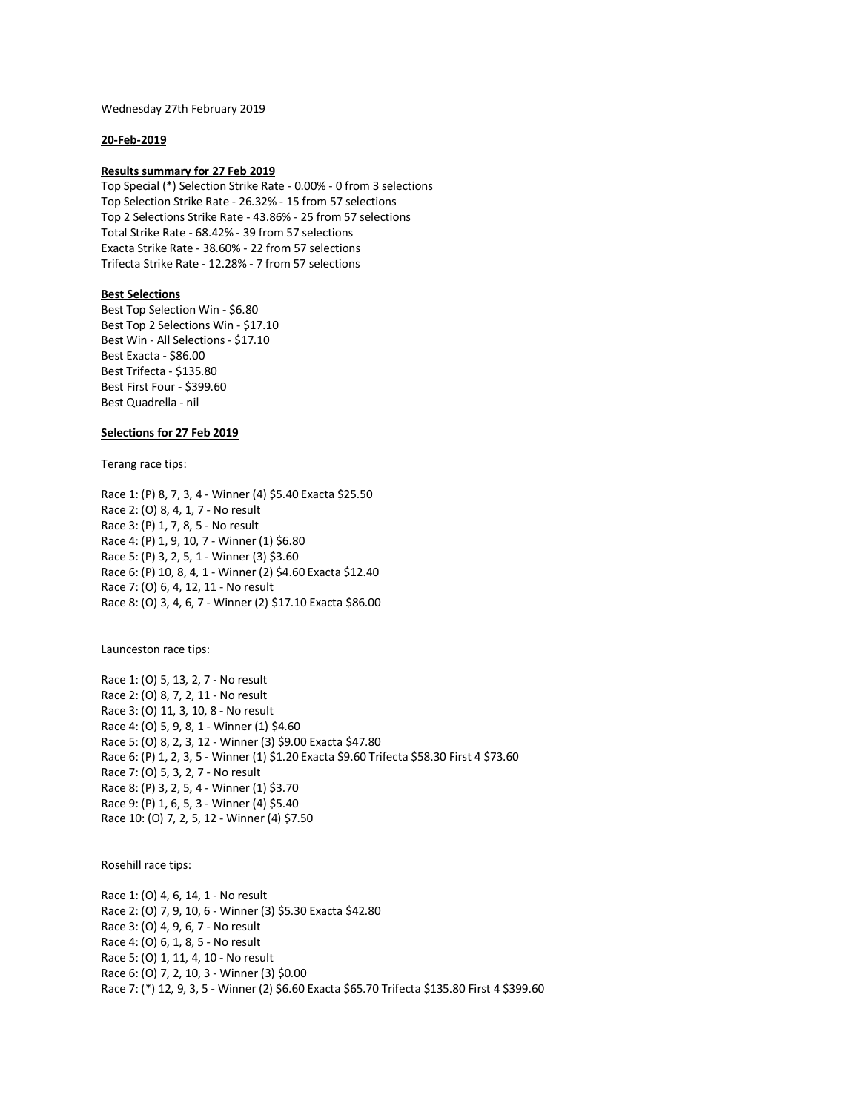Wednesday 27th February 2019

# **20-Feb-2019**

## **Results summary for 27 Feb 2019**

Top Special (\*) Selection Strike Rate - 0.00% - 0 from 3 selections Top Selection Strike Rate - 26.32% - 15 from 57 selections Top 2 Selections Strike Rate - 43.86% - 25 from 57 selections Total Strike Rate - 68.42% - 39 from 57 selections Exacta Strike Rate - 38.60% - 22 from 57 selections Trifecta Strike Rate - 12.28% - 7 from 57 selections

## **Best Selections**

Best Top Selection Win - \$6.80 Best Top 2 Selections Win - \$17.10 Best Win - All Selections - \$17.10 Best Exacta - \$86.00 Best Trifecta - \$135.80 Best First Four - \$399.60 Best Quadrella - nil

## **Selections for 27 Feb 2019**

Terang race tips:

Race 1: (P) 8, 7, 3, 4 - Winner (4) \$5.40 Exacta \$25.50 Race 2: (O) 8, 4, 1, 7 - No result Race 3: (P) 1, 7, 8, 5 - No result Race 4: (P) 1, 9, 10, 7 - Winner (1) \$6.80 Race 5: (P) 3, 2, 5, 1 - Winner (3) \$3.60 Race 6: (P) 10, 8, 4, 1 - Winner (2) \$4.60 Exacta \$12.40 Race 7: (O) 6, 4, 12, 11 - No result Race 8: (O) 3, 4, 6, 7 - Winner (2) \$17.10 Exacta \$86.00

Launceston race tips:

Race 1: (O) 5, 13, 2, 7 - No result Race 2: (O) 8, 7, 2, 11 - No result Race 3: (O) 11, 3, 10, 8 - No result Race 4: (O) 5, 9, 8, 1 - Winner (1) \$4.60 Race 5: (O) 8, 2, 3, 12 - Winner (3) \$9.00 Exacta \$47.80 Race 6: (P) 1, 2, 3, 5 - Winner (1) \$1.20 Exacta \$9.60 Trifecta \$58.30 First 4 \$73.60 Race 7: (O) 5, 3, 2, 7 - No result Race 8: (P) 3, 2, 5, 4 - Winner (1) \$3.70 Race 9: (P) 1, 6, 5, 3 - Winner (4) \$5.40 Race 10: (O) 7, 2, 5, 12 - Winner (4) \$7.50

Rosehill race tips:

Race 1: (O) 4, 6, 14, 1 - No result Race 2: (O) 7, 9, 10, 6 - Winner (3) \$5.30 Exacta \$42.80 Race 3: (O) 4, 9, 6, 7 - No result Race 4: (O) 6, 1, 8, 5 - No result Race 5: (O) 1, 11, 4, 10 - No result Race 6: (O) 7, 2, 10, 3 - Winner (3) \$0.00 Race 7: (\*) 12, 9, 3, 5 - Winner (2) \$6.60 Exacta \$65.70 Trifecta \$135.80 First 4 \$399.60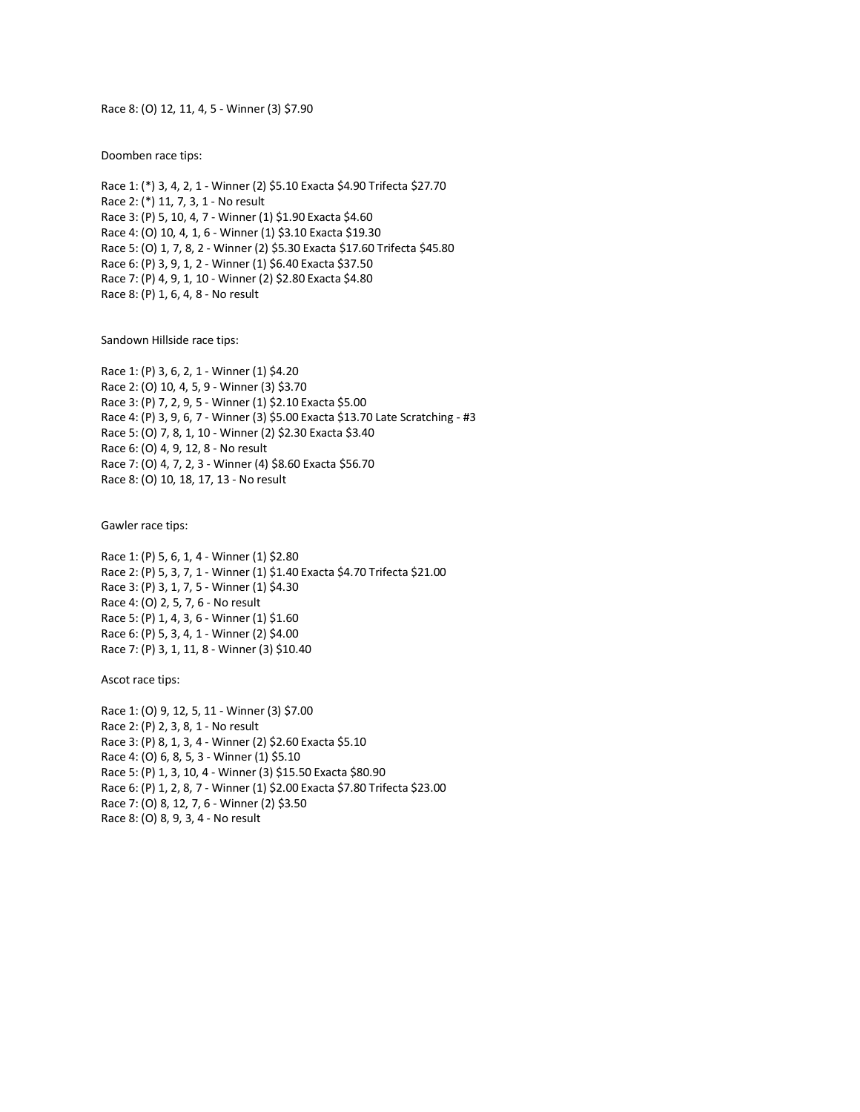Race 8: (O) 12, 11, 4, 5 - Winner (3) \$7.90

Doomben race tips:

Race 1: (\*) 3, 4, 2, 1 - Winner (2) \$5.10 Exacta \$4.90 Trifecta \$27.70 Race 2: (\*) 11, 7, 3, 1 - No result Race 3: (P) 5, 10, 4, 7 - Winner (1) \$1.90 Exacta \$4.60 Race 4: (O) 10, 4, 1, 6 - Winner (1) \$3.10 Exacta \$19.30 Race 5: (O) 1, 7, 8, 2 - Winner (2) \$5.30 Exacta \$17.60 Trifecta \$45.80 Race 6: (P) 3, 9, 1, 2 - Winner (1) \$6.40 Exacta \$37.50 Race 7: (P) 4, 9, 1, 10 - Winner (2) \$2.80 Exacta \$4.80 Race 8: (P) 1, 6, 4, 8 - No result

Sandown Hillside race tips:

Race 1: (P) 3, 6, 2, 1 - Winner (1) \$4.20 Race 2: (O) 10, 4, 5, 9 - Winner (3) \$3.70 Race 3: (P) 7, 2, 9, 5 - Winner (1) \$2.10 Exacta \$5.00 Race 4: (P) 3, 9, 6, 7 - Winner (3) \$5.00 Exacta \$13.70 Late Scratching - #3 Race 5: (O) 7, 8, 1, 10 - Winner (2) \$2.30 Exacta \$3.40 Race 6: (O) 4, 9, 12, 8 - No result Race 7: (O) 4, 7, 2, 3 - Winner (4) \$8.60 Exacta \$56.70 Race 8: (O) 10, 18, 17, 13 - No result

Gawler race tips:

Race 1: (P) 5, 6, 1, 4 - Winner (1) \$2.80 Race 2: (P) 5, 3, 7, 1 - Winner (1) \$1.40 Exacta \$4.70 Trifecta \$21.00 Race 3: (P) 3, 1, 7, 5 - Winner (1) \$4.30 Race 4: (O) 2, 5, 7, 6 - No result Race 5: (P) 1, 4, 3, 6 - Winner (1) \$1.60 Race 6: (P) 5, 3, 4, 1 - Winner (2) \$4.00 Race 7: (P) 3, 1, 11, 8 - Winner (3) \$10.40

Ascot race tips:

Race 1: (O) 9, 12, 5, 11 - Winner (3) \$7.00 Race 2: (P) 2, 3, 8, 1 - No result Race 3: (P) 8, 1, 3, 4 - Winner (2) \$2.60 Exacta \$5.10 Race 4: (O) 6, 8, 5, 3 - Winner (1) \$5.10 Race 5: (P) 1, 3, 10, 4 - Winner (3) \$15.50 Exacta \$80.90 Race 6: (P) 1, 2, 8, 7 - Winner (1) \$2.00 Exacta \$7.80 Trifecta \$23.00 Race 7: (O) 8, 12, 7, 6 - Winner (2) \$3.50 Race 8: (O) 8, 9, 3, 4 - No result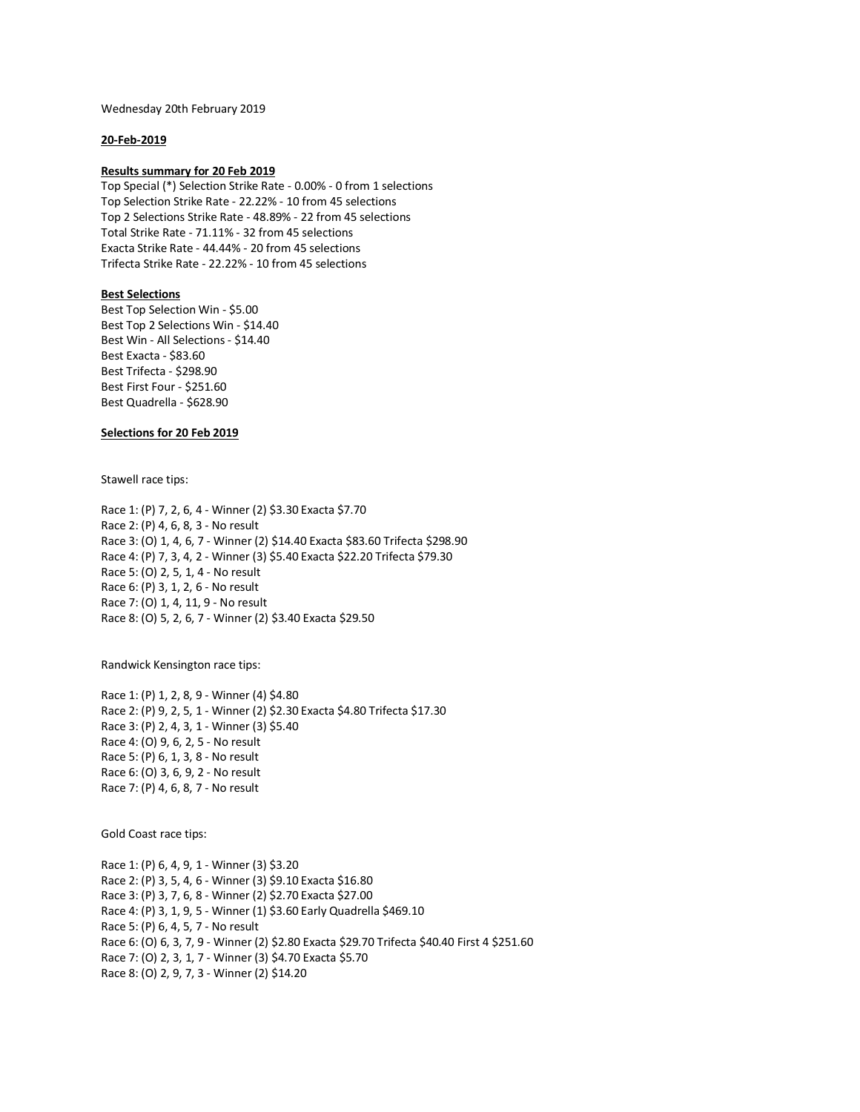Wednesday 20th February 2019

# **20-Feb-2019**

# **Results summary for 20 Feb 2019**

Top Special (\*) Selection Strike Rate - 0.00% - 0 from 1 selections Top Selection Strike Rate - 22.22% - 10 from 45 selections Top 2 Selections Strike Rate - 48.89% - 22 from 45 selections Total Strike Rate - 71.11% - 32 from 45 selections Exacta Strike Rate - 44.44% - 20 from 45 selections Trifecta Strike Rate - 22.22% - 10 from 45 selections

## **Best Selections**

Best Top Selection Win - \$5.00 Best Top 2 Selections Win - \$14.40 Best Win - All Selections - \$14.40 Best Exacta - \$83.60 Best Trifecta - \$298.90 Best First Four - \$251.60 Best Quadrella - \$628.90

## **Selections for 20 Feb 2019**

Stawell race tips:

Race 1: (P) 7, 2, 6, 4 - Winner (2) \$3.30 Exacta \$7.70 Race 2: (P) 4, 6, 8, 3 - No result Race 3: (O) 1, 4, 6, 7 - Winner (2) \$14.40 Exacta \$83.60 Trifecta \$298.90 Race 4: (P) 7, 3, 4, 2 - Winner (3) \$5.40 Exacta \$22.20 Trifecta \$79.30 Race 5: (O) 2, 5, 1, 4 - No result Race 6: (P) 3, 1, 2, 6 - No result Race 7: (O) 1, 4, 11, 9 - No result Race 8: (O) 5, 2, 6, 7 - Winner (2) \$3.40 Exacta \$29.50

Randwick Kensington race tips:

Race 1: (P) 1, 2, 8, 9 - Winner (4) \$4.80 Race 2: (P) 9, 2, 5, 1 - Winner (2) \$2.30 Exacta \$4.80 Trifecta \$17.30 Race 3: (P) 2, 4, 3, 1 - Winner (3) \$5.40 Race 4: (O) 9, 6, 2, 5 - No result Race 5: (P) 6, 1, 3, 8 - No result Race 6: (O) 3, 6, 9, 2 - No result Race 7: (P) 4, 6, 8, 7 - No result

Gold Coast race tips:

Race 1: (P) 6, 4, 9, 1 - Winner (3) \$3.20 Race 2: (P) 3, 5, 4, 6 - Winner (3) \$9.10 Exacta \$16.80 Race 3: (P) 3, 7, 6, 8 - Winner (2) \$2.70 Exacta \$27.00 Race 4: (P) 3, 1, 9, 5 - Winner (1) \$3.60 Early Quadrella \$469.10 Race 5: (P) 6, 4, 5, 7 - No result Race 6: (O) 6, 3, 7, 9 - Winner (2) \$2.80 Exacta \$29.70 Trifecta \$40.40 First 4 \$251.60 Race 7: (O) 2, 3, 1, 7 - Winner (3) \$4.70 Exacta \$5.70 Race 8: (O) 2, 9, 7, 3 - Winner (2) \$14.20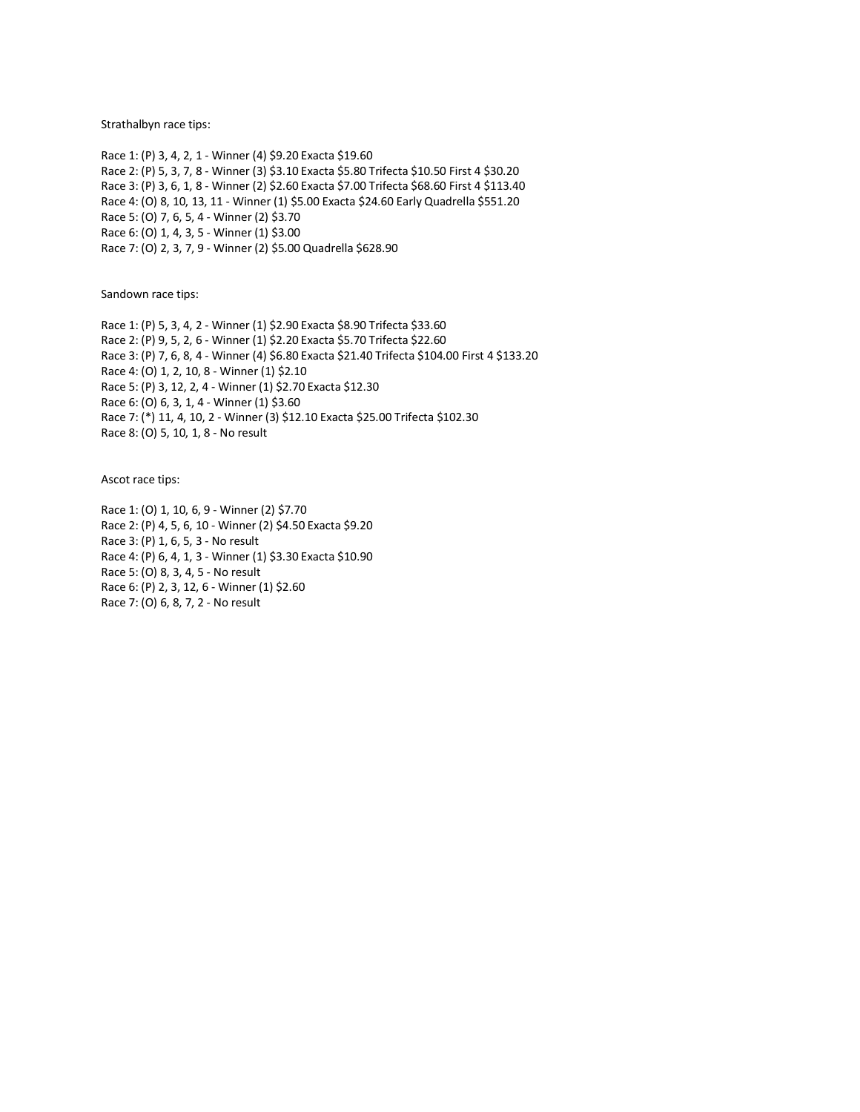Strathalbyn race tips:

Race 1: (P) 3, 4, 2, 1 - Winner (4) \$9.20 Exacta \$19.60 Race 2: (P) 5, 3, 7, 8 - Winner (3) \$3.10 Exacta \$5.80 Trifecta \$10.50 First 4 \$30.20 Race 3: (P) 3, 6, 1, 8 - Winner (2) \$2.60 Exacta \$7.00 Trifecta \$68.60 First 4 \$113.40 Race 4: (O) 8, 10, 13, 11 - Winner (1) \$5.00 Exacta \$24.60 Early Quadrella \$551.20 Race 5: (O) 7, 6, 5, 4 - Winner (2) \$3.70 Race 6: (O) 1, 4, 3, 5 - Winner (1) \$3.00 Race 7: (O) 2, 3, 7, 9 - Winner (2) \$5.00 Quadrella \$628.90

Sandown race tips:

Race 1: (P) 5, 3, 4, 2 - Winner (1) \$2.90 Exacta \$8.90 Trifecta \$33.60 Race 2: (P) 9, 5, 2, 6 - Winner (1) \$2.20 Exacta \$5.70 Trifecta \$22.60 Race 3: (P) 7, 6, 8, 4 - Winner (4) \$6.80 Exacta \$21.40 Trifecta \$104.00 First 4 \$133.20 Race 4: (O) 1, 2, 10, 8 - Winner (1) \$2.10 Race 5: (P) 3, 12, 2, 4 - Winner (1) \$2.70 Exacta \$12.30 Race 6: (O) 6, 3, 1, 4 - Winner (1) \$3.60 Race 7: (\*) 11, 4, 10, 2 - Winner (3) \$12.10 Exacta \$25.00 Trifecta \$102.30 Race 8: (O) 5, 10, 1, 8 - No result

Ascot race tips:

Race 1: (O) 1, 10, 6, 9 - Winner (2) \$7.70 Race 2: (P) 4, 5, 6, 10 - Winner (2) \$4.50 Exacta \$9.20 Race 3: (P) 1, 6, 5, 3 - No result Race 4: (P) 6, 4, 1, 3 - Winner (1) \$3.30 Exacta \$10.90 Race 5: (O) 8, 3, 4, 5 - No result Race 6: (P) 2, 3, 12, 6 - Winner (1) \$2.60 Race 7: (O) 6, 8, 7, 2 - No result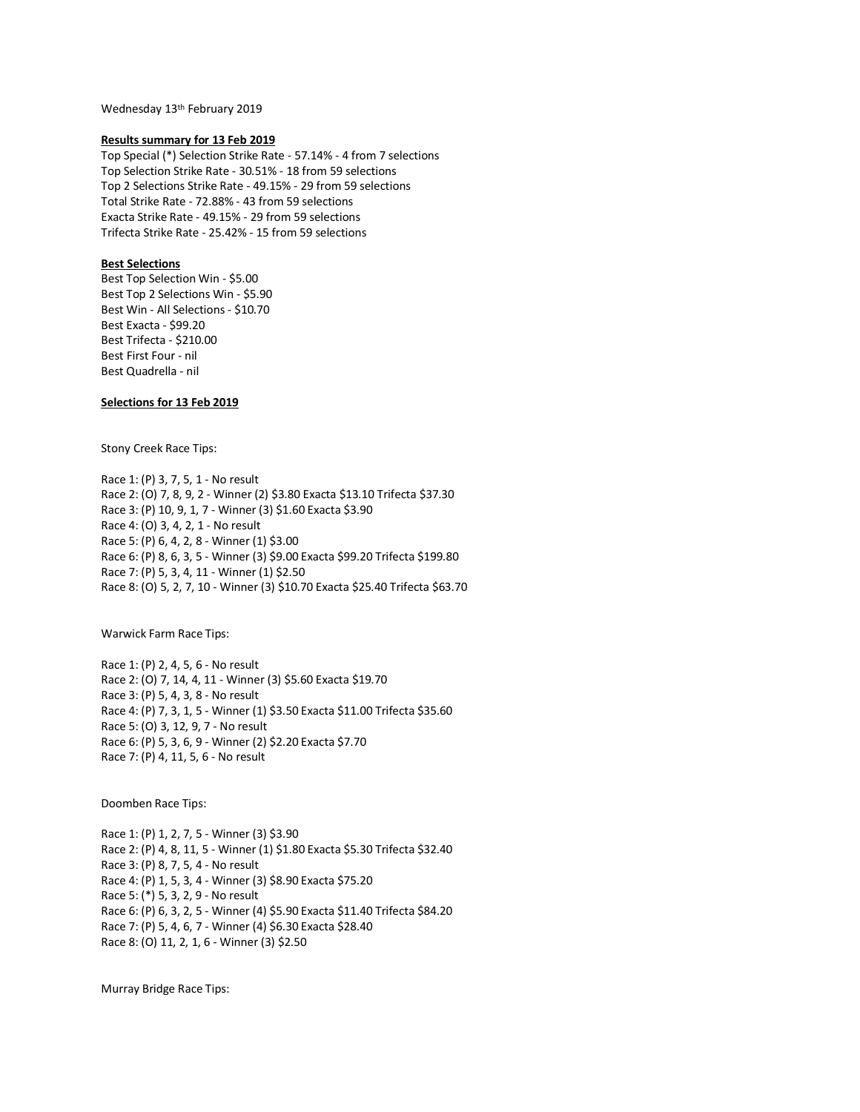Wednesday 13th February 2019

## **Results summary for 13 Feb 2019**

Top Special (\*) Selection Strike Rate - 57.14% - 4 from 7 selections Top Selection Strike Rate - 30.51% - 18 from 59 selections Top 2 Selections Strike Rate - 49.15% - 29 from 59 selections Total Strike Rate - 72.88% - 43 from 59 selections Exacta Strike Rate - 49.15% - 29 from 59 selections Trifecta Strike Rate - 25.42% - 15 from 59 selections

# **Best Selections**

Best Top Selection Win - \$5.00 Best Top 2 Selections Win - \$5.90 Best Win - All Selections - \$10.70 Best Exacta - \$99.20 Best Trifecta - \$210.00 Best First Four - nil Best Quadrella - nil

# **Selections for 13 Feb 2019**

Stony Creek Race Tips:

Race 1: (P) 3, 7, 5, 1 - No result Race 2: (O) 7, 8, 9, 2 - Winner (2) \$3.80 Exacta \$13.10 Trifecta \$37.30 Race 3: (P) 10, 9, 1, 7 - Winner (3) \$1.60 Exacta \$3.90 Race 4: (O) 3, 4, 2, 1 - No result Race 5: (P) 6, 4, 2, 8 - Winner (1) \$3.00 Race 6: (P) 8, 6, 3, 5 - Winner (3) \$9.00 Exacta \$99.20 Trifecta \$199.80 Race 7: (P) 5, 3, 4, 11 - Winner (1) \$2.50 Race 8: (O) 5, 2, 7, 10 - Winner (3) \$10.70 Exacta \$25.40 Trifecta \$63.70

Warwick Farm Race Tips:

Race 1: (P) 2, 4, 5, 6 - No result Race 2: (O) 7, 14, 4, 11 - Winner (3) \$5.60 Exacta \$19.70 Race 3: (P) 5, 4, 3, 8 - No result Race 4: (P) 7, 3, 1, 5 - Winner (1) \$3.50 Exacta \$11.00 Trifecta \$35.60 Race 5: (O) 3, 12, 9, 7 - No result Race 6: (P) 5, 3, 6, 9 - Winner (2) \$2.20 Exacta \$7.70 Race 7: (P) 4, 11, 5, 6 - No result

Doomben Race Tips:

Race 1: (P) 1, 2, 7, 5 - Winner (3) \$3.90 Race 2: (P) 4, 8, 11, 5 - Winner (1) \$1.80 Exacta \$5.30 Trifecta \$32.40 Race 3: (P) 8, 7, 5, 4 - No result Race 4: (P) 1, 5, 3, 4 - Winner (3) \$8.90 Exacta \$75.20 Race 5: (\*) 5, 3, 2, 9 - No result Race 6: (P) 6, 3, 2, 5 - Winner (4) \$5.90 Exacta \$11.40 Trifecta \$84.20 Race 7: (P) 5, 4, 6, 7 - Winner (4) \$6.30 Exacta \$28.40 Race 8: (O) 11, 2, 1, 6 - Winner (3) \$2.50

Murray Bridge Race Tips: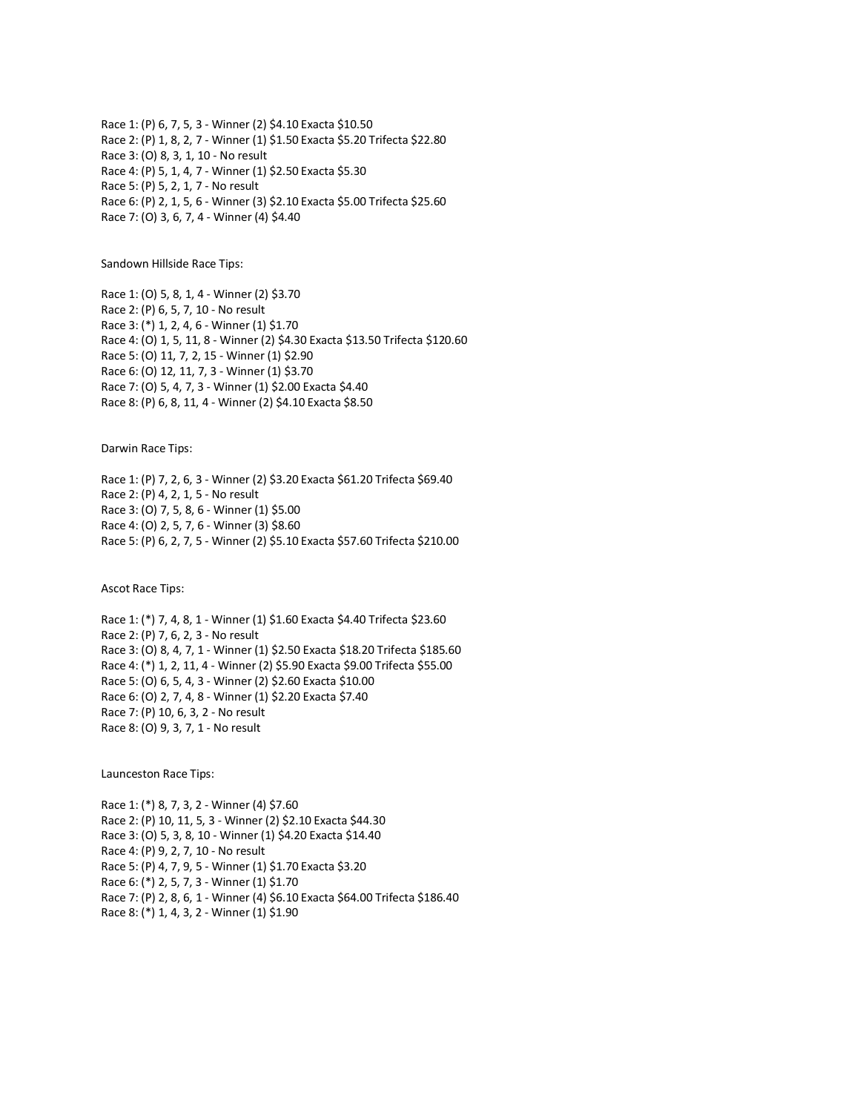Race 1: (P) 6, 7, 5, 3 - Winner (2) \$4.10 Exacta \$10.50 Race 2: (P) 1, 8, 2, 7 - Winner (1) \$1.50 Exacta \$5.20 Trifecta \$22.80 Race 3: (O) 8, 3, 1, 10 - No result Race 4: (P) 5, 1, 4, 7 - Winner (1) \$2.50 Exacta \$5.30 Race 5: (P) 5, 2, 1, 7 - No result Race 6: (P) 2, 1, 5, 6 - Winner (3) \$2.10 Exacta \$5.00 Trifecta \$25.60 Race 7: (O) 3, 6, 7, 4 - Winner (4) \$4.40

Sandown Hillside Race Tips:

Race 1: (O) 5, 8, 1, 4 - Winner (2) \$3.70 Race 2: (P) 6, 5, 7, 10 - No result Race 3: (\*) 1, 2, 4, 6 - Winner (1) \$1.70 Race 4: (O) 1, 5, 11, 8 - Winner (2) \$4.30 Exacta \$13.50 Trifecta \$120.60 Race 5: (O) 11, 7, 2, 15 - Winner (1) \$2.90 Race 6: (O) 12, 11, 7, 3 - Winner (1) \$3.70 Race 7: (O) 5, 4, 7, 3 - Winner (1) \$2.00 Exacta \$4.40 Race 8: (P) 6, 8, 11, 4 - Winner (2) \$4.10 Exacta \$8.50

Darwin Race Tips:

Race 1: (P) 7, 2, 6, 3 - Winner (2) \$3.20 Exacta \$61.20 Trifecta \$69.40 Race 2: (P) 4, 2, 1, 5 - No result Race 3: (O) 7, 5, 8, 6 - Winner (1) \$5.00 Race 4: (O) 2, 5, 7, 6 - Winner (3) \$8.60 Race 5: (P) 6, 2, 7, 5 - Winner (2) \$5.10 Exacta \$57.60 Trifecta \$210.00

Ascot Race Tips:

Race 1: (\*) 7, 4, 8, 1 - Winner (1) \$1.60 Exacta \$4.40 Trifecta \$23.60 Race 2: (P) 7, 6, 2, 3 - No result Race 3: (O) 8, 4, 7, 1 - Winner (1) \$2.50 Exacta \$18.20 Trifecta \$185.60 Race 4: (\*) 1, 2, 11, 4 - Winner (2) \$5.90 Exacta \$9.00 Trifecta \$55.00 Race 5: (O) 6, 5, 4, 3 - Winner (2) \$2.60 Exacta \$10.00 Race 6: (O) 2, 7, 4, 8 - Winner (1) \$2.20 Exacta \$7.40 Race 7: (P) 10, 6, 3, 2 - No result Race 8: (O) 9, 3, 7, 1 - No result

Launceston Race Tips:

Race 1: (\*) 8, 7, 3, 2 - Winner (4) \$7.60 Race 2: (P) 10, 11, 5, 3 - Winner (2) \$2.10 Exacta \$44.30 Race 3: (O) 5, 3, 8, 10 - Winner (1) \$4.20 Exacta \$14.40 Race 4: (P) 9, 2, 7, 10 - No result Race 5: (P) 4, 7, 9, 5 - Winner (1) \$1.70 Exacta \$3.20 Race 6: (\*) 2, 5, 7, 3 - Winner (1) \$1.70 Race 7: (P) 2, 8, 6, 1 - Winner (4) \$6.10 Exacta \$64.00 Trifecta \$186.40 Race 8: (\*) 1, 4, 3, 2 - Winner (1) \$1.90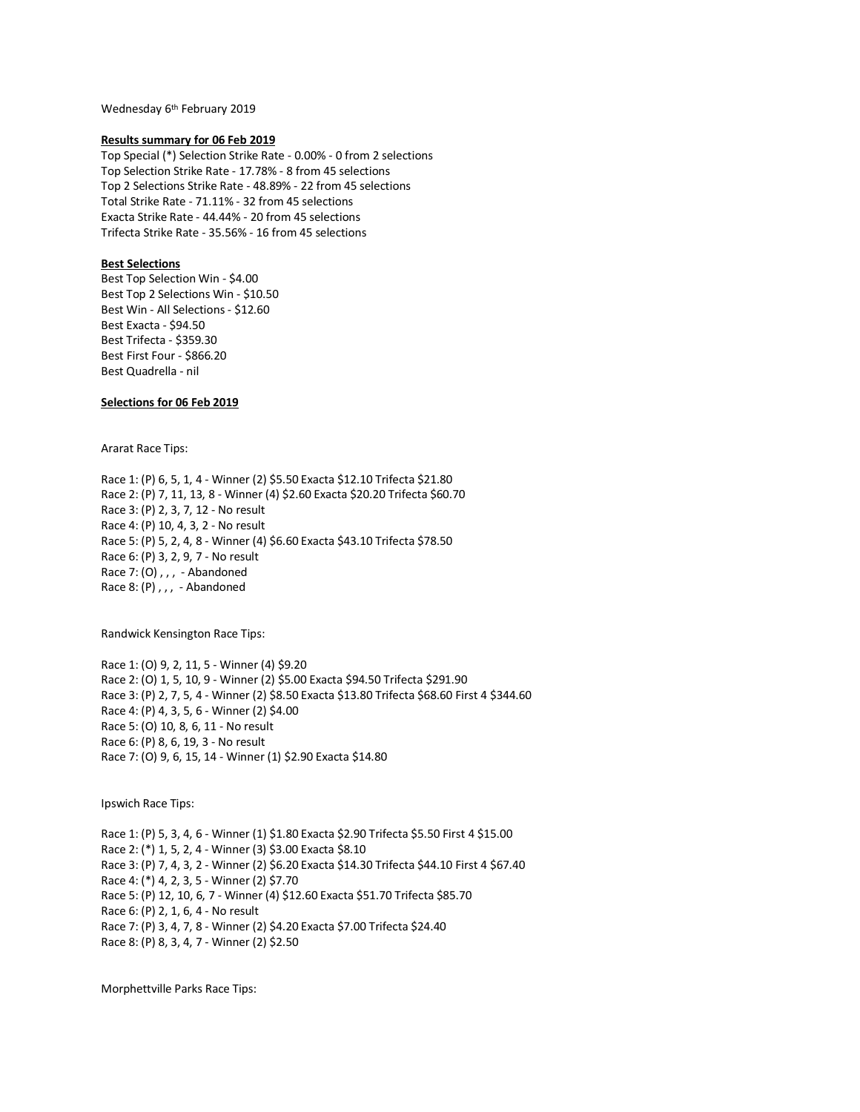Wednesday 6th February 2019

#### **Results summary for 06 Feb 2019**

Top Special (\*) Selection Strike Rate - 0.00% - 0 from 2 selections Top Selection Strike Rate - 17.78% - 8 from 45 selections Top 2 Selections Strike Rate - 48.89% - 22 from 45 selections Total Strike Rate - 71.11% - 32 from 45 selections Exacta Strike Rate - 44.44% - 20 from 45 selections Trifecta Strike Rate - 35.56% - 16 from 45 selections

# **Best Selections**

Best Top Selection Win - \$4.00 Best Top 2 Selections Win - \$10.50 Best Win - All Selections - \$12.60 Best Exacta - \$94.50 Best Trifecta - \$359.30 Best First Four - \$866.20 Best Quadrella - nil

# **Selections for 06 Feb 2019**

Ararat Race Tips:

Race 1: (P) 6, 5, 1, 4 - Winner (2) \$5.50 Exacta \$12.10 Trifecta \$21.80 Race 2: (P) 7, 11, 13, 8 - Winner (4) \$2.60 Exacta \$20.20 Trifecta \$60.70 Race 3: (P) 2, 3, 7, 12 - No result Race 4: (P) 10, 4, 3, 2 - No result Race 5: (P) 5, 2, 4, 8 - Winner (4) \$6.60 Exacta \$43.10 Trifecta \$78.50 Race 6: (P) 3, 2, 9, 7 - No result Race 7: (O) , , , - Abandoned Race 8: (P),,, - Abandoned

Randwick Kensington Race Tips:

Race 1: (O) 9, 2, 11, 5 - Winner (4) \$9.20 Race 2: (O) 1, 5, 10, 9 - Winner (2) \$5.00 Exacta \$94.50 Trifecta \$291.90 Race 3: (P) 2, 7, 5, 4 - Winner (2) \$8.50 Exacta \$13.80 Trifecta \$68.60 First 4 \$344.60 Race 4: (P) 4, 3, 5, 6 - Winner (2) \$4.00 Race 5: (O) 10, 8, 6, 11 - No result Race 6: (P) 8, 6, 19, 3 - No result Race 7: (O) 9, 6, 15, 14 - Winner (1) \$2.90 Exacta \$14.80

Ipswich Race Tips:

Race 1: (P) 5, 3, 4, 6 - Winner (1) \$1.80 Exacta \$2.90 Trifecta \$5.50 First 4 \$15.00 Race 2: (\*) 1, 5, 2, 4 - Winner (3) \$3.00 Exacta \$8.10 Race 3: (P) 7, 4, 3, 2 - Winner (2) \$6.20 Exacta \$14.30 Trifecta \$44.10 First 4 \$67.40 Race 4: (\*) 4, 2, 3, 5 - Winner (2) \$7.70 Race 5: (P) 12, 10, 6, 7 - Winner (4) \$12.60 Exacta \$51.70 Trifecta \$85.70 Race 6: (P) 2, 1, 6, 4 - No result Race 7: (P) 3, 4, 7, 8 - Winner (2) \$4.20 Exacta \$7.00 Trifecta \$24.40 Race 8: (P) 8, 3, 4, 7 - Winner (2) \$2.50

Morphettville Parks Race Tips: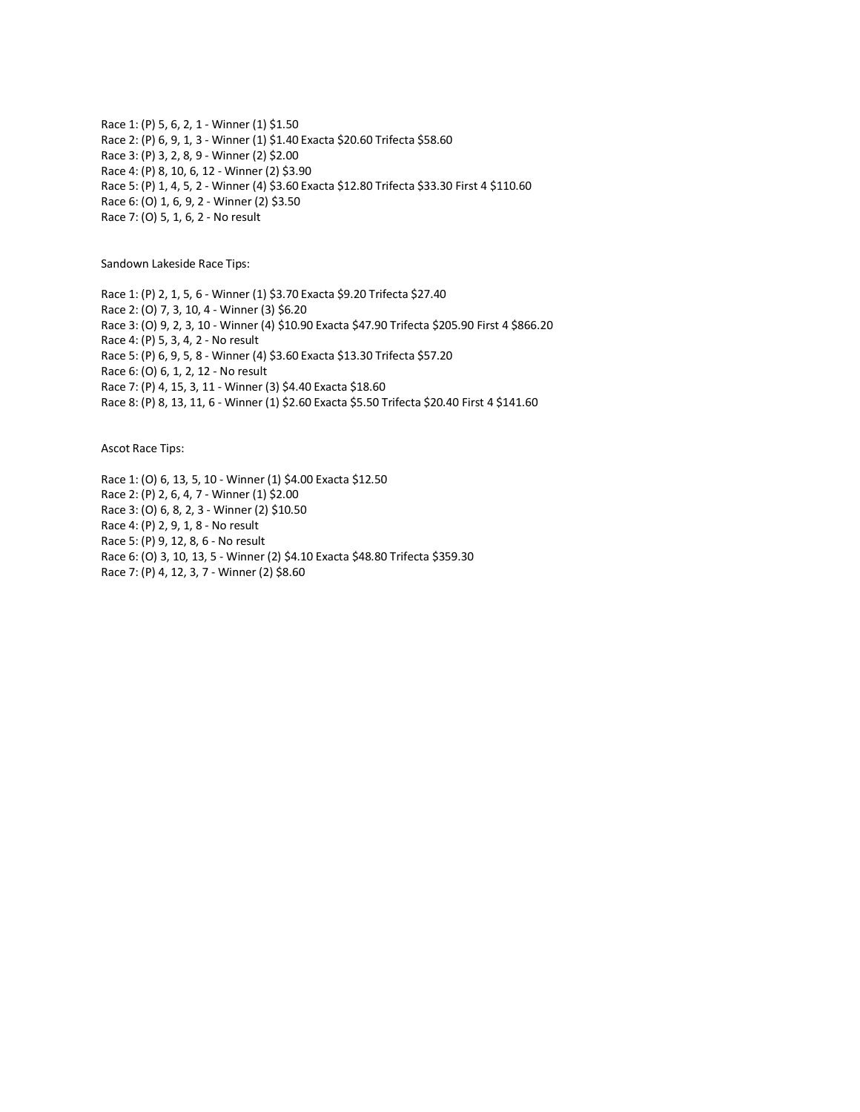Race 1: (P) 5, 6, 2, 1 - Winner (1) \$1.50 Race 2: (P) 6, 9, 1, 3 - Winner (1) \$1.40 Exacta \$20.60 Trifecta \$58.60 Race 3: (P) 3, 2, 8, 9 - Winner (2) \$2.00 Race 4: (P) 8, 10, 6, 12 - Winner (2) \$3.90 Race 5: (P) 1, 4, 5, 2 - Winner (4) \$3.60 Exacta \$12.80 Trifecta \$33.30 First 4 \$110.60 Race 6: (O) 1, 6, 9, 2 - Winner (2) \$3.50 Race 7: (O) 5, 1, 6, 2 - No result

Sandown Lakeside Race Tips:

Race 1: (P) 2, 1, 5, 6 - Winner (1) \$3.70 Exacta \$9.20 Trifecta \$27.40 Race 2: (O) 7, 3, 10, 4 - Winner (3) \$6.20 Race 3: (O) 9, 2, 3, 10 - Winner (4) \$10.90 Exacta \$47.90 Trifecta \$205.90 First 4 \$866.20 Race 4: (P) 5, 3, 4, 2 - No result Race 5: (P) 6, 9, 5, 8 - Winner (4) \$3.60 Exacta \$13.30 Trifecta \$57.20 Race 6: (O) 6, 1, 2, 12 - No result Race 7: (P) 4, 15, 3, 11 - Winner (3) \$4.40 Exacta \$18.60 Race 8: (P) 8, 13, 11, 6 - Winner (1) \$2.60 Exacta \$5.50 Trifecta \$20.40 First 4 \$141.60

Ascot Race Tips:

Race 1: (O) 6, 13, 5, 10 - Winner (1) \$4.00 Exacta \$12.50 Race 2: (P) 2, 6, 4, 7 - Winner (1) \$2.00 Race 3: (O) 6, 8, 2, 3 - Winner (2) \$10.50 Race 4: (P) 2, 9, 1, 8 - No result Race 5: (P) 9, 12, 8, 6 - No result Race 6: (O) 3, 10, 13, 5 - Winner (2) \$4.10 Exacta \$48.80 Trifecta \$359.30 Race 7: (P) 4, 12, 3, 7 - Winner (2) \$8.60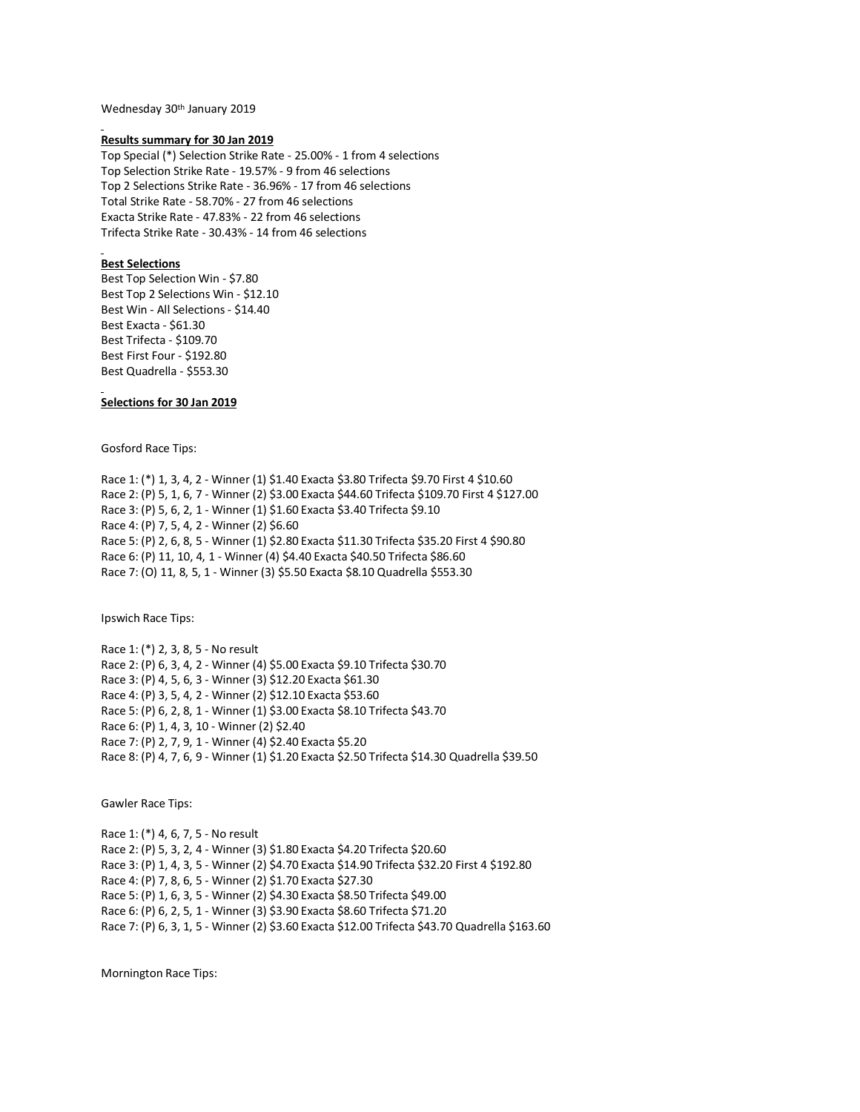Wednesday 30th January 2019

#### **Results summary for 30 Jan 2019**

Top Special (\*) Selection Strike Rate - 25.00% - 1 from 4 selections Top Selection Strike Rate - 19.57% - 9 from 46 selections Top 2 Selections Strike Rate - 36.96% - 17 from 46 selections Total Strike Rate - 58.70% - 27 from 46 selections Exacta Strike Rate - 47.83% - 22 from 46 selections Trifecta Strike Rate - 30.43% - 14 from 46 selections

### **Best Selections**

Best Top Selection Win - \$7.80 Best Top 2 Selections Win - \$12.10 Best Win - All Selections - \$14.40 Best Exacta - \$61.30 Best Trifecta - \$109.70 Best First Four - \$192.80 Best Quadrella - \$553.30

**Selections for 30 Jan 2019**

Gosford Race Tips:

Race 1: (\*) 1, 3, 4, 2 - Winner (1) \$1.40 Exacta \$3.80 Trifecta \$9.70 First 4 \$10.60 Race 2: (P) 5, 1, 6, 7 - Winner (2) \$3.00 Exacta \$44.60 Trifecta \$109.70 First 4 \$127.00 Race 3: (P) 5, 6, 2, 1 - Winner (1) \$1.60 Exacta \$3.40 Trifecta \$9.10 Race 4: (P) 7, 5, 4, 2 - Winner (2) \$6.60 Race 5: (P) 2, 6, 8, 5 - Winner (1) \$2.80 Exacta \$11.30 Trifecta \$35.20 First 4 \$90.80 Race 6: (P) 11, 10, 4, 1 - Winner (4) \$4.40 Exacta \$40.50 Trifecta \$86.60 Race 7: (O) 11, 8, 5, 1 - Winner (3) \$5.50 Exacta \$8.10 Quadrella \$553.30

Ipswich Race Tips:

Race 1: (\*) 2, 3, 8, 5 - No result Race 2: (P) 6, 3, 4, 2 - Winner (4) \$5.00 Exacta \$9.10 Trifecta \$30.70 Race 3: (P) 4, 5, 6, 3 - Winner (3) \$12.20 Exacta \$61.30 Race 4: (P) 3, 5, 4, 2 - Winner (2) \$12.10 Exacta \$53.60 Race 5: (P) 6, 2, 8, 1 - Winner (1) \$3.00 Exacta \$8.10 Trifecta \$43.70 Race 6: (P) 1, 4, 3, 10 - Winner (2) \$2.40 Race 7: (P) 2, 7, 9, 1 - Winner (4) \$2.40 Exacta \$5.20 Race 8: (P) 4, 7, 6, 9 - Winner (1) \$1.20 Exacta \$2.50 Trifecta \$14.30 Quadrella \$39.50

Gawler Race Tips:

Race 1: (\*) 4, 6, 7, 5 - No result Race 2: (P) 5, 3, 2, 4 - Winner (3) \$1.80 Exacta \$4.20 Trifecta \$20.60 Race 3: (P) 1, 4, 3, 5 - Winner (2) \$4.70 Exacta \$14.90 Trifecta \$32.20 First 4 \$192.80 Race 4: (P) 7, 8, 6, 5 - Winner (2) \$1.70 Exacta \$27.30 Race 5: (P) 1, 6, 3, 5 - Winner (2) \$4.30 Exacta \$8.50 Trifecta \$49.00 Race 6: (P) 6, 2, 5, 1 - Winner (3) \$3.90 Exacta \$8.60 Trifecta \$71.20 Race 7: (P) 6, 3, 1, 5 - Winner (2) \$3.60 Exacta \$12.00 Trifecta \$43.70 Quadrella \$163.60

Mornington Race Tips: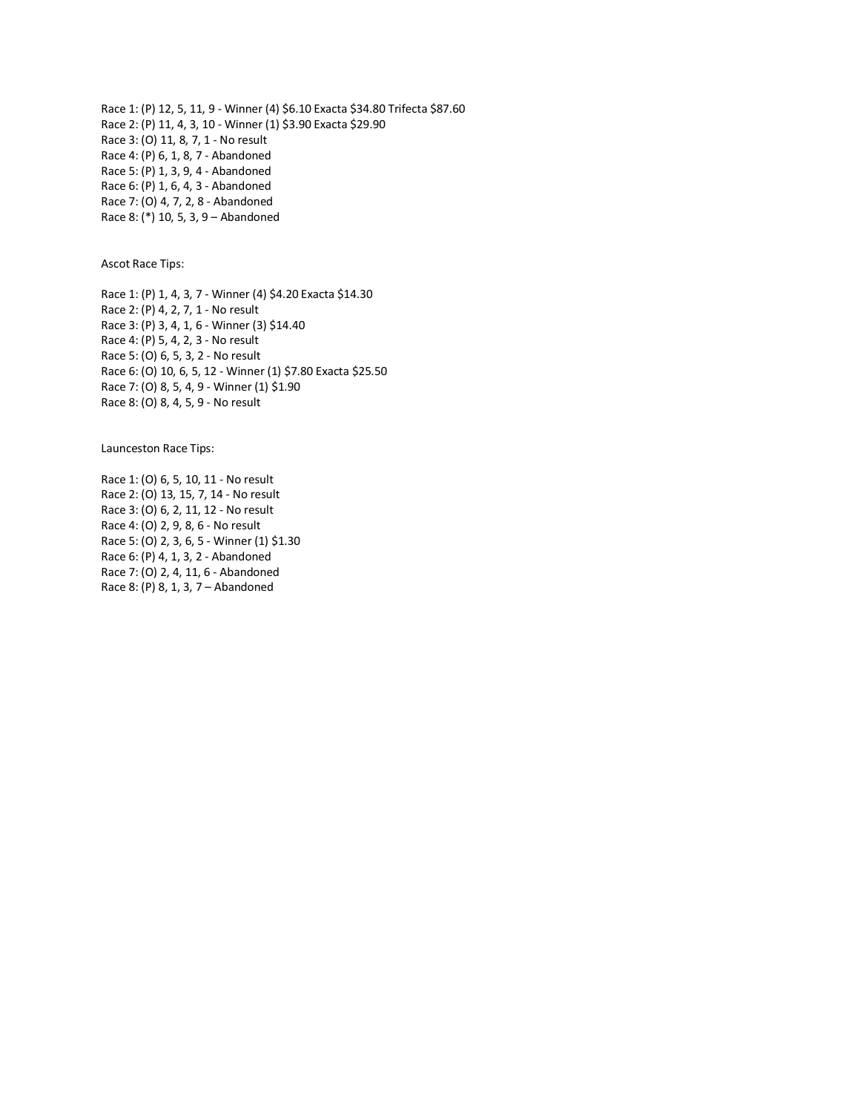Race 1: (P) 12, 5, 11, 9 - Winner (4) \$6.10 Exacta \$34.80 Trifecta \$87.60 Race 2: (P) 11, 4, 3, 10 - Winner (1) \$3.90 Exacta \$29.90 Race 3: (O) 11, 8, 7, 1 - No result Race 4: (P) 6, 1, 8, 7 - Abandoned Race 5: (P) 1, 3, 9, 4 - Abandoned Race 6: (P) 1, 6, 4, 3 - Abandoned Race 7: (O) 4, 7, 2, 8 - Abandoned Race 8: (\*) 10, 5, 3, 9 – Abandoned

Ascot Race Tips:

Race 1: (P) 1, 4, 3, 7 - Winner (4) \$4.20 Exacta \$14.30 Race 2: (P) 4, 2, 7, 1 - No result Race 3: (P) 3, 4, 1, 6 - Winner (3) \$14.40 Race 4: (P) 5, 4, 2, 3 - No result Race 5: (O) 6, 5, 3, 2 - No result Race 6: (O) 10, 6, 5, 12 - Winner (1) \$7.80 Exacta \$25.50 Race 7: (O) 8, 5, 4, 9 - Winner (1) \$1.90 Race 8: (O) 8, 4, 5, 9 - No result

Launceston Race Tips:

Race 1: (O) 6, 5, 10, 11 - No result Race 2: (O) 13, 15, 7, 14 - No result Race 3: (O) 6, 2, 11, 12 - No result Race 4: (O) 2, 9, 8, 6 - No result Race 5: (O) 2, 3, 6, 5 - Winner (1) \$1.30 Race 6: (P) 4, 1, 3, 2 - Abandoned Race 7: (O) 2, 4, 11, 6 - Abandoned Race 8: (P) 8, 1, 3, 7 – Abandoned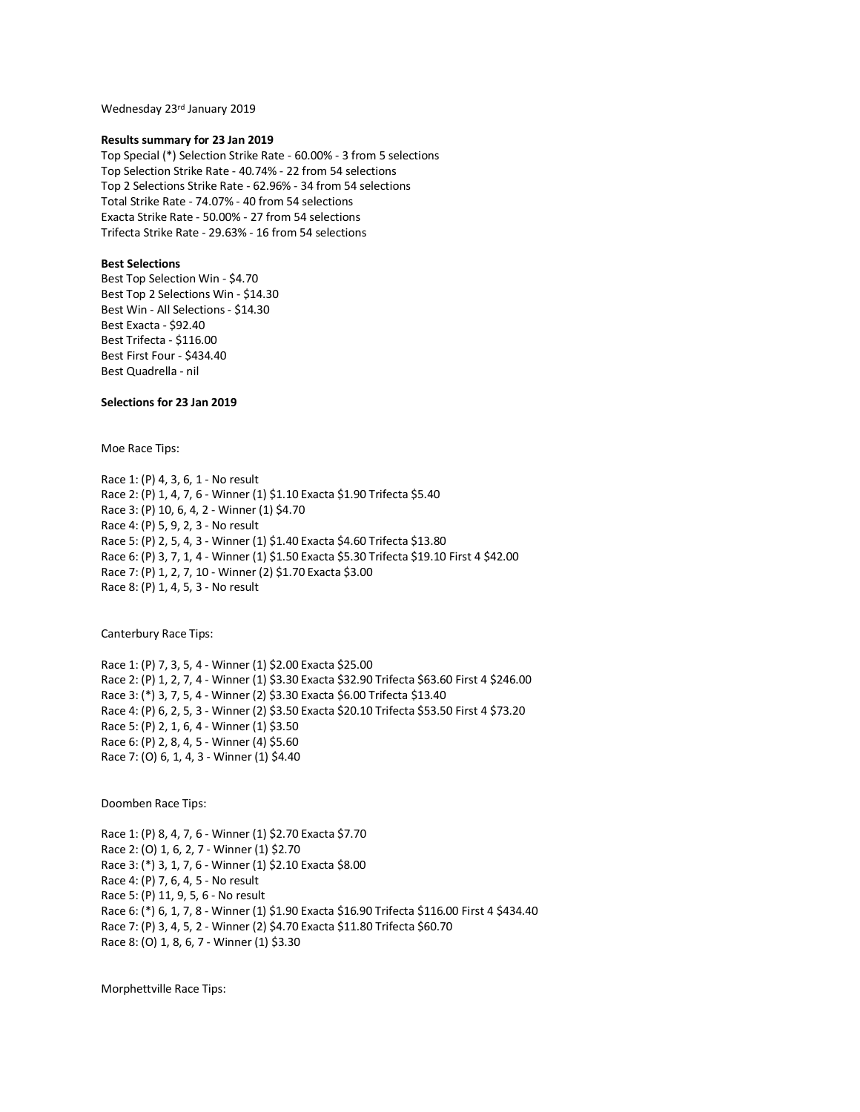Wednesday 23rd January 2019

#### **Results summary for 23 Jan 2019**

Top Special (\*) Selection Strike Rate - 60.00% - 3 from 5 selections Top Selection Strike Rate - 40.74% - 22 from 54 selections Top 2 Selections Strike Rate - 62.96% - 34 from 54 selections Total Strike Rate - 74.07% - 40 from 54 selections Exacta Strike Rate - 50.00% - 27 from 54 selections Trifecta Strike Rate - 29.63% - 16 from 54 selections

# **Best Selections**

Best Top Selection Win - \$4.70 Best Top 2 Selections Win - \$14.30 Best Win - All Selections - \$14.30 Best Exacta - \$92.40 Best Trifecta - \$116.00 Best First Four - \$434.40 Best Quadrella - nil

# **Selections for 23 Jan 2019**

Moe Race Tips:

Race 1: (P) 4, 3, 6, 1 - No result Race 2: (P) 1, 4, 7, 6 - Winner (1) \$1.10 Exacta \$1.90 Trifecta \$5.40 Race 3: (P) 10, 6, 4, 2 - Winner (1) \$4.70 Race 4: (P) 5, 9, 2, 3 - No result Race 5: (P) 2, 5, 4, 3 - Winner (1) \$1.40 Exacta \$4.60 Trifecta \$13.80 Race 6: (P) 3, 7, 1, 4 - Winner (1) \$1.50 Exacta \$5.30 Trifecta \$19.10 First 4 \$42.00 Race 7: (P) 1, 2, 7, 10 - Winner (2) \$1.70 Exacta \$3.00 Race 8: (P) 1, 4, 5, 3 - No result

Canterbury Race Tips:

Race 1: (P) 7, 3, 5, 4 - Winner (1) \$2.00 Exacta \$25.00 Race 2: (P) 1, 2, 7, 4 - Winner (1) \$3.30 Exacta \$32.90 Trifecta \$63.60 First 4 \$246.00 Race 3: (\*) 3, 7, 5, 4 - Winner (2) \$3.30 Exacta \$6.00 Trifecta \$13.40 Race 4: (P) 6, 2, 5, 3 - Winner (2) \$3.50 Exacta \$20.10 Trifecta \$53.50 First 4 \$73.20 Race 5: (P) 2, 1, 6, 4 - Winner (1) \$3.50 Race 6: (P) 2, 8, 4, 5 - Winner (4) \$5.60 Race 7: (O) 6, 1, 4, 3 - Winner (1) \$4.40

Doomben Race Tips:

Race 1: (P) 8, 4, 7, 6 - Winner (1) \$2.70 Exacta \$7.70 Race 2: (O) 1, 6, 2, 7 - Winner (1) \$2.70 Race 3: (\*) 3, 1, 7, 6 - Winner (1) \$2.10 Exacta \$8.00 Race 4: (P) 7, 6, 4, 5 - No result Race 5: (P) 11, 9, 5, 6 - No result Race 6: (\*) 6, 1, 7, 8 - Winner (1) \$1.90 Exacta \$16.90 Trifecta \$116.00 First 4 \$434.40 Race 7: (P) 3, 4, 5, 2 - Winner (2) \$4.70 Exacta \$11.80 Trifecta \$60.70 Race 8: (O) 1, 8, 6, 7 - Winner (1) \$3.30

Morphettville Race Tips: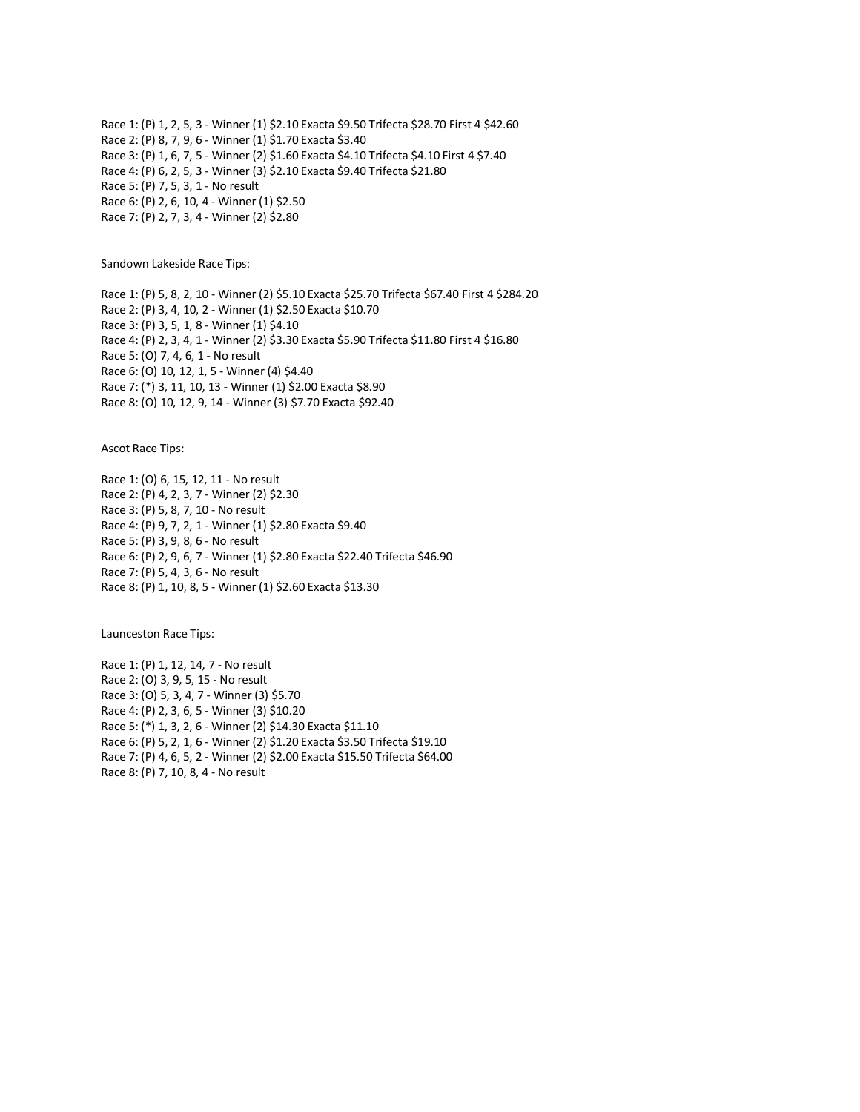Race 1: (P) 1, 2, 5, 3 - Winner (1) \$2.10 Exacta \$9.50 Trifecta \$28.70 First 4 \$42.60 Race 2: (P) 8, 7, 9, 6 - Winner (1) \$1.70 Exacta \$3.40 Race 3: (P) 1, 6, 7, 5 - Winner (2) \$1.60 Exacta \$4.10 Trifecta \$4.10 First 4 \$7.40 Race 4: (P) 6, 2, 5, 3 - Winner (3) \$2.10 Exacta \$9.40 Trifecta \$21.80 Race 5: (P) 7, 5, 3, 1 - No result Race 6: (P) 2, 6, 10, 4 - Winner (1) \$2.50 Race 7: (P) 2, 7, 3, 4 - Winner (2) \$2.80

Sandown Lakeside Race Tips:

Race 1: (P) 5, 8, 2, 10 - Winner (2) \$5.10 Exacta \$25.70 Trifecta \$67.40 First 4 \$284.20 Race 2: (P) 3, 4, 10, 2 - Winner (1) \$2.50 Exacta \$10.70 Race 3: (P) 3, 5, 1, 8 - Winner (1) \$4.10 Race 4: (P) 2, 3, 4, 1 - Winner (2) \$3.30 Exacta \$5.90 Trifecta \$11.80 First 4 \$16.80 Race 5: (O) 7, 4, 6, 1 - No result Race 6: (O) 10, 12, 1, 5 - Winner (4) \$4.40 Race 7: (\*) 3, 11, 10, 13 - Winner (1) \$2.00 Exacta \$8.90 Race 8: (O) 10, 12, 9, 14 - Winner (3) \$7.70 Exacta \$92.40

Ascot Race Tips:

Race 1: (O) 6, 15, 12, 11 - No result Race 2: (P) 4, 2, 3, 7 - Winner (2) \$2.30 Race 3: (P) 5, 8, 7, 10 - No result Race 4: (P) 9, 7, 2, 1 - Winner (1) \$2.80 Exacta \$9.40 Race 5: (P) 3, 9, 8, 6 - No result Race 6: (P) 2, 9, 6, 7 - Winner (1) \$2.80 Exacta \$22.40 Trifecta \$46.90 Race 7: (P) 5, 4, 3, 6 - No result Race 8: (P) 1, 10, 8, 5 - Winner (1) \$2.60 Exacta \$13.30

Launceston Race Tips:

Race 1: (P) 1, 12, 14, 7 - No result Race 2: (O) 3, 9, 5, 15 - No result Race 3: (O) 5, 3, 4, 7 - Winner (3) \$5.70 Race 4: (P) 2, 3, 6, 5 - Winner (3) \$10.20 Race 5: (\*) 1, 3, 2, 6 - Winner (2) \$14.30 Exacta \$11.10 Race 6: (P) 5, 2, 1, 6 - Winner (2) \$1.20 Exacta \$3.50 Trifecta \$19.10 Race 7: (P) 4, 6, 5, 2 - Winner (2) \$2.00 Exacta \$15.50 Trifecta \$64.00 Race 8: (P) 7, 10, 8, 4 - No result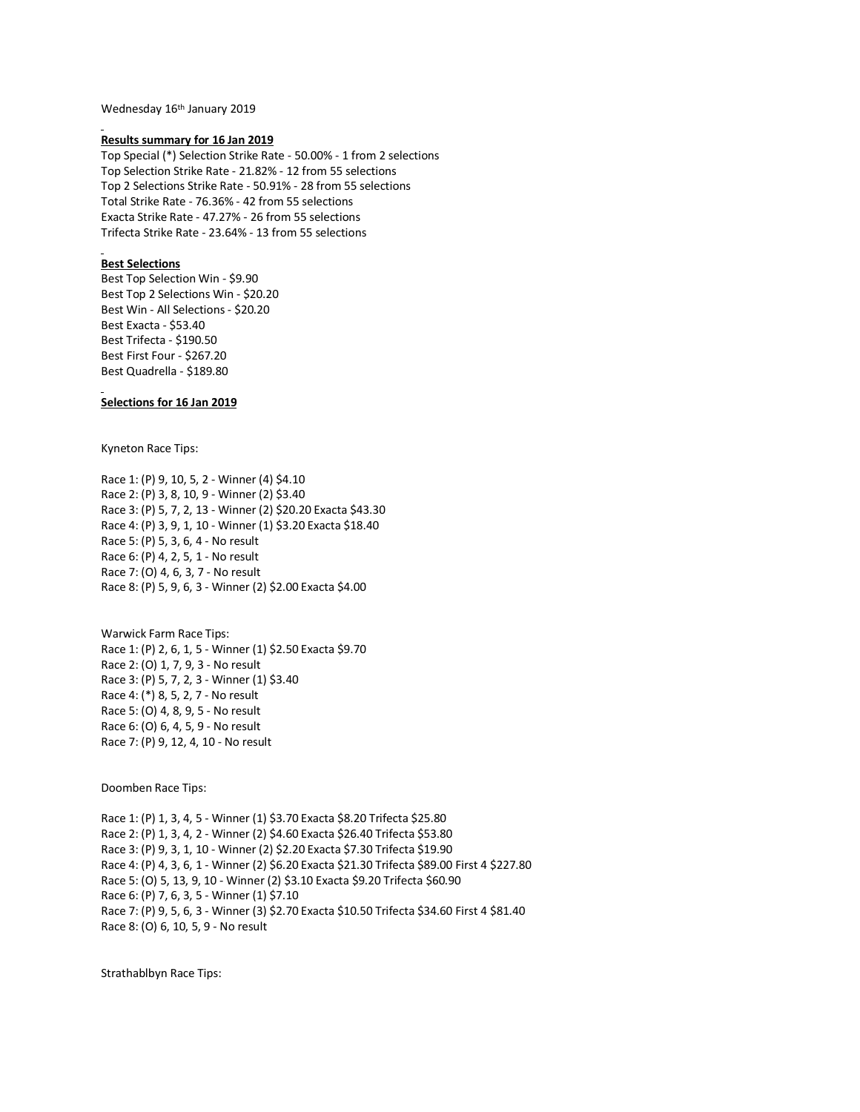Wednesday 16<sup>th</sup> January 2019

### **Results summary for 16 Jan 2019**

Top Special (\*) Selection Strike Rate - 50.00% - 1 from 2 selections Top Selection Strike Rate - 21.82% - 12 from 55 selections Top 2 Selections Strike Rate - 50.91% - 28 from 55 selections Total Strike Rate - 76.36% - 42 from 55 selections Exacta Strike Rate - 47.27% - 26 from 55 selections Trifecta Strike Rate - 23.64% - 13 from 55 selections

# **Best Selections**

Best Top Selection Win - \$9.90 Best Top 2 Selections Win - \$20.20 Best Win - All Selections - \$20.20 Best Exacta - \$53.40 Best Trifecta - \$190.50 Best First Four - \$267.20 Best Quadrella - \$189.80

## **Selections for 16 Jan 2019**

Kyneton Race Tips:

Race 1: (P) 9, 10, 5, 2 - Winner (4) \$4.10 Race 2: (P) 3, 8, 10, 9 - Winner (2) \$3.40 Race 3: (P) 5, 7, 2, 13 - Winner (2) \$20.20 Exacta \$43.30 Race 4: (P) 3, 9, 1, 10 - Winner (1) \$3.20 Exacta \$18.40 Race 5: (P) 5, 3, 6, 4 - No result Race 6: (P) 4, 2, 5, 1 - No result Race 7: (O) 4, 6, 3, 7 - No result Race 8: (P) 5, 9, 6, 3 - Winner (2) \$2.00 Exacta \$4.00

Warwick Farm Race Tips: Race 1: (P) 2, 6, 1, 5 - Winner (1) \$2.50 Exacta \$9.70 Race 2: (O) 1, 7, 9, 3 - No result Race 3: (P) 5, 7, 2, 3 - Winner (1) \$3.40 Race 4: (\*) 8, 5, 2, 7 - No result Race 5: (O) 4, 8, 9, 5 - No result Race 6: (O) 6, 4, 5, 9 - No result Race 7: (P) 9, 12, 4, 10 - No result

Doomben Race Tips:

Race 1: (P) 1, 3, 4, 5 - Winner (1) \$3.70 Exacta \$8.20 Trifecta \$25.80 Race 2: (P) 1, 3, 4, 2 - Winner (2) \$4.60 Exacta \$26.40 Trifecta \$53.80 Race 3: (P) 9, 3, 1, 10 - Winner (2) \$2.20 Exacta \$7.30 Trifecta \$19.90 Race 4: (P) 4, 3, 6, 1 - Winner (2) \$6.20 Exacta \$21.30 Trifecta \$89.00 First 4 \$227.80 Race 5: (O) 5, 13, 9, 10 - Winner (2) \$3.10 Exacta \$9.20 Trifecta \$60.90 Race 6: (P) 7, 6, 3, 5 - Winner (1) \$7.10 Race 7: (P) 9, 5, 6, 3 - Winner (3) \$2.70 Exacta \$10.50 Trifecta \$34.60 First 4 \$81.40 Race 8: (O) 6, 10, 5, 9 - No result

Strathablbyn Race Tips: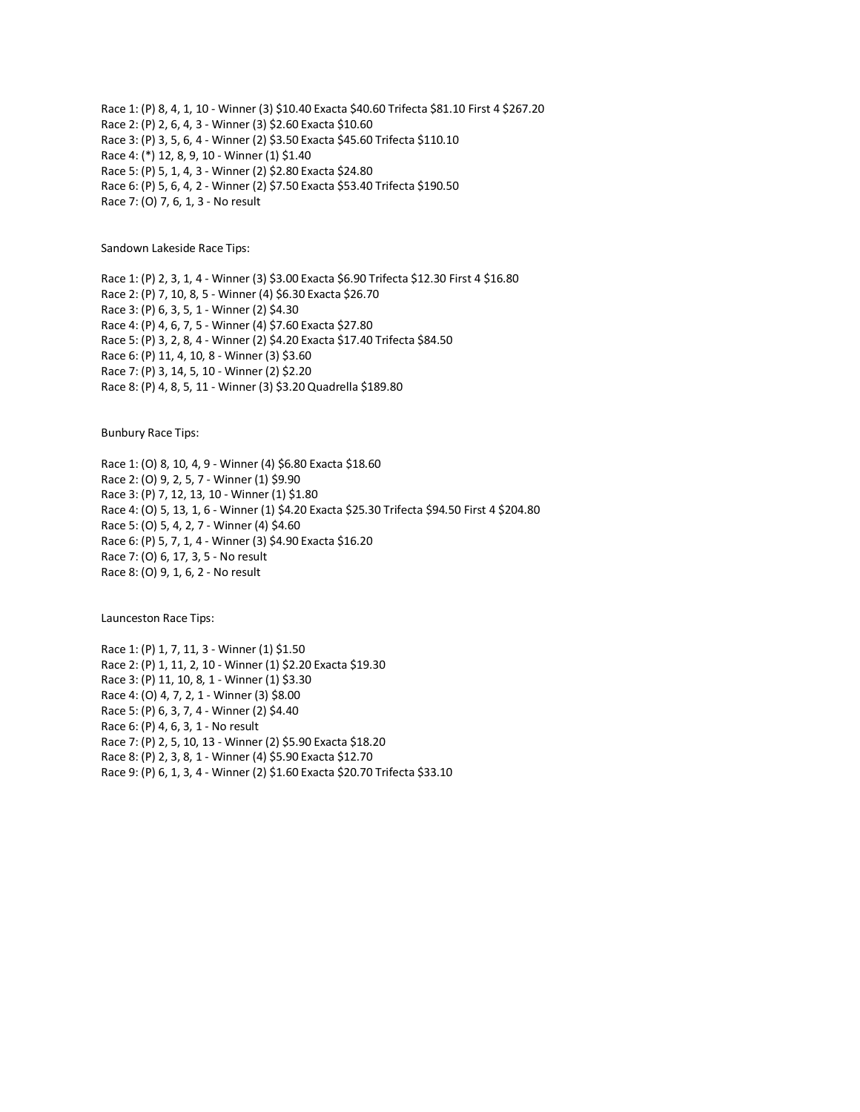Race 1: (P) 8, 4, 1, 10 - Winner (3) \$10.40 Exacta \$40.60 Trifecta \$81.10 First 4 \$267.20 Race 2: (P) 2, 6, 4, 3 - Winner (3) \$2.60 Exacta \$10.60 Race 3: (P) 3, 5, 6, 4 - Winner (2) \$3.50 Exacta \$45.60 Trifecta \$110.10 Race 4: (\*) 12, 8, 9, 10 - Winner (1) \$1.40 Race 5: (P) 5, 1, 4, 3 - Winner (2) \$2.80 Exacta \$24.80 Race 6: (P) 5, 6, 4, 2 - Winner (2) \$7.50 Exacta \$53.40 Trifecta \$190.50 Race 7: (O) 7, 6, 1, 3 - No result

Sandown Lakeside Race Tips:

Race 1: (P) 2, 3, 1, 4 - Winner (3) \$3.00 Exacta \$6.90 Trifecta \$12.30 First 4 \$16.80 Race 2: (P) 7, 10, 8, 5 - Winner (4) \$6.30 Exacta \$26.70 Race 3: (P) 6, 3, 5, 1 - Winner (2) \$4.30 Race 4: (P) 4, 6, 7, 5 - Winner (4) \$7.60 Exacta \$27.80 Race 5: (P) 3, 2, 8, 4 - Winner (2) \$4.20 Exacta \$17.40 Trifecta \$84.50 Race 6: (P) 11, 4, 10, 8 - Winner (3) \$3.60 Race 7: (P) 3, 14, 5, 10 - Winner (2) \$2.20 Race 8: (P) 4, 8, 5, 11 - Winner (3) \$3.20 Quadrella \$189.80

Bunbury Race Tips:

Race 1: (O) 8, 10, 4, 9 - Winner (4) \$6.80 Exacta \$18.60 Race 2: (O) 9, 2, 5, 7 - Winner (1) \$9.90 Race 3: (P) 7, 12, 13, 10 - Winner (1) \$1.80 Race 4: (O) 5, 13, 1, 6 - Winner (1) \$4.20 Exacta \$25.30 Trifecta \$94.50 First 4 \$204.80 Race 5: (O) 5, 4, 2, 7 - Winner (4) \$4.60 Race 6: (P) 5, 7, 1, 4 - Winner (3) \$4.90 Exacta \$16.20 Race 7: (O) 6, 17, 3, 5 - No result Race 8: (O) 9, 1, 6, 2 - No result

Launceston Race Tips:

Race 1: (P) 1, 7, 11, 3 - Winner (1) \$1.50 Race 2: (P) 1, 11, 2, 10 - Winner (1) \$2.20 Exacta \$19.30 Race 3: (P) 11, 10, 8, 1 - Winner (1) \$3.30 Race 4: (O) 4, 7, 2, 1 - Winner (3) \$8.00 Race 5: (P) 6, 3, 7, 4 - Winner (2) \$4.40 Race 6: (P) 4, 6, 3, 1 - No result Race 7: (P) 2, 5, 10, 13 - Winner (2) \$5.90 Exacta \$18.20 Race 8: (P) 2, 3, 8, 1 - Winner (4) \$5.90 Exacta \$12.70 Race 9: (P) 6, 1, 3, 4 - Winner (2) \$1.60 Exacta \$20.70 Trifecta \$33.10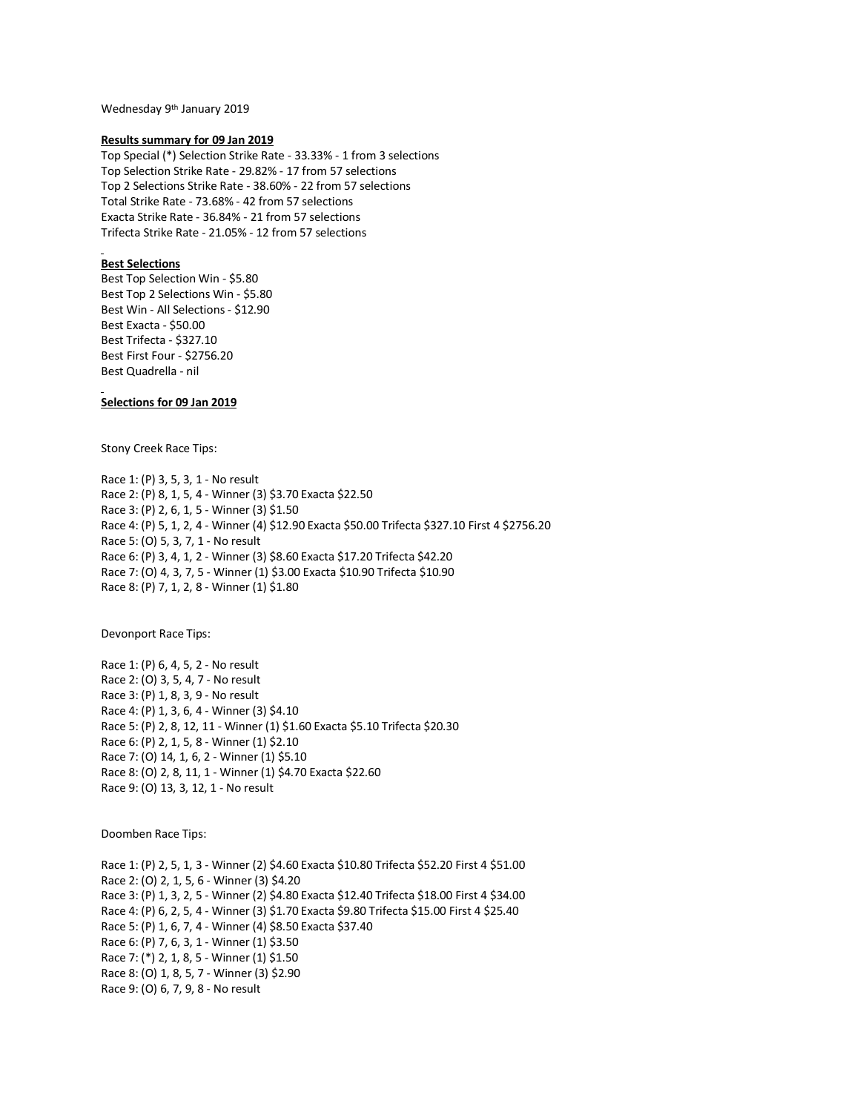Wednesday 9th January 2019

## **Results summary for 09 Jan 2019**

Top Special (\*) Selection Strike Rate - 33.33% - 1 from 3 selections Top Selection Strike Rate - 29.82% - 17 from 57 selections Top 2 Selections Strike Rate - 38.60% - 22 from 57 selections Total Strike Rate - 73.68% - 42 from 57 selections Exacta Strike Rate - 36.84% - 21 from 57 selections Trifecta Strike Rate - 21.05% - 12 from 57 selections

### **Best Selections**

Best Top Selection Win - \$5.80 Best Top 2 Selections Win - \$5.80 Best Win - All Selections - \$12.90 Best Exacta - \$50.00 Best Trifecta - \$327.10 Best First Four - \$2756.20 Best Quadrella - nil

# **Selections for 09 Jan 2019**

Stony Creek Race Tips:

Race 1: (P) 3, 5, 3, 1 - No result Race 2: (P) 8, 1, 5, 4 - Winner (3) \$3.70 Exacta \$22.50 Race 3: (P) 2, 6, 1, 5 - Winner (3) \$1.50 Race 4: (P) 5, 1, 2, 4 - Winner (4) \$12.90 Exacta \$50.00 Trifecta \$327.10 First 4 \$2756.20 Race 5: (O) 5, 3, 7, 1 - No result Race 6: (P) 3, 4, 1, 2 - Winner (3) \$8.60 Exacta \$17.20 Trifecta \$42.20 Race 7: (O) 4, 3, 7, 5 - Winner (1) \$3.00 Exacta \$10.90 Trifecta \$10.90 Race 8: (P) 7, 1, 2, 8 - Winner (1) \$1.80

Devonport Race Tips:

Race 1: (P) 6, 4, 5, 2 - No result Race 2: (O) 3, 5, 4, 7 - No result Race 3: (P) 1, 8, 3, 9 - No result Race 4: (P) 1, 3, 6, 4 - Winner (3) \$4.10 Race 5: (P) 2, 8, 12, 11 - Winner (1) \$1.60 Exacta \$5.10 Trifecta \$20.30 Race 6: (P) 2, 1, 5, 8 - Winner (1) \$2.10 Race 7: (O) 14, 1, 6, 2 - Winner (1) \$5.10 Race 8: (O) 2, 8, 11, 1 - Winner (1) \$4.70 Exacta \$22.60 Race 9: (O) 13, 3, 12, 1 - No result

Doomben Race Tips:

Race 1: (P) 2, 5, 1, 3 - Winner (2) \$4.60 Exacta \$10.80 Trifecta \$52.20 First 4 \$51.00 Race 2: (O) 2, 1, 5, 6 - Winner (3) \$4.20 Race 3: (P) 1, 3, 2, 5 - Winner (2) \$4.80 Exacta \$12.40 Trifecta \$18.00 First 4 \$34.00 Race 4: (P) 6, 2, 5, 4 - Winner (3) \$1.70 Exacta \$9.80 Trifecta \$15.00 First 4 \$25.40 Race 5: (P) 1, 6, 7, 4 - Winner (4) \$8.50 Exacta \$37.40 Race 6: (P) 7, 6, 3, 1 - Winner (1) \$3.50 Race 7: (\*) 2, 1, 8, 5 - Winner (1) \$1.50 Race 8: (O) 1, 8, 5, 7 - Winner (3) \$2.90 Race 9: (O) 6, 7, 9, 8 - No result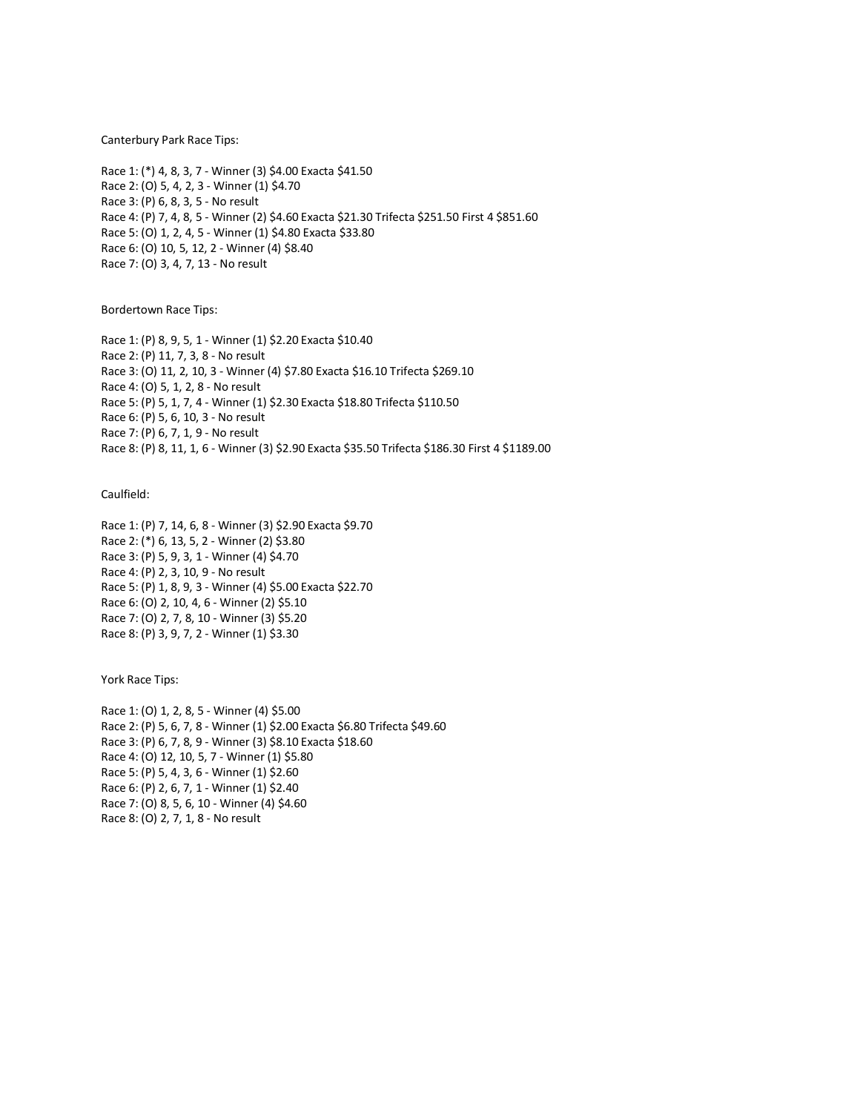Canterbury Park Race Tips:

Race 1: (\*) 4, 8, 3, 7 - Winner (3) \$4.00 Exacta \$41.50 Race 2: (O) 5, 4, 2, 3 - Winner (1) \$4.70 Race 3: (P) 6, 8, 3, 5 - No result Race 4: (P) 7, 4, 8, 5 - Winner (2) \$4.60 Exacta \$21.30 Trifecta \$251.50 First 4 \$851.60 Race 5: (O) 1, 2, 4, 5 - Winner (1) \$4.80 Exacta \$33.80 Race 6: (O) 10, 5, 12, 2 - Winner (4) \$8.40 Race 7: (O) 3, 4, 7, 13 - No result

Bordertown Race Tips:

Race 1: (P) 8, 9, 5, 1 - Winner (1) \$2.20 Exacta \$10.40 Race 2: (P) 11, 7, 3, 8 - No result Race 3: (O) 11, 2, 10, 3 - Winner (4) \$7.80 Exacta \$16.10 Trifecta \$269.10 Race 4: (O) 5, 1, 2, 8 - No result Race 5: (P) 5, 1, 7, 4 - Winner (1) \$2.30 Exacta \$18.80 Trifecta \$110.50 Race 6: (P) 5, 6, 10, 3 - No result Race 7: (P) 6, 7, 1, 9 - No result Race 8: (P) 8, 11, 1, 6 - Winner (3) \$2.90 Exacta \$35.50 Trifecta \$186.30 First 4 \$1189.00

Caulfield:

Race 1: (P) 7, 14, 6, 8 - Winner (3) \$2.90 Exacta \$9.70 Race 2: (\*) 6, 13, 5, 2 - Winner (2) \$3.80 Race 3: (P) 5, 9, 3, 1 - Winner (4) \$4.70 Race 4: (P) 2, 3, 10, 9 - No result Race 5: (P) 1, 8, 9, 3 - Winner (4) \$5.00 Exacta \$22.70 Race 6: (O) 2, 10, 4, 6 - Winner (2) \$5.10 Race 7: (O) 2, 7, 8, 10 - Winner (3) \$5.20 Race 8: (P) 3, 9, 7, 2 - Winner (1) \$3.30

York Race Tips:

Race 1: (O) 1, 2, 8, 5 - Winner (4) \$5.00 Race 2: (P) 5, 6, 7, 8 - Winner (1) \$2.00 Exacta \$6.80 Trifecta \$49.60 Race 3: (P) 6, 7, 8, 9 - Winner (3) \$8.10 Exacta \$18.60 Race 4: (O) 12, 10, 5, 7 - Winner (1) \$5.80 Race 5: (P) 5, 4, 3, 6 - Winner (1) \$2.60 Race 6: (P) 2, 6, 7, 1 - Winner (1) \$2.40 Race 7: (O) 8, 5, 6, 10 - Winner (4) \$4.60 Race 8: (O) 2, 7, 1, 8 - No result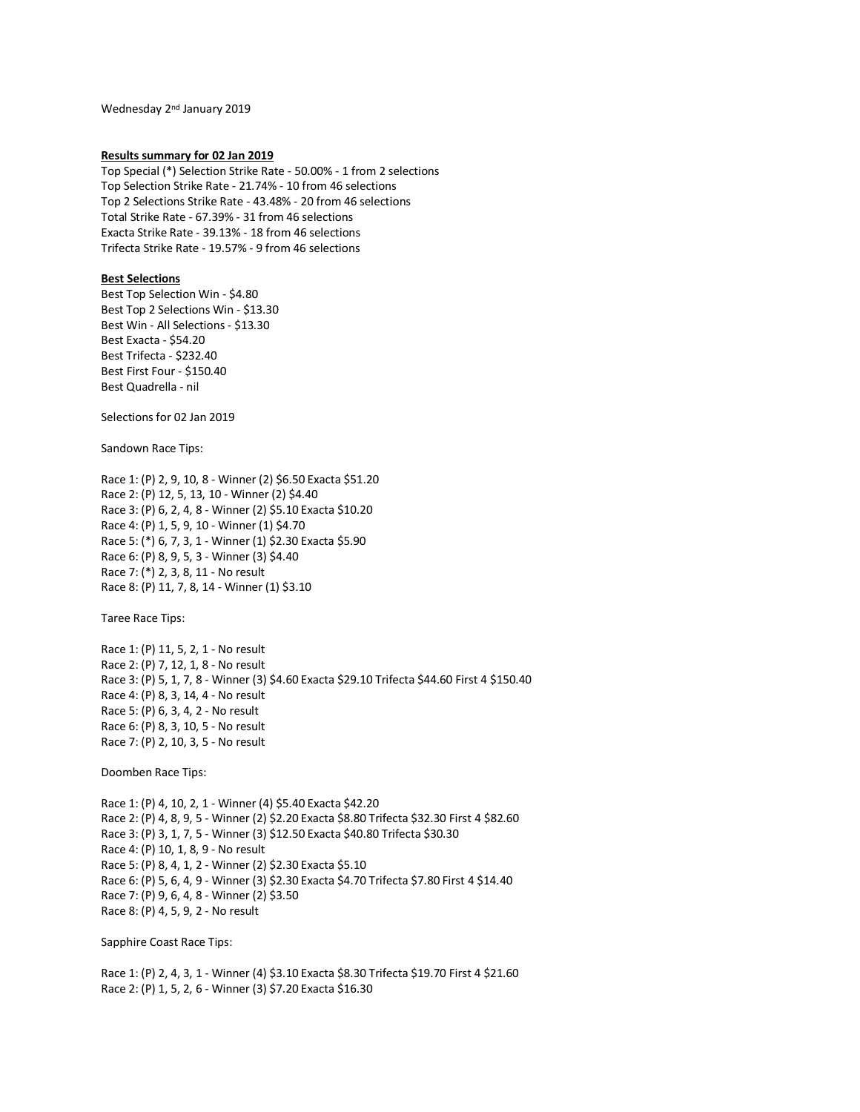Wednesday 2<sup>nd</sup> January 2019

### **Results summary for 02 Jan 2019**

Top Special (\*) Selection Strike Rate - 50.00% - 1 from 2 selections Top Selection Strike Rate - 21.74% - 10 from 46 selections Top 2 Selections Strike Rate - 43.48% - 20 from 46 selections Total Strike Rate - 67.39% - 31 from 46 selections Exacta Strike Rate - 39.13% - 18 from 46 selections Trifecta Strike Rate - 19.57% - 9 from 46 selections

# **Best Selections**

Best Top Selection Win - \$4.80 Best Top 2 Selections Win - \$13.30 Best Win - All Selections - \$13.30 Best Exacta - \$54.20 Best Trifecta - \$232.40 Best First Four - \$150.40 Best Quadrella - nil

Selections for 02 Jan 2019

Sandown Race Tips:

Race 1: (P) 2, 9, 10, 8 - Winner (2) \$6.50 Exacta \$51.20 Race 2: (P) 12, 5, 13, 10 - Winner (2) \$4.40 Race 3: (P) 6, 2, 4, 8 - Winner (2) \$5.10 Exacta \$10.20 Race 4: (P) 1, 5, 9, 10 - Winner (1) \$4.70 Race 5: (\*) 6, 7, 3, 1 - Winner (1) \$2.30 Exacta \$5.90 Race 6: (P) 8, 9, 5, 3 - Winner (3) \$4.40 Race 7: (\*) 2, 3, 8, 11 - No result Race 8: (P) 11, 7, 8, 14 - Winner (1) \$3.10

Taree Race Tips:

Race 1: (P) 11, 5, 2, 1 - No result Race 2: (P) 7, 12, 1, 8 - No result Race 3: (P) 5, 1, 7, 8 - Winner (3) \$4.60 Exacta \$29.10 Trifecta \$44.60 First 4 \$150.40 Race 4: (P) 8, 3, 14, 4 - No result Race 5: (P) 6, 3, 4, 2 - No result Race 6: (P) 8, 3, 10, 5 - No result Race 7: (P) 2, 10, 3, 5 - No result

Doomben Race Tips:

Race 1: (P) 4, 10, 2, 1 - Winner (4) \$5.40 Exacta \$42.20 Race 2: (P) 4, 8, 9, 5 - Winner (2) \$2.20 Exacta \$8.80 Trifecta \$32.30 First 4 \$82.60 Race 3: (P) 3, 1, 7, 5 - Winner (3) \$12.50 Exacta \$40.80 Trifecta \$30.30 Race 4: (P) 10, 1, 8, 9 - No result Race 5: (P) 8, 4, 1, 2 - Winner (2) \$2.30 Exacta \$5.10 Race 6: (P) 5, 6, 4, 9 - Winner (3) \$2.30 Exacta \$4.70 Trifecta \$7.80 First 4 \$14.40 Race 7: (P) 9, 6, 4, 8 - Winner (2) \$3.50 Race 8: (P) 4, 5, 9, 2 - No result

Sapphire Coast Race Tips:

Race 1: (P) 2, 4, 3, 1 - Winner (4) \$3.10 Exacta \$8.30 Trifecta \$19.70 First 4 \$21.60 Race 2: (P) 1, 5, 2, 6 - Winner (3) \$7.20 Exacta \$16.30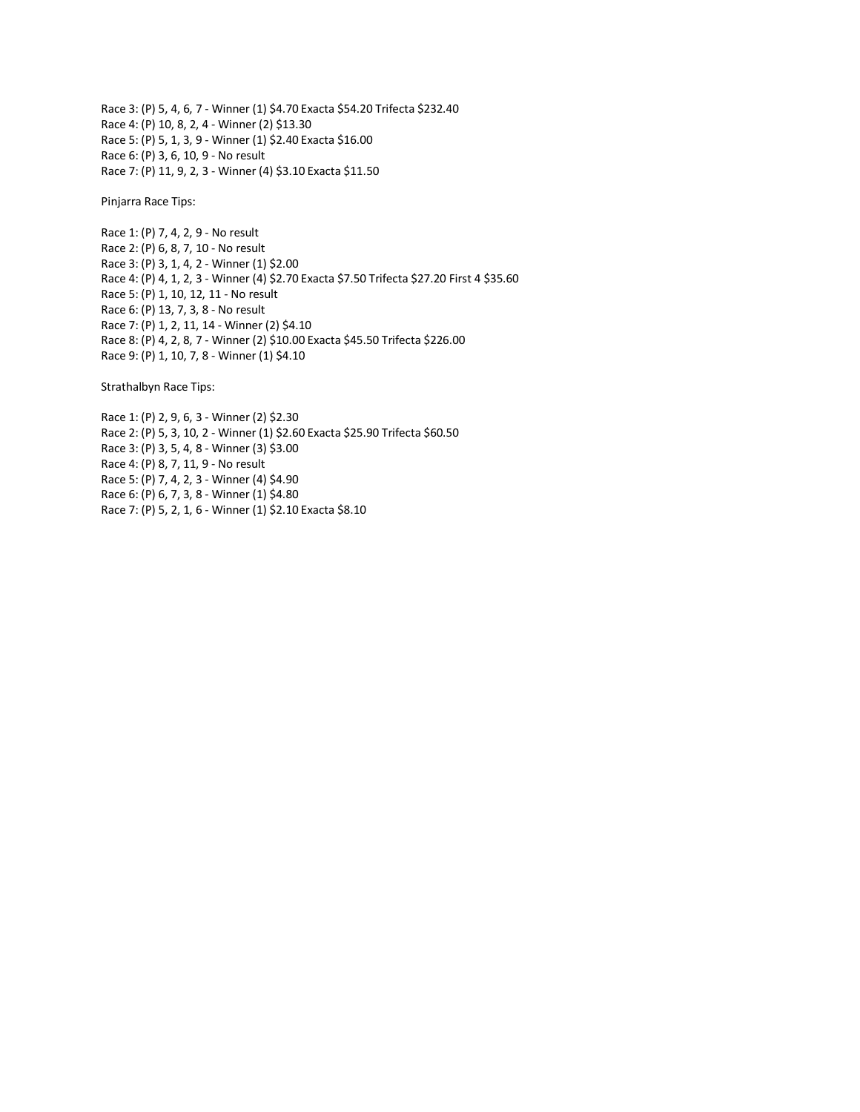Race 3: (P) 5, 4, 6, 7 - Winner (1) \$4.70 Exacta \$54.20 Trifecta \$232.40 Race 4: (P) 10, 8, 2, 4 - Winner (2) \$13.30 Race 5: (P) 5, 1, 3, 9 - Winner (1) \$2.40 Exacta \$16.00 Race 6: (P) 3, 6, 10, 9 - No result Race 7: (P) 11, 9, 2, 3 - Winner (4) \$3.10 Exacta \$11.50

Pinjarra Race Tips:

Race 1: (P) 7, 4, 2, 9 - No result Race 2: (P) 6, 8, 7, 10 - No result Race 3: (P) 3, 1, 4, 2 - Winner (1) \$2.00 Race 4: (P) 4, 1, 2, 3 - Winner (4) \$2.70 Exacta \$7.50 Trifecta \$27.20 First 4 \$35.60 Race 5: (P) 1, 10, 12, 11 - No result Race 6: (P) 13, 7, 3, 8 - No result Race 7: (P) 1, 2, 11, 14 - Winner (2) \$4.10 Race 8: (P) 4, 2, 8, 7 - Winner (2) \$10.00 Exacta \$45.50 Trifecta \$226.00 Race 9: (P) 1, 10, 7, 8 - Winner (1) \$4.10

Strathalbyn Race Tips:

Race 1: (P) 2, 9, 6, 3 - Winner (2) \$2.30 Race 2: (P) 5, 3, 10, 2 - Winner (1) \$2.60 Exacta \$25.90 Trifecta \$60.50 Race 3: (P) 3, 5, 4, 8 - Winner (3) \$3.00 Race 4: (P) 8, 7, 11, 9 - No result Race 5: (P) 7, 4, 2, 3 - Winner (4) \$4.90 Race 6: (P) 6, 7, 3, 8 - Winner (1) \$4.80 Race 7: (P) 5, 2, 1, 6 - Winner (1) \$2.10 Exacta \$8.10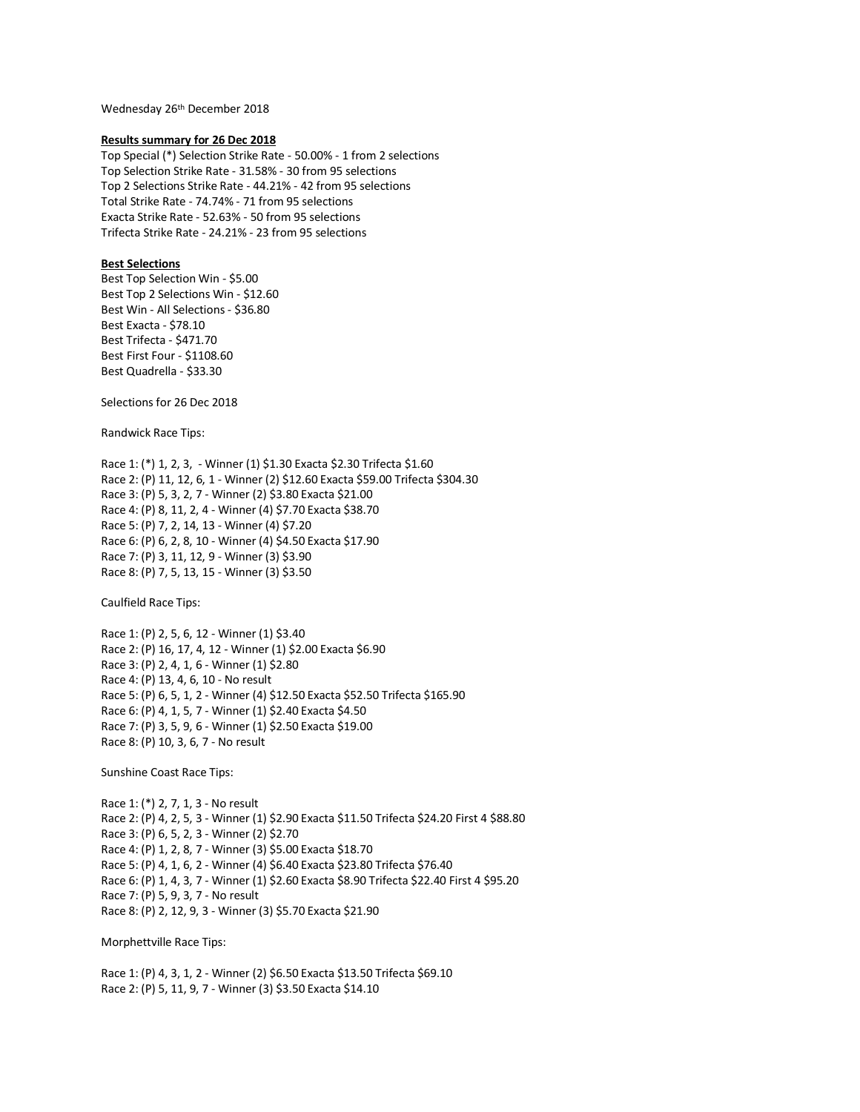Wednesday 26th December 2018

### **Results summary for 26 Dec 2018**

Top Special (\*) Selection Strike Rate - 50.00% - 1 from 2 selections Top Selection Strike Rate - 31.58% - 30 from 95 selections Top 2 Selections Strike Rate - 44.21% - 42 from 95 selections Total Strike Rate - 74.74% - 71 from 95 selections Exacta Strike Rate - 52.63% - 50 from 95 selections Trifecta Strike Rate - 24.21% - 23 from 95 selections

# **Best Selections**

Best Top Selection Win - \$5.00 Best Top 2 Selections Win - \$12.60 Best Win - All Selections - \$36.80 Best Exacta - \$78.10 Best Trifecta - \$471.70 Best First Four - \$1108.60 Best Quadrella - \$33.30

Selections for 26 Dec 2018

Randwick Race Tips:

Race 1: (\*) 1, 2, 3, - Winner (1) \$1.30 Exacta \$2.30 Trifecta \$1.60 Race 2: (P) 11, 12, 6, 1 - Winner (2) \$12.60 Exacta \$59.00 Trifecta \$304.30 Race 3: (P) 5, 3, 2, 7 - Winner (2) \$3.80 Exacta \$21.00 Race 4: (P) 8, 11, 2, 4 - Winner (4) \$7.70 Exacta \$38.70 Race 5: (P) 7, 2, 14, 13 - Winner (4) \$7.20 Race 6: (P) 6, 2, 8, 10 - Winner (4) \$4.50 Exacta \$17.90 Race 7: (P) 3, 11, 12, 9 - Winner (3) \$3.90 Race 8: (P) 7, 5, 13, 15 - Winner (3) \$3.50

Caulfield Race Tips:

Race 1: (P) 2, 5, 6, 12 - Winner (1) \$3.40 Race 2: (P) 16, 17, 4, 12 - Winner (1) \$2.00 Exacta \$6.90 Race 3: (P) 2, 4, 1, 6 - Winner (1) \$2.80 Race 4: (P) 13, 4, 6, 10 - No result Race 5: (P) 6, 5, 1, 2 - Winner (4) \$12.50 Exacta \$52.50 Trifecta \$165.90 Race 6: (P) 4, 1, 5, 7 - Winner (1) \$2.40 Exacta \$4.50 Race 7: (P) 3, 5, 9, 6 - Winner (1) \$2.50 Exacta \$19.00 Race 8: (P) 10, 3, 6, 7 - No result

Sunshine Coast Race Tips:

Race 1: (\*) 2, 7, 1, 3 - No result Race 2: (P) 4, 2, 5, 3 - Winner (1) \$2.90 Exacta \$11.50 Trifecta \$24.20 First 4 \$88.80 Race 3: (P) 6, 5, 2, 3 - Winner (2) \$2.70 Race 4: (P) 1, 2, 8, 7 - Winner (3) \$5.00 Exacta \$18.70 Race 5: (P) 4, 1, 6, 2 - Winner (4) \$6.40 Exacta \$23.80 Trifecta \$76.40 Race 6: (P) 1, 4, 3, 7 - Winner (1) \$2.60 Exacta \$8.90 Trifecta \$22.40 First 4 \$95.20 Race 7: (P) 5, 9, 3, 7 - No result Race 8: (P) 2, 12, 9, 3 - Winner (3) \$5.70 Exacta \$21.90

Morphettville Race Tips:

Race 1: (P) 4, 3, 1, 2 - Winner (2) \$6.50 Exacta \$13.50 Trifecta \$69.10 Race 2: (P) 5, 11, 9, 7 - Winner (3) \$3.50 Exacta \$14.10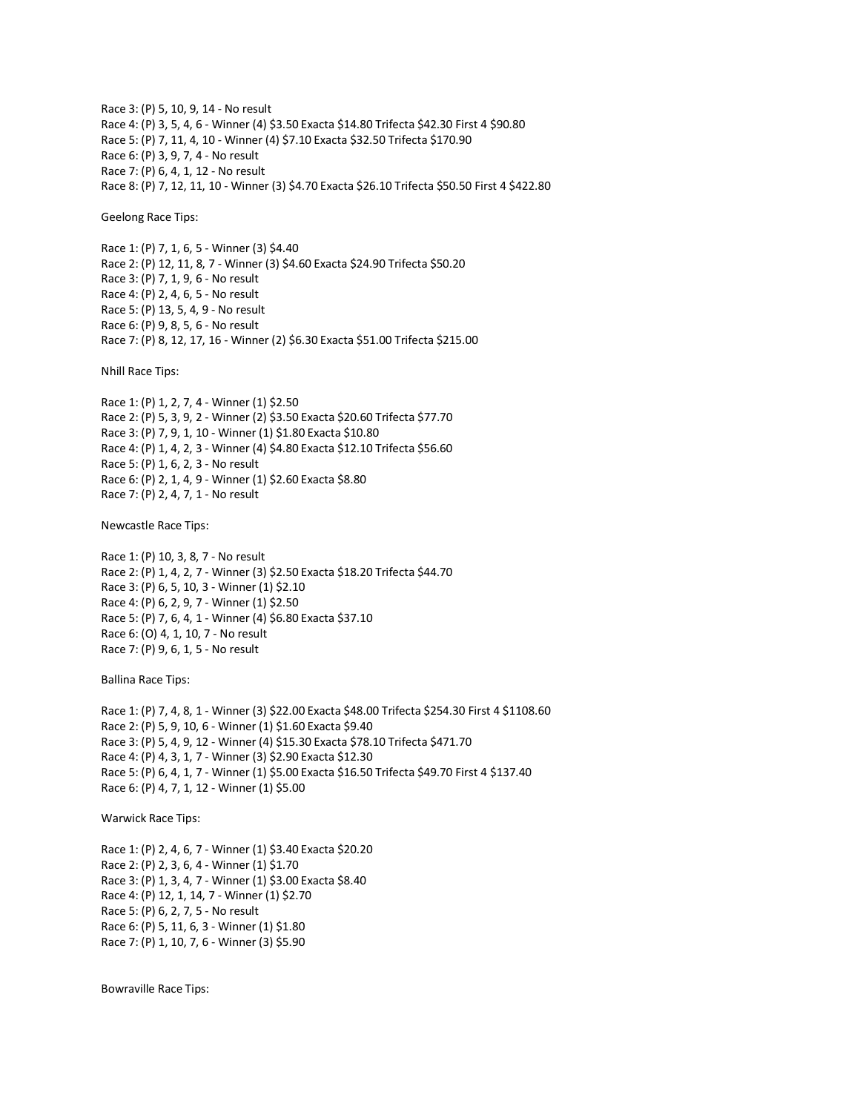Race 3: (P) 5, 10, 9, 14 - No result Race 4: (P) 3, 5, 4, 6 - Winner (4) \$3.50 Exacta \$14.80 Trifecta \$42.30 First 4 \$90.80 Race 5: (P) 7, 11, 4, 10 - Winner (4) \$7.10 Exacta \$32.50 Trifecta \$170.90 Race 6: (P) 3, 9, 7, 4 - No result Race 7: (P) 6, 4, 1, 12 - No result Race 8: (P) 7, 12, 11, 10 - Winner (3) \$4.70 Exacta \$26.10 Trifecta \$50.50 First 4 \$422.80

Geelong Race Tips:

Race 1: (P) 7, 1, 6, 5 - Winner (3) \$4.40 Race 2: (P) 12, 11, 8, 7 - Winner (3) \$4.60 Exacta \$24.90 Trifecta \$50.20 Race 3: (P) 7, 1, 9, 6 - No result Race 4: (P) 2, 4, 6, 5 - No result Race 5: (P) 13, 5, 4, 9 - No result Race 6: (P) 9, 8, 5, 6 - No result Race 7: (P) 8, 12, 17, 16 - Winner (2) \$6.30 Exacta \$51.00 Trifecta \$215.00

Nhill Race Tips:

Race 1: (P) 1, 2, 7, 4 - Winner (1) \$2.50 Race 2: (P) 5, 3, 9, 2 - Winner (2) \$3.50 Exacta \$20.60 Trifecta \$77.70 Race 3: (P) 7, 9, 1, 10 - Winner (1) \$1.80 Exacta \$10.80 Race 4: (P) 1, 4, 2, 3 - Winner (4) \$4.80 Exacta \$12.10 Trifecta \$56.60 Race 5: (P) 1, 6, 2, 3 - No result Race 6: (P) 2, 1, 4, 9 - Winner (1) \$2.60 Exacta \$8.80 Race 7: (P) 2, 4, 7, 1 - No result

Newcastle Race Tips:

Race 1: (P) 10, 3, 8, 7 - No result Race 2: (P) 1, 4, 2, 7 - Winner (3) \$2.50 Exacta \$18.20 Trifecta \$44.70 Race 3: (P) 6, 5, 10, 3 - Winner (1) \$2.10 Race 4: (P) 6, 2, 9, 7 - Winner (1) \$2.50 Race 5: (P) 7, 6, 4, 1 - Winner (4) \$6.80 Exacta \$37.10 Race 6: (O) 4, 1, 10, 7 - No result Race 7: (P) 9, 6, 1, 5 - No result

Ballina Race Tips:

Race 1: (P) 7, 4, 8, 1 - Winner (3) \$22.00 Exacta \$48.00 Trifecta \$254.30 First 4 \$1108.60 Race 2: (P) 5, 9, 10, 6 - Winner (1) \$1.60 Exacta \$9.40 Race 3: (P) 5, 4, 9, 12 - Winner (4) \$15.30 Exacta \$78.10 Trifecta \$471.70 Race 4: (P) 4, 3, 1, 7 - Winner (3) \$2.90 Exacta \$12.30 Race 5: (P) 6, 4, 1, 7 - Winner (1) \$5.00 Exacta \$16.50 Trifecta \$49.70 First 4 \$137.40 Race 6: (P) 4, 7, 1, 12 - Winner (1) \$5.00

Warwick Race Tips:

Race 1: (P) 2, 4, 6, 7 - Winner (1) \$3.40 Exacta \$20.20 Race 2: (P) 2, 3, 6, 4 - Winner (1) \$1.70 Race 3: (P) 1, 3, 4, 7 - Winner (1) \$3.00 Exacta \$8.40 Race 4: (P) 12, 1, 14, 7 - Winner (1) \$2.70 Race 5: (P) 6, 2, 7, 5 - No result Race 6: (P) 5, 11, 6, 3 - Winner (1) \$1.80 Race 7: (P) 1, 10, 7, 6 - Winner (3) \$5.90

Bowraville Race Tips: